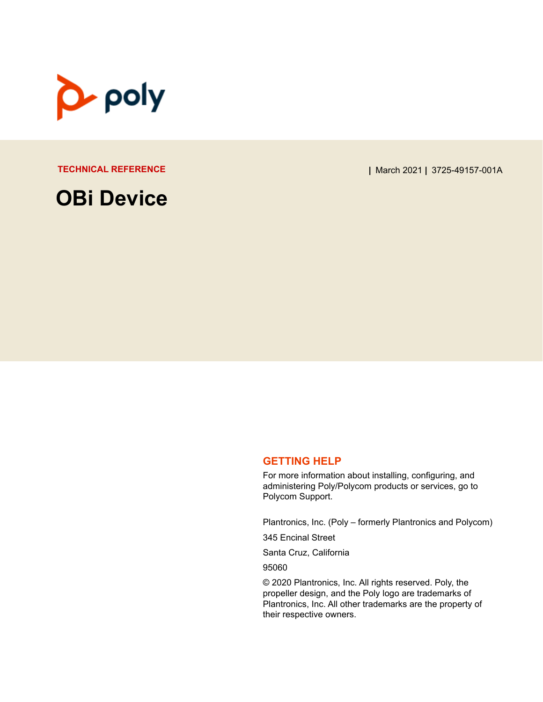

**OBi Device**

**TECHNICAL REFERENCE |** March 2021 **|** 3725-49157-001A

#### **GETTING HELP**

For more information about installing, configuring, and administering Poly/Polycom products or services, go to Polycom Support.

Plantronics, Inc. (Poly – formerly Plantronics and Polycom)

345 Encinal Street

Santa Cruz, California

95060

© 2020 Plantronics, Inc. All rights reserved. Poly, the propeller design, and the Poly logo are trademarks of Plantronics, Inc. All other trademarks are the property of their respective owners.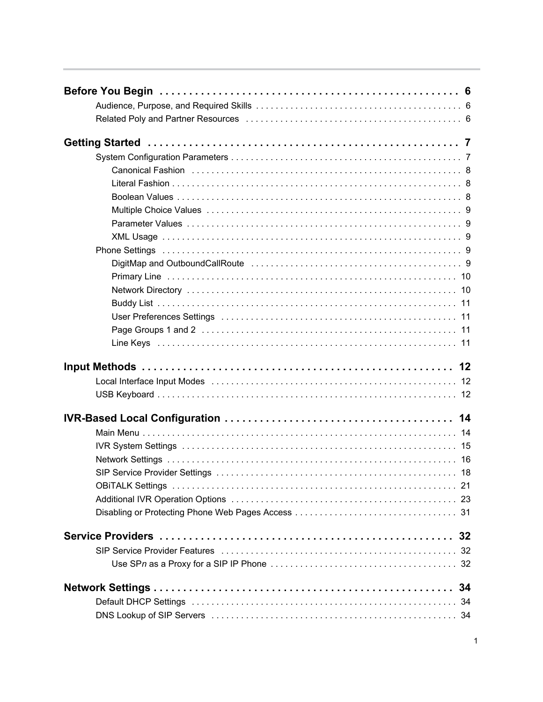| User Preferences Settings (and the content of the content of the content of the USE of the USE of the USE of t |  |
|----------------------------------------------------------------------------------------------------------------|--|
|                                                                                                                |  |
|                                                                                                                |  |
|                                                                                                                |  |
|                                                                                                                |  |
|                                                                                                                |  |
| Local Interface Input Modes (and accommodation of the contract of the face of the contract of the Local Interf |  |
|                                                                                                                |  |
|                                                                                                                |  |
|                                                                                                                |  |
|                                                                                                                |  |
|                                                                                                                |  |
|                                                                                                                |  |
|                                                                                                                |  |
|                                                                                                                |  |
|                                                                                                                |  |
|                                                                                                                |  |
|                                                                                                                |  |
| SIP Service Provider Features (and accommodation of the state of the state of the state of the state of the st |  |
|                                                                                                                |  |
|                                                                                                                |  |
|                                                                                                                |  |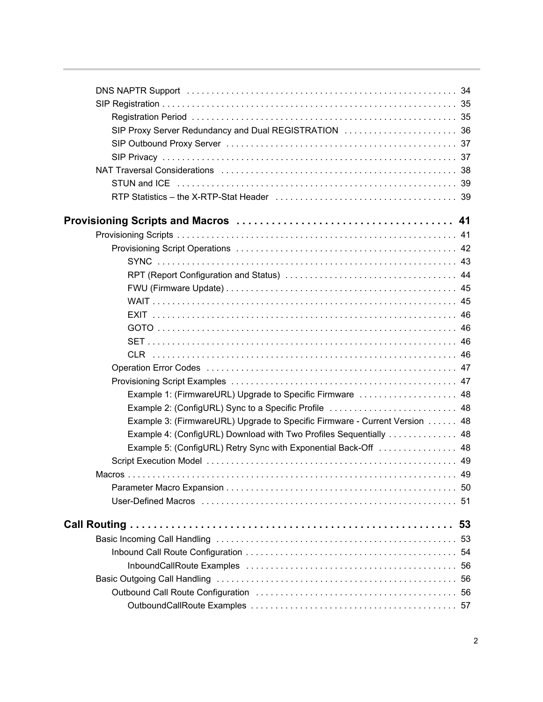| NAT Traversal Considerations (all contracts and contracts are not contract and the NAT Traversal Consideration |    |
|----------------------------------------------------------------------------------------------------------------|----|
|                                                                                                                |    |
|                                                                                                                |    |
|                                                                                                                |    |
|                                                                                                                |    |
|                                                                                                                |    |
|                                                                                                                |    |
|                                                                                                                |    |
|                                                                                                                |    |
|                                                                                                                |    |
|                                                                                                                |    |
|                                                                                                                |    |
|                                                                                                                |    |
|                                                                                                                |    |
|                                                                                                                |    |
|                                                                                                                |    |
| Example 1: (FirmwareURL) Upgrade to Specific Firmware  48                                                      |    |
| Example 2: (ConfigURL) Sync to a Specific Profile  48                                                          |    |
| Example 3: (FirmwareURL) Upgrade to Specific Firmware - Current Version 48                                     |    |
| Example 4: (ConfigURL) Download with Two Profiles Sequentially  48                                             |    |
| Example 5: (ConfigURL) Retry Sync with Exponential Back-Off  48                                                |    |
|                                                                                                                |    |
|                                                                                                                |    |
|                                                                                                                |    |
|                                                                                                                |    |
|                                                                                                                | 53 |
|                                                                                                                |    |
|                                                                                                                | 54 |
|                                                                                                                |    |
|                                                                                                                |    |
|                                                                                                                |    |
|                                                                                                                |    |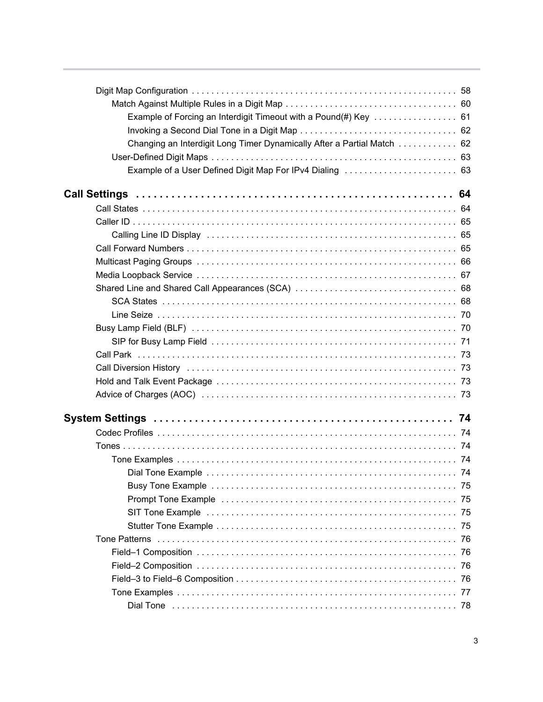| Example of Forcing an Interdigit Timeout with a Pound(#) Key  61       |  |
|------------------------------------------------------------------------|--|
|                                                                        |  |
| Changing an Interdigit Long Timer Dynamically After a Partial Match 62 |  |
|                                                                        |  |
|                                                                        |  |
|                                                                        |  |
|                                                                        |  |
|                                                                        |  |
|                                                                        |  |
|                                                                        |  |
|                                                                        |  |
|                                                                        |  |
|                                                                        |  |
|                                                                        |  |
|                                                                        |  |
|                                                                        |  |
|                                                                        |  |
|                                                                        |  |
|                                                                        |  |
|                                                                        |  |
|                                                                        |  |
|                                                                        |  |
|                                                                        |  |
|                                                                        |  |
|                                                                        |  |
|                                                                        |  |
|                                                                        |  |
|                                                                        |  |
|                                                                        |  |
|                                                                        |  |
|                                                                        |  |
|                                                                        |  |
|                                                                        |  |
|                                                                        |  |
|                                                                        |  |
|                                                                        |  |
|                                                                        |  |
|                                                                        |  |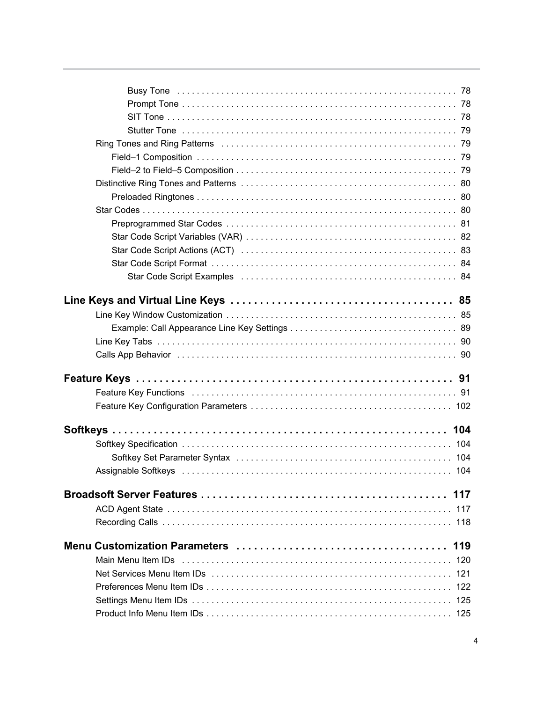| Ring Tones and Ring Patterns (all contains) and all container and Ring Tones and Ring Patterns (39)                                                                                                                            |     |
|--------------------------------------------------------------------------------------------------------------------------------------------------------------------------------------------------------------------------------|-----|
|                                                                                                                                                                                                                                |     |
|                                                                                                                                                                                                                                |     |
|                                                                                                                                                                                                                                |     |
|                                                                                                                                                                                                                                |     |
|                                                                                                                                                                                                                                |     |
|                                                                                                                                                                                                                                |     |
|                                                                                                                                                                                                                                |     |
|                                                                                                                                                                                                                                |     |
|                                                                                                                                                                                                                                |     |
|                                                                                                                                                                                                                                |     |
|                                                                                                                                                                                                                                |     |
|                                                                                                                                                                                                                                |     |
|                                                                                                                                                                                                                                |     |
|                                                                                                                                                                                                                                |     |
|                                                                                                                                                                                                                                |     |
|                                                                                                                                                                                                                                |     |
|                                                                                                                                                                                                                                |     |
|                                                                                                                                                                                                                                |     |
|                                                                                                                                                                                                                                |     |
|                                                                                                                                                                                                                                |     |
|                                                                                                                                                                                                                                |     |
|                                                                                                                                                                                                                                |     |
|                                                                                                                                                                                                                                | 117 |
|                                                                                                                                                                                                                                | 117 |
|                                                                                                                                                                                                                                | 118 |
|                                                                                                                                                                                                                                |     |
| Main Menu Item IDs (all contains and contained all contains and all contained and main the Main Contains and M                                                                                                                 | 120 |
| Net Services Menu Item IDs (and account of the content of the content of the Services Menu Item IDs (and account of the content of the content of the Service of the Service of the Service of the Service of the Service of t | 121 |
|                                                                                                                                                                                                                                |     |
|                                                                                                                                                                                                                                | 125 |
|                                                                                                                                                                                                                                |     |
|                                                                                                                                                                                                                                |     |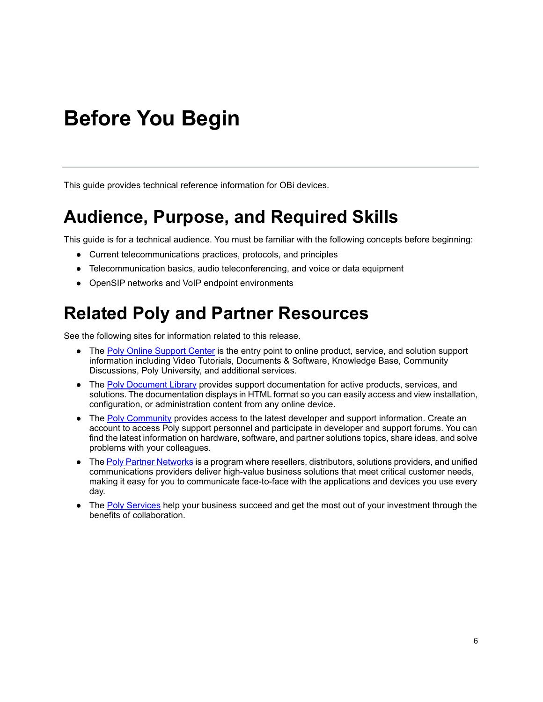# <span id="page-6-0"></span>**Before You Begin**

This guide provides technical reference information for OBi devices.

## <span id="page-6-1"></span>**Audience, Purpose, and Required Skills**

This guide is for a technical audience. You must be familiar with the following concepts before beginning:

- Current telecommunications practices, protocols, and principles
- Telecommunication basics, audio teleconferencing, and voice or data equipment
- OpenSIP networks and VoIP endpoint environments

## <span id="page-6-2"></span>**Related Poly and Partner Resources**

See the following sites for information related to this release.

- **●** The [Poly Online Support Center](https://support.polycom.com/) is the entry point to online product, service, and solution support information including Video Tutorials, Documents & Software, Knowledge Base, Community Discussions, Poly University, and additional services.
- **●** The [Poly Document Library](https://documents.polycom.com/) provides support documentation for active products, services, and solutions. The documentation displays in HTML format so you can easily access and view installation, configuration, or administration content from any online device.
- **●** The [Poly Community](https://community.polycom.com/) provides access to the latest developer and support information. Create an account to access Poly support personnel and participate in developer and support forums. You can find the latest information on hardware, software, and partner solutions topics, share ideas, and solve problems with your colleagues.
- **●** The [Poly Pa](https://www.poly.com/us/en/partners)[rtner Networks](https://www.polycom.com/partners.html) is a program where resellers, distributors, solutions providers, and unified communications providers deliver high-value business solutions that meet critical customer needs, making it easy for you to communicate face-to-face with the applications and devices you use every day.
- The Poly [Services](https://www.poly.com/us/en/products/services) help your business succeed and get the most out of your investment through the benefits of collaboration.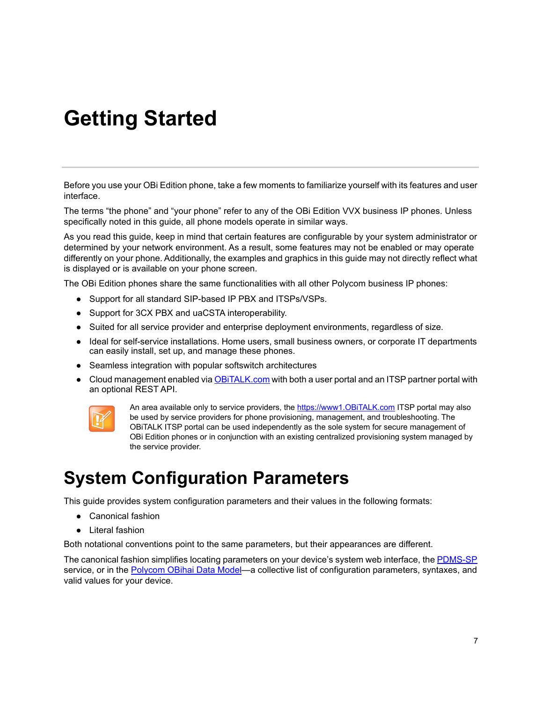# <span id="page-7-0"></span>**Getting Started**

Before you use your OBi Edition phone, take a few moments to familiarize yourself with its features and user interface.

The terms "the phone" and "your phone" refer to any of the OBi Edition VVX business IP phones. Unless specifically noted in this guide, all phone models operate in similar ways.

As you read this guide, keep in mind that certain features are configurable by your system administrator or determined by your network environment. As a result, some features may not be enabled or may operate differently on your phone. Additionally, the examples and graphics in this guide may not directly reflect what is displayed or is available on your phone screen.

The OBi Edition phones share the same functionalities with all other Polycom business IP phones:

- **●** Support for all standard SIP-based IP PBX and ITSPs/VSPs.
- **●** Support for 3CX PBX and uaCSTA interoperability.
- **●** Suited for all service provider and enterprise deployment environments, regardless of size.
- **●** Ideal for self-service installations. Home users, small business owners, or corporate IT departments can easily install, set up, and manage these phones.
- **●** Seamless integration with popular softswitch architectures
- Cloud management enabled via **OBITALK.com** with both a user portal and an ITSP partner portal with an optional REST API.



An area available only to service providers, the https://www1.OBiTALK.com ITSP portal may also be used by service providers for phone provisioning, management, and troubleshooting. The OBiTALK ITSP portal can be used independently as the sole system for secure management of OBi Edition phones or in conjunction with an existing centralized provisioning system managed by the service provider.

## <span id="page-7-1"></span>**System Configuration Parameters**

This guide provides system configuration parameters and their values in the following formats:

- **●** Canonical fashion
- **●** Literal fashion

Both notational conventions point to the same parameters, but their appearances are different.

The canonical fashion simplifies locating parameters on your device's system web interface, the [PDMS-SP](https://www1.obitalk.com/obinet/) service, or in the [Polycom OBihai Data Model—](https://www1.obitalk.com/Downloads/dev/datamodel/vvxd230.xml)a collective list of configuration parameters, syntaxes, and valid values for your device.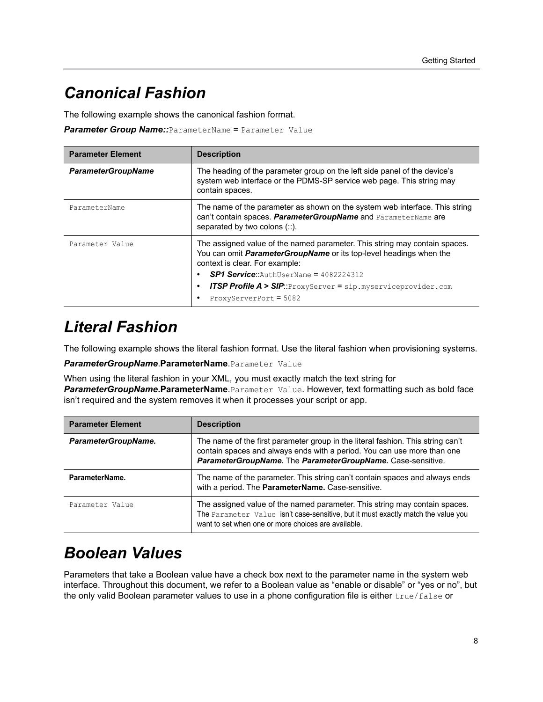### <span id="page-8-0"></span>*Canonical Fashion*

The following example shows the canonical fashion format.

**Parameter Group Name::**ParameterName = Parameter Value

| <b>Parameter Element</b>  | <b>Description</b>                                                                                                                                                                                                                                                                                                                                       |  |
|---------------------------|----------------------------------------------------------------------------------------------------------------------------------------------------------------------------------------------------------------------------------------------------------------------------------------------------------------------------------------------------------|--|
| <b>ParameterGroupName</b> | The heading of the parameter group on the left side panel of the device's<br>system web interface or the PDMS-SP service web page. This string may<br>contain spaces.                                                                                                                                                                                    |  |
| ParameterName             | The name of the parameter as shown on the system web interface. This string<br>can't contain spaces. ParameterGroupName and ParameterName are<br>separated by two colons (::).                                                                                                                                                                           |  |
| Parameter Value           | The assigned value of the named parameter. This string may contain spaces.<br>You can omit <i>ParameterGroupName</i> or its top-level headings when the<br>context is clear. For example:<br>$SP1$ Service:: AuthUserName = 4082224312<br><b>ITSP Profile A &gt; SIP</b> ::ProxyServer = $\sin m$ , myserviceprovider.com<br>٠<br>ProxyServerPort = 5082 |  |

### <span id="page-8-1"></span>*Literal Fashion*

The following example shows the literal fashion format. Use the literal fashion when provisioning systems.

*ParameterGroupName*.**ParameterName**.Parameter Value

When using the literal fashion in your XML, you must exactly match the text string for *ParameterGroupName***.ParameterName**.Parameter Value. However, text formatting such as bold face isn't required and the system removes it when it processes your script or app.

| <b>Parameter Element</b> | <b>Description</b>                                                                                                                                                                                                        |  |
|--------------------------|---------------------------------------------------------------------------------------------------------------------------------------------------------------------------------------------------------------------------|--|
| ParameterGroupName.      | The name of the first parameter group in the literal fashion. This string can't<br>contain spaces and always ends with a period. You can use more than one<br>ParameterGroupName. The ParameterGroupName. Case-sensitive. |  |
| ParameterName.           | The name of the parameter. This string can't contain spaces and always ends<br>with a period. The ParameterName. Case-sensitive.                                                                                          |  |
| Parameter Value          | The assigned value of the named parameter. This string may contain spaces.<br>The Parameter Value isn't case-sensitive, but it must exactly match the value you<br>want to set when one or more choices are available.    |  |

### <span id="page-8-2"></span>*Boolean Values*

Parameters that take a Boolean value have a check box next to the parameter name in the system web interface. Throughout this document, we refer to a Boolean value as "enable or disable" or "yes or no", but the only valid Boolean parameter values to use in a phone configuration file is either true/false or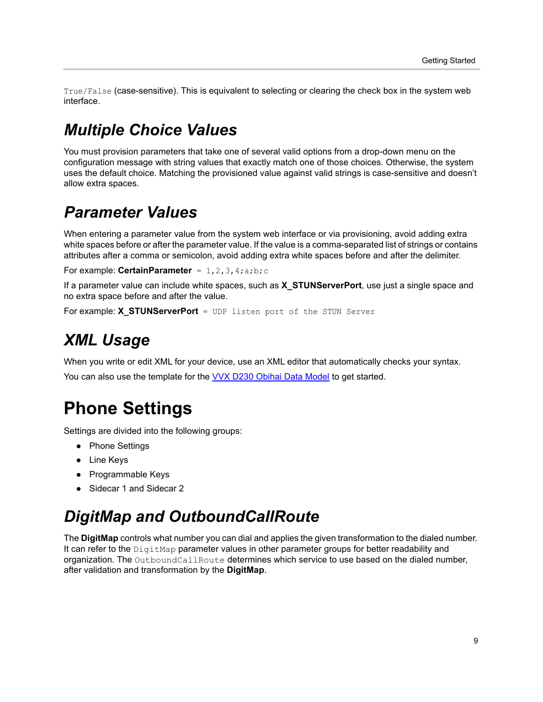True/False (case-sensitive). This is equivalent to selecting or clearing the check box in the system web interface.

### <span id="page-9-0"></span>*Multiple Choice Values*

You must provision parameters that take one of several valid options from a drop-down menu on the configuration message with string values that exactly match one of those choices. Otherwise, the system uses the default choice. Matching the provisioned value against valid strings is case-sensitive and doesn't allow extra spaces.

### <span id="page-9-1"></span>*Parameter Values*

When entering a parameter value from the system web interface or via provisioning, avoid adding extra white spaces before or after the parameter value. If the value is a comma-separated list of strings or contains attributes after a comma or semicolon, avoid adding extra white spaces before and after the delimiter.

```
For example: CertainParameter = 1, 2, 3, 4; a; b; c
```
If a parameter value can include white spaces, such as **X\_STUNServerPort**, use just a single space and no extra space before and after the value.

For example: **X\_STUNServerPort** = UDP listen port of the STUN Server

### <span id="page-9-2"></span>*XML Usage*

When you write or edit XML for your device, use an XML editor that automatically checks your syntax.

You can also use the template for the [VVX D230 Obihai Data Model](https://www1.obitalk.com/Downloads/dev/datamodelx/vvxd230x.xml) to get started.

## <span id="page-9-3"></span>**Phone Settings**

Settings are divided into the following groups:

- **●** Phone Settings
- **●** Line Keys
- **●** Programmable Keys
- **●** Sidecar 1 and Sidecar 2

### <span id="page-9-4"></span>*DigitMap and OutboundCallRoute*

The **DigitMap** controls what number you can dial and applies the given transformation to the dialed number. It can refer to the DigitMap parameter values in other parameter groups for better readability and organization. The OutboundCallRoute determines which service to use based on the dialed number, after validation and transformation by the **DigitMap**.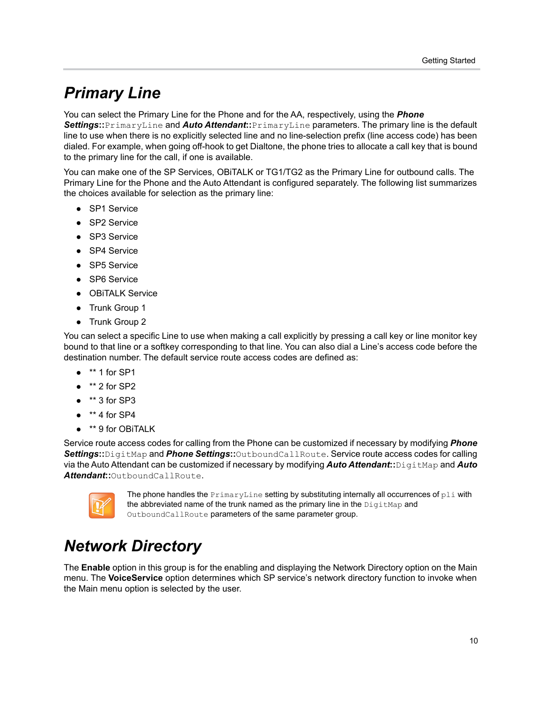### <span id="page-10-0"></span>*Primary Line*

#### You can select the Primary Line for the Phone and for the AA, respectively, using the *Phone*

*Settings***::**PrimaryLine and *Auto Attendant***::**PrimaryLine parameters. The primary line is the default line to use when there is no explicitly selected line and no line-selection prefix (line access code) has been dialed. For example, when going off-hook to get Dialtone, the phone tries to allocate a call key that is bound to the primary line for the call, if one is available.

You can make one of the SP Services, OBiTALK or TG1/TG2 as the Primary Line for outbound calls. The Primary Line for the Phone and the Auto Attendant is configured separately. The following list summarizes the choices available for selection as the primary line:

- **●** SP1 Service
- **●** SP2 Service
- **●** SP3 Service
- **●** SP4 Service
- **●** SP5 Service
- **●** SP6 Service
- **●** OBiTALK Service
- **●** Trunk Group 1
- **●** Trunk Group 2

You can select a specific Line to use when making a call explicitly by pressing a call key or line monitor key bound to that line or a softkey corresponding to that line. You can also dial a Line's access code before the destination number. The default service route access codes are defined as:

- **●** \*\* 1 for SP1
- **●** \*\* 2 for SP2
- **●** \*\* 3 for SP3
- **●** \*\* 4 for SP4
- **●** \*\* 9 for OBiTALK

Service route access codes for calling from the Phone can be customized if necessary by modifying *Phone Settings***::**DigitMap and *Phone Settings***::**OutboundCallRoute. Service route access codes for calling via the Auto Attendant can be customized if necessary by modifying *Auto Attendant***::**DigitMap and *Auto Attendant***::**OutboundCallRoute.



The phone handles the  $PrimaxYLine$  setting by substituting internally all occurrences of  $pli$  with the abbreviated name of the trunk named as the primary line in the  $\text{DigitMap}$  and OutboundCallRoute parameters of the same parameter group.

## <span id="page-10-1"></span>*Network Directory*

The **Enable** option in this group is for the enabling and displaying the Network Directory option on the Main menu. The **VoiceService** option determines which SP service's network directory function to invoke when the Main menu option is selected by the user.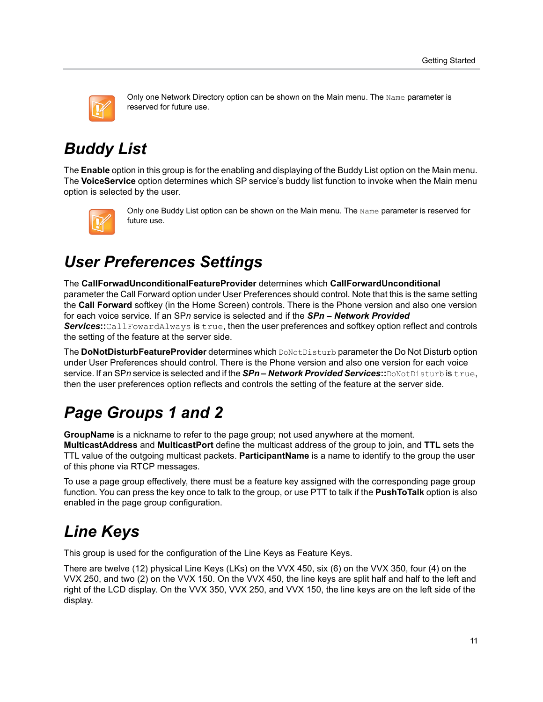

Only one Network Directory option can be shown on the Main menu. The Name parameter is reserved for future use.

## <span id="page-11-0"></span>*Buddy List*

The **Enable** option in this group is for the enabling and displaying of the Buddy List option on the Main menu. The **VoiceService** option determines which SP service's buddy list function to invoke when the Main menu option is selected by the user.



Only one Buddy List option can be shown on the Main menu. The Name parameter is reserved for future use.

## <span id="page-11-1"></span>*User Preferences Settings*

The **CallForwadUnconditionalFeatureProvider** determines which **CallForwardUnconditional** parameter the Call Forward option under User Preferences should control. Note that this is the same setting the **Call Forward** softkey (in the Home Screen) controls. There is the Phone version and also one version for each voice service. If an SP*n* service is selected and if the *SPn – Network Provided Services***::**CallFowardAlways is true, then the user preferences and softkey option reflect and controls the setting of the feature at the server side.

The **DoNotDisturbFeatureProvider** determines which DoNotDisturb parameter the Do Not Disturb option under User Preferences should control. There is the Phone version and also one version for each voice service. If an SP*n* service is selected and if the *SPn – Network Provided Services***::**DoNotDisturb is true, then the user preferences option reflects and controls the setting of the feature at the server side.

# <span id="page-11-2"></span>*Page Groups 1 and 2*

**GroupName** is a nickname to refer to the page group; not used anywhere at the moment. **MulticastAddress** and **MulticastPort** define the multicast address of the group to join, and **TTL** sets the TTL value of the outgoing multicast packets. **ParticipantName** is a name to identify to the group the user

of this phone via RTCP messages.

To use a page group effectively, there must be a feature key assigned with the corresponding page group function. You can press the key once to talk to the group, or use PTT to talk if the **PushToTalk** option is also enabled in the page group configuration.

## <span id="page-11-3"></span>*Line Keys*

This group is used for the configuration of the Line Keys as Feature Keys.

There are twelve (12) physical Line Keys (LKs) on the VVX 450, six (6) on the VVX 350, four (4) on the VVX 250, and two (2) on the VVX 150. On the VVX 450, the line keys are split half and half to the left and right of the LCD display. On the VVX 350, VVX 250, and VVX 150, the line keys are on the left side of the display.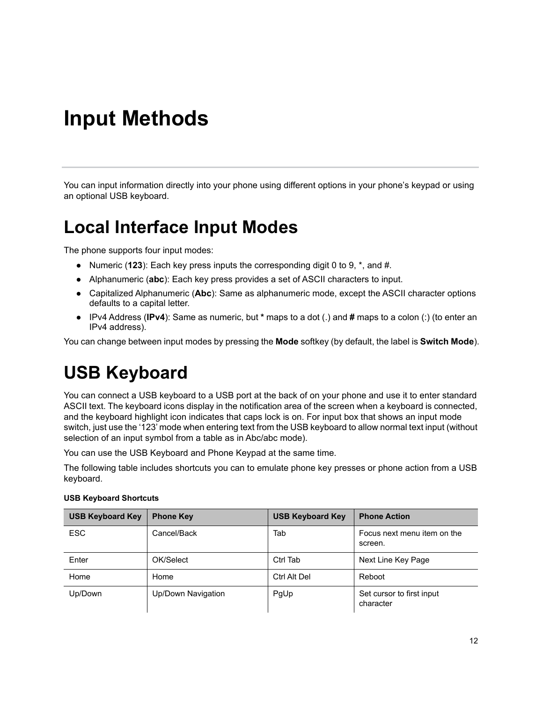# <span id="page-12-0"></span>**Input Methods**

You can input information directly into your phone using different options in your phone's keypad or using an optional USB keyboard.

### <span id="page-12-1"></span>**Local Interface Input Modes**

The phone supports four input modes:

- **●** Numeric (**123**): Each key press inputs the corresponding digit 0 to 9, \*, and #.
- **●** Alphanumeric (**abc**): Each key press provides a set of ASCII characters to input.
- **●** Capitalized Alphanumeric (**Abc**): Same as alphanumeric mode, except the ASCII character options defaults to a capital letter.
- **●** IPv4 Address (**IPv4**): Same as numeric, but **\*** maps to a dot (.) and **#** maps to a colon (:) (to enter an IPv4 address).

You can change between input modes by pressing the **Mode** softkey (by default, the label is **Switch Mode**).

### <span id="page-12-2"></span>**USB Keyboard**

You can connect a USB keyboard to a USB port at the back of on your phone and use it to enter standard ASCII text. The keyboard icons display in the notification area of the screen when a keyboard is connected, and the keyboard highlight icon indicates that caps lock is on. For input box that shows an input mode switch, just use the '123' mode when entering text from the USB keyboard to allow normal text input (without selection of an input symbol from a table as in Abc/abc mode).

You can use the USB Keyboard and Phone Keypad at the same time.

The following table includes shortcuts you can to emulate phone key presses or phone action from a USB keyboard.

| <b>USB Keyboard Key</b> | <b>Phone Key</b>   | <b>USB Keyboard Key</b> | <b>Phone Action</b>                    |
|-------------------------|--------------------|-------------------------|----------------------------------------|
| <b>ESC</b>              | Cancel/Back        | Tab                     | Focus next menu item on the<br>screen. |
| Enter                   | OK/Select          | Ctrl Tab                | Next Line Key Page                     |
| Home                    | Home               | Ctrl Alt Del            | Reboot                                 |
| Up/Down                 | Up/Down Navigation | PgUp                    | Set cursor to first input<br>character |

#### **USB Keyboard Shortcuts**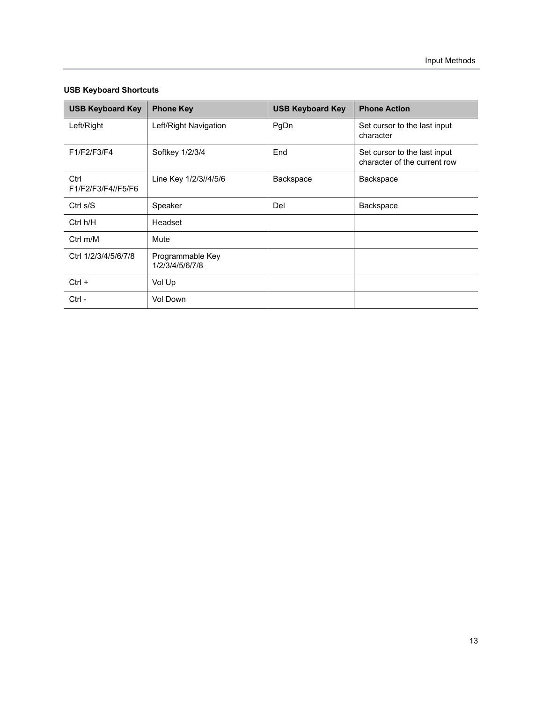| <b>USB Keyboard Key</b>    | <b>Phone Key</b>                    | <b>USB Keyboard Key</b> | <b>Phone Action</b>                                          |
|----------------------------|-------------------------------------|-------------------------|--------------------------------------------------------------|
| Left/Right                 | Left/Right Navigation               | PgDn                    | Set cursor to the last input<br>character                    |
| F1/F2/F3/F4                | Softkey 1/2/3/4                     | End                     | Set cursor to the last input<br>character of the current row |
| Ctrl<br>F1/F2/F3/F4//F5/F6 | Line Key 1/2/3//4/5/6               | Backspace               | Backspace                                                    |
| Ctrl s/S                   | Speaker                             | Del                     | Backspace                                                    |
| Ctrl h/H                   | Headset                             |                         |                                                              |
| Ctrl $m/M$                 | Mute                                |                         |                                                              |
| Ctrl 1/2/3/4/5/6/7/8       | Programmable Key<br>1/2/3/4/5/6/7/8 |                         |                                                              |
| $Ctrl +$                   | Vol Up                              |                         |                                                              |
| $Ctrl -$                   | Vol Down                            |                         |                                                              |

#### **USB Keyboard Shortcuts**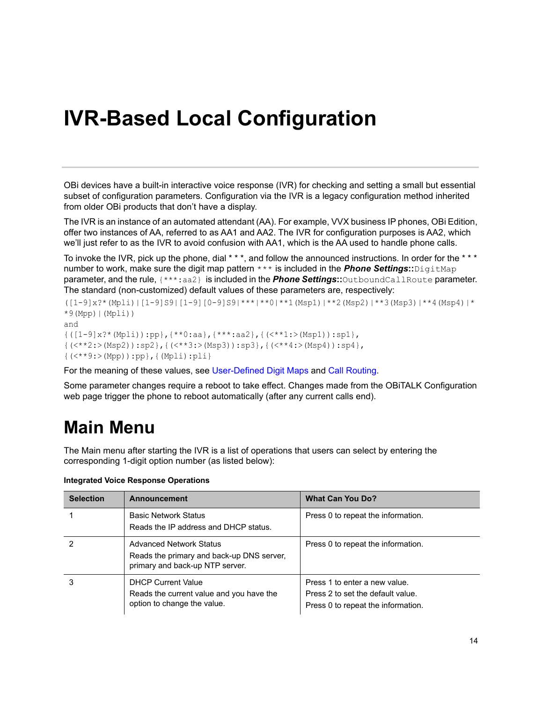# <span id="page-14-0"></span>**IVR-Based Local Configuration**

OBi devices have a built-in interactive voice response (IVR) for checking and setting a small but essential subset of configuration parameters. Configuration via the IVR is a legacy configuration method inherited from older OBi products that don't have a display.

The IVR is an instance of an automated attendant (AA). For example, VVX business IP phones, OBi Edition, offer two instances of AA, referred to as AA1 and AA2. The IVR for configuration purposes is AA2, which we'll just refer to as the IVR to avoid confusion with AA1, which is the AA used to handle phone calls.

To invoke the IVR, pick up the phone, dial \* \* \*, and follow the announced instructions. In order for the \* \* \* number to work, make sure the digit map pattern \*\*\* is included in the *Phone Settings***::**DigitMap parameter, and the rule, {\*\*\*:aa2} is included in the *Phone Settings***::**OutboundCallRoute parameter. The standard (non-customized) default values of these parameters are, respectively:

```
([1-9]x?*(Mpli)|[1-9]S9|[1-9][0-9]S9|***|**0|**1(Msp1)|**2(Msp2)|**3(Msp3)|**4(Msp4)|*
*9(Mpp) |(Mpli)|and
{([1-9]x?*(Mpli)):pp},{**0:aa},{***:aa2},{(<**1:>(Msp1)):sp1},
{(<**2:>(Msp2)):sp2},{(<**3:>(Msp3)):sp3},{(<**4:>(Msp4)):sp4},
{(<**9:>(Mpp)):pp},{(Mpli):pli}
```
For the meaning of these values, see [User-Defined Digit Maps](#page-63-2) and [Call Routing.](#page-53-2)

Some parameter changes require a reboot to take effect. Changes made from the OBiTALK Configuration web page trigger the phone to reboot automatically (after any current calls end).

## <span id="page-14-1"></span>**Main Menu**

The Main menu after starting the IVR is a list of operations that users can select by entering the corresponding 1-digit option number (as listed below):

| <b>Selection</b> | Announcement                                                                                                   | <b>What Can You Do?</b>                                                                                  |
|------------------|----------------------------------------------------------------------------------------------------------------|----------------------------------------------------------------------------------------------------------|
|                  | <b>Basic Network Status</b><br>Reads the IP address and DHCP status.                                           | Press 0 to repeat the information.                                                                       |
|                  | <b>Advanced Network Status</b><br>Reads the primary and back-up DNS server,<br>primary and back-up NTP server. | Press 0 to repeat the information.                                                                       |
| 3                | <b>DHCP Current Value</b><br>Reads the current value and you have the<br>option to change the value.           | Press 1 to enter a new value.<br>Press 2 to set the default value.<br>Press 0 to repeat the information. |

**Integrated Voice Response Operations**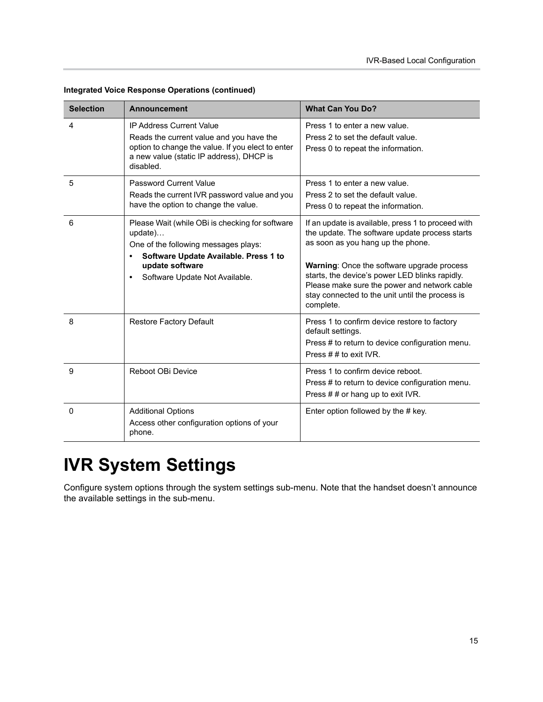| <b>Selection</b> | <b>Announcement</b>                                                                                                                                                                                           | <b>What Can You Do?</b>                                                                                                                                                                                                                                                                                                                                   |
|------------------|---------------------------------------------------------------------------------------------------------------------------------------------------------------------------------------------------------------|-----------------------------------------------------------------------------------------------------------------------------------------------------------------------------------------------------------------------------------------------------------------------------------------------------------------------------------------------------------|
| 4                | <b>IP Address Current Value</b><br>Reads the current value and you have the<br>option to change the value. If you elect to enter<br>a new value (static IP address), DHCP is<br>disabled.                     | Press 1 to enter a new value.<br>Press 2 to set the default value.<br>Press 0 to repeat the information.                                                                                                                                                                                                                                                  |
| 5                | <b>Password Current Value</b><br>Reads the current IVR password value and you<br>have the option to change the value.                                                                                         | Press 1 to enter a new value.<br>Press 2 to set the default value.<br>Press 0 to repeat the information.                                                                                                                                                                                                                                                  |
| 6                | Please Wait (while OBi is checking for software<br>update)<br>One of the following messages plays:<br>Software Update Available. Press 1 to<br>update software<br>Software Update Not Available.<br>$\bullet$ | If an update is available, press 1 to proceed with<br>the update. The software update process starts<br>as soon as you hang up the phone.<br>Warning: Once the software upgrade process<br>starts, the device's power LED blinks rapidly.<br>Please make sure the power and network cable<br>stay connected to the unit until the process is<br>complete. |
| 8                | Restore Factory Default                                                                                                                                                                                       | Press 1 to confirm device restore to factory<br>default settings.<br>Press # to return to device configuration menu.<br>Press $# #$ to exit IVR.                                                                                                                                                                                                          |
| 9                | Reboot OBi Device                                                                                                                                                                                             | Press 1 to confirm device reboot.<br>Press # to return to device configuration menu.<br>Press ## or hang up to exit IVR.                                                                                                                                                                                                                                  |
| $\Omega$         | <b>Additional Options</b><br>Access other configuration options of your<br>phone.                                                                                                                             | Enter option followed by the # key.                                                                                                                                                                                                                                                                                                                       |

**Integrated Voice Response Operations (continued)**

# <span id="page-15-0"></span>**IVR System Settings**

Configure system options through the system settings sub-menu. Note that the handset doesn't announce the available settings in the sub-menu.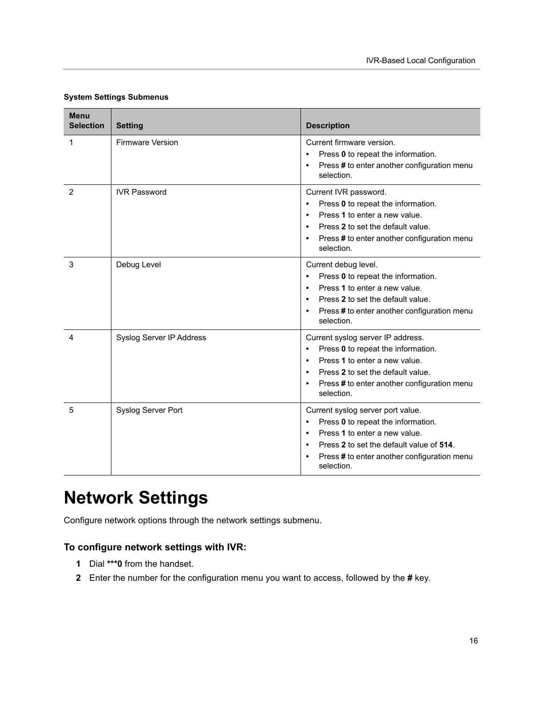| <b>Menu</b><br><b>Selection</b> | <b>Setting</b>           | <b>Description</b>                                                                                                                                                                                                                                             |
|---------------------------------|--------------------------|----------------------------------------------------------------------------------------------------------------------------------------------------------------------------------------------------------------------------------------------------------------|
| 1                               | <b>Firmware Version</b>  | Current firmware version.<br>Press 0 to repeat the information.<br>Press # to enter another configuration menu<br>$\bullet$<br>selection.                                                                                                                      |
| 2                               | <b>IVR Password</b>      | Current IVR password.<br>Press 0 to repeat the information.<br>$\bullet$<br>Press 1 to enter a new value.<br>$\bullet$<br>Press 2 to set the default value.<br>$\bullet$<br>Press # to enter another configuration menu<br>$\bullet$<br>selection.             |
| 3                               | Debug Level              | Current debug level.<br>Press 0 to repeat the information.<br>$\bullet$<br>Press 1 to enter a new value.<br>$\bullet$<br>Press 2 to set the default value.<br>$\bullet$<br>Press # to enter another configuration menu<br>$\bullet$<br>selection.              |
| 4                               | Syslog Server IP Address | Current syslog server IP address.<br>Press 0 to repeat the information.<br>$\bullet$<br>Press 1 to enter a new value.<br>$\bullet$<br>Press 2 to set the default value.<br>$\bullet$<br>Press # to enter another configuration menu<br>$\bullet$<br>selection. |
| 5                               | Syslog Server Port       | Current syslog server port value.<br>Press 0 to repeat the information.<br>٠<br>Press 1 to enter a new value.<br>$\bullet$<br>Press 2 to set the default value of 514.<br>$\bullet$<br>Press # to enter another configuration menu<br>$\bullet$<br>selection.  |

#### **System Settings Submenus**

## <span id="page-16-0"></span>**Network Settings**

Configure network options through the network settings submenu.

#### **To configure network settings with IVR:**

- **1** Dial **\*\*\*0** from the handset.
- **2** Enter the number for the configuration menu you want to access, followed by the **#** key.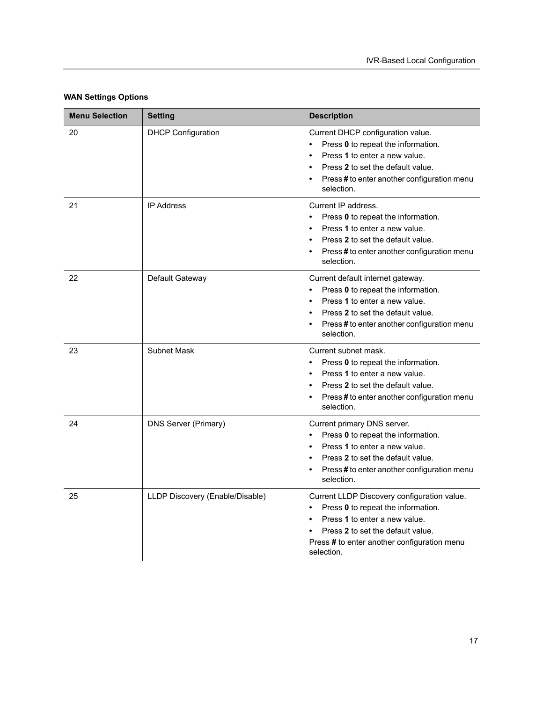| <b>Menu Selection</b> | <b>Setting</b>                  | <b>Description</b>                                                                                                                                                                                                                                       |
|-----------------------|---------------------------------|----------------------------------------------------------------------------------------------------------------------------------------------------------------------------------------------------------------------------------------------------------|
| 20                    | <b>DHCP Configuration</b>       | Current DHCP configuration value.<br>Press 0 to repeat the information.<br>Press 1 to enter a new value.<br>$\bullet$<br>Press 2 to set the default value.<br>$\bullet$<br>Press # to enter another configuration menu<br>$\bullet$<br>selection.        |
| 21                    | <b>IP Address</b>               | Current IP address.<br>Press 0 to repeat the information.<br>Press 1 to enter a new value.<br>$\bullet$<br>Press 2 to set the default value.<br>$\bullet$<br>Press # to enter another configuration menu<br>selection.                                   |
| 22                    | Default Gateway                 | Current default internet gateway.<br>Press 0 to repeat the information.<br>Press 1 to enter a new value.<br>$\bullet$<br>Press 2 to set the default value.<br>$\bullet$<br>Press # to enter another configuration menu<br>selection.                     |
| 23                    | <b>Subnet Mask</b>              | Current subnet mask.<br>Press 0 to repeat the information.<br>$\bullet$<br>Press 1 to enter a new value.<br>$\bullet$<br>Press 2 to set the default value.<br>$\bullet$<br>Press # to enter another configuration menu<br>selection.                     |
| 24                    | DNS Server (Primary)            | Current primary DNS server.<br>Press 0 to repeat the information.<br>$\bullet$<br>Press 1 to enter a new value.<br>$\bullet$<br>Press 2 to set the default value.<br>$\bullet$<br>Press # to enter another configuration menu<br>$\bullet$<br>selection. |
| 25                    | LLDP Discovery (Enable/Disable) | Current LLDP Discovery configuration value.<br>Press 0 to repeat the information.<br>Press 1 to enter a new value.<br>$\bullet$<br>Press 2 to set the default value.<br>Press # to enter another configuration menu<br>selection.                        |

#### **WAN Settings Options**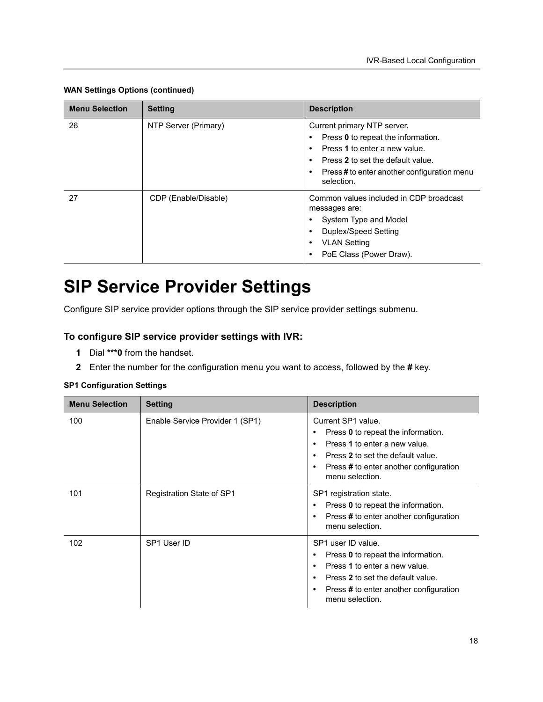| <b>Menu Selection</b> | <b>Setting</b>       | <b>Description</b>                                                                                                                                                                                                             |
|-----------------------|----------------------|--------------------------------------------------------------------------------------------------------------------------------------------------------------------------------------------------------------------------------|
| 26                    | NTP Server (Primary) | Current primary NTP server.<br>Press 0 to repeat the information.<br>٠<br>Press 1 to enter a new value.<br>٠<br>Press 2 to set the default value.<br>$\bullet$<br>Press#to enter another configuration menu<br>٠<br>selection. |
| 27                    | CDP (Enable/Disable) | Common values included in CDP broadcast<br>messages are:<br>System Type and Model<br>Duplex/Speed Setting<br>٠<br><b>VLAN Setting</b><br>٠<br>PoE Class (Power Draw).<br>٠                                                     |

#### **WAN Settings Options (continued)**

## <span id="page-18-0"></span>**SIP Service Provider Settings**

Configure SIP service provider options through the SIP service provider settings submenu.

#### **To configure SIP service provider settings with IVR:**

- **1** Dial **\*\*\*0** from the handset.
- **2** Enter the number for the configuration menu you want to access, followed by the **#** key.

#### **SP1 Configuration Settings**

| <b>Menu Selection</b> | <b>Setting</b>                  | <b>Description</b>                                                                                                                                                                          |
|-----------------------|---------------------------------|---------------------------------------------------------------------------------------------------------------------------------------------------------------------------------------------|
| 100                   | Enable Service Provider 1 (SP1) | Current SP1 value.<br>Press 0 to repeat the information.<br>Press 1 to enter a new value.<br>Press 2 to set the default value.<br>Press # to enter another configuration<br>menu selection. |
| 101                   | Registration State of SP1       | SP1 registration state.<br>Press 0 to repeat the information.<br>Press # to enter another configuration<br>menu selection.                                                                  |
| 102                   | SP1 User ID                     | SP1 user ID value.<br>Press 0 to repeat the information.<br>Press 1 to enter a new value.<br>Press 2 to set the default value.<br>Press # to enter another configuration<br>menu selection. |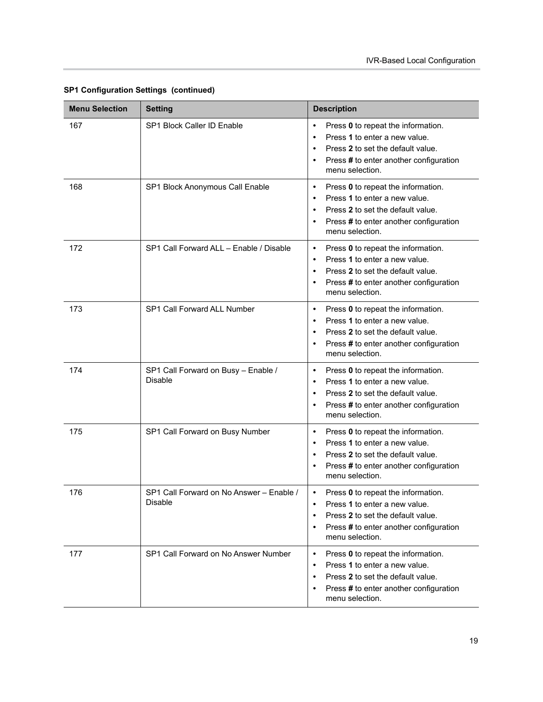| <b>Menu Selection</b> | <b>Setting</b>                                             | <b>Description</b>                                                                                                                                                                                                        |
|-----------------------|------------------------------------------------------------|---------------------------------------------------------------------------------------------------------------------------------------------------------------------------------------------------------------------------|
| 167                   | SP1 Block Caller ID Enable                                 | Press 0 to repeat the information.<br>$\bullet$<br>Press 1 to enter a new value.<br>Press 2 to set the default value.<br>Press # to enter another configuration<br>menu selection.                                        |
| 168                   | SP1 Block Anonymous Call Enable                            | Press 0 to repeat the information.<br>$\bullet$<br>Press 1 to enter a new value.<br>$\bullet$<br>Press 2 to set the default value.<br>$\bullet$<br>Press # to enter another configuration<br>menu selection.              |
| 172                   | SP1 Call Forward ALL - Enable / Disable                    | Press 0 to repeat the information.<br>Press 1 to enter a new value.<br>$\bullet$<br>Press 2 to set the default value.<br>$\bullet$<br>Press # to enter another configuration<br>$\bullet$<br>menu selection.              |
| 173                   | SP1 Call Forward ALL Number                                | Press 0 to repeat the information.<br>$\bullet$<br>Press 1 to enter a new value.<br>$\bullet$<br>Press 2 to set the default value.<br>$\bullet$<br>Press # to enter another configuration<br>$\bullet$<br>menu selection. |
| 174                   | SP1 Call Forward on Busy - Enable /<br><b>Disable</b>      | Press 0 to repeat the information.<br>$\bullet$<br>Press 1 to enter a new value.<br>Press 2 to set the default value.<br>Press # to enter another configuration<br>menu selection.                                        |
| 175                   | SP1 Call Forward on Busy Number                            | Press 0 to repeat the information.<br>$\bullet$<br>Press 1 to enter a new value.<br>$\bullet$<br>Press 2 to set the default value.<br>$\bullet$<br>Press # to enter another configuration<br>menu selection.              |
| 176                   | SP1 Call Forward on No Answer - Enable /<br><b>Disable</b> | Press 0 to repeat the information.<br>Press 1 to enter a new value.<br>Press 2 to set the default value.<br>Press # to enter another configuration<br>menu selection.                                                     |
| 177                   | SP1 Call Forward on No Answer Number                       | Press 0 to repeat the information.<br>$\bullet$<br>Press 1 to enter a new value.<br>$\bullet$<br>Press 2 to set the default value.<br>Press # to enter another configuration<br>menu selection.                           |

#### **SP1 Configuration Settings (continued)**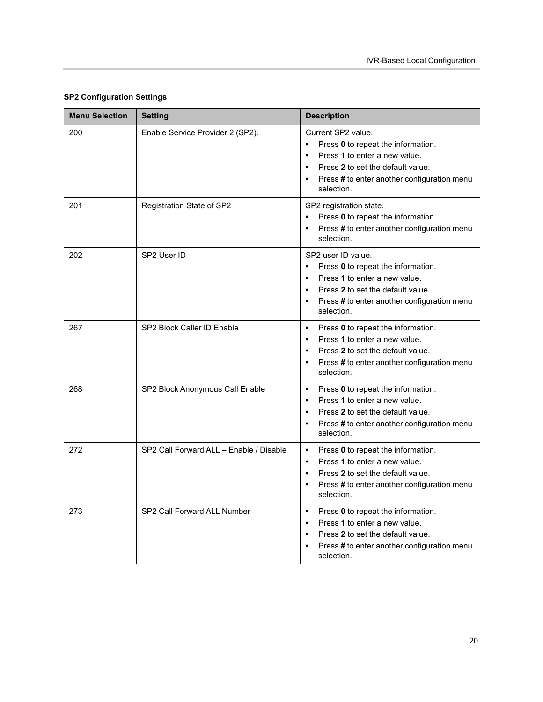| <b>Menu Selection</b> | <b>Setting</b>                          | <b>Description</b>                                                                                                                                                                                                                              |
|-----------------------|-----------------------------------------|-------------------------------------------------------------------------------------------------------------------------------------------------------------------------------------------------------------------------------------------------|
| 200                   | Enable Service Provider 2 (SP2).        | Current SP2 value.<br>Press 0 to repeat the information.<br>$\bullet$<br>Press 1 to enter a new value.<br>$\bullet$<br>Press 2 to set the default value.<br>$\bullet$<br>Press # to enter another configuration menu<br>$\bullet$<br>selection. |
| 201                   | Registration State of SP2               | SP2 registration state.<br>Press 0 to repeat the information.<br>$\bullet$<br>Press # to enter another configuration menu<br>$\bullet$<br>selection.                                                                                            |
| 202                   | SP2 User ID                             | SP2 user ID value.<br>Press 0 to repeat the information.<br>$\bullet$<br>Press 1 to enter a new value.<br>$\bullet$<br>Press 2 to set the default value.<br>$\bullet$<br>Press # to enter another configuration menu<br>$\bullet$<br>selection. |
| 267                   | SP2 Block Caller ID Enable              | Press 0 to repeat the information.<br>$\bullet$<br>Press 1 to enter a new value.<br>$\bullet$<br>Press 2 to set the default value.<br>$\bullet$<br>Press # to enter another configuration menu<br>$\bullet$<br>selection.                       |
| 268                   | SP2 Block Anonymous Call Enable         | Press 0 to repeat the information.<br>$\bullet$<br>Press 1 to enter a new value.<br>$\bullet$<br>Press 2 to set the default value.<br>$\bullet$<br>Press # to enter another configuration menu<br>$\bullet$<br>selection.                       |
| 272                   | SP2 Call Forward ALL - Enable / Disable | Press 0 to repeat the information.<br>$\bullet$<br>Press 1 to enter a new value.<br>$\bullet$<br>Press 2 to set the default value.<br>$\bullet$<br>Press # to enter another configuration menu<br>$\bullet$<br>selection.                       |
| 273                   | SP2 Call Forward ALL Number             | Press 0 to repeat the information.<br>$\bullet$<br>Press 1 to enter a new value.<br>$\bullet$<br>Press 2 to set the default value.<br>$\bullet$<br>Press # to enter another configuration menu<br>$\bullet$<br>selection.                       |

#### **SP2 Configuration Settings**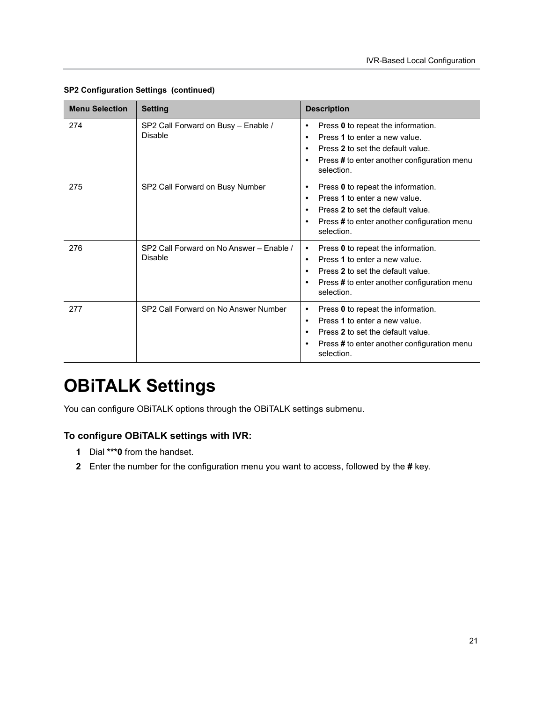| <b>Menu Selection</b> | <b>Setting</b>                                        | <b>Description</b>                                                                                                                                                                                                        |
|-----------------------|-------------------------------------------------------|---------------------------------------------------------------------------------------------------------------------------------------------------------------------------------------------------------------------------|
| 274                   | SP2 Call Forward on Busy - Enable /<br><b>Disable</b> | Press 0 to repeat the information.<br>$\bullet$<br>Press 1 to enter a new value.<br>$\bullet$<br>Press 2 to set the default value.<br>$\bullet$<br>Press # to enter another configuration menu<br>$\bullet$<br>selection. |
| 275                   | SP2 Call Forward on Busy Number                       | Press 0 to repeat the information.<br>٠<br>Press 1 to enter a new value.<br>$\bullet$<br>Press 2 to set the default value.<br>$\bullet$<br>Press # to enter another configuration menu<br>$\bullet$<br>selection.         |
| 276                   | SP2 Call Forward on No Answer - Fnable /<br>Disable   | Press 0 to repeat the information.<br>$\bullet$<br>Press 1 to enter a new value.<br>$\bullet$<br>Press 2 to set the default value.<br>$\bullet$<br>Press # to enter another configuration menu<br>$\bullet$<br>selection. |
| 277                   | SP2 Call Forward on No Answer Number                  | Press 0 to repeat the information.<br>$\bullet$<br>Press 1 to enter a new value.<br>$\bullet$<br>Press 2 to set the default value.<br>$\bullet$<br>Press # to enter another configuration menu<br>$\bullet$<br>selection. |

#### **SP2 Configuration Settings (continued)**

## <span id="page-21-0"></span>**OBiTALK Settings**

You can configure OBiTALK options through the OBiTALK settings submenu.

#### **To configure OBiTALK settings with IVR:**

- **1** Dial **\*\*\*0** from the handset.
- **2** Enter the number for the configuration menu you want to access, followed by the **#** key.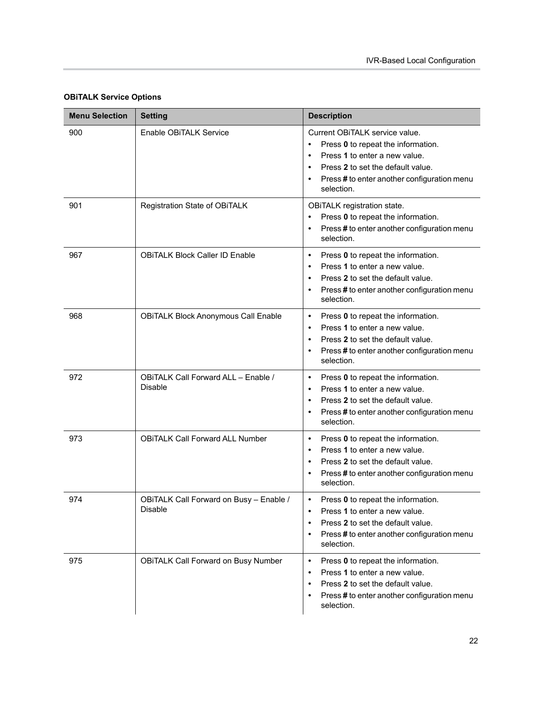| <b>Menu Selection</b> | <b>Setting</b>                                            | <b>Description</b>                                                                                                                                                                                      |
|-----------------------|-----------------------------------------------------------|---------------------------------------------------------------------------------------------------------------------------------------------------------------------------------------------------------|
| 900                   | Enable OBITALK Service                                    | Current OBiTALK service value.<br>Press 0 to repeat the information.<br>Press 1 to enter a new value.<br>Press 2 to set the default value.<br>Press # to enter another configuration menu<br>selection. |
| 901                   | Registration State of OBITALK                             | OBITALK registration state.<br>Press 0 to repeat the information.<br>Press # to enter another configuration menu<br>selection.                                                                          |
| 967                   | <b>OBITALK Block Caller ID Enable</b>                     | Press 0 to repeat the information.<br>Press 1 to enter a new value.<br>Press 2 to set the default value.<br>Press # to enter another configuration menu<br>$\bullet$<br>selection.                      |
| 968                   | <b>OBITALK Block Anonymous Call Enable</b>                | Press 0 to repeat the information.<br>$\bullet$<br>Press 1 to enter a new value.<br>$\bullet$<br>Press 2 to set the default value.<br>Press # to enter another configuration menu<br>selection.         |
| 972                   | OBITALK Call Forward ALL - Enable /<br><b>Disable</b>     | Press 0 to repeat the information.<br>$\bullet$<br>Press 1 to enter a new value.<br>Press 2 to set the default value.<br>Press # to enter another configuration menu<br>selection.                      |
| 973                   | <b>OBITALK Call Forward ALL Number</b>                    | Press 0 to repeat the information.<br>$\bullet$<br>Press 1 to enter a new value.<br>$\bullet$<br>Press 2 to set the default value.<br>Press # to enter another configuration menu<br>selection.         |
| 974                   | OBITALK Call Forward on Busy - Enable /<br><b>Disable</b> | Press 0 to repeat the information.<br>Press 1 to enter a new value.<br>Press 2 to set the default value.<br>Press # to enter another configuration menu<br>selection.                                   |
| 975                   | <b>OBITALK Call Forward on Busy Number</b>                | Press 0 to repeat the information.<br>$\bullet$<br>Press 1 to enter a new value.<br>$\bullet$<br>Press 2 to set the default value.<br>Press # to enter another configuration menu<br>selection.         |

#### **OBiTALK Service Options**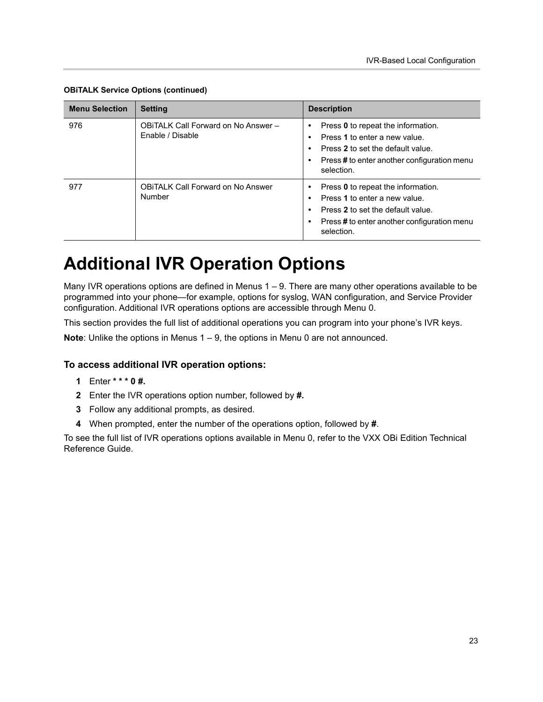| <b>Menu Selection</b> | <b>Setting</b>                                          | <b>Description</b>                                                                                                                                                    |
|-----------------------|---------------------------------------------------------|-----------------------------------------------------------------------------------------------------------------------------------------------------------------------|
| 976                   | OBITALK Call Forward on No Answer -<br>Enable / Disable | Press 0 to repeat the information.<br>Press 1 to enter a new value.<br>Press 2 to set the default value.<br>Press#to enter another configuration menu<br>selection.   |
| 977                   | <b>OBITALK Call Forward on No Answer</b><br>Number      | Press 0 to repeat the information.<br>Press 1 to enter a new value.<br>Press 2 to set the default value.<br>Press # to enter another configuration menu<br>selection. |

**OBiTALK Service Options (continued)**

## <span id="page-23-0"></span>**Additional IVR Operation Options**

Many IVR operations options are defined in Menus 1 – 9. There are many other operations available to be programmed into your phone—for example, options for syslog, WAN configuration, and Service Provider configuration. Additional IVR operations options are accessible through Menu 0.

This section provides the full list of additional operations you can program into your phone's IVR keys.

**Note**: Unlike the options in Menus 1 – 9, the options in Menu 0 are not announced.

#### **To access additional IVR operation options:**

- **1** Enter **\* \* \* 0 #.**
- **2** Enter the IVR operations option number, followed by **#.**
- **3** Follow any additional prompts, as desired.
- **4** When prompted, enter the number of the operations option, followed by **#**.

To see the full list of IVR operations options available in Menu 0, refer to the VXX OBi Edition Technical Reference Guide.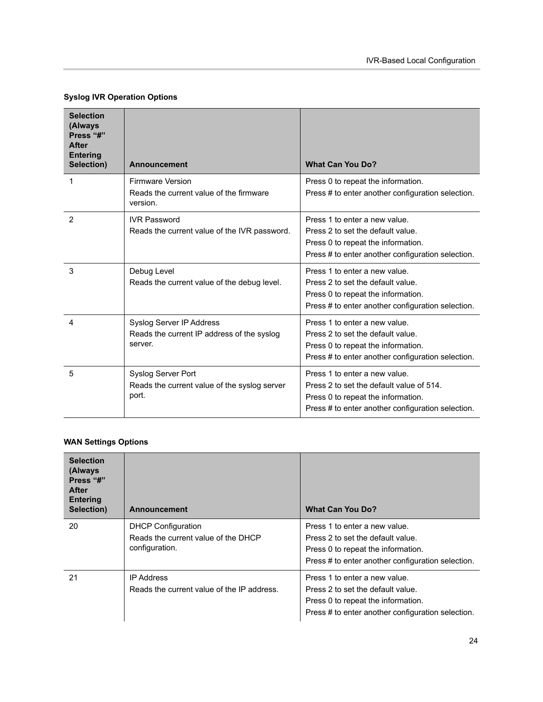#### **Syslog IVR Operation Options**

| <b>Selection</b><br>(Always<br>Press "#"<br><b>After</b><br><b>Entering</b><br>Selection) | <b>Announcement</b>                                                                | <b>What Can You Do?</b>                                                                                                                                              |
|-------------------------------------------------------------------------------------------|------------------------------------------------------------------------------------|----------------------------------------------------------------------------------------------------------------------------------------------------------------------|
| 1                                                                                         | <b>Firmware Version</b><br>Reads the current value of the firmware<br>version.     | Press 0 to repeat the information.<br>Press # to enter another configuration selection.                                                                              |
| 2                                                                                         | <b>IVR Password</b><br>Reads the current value of the IVR password.                | Press 1 to enter a new value.<br>Press 2 to set the default value.<br>Press 0 to repeat the information.<br>Press # to enter another configuration selection.        |
| 3                                                                                         | Debug Level<br>Reads the current value of the debug level.                         | Press 1 to enter a new value.<br>Press 2 to set the default value.<br>Press 0 to repeat the information.<br>Press # to enter another configuration selection.        |
| 4                                                                                         | Syslog Server IP Address<br>Reads the current IP address of the syslog<br>server.  | Press 1 to enter a new value.<br>Press 2 to set the default value.<br>Press 0 to repeat the information.<br>Press # to enter another configuration selection.        |
| 5                                                                                         | <b>Syslog Server Port</b><br>Reads the current value of the syslog server<br>port. | Press 1 to enter a new value.<br>Press 2 to set the default value of 514.<br>Press 0 to repeat the information.<br>Press # to enter another configuration selection. |

#### **WAN Settings Options**

| <b>Selection</b><br>(Always<br>Press "#"<br><b>After</b><br><b>Entering</b><br>Selection) | <b>Announcement</b>                                                                | <b>What Can You Do?</b>                                                                                                                                       |
|-------------------------------------------------------------------------------------------|------------------------------------------------------------------------------------|---------------------------------------------------------------------------------------------------------------------------------------------------------------|
| 20                                                                                        | <b>DHCP Configuration</b><br>Reads the current value of the DHCP<br>configuration. | Press 1 to enter a new value.<br>Press 2 to set the default value.<br>Press 0 to repeat the information.<br>Press # to enter another configuration selection. |
| 21                                                                                        | <b>IP Address</b><br>Reads the current value of the IP address.                    | Press 1 to enter a new value.<br>Press 2 to set the default value.<br>Press 0 to repeat the information.<br>Press # to enter another configuration selection. |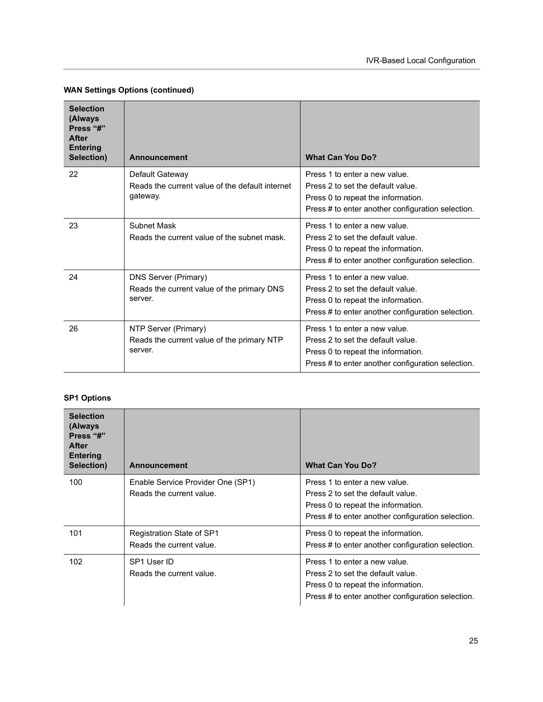| <b>Selection</b><br>(Always<br>Press "#"<br><b>After</b><br><b>Entering</b><br>Selection) | <b>Announcement</b>                                                                  | <b>What Can You Do?</b>                                                                                                                                       |
|-------------------------------------------------------------------------------------------|--------------------------------------------------------------------------------------|---------------------------------------------------------------------------------------------------------------------------------------------------------------|
| 22                                                                                        | Default Gateway<br>Reads the current value of the default internet<br>gateway.       | Press 1 to enter a new value.<br>Press 2 to set the default value.<br>Press 0 to repeat the information.<br>Press # to enter another configuration selection. |
| 23                                                                                        | <b>Subnet Mask</b><br>Reads the current value of the subnet mask.                    | Press 1 to enter a new value.<br>Press 2 to set the default value.<br>Press 0 to repeat the information.<br>Press # to enter another configuration selection. |
| 24                                                                                        | <b>DNS Server (Primary)</b><br>Reads the current value of the primary DNS<br>server. | Press 1 to enter a new value.<br>Press 2 to set the default value.<br>Press 0 to repeat the information.<br>Press # to enter another configuration selection. |
| 26                                                                                        | NTP Server (Primary)<br>Reads the current value of the primary NTP<br>server.        | Press 1 to enter a new value.<br>Press 2 to set the default value.<br>Press 0 to repeat the information.<br>Press # to enter another configuration selection. |

#### **WAN Settings Options (continued)**

#### **SP1 Options**

| <b>Selection</b><br>(Always<br>Press "#"<br><b>After</b><br><b>Entering</b><br>Selection) | <b>Announcement</b>                                           | <b>What Can You Do?</b>                                                                                                                                       |
|-------------------------------------------------------------------------------------------|---------------------------------------------------------------|---------------------------------------------------------------------------------------------------------------------------------------------------------------|
| 100                                                                                       | Enable Service Provider One (SP1)<br>Reads the current value. | Press 1 to enter a new value.<br>Press 2 to set the default value.<br>Press 0 to repeat the information.<br>Press # to enter another configuration selection. |
| 101                                                                                       | Registration State of SP1<br>Reads the current value.         | Press 0 to repeat the information.<br>Press # to enter another configuration selection.                                                                       |
| 102                                                                                       | SP1 User ID<br>Reads the current value.                       | Press 1 to enter a new value.<br>Press 2 to set the default value.<br>Press 0 to repeat the information.<br>Press # to enter another configuration selection. |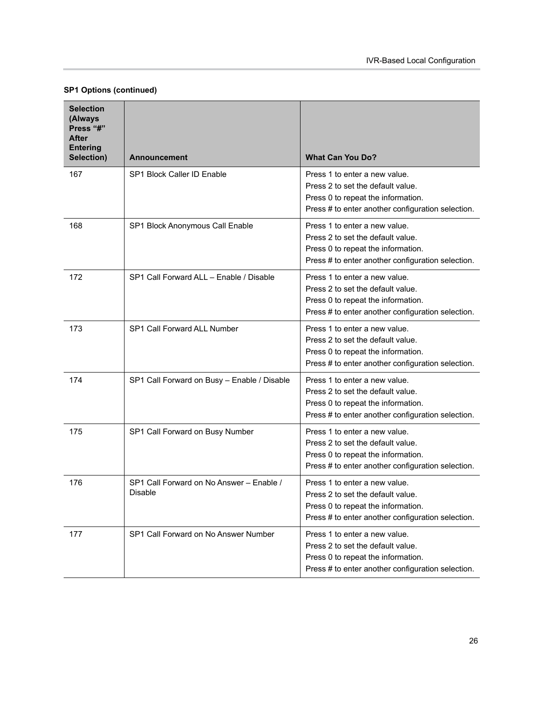|  | SP1 Options (continued) |  |
|--|-------------------------|--|
|  |                         |  |

| <b>Selection</b><br>(Always<br>Press "#"<br><b>After</b><br><b>Entering</b> |                                                     |                                                                                                                                                               |
|-----------------------------------------------------------------------------|-----------------------------------------------------|---------------------------------------------------------------------------------------------------------------------------------------------------------------|
| Selection)                                                                  | <b>Announcement</b>                                 | <b>What Can You Do?</b>                                                                                                                                       |
| 167                                                                         | <b>SP1 Block Caller ID Enable</b>                   | Press 1 to enter a new value.<br>Press 2 to set the default value.<br>Press 0 to repeat the information.<br>Press # to enter another configuration selection. |
| 168                                                                         | SP1 Block Anonymous Call Enable                     | Press 1 to enter a new value.<br>Press 2 to set the default value.<br>Press 0 to repeat the information.<br>Press # to enter another configuration selection. |
| 172                                                                         | SP1 Call Forward ALL - Enable / Disable             | Press 1 to enter a new value.<br>Press 2 to set the default value.<br>Press 0 to repeat the information.<br>Press # to enter another configuration selection. |
| 173                                                                         | SP1 Call Forward ALL Number                         | Press 1 to enter a new value.<br>Press 2 to set the default value.<br>Press 0 to repeat the information.<br>Press # to enter another configuration selection. |
| 174                                                                         | SP1 Call Forward on Busy - Enable / Disable         | Press 1 to enter a new value.<br>Press 2 to set the default value.<br>Press 0 to repeat the information.<br>Press # to enter another configuration selection. |
| 175                                                                         | SP1 Call Forward on Busy Number                     | Press 1 to enter a new value.<br>Press 2 to set the default value.<br>Press 0 to repeat the information.<br>Press # to enter another configuration selection. |
| 176                                                                         | SP1 Call Forward on No Answer - Enable /<br>Disable | Press 1 to enter a new value.<br>Press 2 to set the default value.<br>Press 0 to repeat the information.<br>Press # to enter another configuration selection. |
| 177                                                                         | SP1 Call Forward on No Answer Number                | Press 1 to enter a new value.<br>Press 2 to set the default value.<br>Press 0 to repeat the information.<br>Press # to enter another configuration selection. |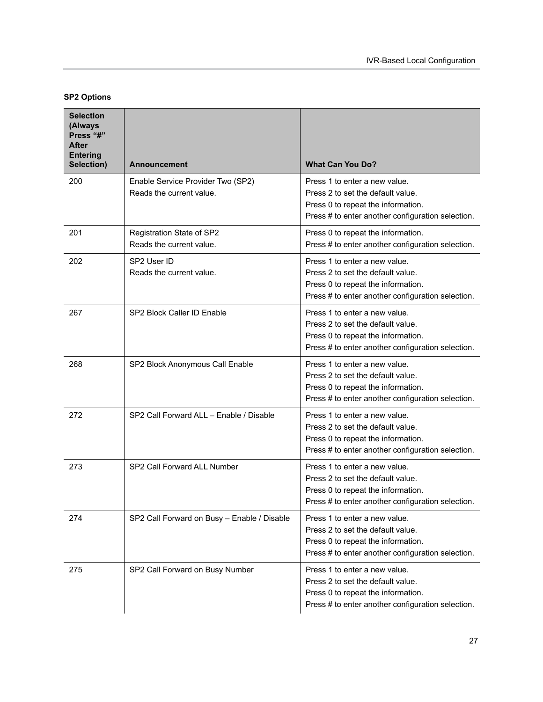#### **SP2 Options**

| <b>Selection</b><br>(Always<br>Press "#"<br>After<br><b>Entering</b><br>Selection) | <b>Announcement</b>                                           | <b>What Can You Do?</b>                                                                                                                                       |
|------------------------------------------------------------------------------------|---------------------------------------------------------------|---------------------------------------------------------------------------------------------------------------------------------------------------------------|
| 200                                                                                | Enable Service Provider Two (SP2)<br>Reads the current value. | Press 1 to enter a new value.<br>Press 2 to set the default value.<br>Press 0 to repeat the information.<br>Press # to enter another configuration selection. |
| 201                                                                                | Registration State of SP2<br>Reads the current value.         | Press 0 to repeat the information.<br>Press # to enter another configuration selection.                                                                       |
| 202                                                                                | SP2 User ID<br>Reads the current value.                       | Press 1 to enter a new value.<br>Press 2 to set the default value.<br>Press 0 to repeat the information.<br>Press # to enter another configuration selection. |
| 267                                                                                | SP2 Block Caller ID Enable                                    | Press 1 to enter a new value.<br>Press 2 to set the default value.<br>Press 0 to repeat the information.<br>Press # to enter another configuration selection. |
| 268                                                                                | SP2 Block Anonymous Call Enable                               | Press 1 to enter a new value.<br>Press 2 to set the default value.<br>Press 0 to repeat the information.<br>Press # to enter another configuration selection. |
| 272                                                                                | SP2 Call Forward ALL - Enable / Disable                       | Press 1 to enter a new value.<br>Press 2 to set the default value.<br>Press 0 to repeat the information.<br>Press # to enter another configuration selection. |
| 273                                                                                | SP2 Call Forward ALL Number                                   | Press 1 to enter a new value.<br>Press 2 to set the default value.<br>Press 0 to repeat the information.<br>Press # to enter another configuration selection. |
| 274                                                                                | SP2 Call Forward on Busy - Enable / Disable                   | Press 1 to enter a new value.<br>Press 2 to set the default value.<br>Press 0 to repeat the information.<br>Press # to enter another configuration selection. |
| 275                                                                                | SP2 Call Forward on Busy Number                               | Press 1 to enter a new value.<br>Press 2 to set the default value.<br>Press 0 to repeat the information.<br>Press # to enter another configuration selection. |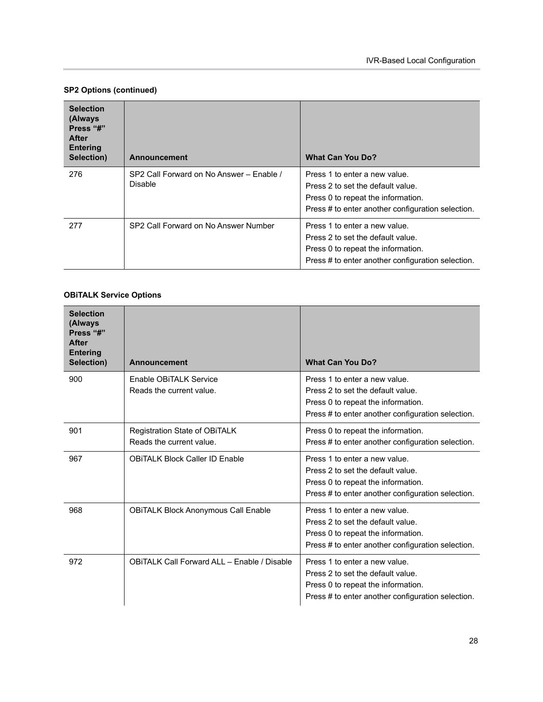#### **SP2 Options (continued)**

| <b>Selection</b><br>(Always<br>Press "#"<br>After<br><b>Entering</b><br>Selection) | <b>Announcement</b>                                 | <b>What Can You Do?</b>                                                                                                                                       |
|------------------------------------------------------------------------------------|-----------------------------------------------------|---------------------------------------------------------------------------------------------------------------------------------------------------------------|
| 276                                                                                | SP2 Call Forward on No Answer - Enable /<br>Disable | Press 1 to enter a new value.<br>Press 2 to set the default value.<br>Press 0 to repeat the information.<br>Press # to enter another configuration selection. |
| 277                                                                                | SP2 Call Forward on No Answer Number                | Press 1 to enter a new value.<br>Press 2 to set the default value.<br>Press 0 to repeat the information.<br>Press # to enter another configuration selection. |

#### **OBiTALK Service Options**

| <b>Selection</b><br>(Always<br>Press "#"<br><b>After</b><br><b>Entering</b><br>Selection) | <b>Announcement</b>                                       | <b>What Can You Do?</b>                                                                                                                                       |
|-------------------------------------------------------------------------------------------|-----------------------------------------------------------|---------------------------------------------------------------------------------------------------------------------------------------------------------------|
| 900                                                                                       | Enable OBITALK Service<br>Reads the current value.        | Press 1 to enter a new value.<br>Press 2 to set the default value.<br>Press 0 to repeat the information.<br>Press # to enter another configuration selection. |
| 901                                                                                       | Registration State of OBiTALK<br>Reads the current value. | Press 0 to repeat the information.<br>Press # to enter another configuration selection.                                                                       |
| 967                                                                                       | <b>OBITALK Block Caller ID Enable</b>                     | Press 1 to enter a new value.<br>Press 2 to set the default value.<br>Press 0 to repeat the information.<br>Press # to enter another configuration selection. |
| 968                                                                                       | <b>OBITALK Block Anonymous Call Enable</b>                | Press 1 to enter a new value.<br>Press 2 to set the default value.<br>Press 0 to repeat the information.<br>Press # to enter another configuration selection. |
| 972                                                                                       | OBITALK Call Forward ALL - Enable / Disable               | Press 1 to enter a new value.<br>Press 2 to set the default value.<br>Press 0 to repeat the information.<br>Press # to enter another configuration selection. |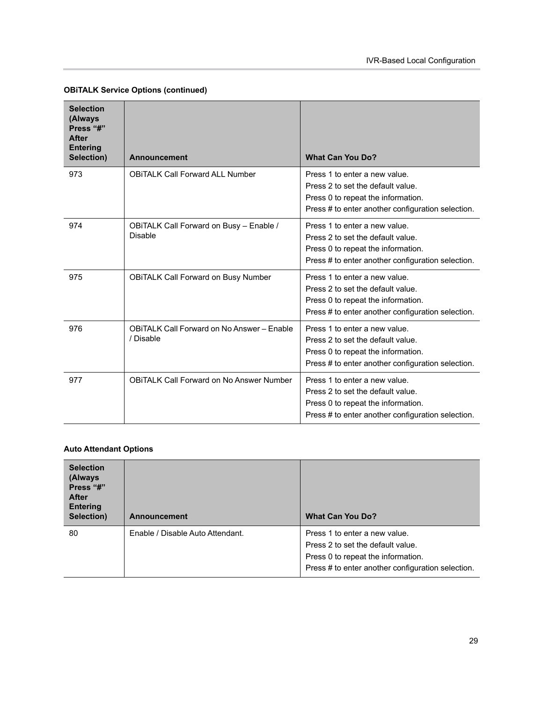| <b>Selection</b><br>(Always<br>Press "#"<br><b>After</b><br><b>Entering</b><br>Selection) | <b>Announcement</b>                                            | <b>What Can You Do?</b>                                                                                                                                       |
|-------------------------------------------------------------------------------------------|----------------------------------------------------------------|---------------------------------------------------------------------------------------------------------------------------------------------------------------|
| 973                                                                                       | <b>OBITALK Call Forward ALL Number</b>                         | Press 1 to enter a new value.<br>Press 2 to set the default value.<br>Press 0 to repeat the information.<br>Press # to enter another configuration selection. |
| 974                                                                                       | OBITALK Call Forward on Busy - Enable /<br>Disable             | Press 1 to enter a new value.<br>Press 2 to set the default value.<br>Press 0 to repeat the information.<br>Press # to enter another configuration selection. |
| 975                                                                                       | <b>OBITALK Call Forward on Busy Number</b>                     | Press 1 to enter a new value.<br>Press 2 to set the default value.<br>Press 0 to repeat the information.<br>Press # to enter another configuration selection. |
| 976                                                                                       | <b>OBITALK Call Forward on No Answer - Enable</b><br>/ Disable | Press 1 to enter a new value.<br>Press 2 to set the default value.<br>Press 0 to repeat the information.<br>Press # to enter another configuration selection. |
| 977                                                                                       | <b>OBITALK Call Forward on No Answer Number</b>                | Press 1 to enter a new value.<br>Press 2 to set the default value.<br>Press 0 to repeat the information.<br>Press # to enter another configuration selection. |

#### **OBiTALK Service Options (continued)**

#### **Auto Attendant Options**

| <b>Selection</b><br>(Always<br>Press "#"<br><b>After</b><br><b>Entering</b><br>Selection) | Announcement                     | <b>What Can You Do?</b>                                                                                                                                       |
|-------------------------------------------------------------------------------------------|----------------------------------|---------------------------------------------------------------------------------------------------------------------------------------------------------------|
| 80                                                                                        | Enable / Disable Auto Attendant. | Press 1 to enter a new value.<br>Press 2 to set the default value.<br>Press 0 to repeat the information.<br>Press # to enter another configuration selection. |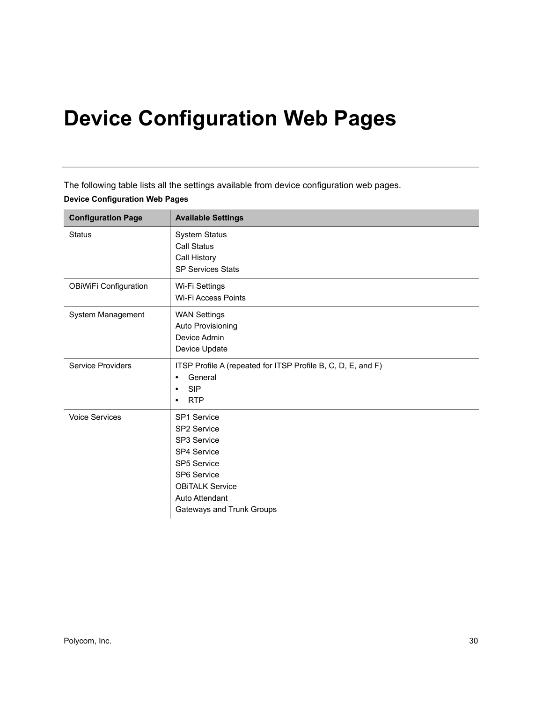# **Device Configuration Web Pages**

The following table lists all the settings available from device configuration web pages. **Device Configuration Web Pages** 

| <b>Configuration Page</b>    | <b>Available Settings</b>                                                                                                                                                            |
|------------------------------|--------------------------------------------------------------------------------------------------------------------------------------------------------------------------------------|
| <b>Status</b>                | <b>System Status</b><br><b>Call Status</b><br>Call History<br><b>SP Services Stats</b>                                                                                               |
| <b>OBiWiFi Configuration</b> | Wi-Fi Settings<br><b>Wi-Fi Access Points</b>                                                                                                                                         |
| System Management            | <b>WAN Settings</b><br>Auto Provisioning<br>Device Admin<br>Device Update                                                                                                            |
| <b>Service Providers</b>     | ITSP Profile A (repeated for ITSP Profile B, C, D, E, and F)<br>General<br>$\bullet$<br><b>SIP</b><br>$\bullet$<br><b>RTP</b><br>$\bullet$                                           |
| <b>Voice Services</b>        | SP1 Service<br><b>SP2 Service</b><br>SP3 Service<br><b>SP4 Service</b><br><b>SP5 Service</b><br>SP6 Service<br><b>OBITALK Service</b><br>Auto Attendant<br>Gateways and Trunk Groups |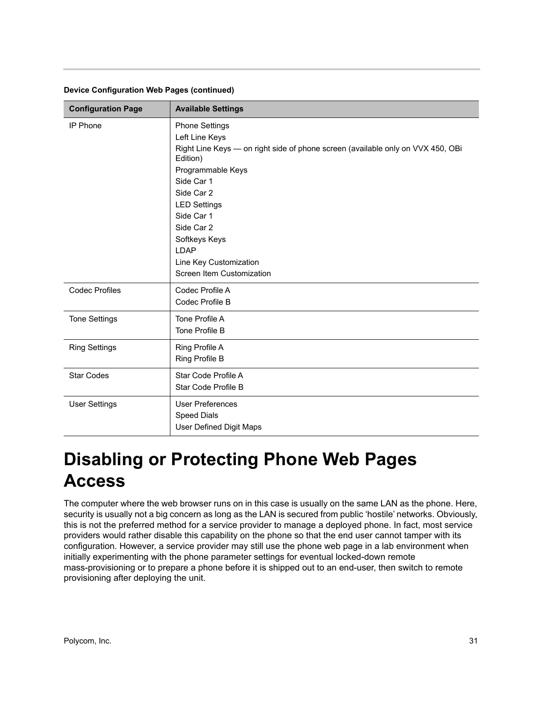| <b>Configuration Page</b> | <b>Available Settings</b>                                                                                                       |
|---------------------------|---------------------------------------------------------------------------------------------------------------------------------|
| <b>IP Phone</b>           | <b>Phone Settings</b><br>Left Line Keys<br>Right Line Keys - on right side of phone screen (available only on VVX 450, OBi      |
|                           | Edition)<br>Programmable Keys<br>Side Car 1<br>Side Car 2                                                                       |
|                           | <b>LED Settings</b><br>Side Car 1<br>Side Car 2<br>Softkeys Keys<br>LDAP<br>Line Key Customization<br>Screen Item Customization |
| <b>Codec Profiles</b>     | Codec Profile A<br>Codec Profile B                                                                                              |
| <b>Tone Settings</b>      | Tone Profile A<br>Tone Profile B                                                                                                |
| <b>Ring Settings</b>      | Ring Profile A<br>Ring Profile B                                                                                                |
| <b>Star Codes</b>         | Star Code Profile A<br>Star Code Profile B                                                                                      |
| <b>User Settings</b>      | <b>User Preferences</b><br><b>Speed Dials</b><br><b>User Defined Digit Maps</b>                                                 |

#### **Device Configuration Web Pages (continued)**

# <span id="page-31-0"></span>**Disabling or Protecting Phone Web Pages Access**

The computer where the web browser runs on in this case is usually on the same LAN as the phone. Here, security is usually not a big concern as long as the LAN is secured from public 'hostile' networks. Obviously, this is not the preferred method for a service provider to manage a deployed phone. In fact, most service providers would rather disable this capability on the phone so that the end user cannot tamper with its configuration. However, a service provider may still use the phone web page in a lab environment when initially experimenting with the phone parameter settings for eventual locked-down remote mass-provisioning or to prepare a phone before it is shipped out to an end-user, then switch to remote provisioning after deploying the unit.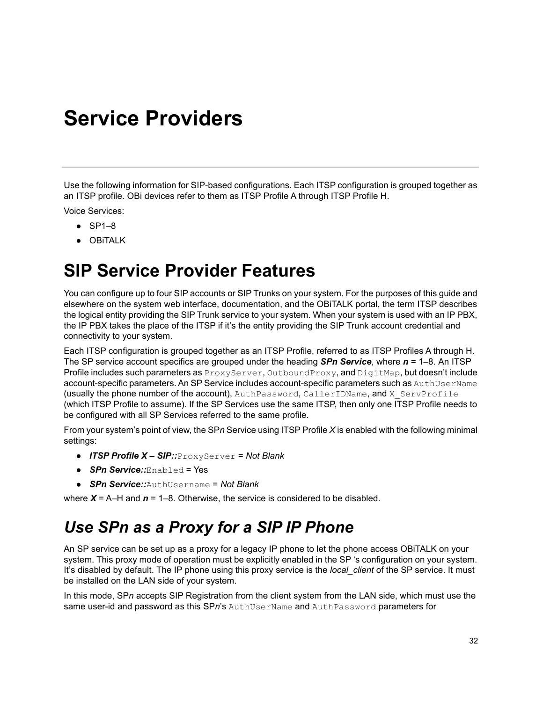# <span id="page-32-0"></span>**Service Providers**

Use the following information for SIP-based configurations. Each ITSP configuration is grouped together as an ITSP profile. OBi devices refer to them as ITSP Profile A through ITSP Profile H.

Voice Services:

- **●** SP1–8
- **●** OBiTALK

### <span id="page-32-1"></span>**SIP Service Provider Features**

You can configure up to four SIP accounts or SIP Trunks on your system. For the purposes of this guide and elsewhere on the system web interface, documentation, and the OBiTALK portal, the term ITSP describes the logical entity providing the SIP Trunk service to your system. When your system is used with an IP PBX, the IP PBX takes the place of the ITSP if it's the entity providing the SIP Trunk account credential and connectivity to your system.

Each ITSP configuration is grouped together as an ITSP Profile, referred to as ITSP Profiles A through H. The SP service account specifics are grouped under the heading *SPn Service*, where *n* = 1–8. An ITSP Profile includes such parameters as ProxyServer, OutboundProxy, and DigitMap, but doesn't include account-specific parameters. An SP Service includes account-specific parameters such as AuthUserName (usually the phone number of the account), AuthPassword, CallerIDName, and X ServProfile (which ITSP Profile to assume). If the SP Services use the same ITSP, then only one ITSP Profile needs to be configured with all SP Services referred to the same profile.

From your system's point of view, the SP*n* Service using ITSP Profile *X* is enabled with the following minimal settings:

- **●** *ITSP Profile X SIP::*ProxyServer = *Not Blank*
- **●** *SPn Service::*Enabled = Yes
- **●** *SPn Service::*AuthUsername = *Not Blank*

where  $X = A$ –H and  $n = 1$ –8. Otherwise, the service is considered to be disabled.

### <span id="page-32-2"></span>*Use SPn as a Proxy for a SIP IP Phone*

An SP service can be set up as a proxy for a legacy IP phone to let the phone access OBiTALK on your system. This proxy mode of operation must be explicitly enabled in the SP 's configuration on your system. It's disabled by default. The IP phone using this proxy service is the *local\_client* of the SP service. It must be installed on the LAN side of your system.

In this mode, SP*n* accepts SIP Registration from the client system from the LAN side, which must use the same user-id and password as this SP*n*'s AuthUserName and AuthPassword parameters for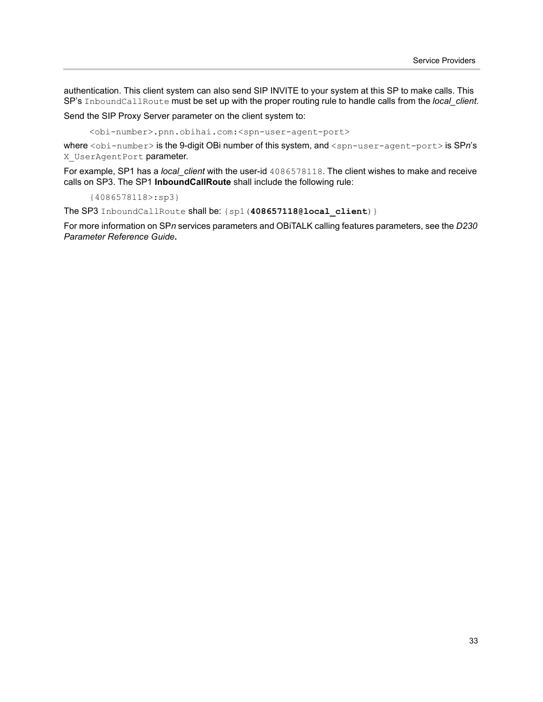authentication. This client system can also send SIP INVITE to your system at this SP to make calls. This SP's InboundCallRoute must be set up with the proper routing rule to handle calls from the *local\_client*.

Send the SIP Proxy Server parameter on the client system to:

<obi-number>.pnn.obihai.com:<spn-user-agent-port>

where <obi-number> is the 9-digit OBi number of this system, and <spn-user-agent-port> is SP*n*'s X UserAgentPort parameter.

For example, SP1 has a *local\_client* with the user-id 4086578118. The client wishes to make and receive calls on SP3. The SP1 **InboundCallRoute** shall include the following rule:

{4086578118>:sp3}

The SP3 InboundCallRoute shall be: {sp1(**408657118@local\_client**)}

For more information on SP*n* services parameters and OBiTALK calling features parameters, see the *D230 Parameter Reference Guide.*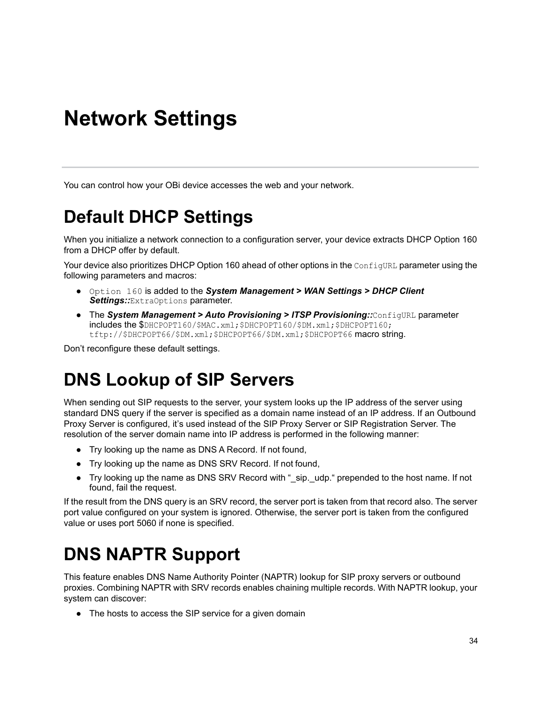# <span id="page-34-0"></span>**Network Settings**

You can control how your OBi device accesses the web and your network.

# <span id="page-34-1"></span>**Default DHCP Settings**

When you initialize a network connection to a configuration server, your device extracts DHCP Option 160 from a DHCP offer by default.

Your device also prioritizes DHCP Option 160 ahead of other options in the ConfigURL parameter using the following parameters and macros:

- **●** Option 160 is added to the *System Management > WAN Settings > DHCP Client Settings::*ExtraOptions parameter.
- **●** The *System Management > Auto Provisioning > ITSP Provisioning::*ConfigURL parameter includes the \$DHCPOPT160/\$MAC.xml;\$DHCPOPT160/\$DM.xml;\$DHCPOPT160; tftp://\$DHCPOPT66/\$DM.xml;\$DHCPOPT66/\$DM.xml;\$DHCPOPT66 macro string.

Don't reconfigure these default settings.

# <span id="page-34-2"></span>**DNS Lookup of SIP Servers**

When sending out SIP requests to the server, your system looks up the IP address of the server using standard DNS query if the server is specified as a domain name instead of an IP address. If an Outbound Proxy Server is configured, it's used instead of the SIP Proxy Server or SIP Registration Server. The resolution of the server domain name into IP address is performed in the following manner:

- **●** Try looking up the name as DNS A Record. If not found,
- **●** Try looking up the name as DNS SRV Record. If not found,
- **●** Try looking up the name as DNS SRV Record with "\_sip.\_udp." prepended to the host name. If not found, fail the request.

If the result from the DNS query is an SRV record, the server port is taken from that record also. The server port value configured on your system is ignored. Otherwise, the server port is taken from the configured value or uses port 5060 if none is specified.

# <span id="page-34-3"></span>**DNS NAPTR Support**

This feature enables DNS Name Authority Pointer (NAPTR) lookup for SIP proxy servers or outbound proxies. Combining NAPTR with SRV records enables chaining multiple records. With NAPTR lookup, your system can discover:

**●** The hosts to access the SIP service for a given domain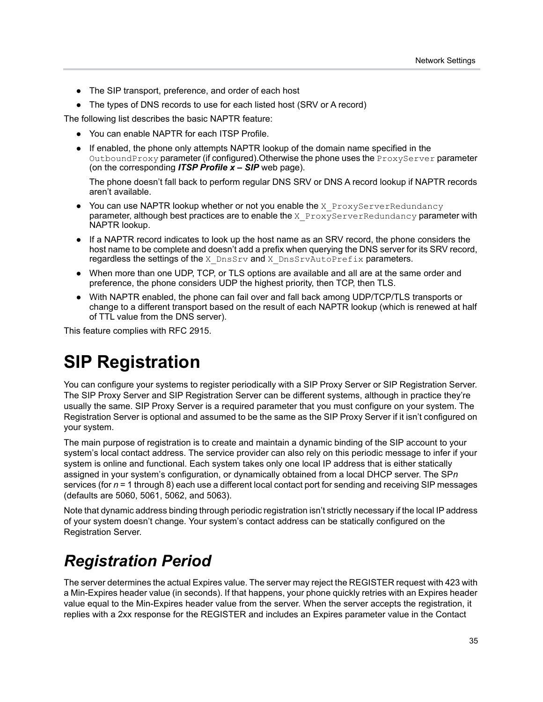- **●** The SIP transport, preference, and order of each host
- **●** The types of DNS records to use for each listed host (SRV or A record)

The following list describes the basic NAPTR feature:

- **●** You can enable NAPTR for each ITSP Profile.
- **●** If enabled, the phone only attempts NAPTR lookup of the domain name specified in the OutboundProxy parameter (if configured).Otherwise the phone uses the ProxyServer parameter (on the corresponding *ITSP Profile x – SIP* web page).

The phone doesn't fall back to perform regular DNS SRV or DNS A record lookup if NAPTR records aren't available.

- **•** You can use NAPTR lookup whether or not you enable the X ProxyServerRedundancy parameter, although best practices are to enable the X $P_{\text{roxV}}$ ServerRedundancy parameter with NAPTR lookup.
- **●** If a NAPTR record indicates to look up the host name as an SRV record, the phone considers the host name to be complete and doesn't add a prefix when querying the DNS server for its SRV record, regardless the settings of the X\_DnsSrv and X\_DnsSrvAutoPrefix parameters.
- When more than one UDP, TCP, or TLS options are available and all are at the same order and preference, the phone considers UDP the highest priority, then TCP, then TLS.
- With NAPTR enabled, the phone can fail over and fall back among UDP/TCP/TLS transports or change to a different transport based on the result of each NAPTR lookup (which is renewed at half of TTL value from the DNS server).

This feature complies with RFC 2915.

### <span id="page-35-0"></span>**SIP Registration**

You can configure your systems to register periodically with a SIP Proxy Server or SIP Registration Server. The SIP Proxy Server and SIP Registration Server can be different systems, although in practice they're usually the same. SIP Proxy Server is a required parameter that you must configure on your system. The Registration Server is optional and assumed to be the same as the SIP Proxy Server if it isn't configured on your system.

The main purpose of registration is to create and maintain a dynamic binding of the SIP account to your system's local contact address. The service provider can also rely on this periodic message to infer if your system is online and functional. Each system takes only one local IP address that is either statically assigned in your system's configuration, or dynamically obtained from a local DHCP server. The SP*n*  services (for *n* = 1 through 8) each use a different local contact port for sending and receiving SIP messages (defaults are 5060, 5061, 5062, and 5063).

Note that dynamic address binding through periodic registration isn't strictly necessary if the local IP address of your system doesn't change. Your system's contact address can be statically configured on the Registration Server.

### <span id="page-35-1"></span>*Registration Period*

The server determines the actual Expires value. The server may reject the REGISTER request with 423 with a Min-Expires header value (in seconds). If that happens, your phone quickly retries with an Expires header value equal to the Min-Expires header value from the server. When the server accepts the registration, it replies with a 2xx response for the REGISTER and includes an Expires parameter value in the Contact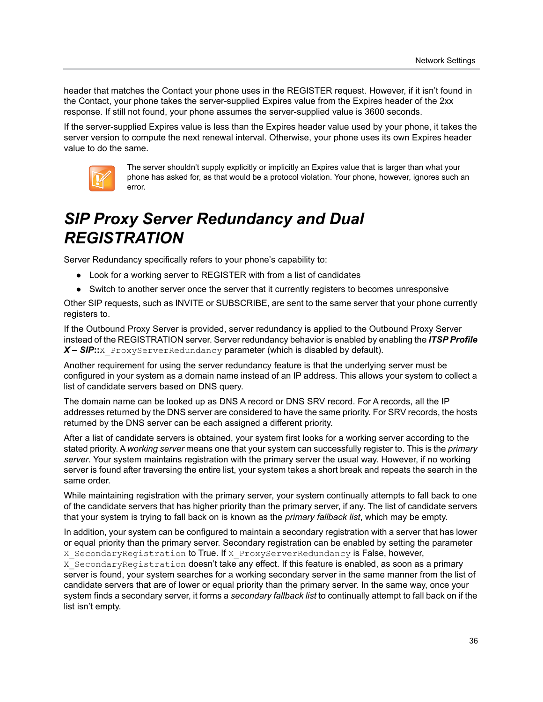header that matches the Contact your phone uses in the REGISTER request. However, if it isn't found in the Contact, your phone takes the server-supplied Expires value from the Expires header of the 2xx response. If still not found, your phone assumes the server-supplied value is 3600 seconds.

If the server-supplied Expires value is less than the Expires header value used by your phone, it takes the server version to compute the next renewal interval. Otherwise, your phone uses its own Expires header value to do the same.



The server shouldn't supply explicitly or implicitly an Expires value that is larger than what your phone has asked for, as that would be a protocol violation. Your phone, however, ignores such an error.

## *SIP Proxy Server Redundancy and Dual REGISTRATION*

Server Redundancy specifically refers to your phone's capability to:

- **●** Look for a working server to REGISTER with from a list of candidates
- **●** Switch to another server once the server that it currently registers to becomes unresponsive

Other SIP requests, such as INVITE or SUBSCRIBE, are sent to the same server that your phone currently registers to.

If the Outbound Proxy Server is provided, server redundancy is applied to the Outbound Proxy Server instead of the REGISTRATION server. Server redundancy behavior is enabled by enabling the *ITSP Profile*  X – SIP::X\_ProxyServerRedundancy parameter (which is disabled by default).

Another requirement for using the server redundancy feature is that the underlying server must be configured in your system as a domain name instead of an IP address. This allows your system to collect a list of candidate servers based on DNS query.

The domain name can be looked up as DNS A record or DNS SRV record. For A records, all the IP addresses returned by the DNS server are considered to have the same priority. For SRV records, the hosts returned by the DNS server can be each assigned a different priority.

After a list of candidate servers is obtained, your system first looks for a working server according to the stated priority. A *working server* means one that your system can successfully register to. This is the *primary server*. Your system maintains registration with the primary server the usual way. However, if no working server is found after traversing the entire list, your system takes a short break and repeats the search in the same order.

While maintaining registration with the primary server, your system continually attempts to fall back to one of the candidate servers that has higher priority than the primary server, if any. The list of candidate servers that your system is trying to fall back on is known as the *primary fallback list*, which may be empty.

In addition, your system can be configured to maintain a secondary registration with a server that has lower or equal priority than the primary server. Secondary registration can be enabled by setting the parameter X SecondaryRegistration to True. If X ProxyServerRedundancy is False, however,

X SecondaryRegistration doesn't take any effect. If this feature is enabled, as soon as a primary server is found, your system searches for a working secondary server in the same manner from the list of candidate servers that are of lower or equal priority than the primary server. In the same way, once your system finds a secondary server, it forms a *secondary fallback list* to continually attempt to fall back on if the list isn't empty.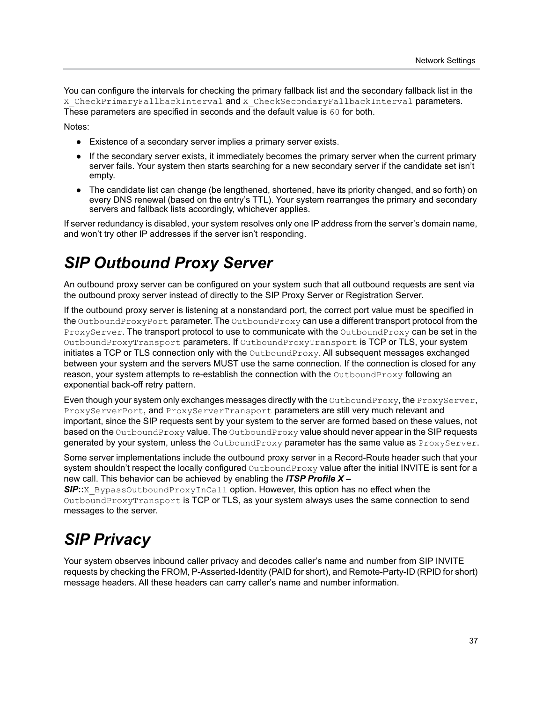You can configure the intervals for checking the primary fallback list and the secondary fallback list in the X CheckPrimaryFallbackInterval and X CheckSecondaryFallbackInterval parameters. These parameters are specified in seconds and the default value is 60 for both.

Notes:

- **●** Existence of a secondary server implies a primary server exists.
- **●** If the secondary server exists, it immediately becomes the primary server when the current primary server fails. Your system then starts searching for a new secondary server if the candidate set isn't empty.
- **●** The candidate list can change (be lengthened, shortened, have its priority changed, and so forth) on every DNS renewal (based on the entry's TTL). Your system rearranges the primary and secondary servers and fallback lists accordingly, whichever applies.

If server redundancy is disabled, your system resolves only one IP address from the server's domain name, and won't try other IP addresses if the server isn't responding.

## *SIP Outbound Proxy Server*

An outbound proxy server can be configured on your system such that all outbound requests are sent via the outbound proxy server instead of directly to the SIP Proxy Server or Registration Server.

If the outbound proxy server is listening at a nonstandard port, the correct port value must be specified in the OutboundProxyPort parameter. The OutboundProxy can use a different transport protocol from the ProxyServer. The transport protocol to use to communicate with the OutboundProxy can be set in the OutboundProxyTransport parameters. If OutboundProxyTransport is TCP or TLS, your system initiates a TCP or TLS connection only with the OutboundProxy. All subsequent messages exchanged between your system and the servers MUST use the same connection. If the connection is closed for any reason, your system attempts to re-establish the connection with the OutboundProxy following an exponential back-off retry pattern.

Even though your system only exchanges messages directly with the OutboundProxy, the ProxyServer, ProxyServerPort, and ProxyServerTransport parameters are still very much relevant and important, since the SIP requests sent by your system to the server are formed based on these values, not based on the OutboundProxy value. The OutboundProxy value should never appear in the SIP requests generated by your system, unless the OutboundProxy parameter has the same value as ProxyServer.

Some server implementations include the outbound proxy server in a Record-Route header such that your system shouldn't respect the locally configured OutboundProxy value after the initial INVITE is sent for a new call. This behavior can be achieved by enabling the *ITSP Profile X –* 

**SIP**::X\_BypassOutboundProxyInCall option. However, this option has no effect when the OutboundProxyTransport is TCP or TLS, as your system always uses the same connection to send messages to the server.

## *SIP Privacy*

Your system observes inbound caller privacy and decodes caller's name and number from SIP INVITE requests by checking the FROM, P-Asserted-Identity (PAID for short), and Remote-Party-ID (RPID for short) message headers. All these headers can carry caller's name and number information.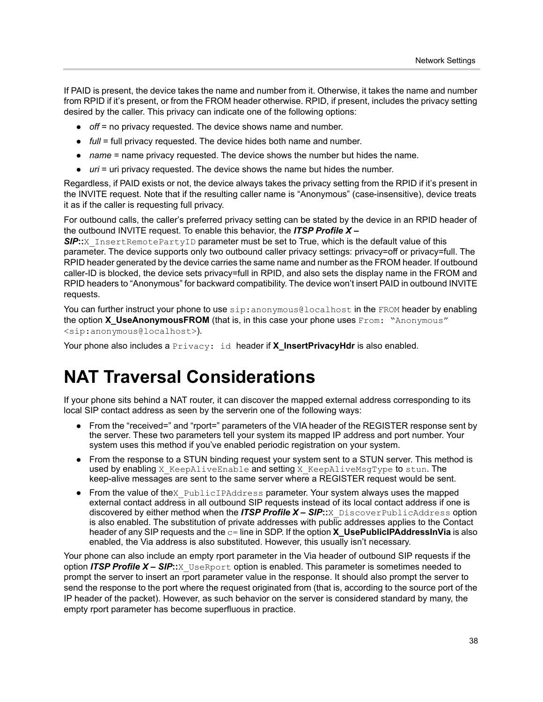If PAID is present, the device takes the name and number from it. Otherwise, it takes the name and number from RPID if it's present, or from the FROM header otherwise. RPID, if present, includes the privacy setting desired by the caller. This privacy can indicate one of the following options:

- **●** *off* = no privacy requested. The device shows name and number.
- **●** *full* = full privacy requested. The device hides both name and number.
- **●** *name* = name privacy requested. The device shows the number but hides the name.
- **●** *uri* = uri privacy requested. The device shows the name but hides the number.

Regardless, if PAID exists or not, the device always takes the privacy setting from the RPID if it's present in the INVITE request. Note that if the resulting caller name is "Anonymous" (case-insensitive), device treats it as if the caller is requesting full privacy.

For outbound calls, the caller's preferred privacy setting can be stated by the device in an RPID header of the outbound INVITE request. To enable this behavior, the *ITSP Profile X –* 

**SIP**::X\_InsertRemotePartyID parameter must be set to True, which is the default value of this parameter. The device supports only two outbound caller privacy settings: privacy=off or privacy=full. The RPID header generated by the device carries the same name and number as the FROM header. If outbound caller-ID is blocked, the device sets privacy=full in RPID, and also sets the display name in the FROM and RPID headers to "Anonymous" for backward compatibility. The device won't insert PAID in outbound INVITE requests.

You can further instruct your phone to use sip: anonymous@localhost in the FROM header by enabling the option **X** UseAnonymousFROM (that is, in this case your phone uses From: "Anonymous" <sip:anonymous@localhost>).

Your phone also includes a **Privacy: id header if X\_InsertPrivacyHdr** is also enabled.

## **NAT Traversal Considerations**

If your phone sits behind a NAT router, it can discover the mapped external address corresponding to its local SIP contact address as seen by the serverin one of the following ways:

- **●** From the "received=" and "rport=" parameters of the VIA header of the REGISTER response sent by the server. These two parameters tell your system its mapped IP address and port number. Your system uses this method if you've enabled periodic registration on your system.
- **●** From the response to a STUN binding request your system sent to a STUN server. This method is used by enabling X KeepAliveEnable and setting X KeepAliveMsgType to stun. The keep-alive messages are sent to the same server where a REGISTER request would be sent.
- **•** From the value of thex PublicIPAddress parameter. Your system always uses the mapped external contact address in all outbound SIP requests instead of its local contact address if one is discovered by either method when the *ITSP Profile X – SIP***::**X\_DiscoverPublicAddress option is also enabled. The substitution of private addresses with public addresses applies to the Contact header of any SIP requests and the  $c=$  line in SDP. If the option **X\_UsePublicIPAddressInVia** is also enabled, the Via address is also substituted. However, this usually isn't necessary.

Your phone can also include an empty rport parameter in the Via header of outbound SIP requests if the option *ITSP Profile X – SIP*::X UseRport option is enabled. This parameter is sometimes needed to prompt the server to insert an rport parameter value in the response. It should also prompt the server to send the response to the port where the request originated from (that is, according to the source port of the IP header of the packet). However, as such behavior on the server is considered standard by many, the empty rport parameter has become superfluous in practice.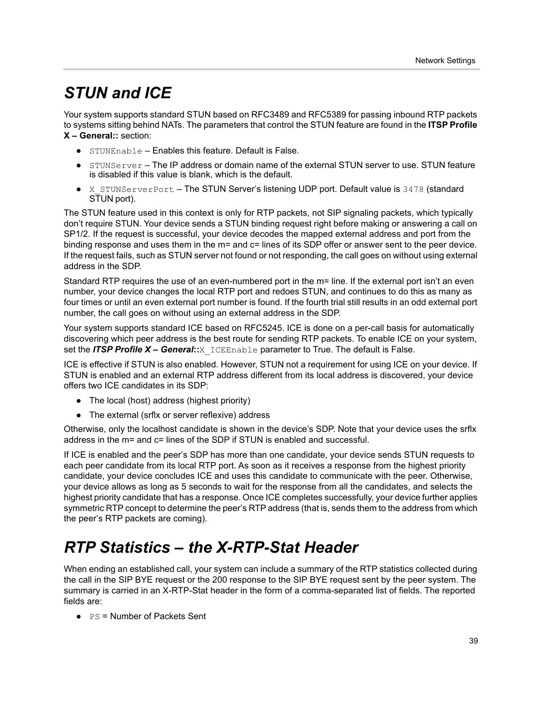## *STUN and ICE*

Your system supports standard STUN based on RFC3489 and RFC5389 for passing inbound RTP packets to systems sitting behind NATs. The parameters that control the STUN feature are found in the **ITSP Profile X – General::** section:

- **●** STUNEnable Enables this feature. Default is False.
- **●** STUNServer The IP address or domain name of the external STUN server to use. STUN feature is disabled if this value is blank, which is the default.
- **●** X\_STUNServerPort The STUN Server's listening UDP port. Default value is 3478 (standard STUN port).

The STUN feature used in this context is only for RTP packets, not SIP signaling packets, which typically don't require STUN. Your device sends a STUN binding request right before making or answering a call on SP1/2. If the request is successful, your device decodes the mapped external address and port from the binding response and uses them in the m= and c= lines of its SDP offer or answer sent to the peer device. If the request fails, such as STUN server not found or not responding, the call goes on without using external address in the SDP.

Standard RTP requires the use of an even-numbered port in the m= line. If the external port isn't an even number, your device changes the local RTP port and redoes STUN, and continues to do this as many as four times or until an even external port number is found. If the fourth trial still results in an odd external port number, the call goes on without using an external address in the SDP.

Your system supports standard ICE based on RFC5245. ICE is done on a per-call basis for automatically discovering which peer address is the best route for sending RTP packets. To enable ICE on your system, set the *ITSP Profile X – General***::**X\_ICEEnable parameter to True. The default is False.

ICE is effective if STUN is also enabled. However, STUN not a requirement for using ICE on your device. If STUN is enabled and an external RTP address different from its local address is discovered, your device offers two ICE candidates in its SDP:

- **●** The local (host) address (highest priority)
- **●** The external (srflx or server reflexive) address

Otherwise, only the localhost candidate is shown in the device's SDP. Note that your device uses the srflx address in the m= and c= lines of the SDP if STUN is enabled and successful.

If ICE is enabled and the peer's SDP has more than one candidate, your device sends STUN requests to each peer candidate from its local RTP port. As soon as it receives a response from the highest priority candidate, your device concludes ICE and uses this candidate to communicate with the peer. Otherwise, your device allows as long as 5 seconds to wait for the response from all the candidates, and selects the highest priority candidate that has a response. Once ICE completes successfully, your device further applies symmetric RTP concept to determine the peer's RTP address (that is, sends them to the address from which the peer's RTP packets are coming).

## *RTP Statistics – the X-RTP-Stat Header*

When ending an established call, your system can include a summary of the RTP statistics collected during the call in the SIP BYE request or the 200 response to the SIP BYE request sent by the peer system. The summary is carried in an X-RTP-Stat header in the form of a comma-separated list of fields. The reported fields are:

**●** PS = Number of Packets Sent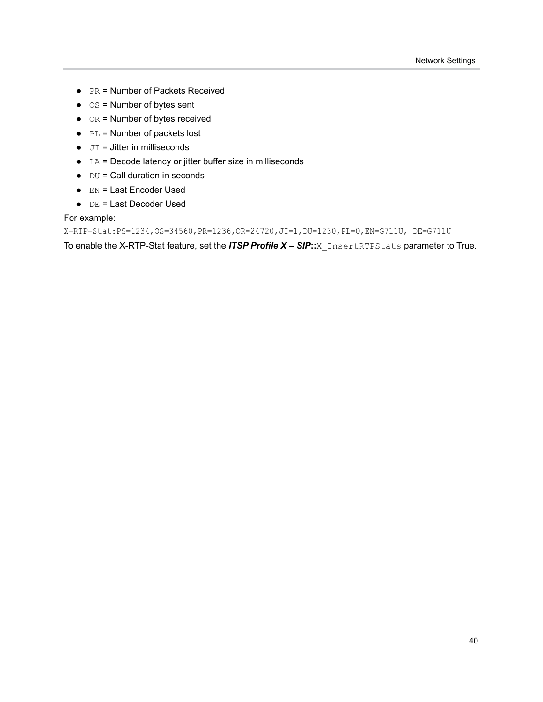- **●** PR = Number of Packets Received
- **●** OS = Number of bytes sent
- **●** OR = Number of bytes received
- **●** PL = Number of packets lost
- **●** JI = Jitter in milliseconds
- **●** LA = Decode latency or jitter buffer size in milliseconds
- **●** DU = Call duration in seconds
- **●** EN = Last Encoder Used
- **●** DE = Last Decoder Used

#### For example:

X-RTP-Stat:PS=1234,OS=34560,PR=1236,OR=24720,JI=1,DU=1230,PL=0,EN=G711U, DE=G711U

To enable the X-RTP-Stat feature, set the *ITSP Profile X – SIP***::**X\_InsertRTPStats parameter to True.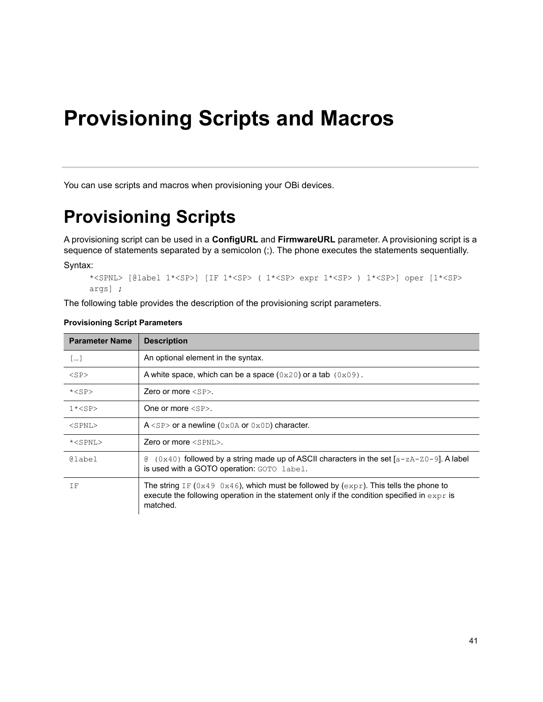# **Provisioning Scripts and Macros**

You can use scripts and macros when provisioning your OBi devices.

## **Provisioning Scripts**

A provisioning script can be used in a **ConfigURL** and **FirmwareURL** parameter. A provisioning script is a sequence of statements separated by a semicolon (;). The phone executes the statements sequentially.

Syntax:

```
*<SPNL> [@label 1*<SP>] [IF 1*<SP> ( 1*<SP> expr 1*<SP> ) 1*<SP>] oper [1*<SP> 
args] ;
```
The following table provides the description of the provisioning script parameters.

| <b>Parameter Name</b> | <b>Description</b>                                                                                                                                                                                  |
|-----------------------|-----------------------------------------------------------------------------------------------------------------------------------------------------------------------------------------------------|
| []                    | An optional element in the syntax.                                                                                                                                                                  |
| $<$ SP $>$            | A white space, which can be a space $(0x20)$ or a tab $(0x09)$ .                                                                                                                                    |
| $*<$ SP $>$           | Zero or more $\langle SP \rangle$ .                                                                                                                                                                 |
| $1*$                  | One or more $\langle$ SP $\rangle$ .                                                                                                                                                                |
| $<$ SPNL $>$          | $A$ <sp> or a newline (0x0A or 0x0D) character.</sp>                                                                                                                                                |
| * <spnl></spnl>       | Zero or more $\langle$ SPNL $\rangle$ .                                                                                                                                                             |
| @label                | $(0 \times 40)$ followed by a string made up of ASCII characters in the set $[a-zA-z0-9]$ . A label<br>g.<br>is used with a GOTO operation: GOTO label.                                             |
| ΤF                    | The string IF (0x49 0x46), which must be followed by (expr). This tells the phone to<br>execute the following operation in the statement only if the condition specified in $\exp r$ is<br>matched. |

#### **Provisioning Script Parameters**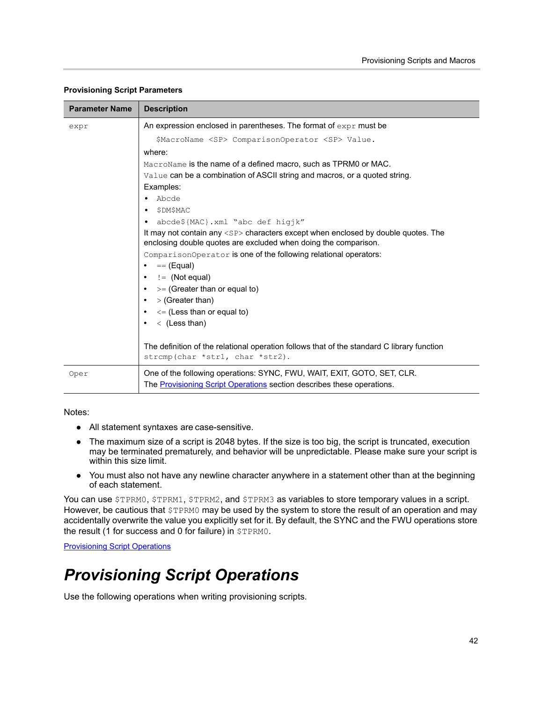| <b>Parameter Name</b> | <b>Description</b>                                                                                                                                         |  |  |  |
|-----------------------|------------------------------------------------------------------------------------------------------------------------------------------------------------|--|--|--|
| expr                  | An expression enclosed in parentheses. The format of $\exp r$ must be                                                                                      |  |  |  |
|                       | \$MacroName <sp> ComparisonOperator <sp> Value.</sp></sp>                                                                                                  |  |  |  |
|                       | where:                                                                                                                                                     |  |  |  |
|                       | MacroName is the name of a defined macro, such as TPRM0 or MAC.                                                                                            |  |  |  |
|                       | Value can be a combination of ASCII string and macros, or a quoted string.                                                                                 |  |  |  |
|                       | Examples:                                                                                                                                                  |  |  |  |
|                       | Abcde                                                                                                                                                      |  |  |  |
|                       | <b>\$DM\$MAC</b><br>٠                                                                                                                                      |  |  |  |
|                       | abcde\${MAC}.xml "abc def higjk"<br>٠                                                                                                                      |  |  |  |
|                       | It may not contain any <sp> characters except when enclosed by double quotes. The<br/>enclosing double quotes are excluded when doing the comparison.</sp> |  |  |  |
|                       | ComparisonOperator is one of the following relational operators:                                                                                           |  |  |  |
|                       | $==$ (Equal)                                                                                                                                               |  |  |  |
|                       | $!=$ (Not equal)<br>$\mathcal{P} =$ (Greater than or equal to)                                                                                             |  |  |  |
|                       |                                                                                                                                                            |  |  |  |
|                       | > (Greater than)                                                                                                                                           |  |  |  |
|                       | $\leq$ (Less than or equal to)                                                                                                                             |  |  |  |
|                       | $\langle$ (Less than)                                                                                                                                      |  |  |  |
|                       |                                                                                                                                                            |  |  |  |
|                       | The definition of the relational operation follows that of the standard C library function<br>strcmp(char *str1, char *str2).                              |  |  |  |
| Oper                  | One of the following operations: SYNC, FWU, WAIT, EXIT, GOTO, SET, CLR.<br>The <b>Provisioning Script Operations</b> section describes these operations.   |  |  |  |
|                       |                                                                                                                                                            |  |  |  |

#### **Provisioning Script Parameters**

Notes:

- **●** All statement syntaxes are case-sensitive.
- **●** The maximum size of a script is 2048 bytes. If the size is too big, the script is truncated, execution may be terminated prematurely, and behavior will be unpredictable. Please make sure your script is within this size limit.
- **●** You must also not have any newline character anywhere in a statement other than at the beginning of each statement.

You can use \$TPRM0, \$TPRM1, \$TPRM2, and \$TPRM3 as variables to store temporary values in a script. However, be cautious that  $$TPRMO$  may be used by the system to store the result of an operation and may accidentally overwrite the value you explicitly set for it. By default, the SYNC and the FWU operations store the result (1 for success and 0 for failure) in \$TPRM0.

**[Provisioning Script Operations](#page-42-0)** 

## <span id="page-42-0"></span>*Provisioning Script Operations*

Use the following operations when writing provisioning scripts.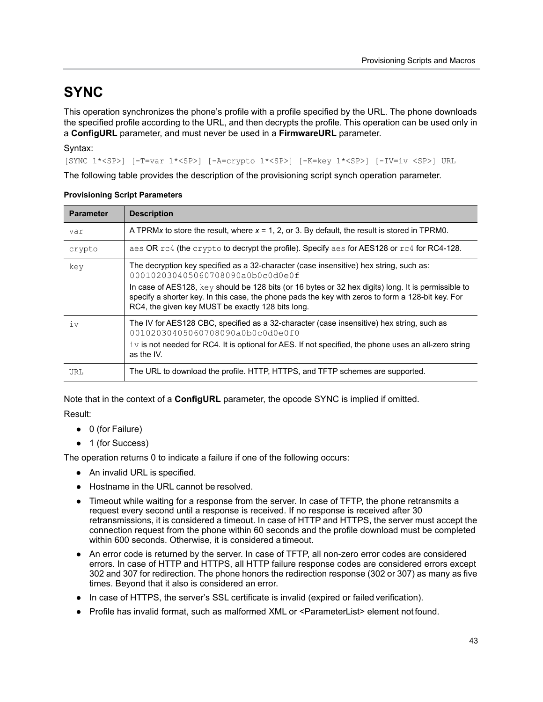### **SYNC**

This operation synchronizes the phone's profile with a profile specified by the URL. The phone downloads the specified profile according to the URL, and then decrypts the profile. This operation can be used only in a **ConfigURL** parameter, and must never be used in a **FirmwareURL** parameter.

#### Syntax:

[SYNC 1\*<SP>] [-T=var 1\*<SP>] [-A=crypto 1\*<SP>] [-K=key 1\*<SP>] [-IV=iv <SP>] URL

The following table provides the description of the provisioning script synch operation parameter.

| <b>Parameter</b> | <b>Description</b>                                                                                                                                                                                                                                                                                                                                                                          |
|------------------|---------------------------------------------------------------------------------------------------------------------------------------------------------------------------------------------------------------------------------------------------------------------------------------------------------------------------------------------------------------------------------------------|
| var              | A TPRMx to store the result, where $x = 1$ , 2, or 3. By default, the result is stored in TPRM0.                                                                                                                                                                                                                                                                                            |
| crypto           | aes OR $rc4$ (the crypto to decrypt the profile). Specify aes for AES128 or $rc4$ for RC4-128.                                                                                                                                                                                                                                                                                              |
| key              | The decryption key specified as a 32-character (case insensitive) hex string, such as:<br>000102030405060708090a0b0c0d0e0f<br>In case of AES128, key should be 128 bits (or 16 bytes or 32 hex digits) long. It is permissible to<br>specify a shorter key. In this case, the phone pads the key with zeros to form a 128-bit key. For<br>RC4, the given key MUST be exactly 128 bits long. |
| iv               | The IV for AES128 CBC, specified as a 32-character (case insensitive) hex string, such as<br>00102030405060708090a0b0c0d0e0f0<br>$\pm v$ is not needed for RC4. It is optional for AES. If not specified, the phone uses an all-zero string<br>as the IV.                                                                                                                                   |
| URL              | The URL to download the profile. HTTP, HTTPS, and TFTP schemes are supported.                                                                                                                                                                                                                                                                                                               |

#### **Provisioning Script Parameters**

Note that in the context of a **ConfigURL** parameter, the opcode SYNC is implied if omitted.

#### Result:

- **●** 0 (for Failure)
- **●** 1 (for Success)

The operation returns 0 to indicate a failure if one of the following occurs:

- **●** An invalid URL is specified.
- **●** Hostname in the URL cannot be resolved.
- **●** Timeout while waiting for a response from the server. In case of TFTP, the phone retransmits a request every second until a response is received. If no response is received after 30 retransmissions, it is considered a timeout. In case of HTTP and HTTPS, the server must accept the connection request from the phone within 60 seconds and the profile download must be completed within 600 seconds. Otherwise, it is considered a timeout.
- **●** An error code is returned by the server. In case of TFTP, all non-zero error codes are considered errors. In case of HTTP and HTTPS, all HTTP failure response codes are considered errors except 302 and 307 for redirection. The phone honors the redirection response (302 or 307) as many as five times. Beyond that it also is considered an error.
- In case of HTTPS, the server's SSL certificate is invalid (expired or failed verification).
- **●** Profile has invalid format, such as malformed XML or <ParameterList> element not found.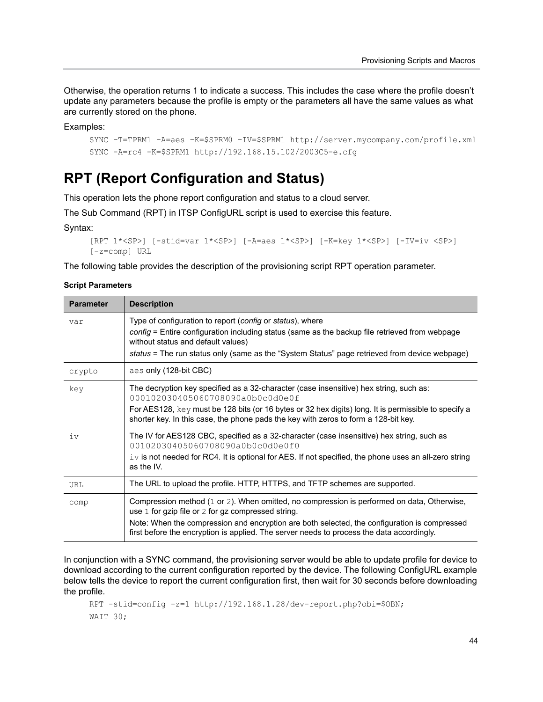Otherwise, the operation returns 1 to indicate a success. This includes the case where the profile doesn't update any parameters because the profile is empty or the parameters all have the same values as what are currently stored on the phone.

Examples:

```
SYNC –T=TPRM1 –A=aes –K=$SPRM0 –IV=$SPRM1 http://server.mycompany.com/profile.xml
SYNC -A=rc4 -K=$SPRM1 http://192.168.15.102/2003C5-e.cfg
```
#### **RPT (Report Configuration and Status)**

This operation lets the phone report configuration and status to a cloud server.

The Sub Command (RPT) in ITSP ConfigURL script is used to exercise this feature.

Syntax:

```
[RPT 1*<SP>] [-stid=var 1*<SP>] [-A=aes 1*<SP>] [-K=key 1*<SP>] [-IV=iv <SP>] 
[-z=comp] URL
```
The following table provides the description of the provisioning script RPT operation parameter.

#### **Script Parameters**

| <b>Parameter</b> | <b>Description</b>                                                                                                                                                                                                                                                                                                                                |
|------------------|---------------------------------------------------------------------------------------------------------------------------------------------------------------------------------------------------------------------------------------------------------------------------------------------------------------------------------------------------|
| var              | Type of configuration to report (config or status), where<br>config = Entire configuration including status (same as the backup file retrieved from webpage<br>without status and default values)<br>status = The run status only (same as the "System Status" page retrieved from device webpage)                                                |
| crypto           | aes only (128-bit CBC)                                                                                                                                                                                                                                                                                                                            |
| key              | The decryption key specified as a 32-character (case insensitive) hex string, such as:<br>000102030405060708090a0b0c0d0e0f<br>For AES128, key must be 128 bits (or 16 bytes or 32 hex digits) long. It is permissible to specify a<br>shorter key. In this case, the phone pads the key with zeros to form a 128-bit key.                         |
| iv               | The IV for AES128 CBC, specified as a 32-character (case insensitive) hex string, such as<br>00102030405060708090a0b0c0d0e0f0<br>$\pm v$ is not needed for RC4. It is optional for AES. If not specified, the phone uses an all-zero string<br>as the IV.                                                                                         |
| URL              | The URL to upload the profile. HTTP, HTTPS, and TFTP schemes are supported.                                                                                                                                                                                                                                                                       |
| comp             | Compression method (1 or 2). When omitted, no compression is performed on data, Otherwise,<br>use $1$ for gzip file or $2$ for gz compressed string.<br>Note: When the compression and encryption are both selected, the configuration is compressed<br>first before the encryption is applied. The server needs to process the data accordingly. |

In conjunction with a SYNC command, the provisioning server would be able to update profile for device to download according to the current configuration reported by the device. The following ConfigURL example below tells the device to report the current configuration first, then wait for 30 seconds before downloading the profile.

```
RPT -stid=config -z=1 http://192.168.1.28/dev-report.php?obi=$OBN;
WAIT 30;
```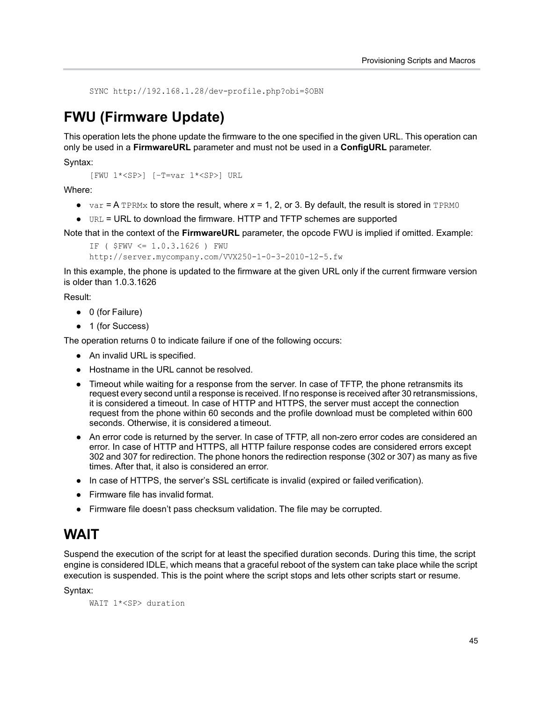SYNC http://192.168.1.28/dev-profile.php?obi=\$OBN

### **FWU (Firmware Update)**

This operation lets the phone update the firmware to the one specified in the given URL. This operation can only be used in a **FirmwareURL** parameter and must not be used in a **ConfigURL** parameter.

Syntax:

[FWU 1\*<SP>] [–T=var 1\*<SP>] URL

Where:

- $\bullet$  var = A TPRMx to store the result, where  $x = 1$ , 2, or 3. By default, the result is stored in TPRM0
- **●** URL = URL to download the firmware. HTTP and TFTP schemes are supported

Note that in the context of the **FirmwareURL** parameter, the opcode FWU is implied if omitted. Example:

```
IF ( $FWV <= 1.0.3.1626 ) FWU 
http://server.mycompany.com/VVX250-1-0-3-2010-12-5.fw
```
In this example, the phone is updated to the firmware at the given URL only if the current firmware version is older than 1.0.3.1626

Result:

- **●** 0 (for Failure)
- **●** 1 (for Success)

The operation returns 0 to indicate failure if one of the following occurs:

- **●** An invalid URL is specified.
- **●** Hostname in the URL cannot be resolved.
- **●** Timeout while waiting for a response from the server. In case of TFTP, the phone retransmits its request every second until a response is received. If no response is received after 30 retransmissions, it is considered a timeout. In case of HTTP and HTTPS, the server must accept the connection request from the phone within 60 seconds and the profile download must be completed within 600 seconds. Otherwise, it is considered a timeout.
- **●** An error code is returned by the server. In case of TFTP, all non-zero error codes are considered an error. In case of HTTP and HTTPS, all HTTP failure response codes are considered errors except 302 and 307 for redirection. The phone honors the redirection response (302 or 307) as many as five times. After that, it also is considered an error.
- **●** In case of HTTPS, the server's SSL certificate is invalid (expired or failed verification).
- **●** Firmware file has invalid format.
- **●** Firmware file doesn't pass checksum validation. The file may be corrupted.

#### **WAIT**

Suspend the execution of the script for at least the specified duration seconds. During this time, the script engine is considered IDLE, which means that a graceful reboot of the system can take place while the script execution is suspended. This is the point where the script stops and lets other scripts start or resume.

Syntax:

WAIT 1\*<SP> duration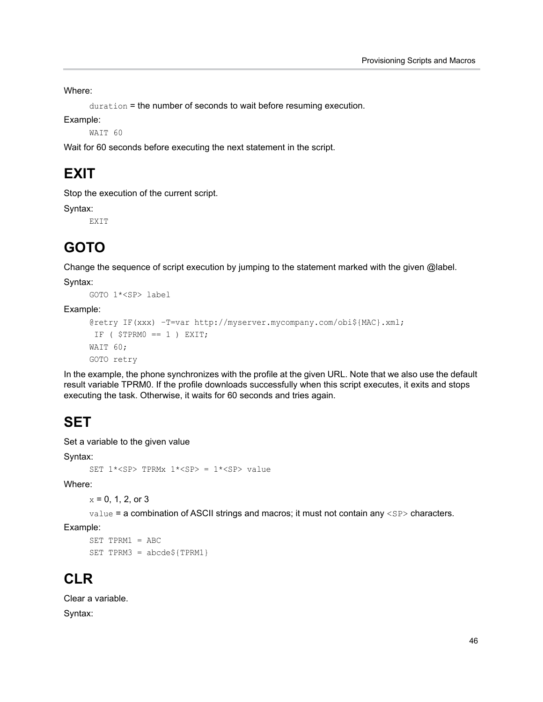Where:

duration = the number of seconds to wait before resuming execution.

Example:

WAIT 60

Wait for 60 seconds before executing the next statement in the script.

### **EXIT**

Stop the execution of the current script.

Syntax:

EXIT

### **GOTO**

Change the sequence of script execution by jumping to the statement marked with the given @label.

Syntax:

GOTO 1\*<SP> label

Example:

```
@retry IF(xxx) –T=var http://myserver.mycompany.com/obi${MAC}.xml;
IF ($TPRMO == 1) EXIT;
WAIT 60;
GOTO retry
```
In the example, the phone synchronizes with the profile at the given URL. Note that we also use the default result variable TPRM0. If the profile downloads successfully when this script executes, it exits and stops executing the task. Otherwise, it waits for 60 seconds and tries again.

### **SET**

Set a variable to the given value

Syntax:

```
SET 1*<SP> TPRMx 1*<SP> = 1*<SP> value
```
Where:

 $x = 0, 1, 2,$  or 3

value = a combination of ASCII strings and macros; it must not contain any <SP> characters.

Example:

```
SET TPRM1 = ABC
SET TPRM3 = abcde${TPRM1}
```
### **CLR**

Clear a variable.

Syntax: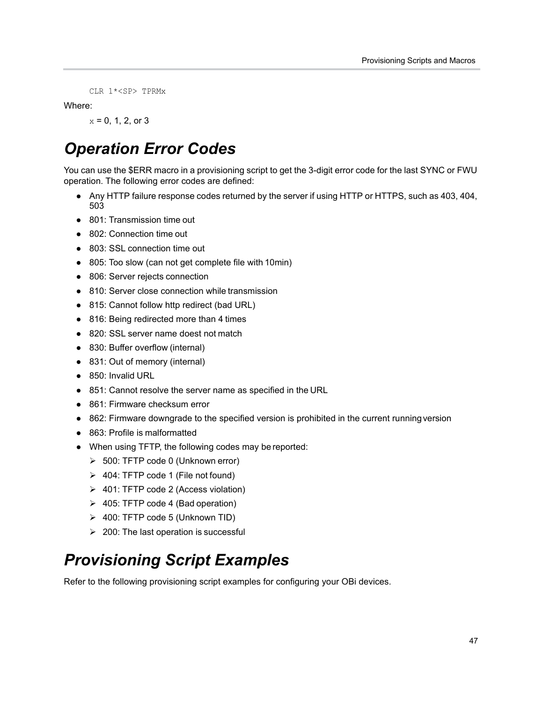CLR 1\*<SP> TPRMx

Where:

 $x = 0, 1, 2,$  or 3

## *Operation Error Codes*

You can use the \$ERR macro in a provisioning script to get the 3-digit error code for the last SYNC or FWU operation. The following error codes are defined:

- **●** Any HTTP failure response codes returned by the server if using HTTP or HTTPS, such as 403, 404, 503
- **●** 801: Transmission time out
- **●** 802: Connection time out
- **●** 803: SSL connection time out
- **●** 805: Too slow (can not get complete file with 10min)
- **●** 806: Server rejects connection
- **●** 810: Server close connection while transmission
- **●** 815: Cannot follow http redirect (bad URL)
- **●** 816: Being redirected more than 4 times
- **●** 820: SSL server name doest not match
- **●** 830: Buffer overflow (internal)
- **●** 831: Out of memory (internal)
- **●** 850: Invalid URL
- 851: Cannot resolve the server name as specified in the URL
- **●** 861: Firmware checksum error
- **●** 862: Firmware downgrade to the specified version is prohibited in the current running version
- **●** 863: Profile is malformatted
- **●** When using TFTP, the following codes may be reported:
	- 500: TFTP code 0 (Unknown error)
	- $\geq 404$ : TFTP code 1 (File not found)
	- 401: TFTP code 2 (Access violation)
	- $\geq 405$ : TFTP code 4 (Bad operation)
	- $\geq 400$ : TFTP code 5 (Unknown TID)
	- $\geq$  200: The last operation is successful

## *Provisioning Script Examples*

Refer to the following provisioning script examples for configuring your OBi devices.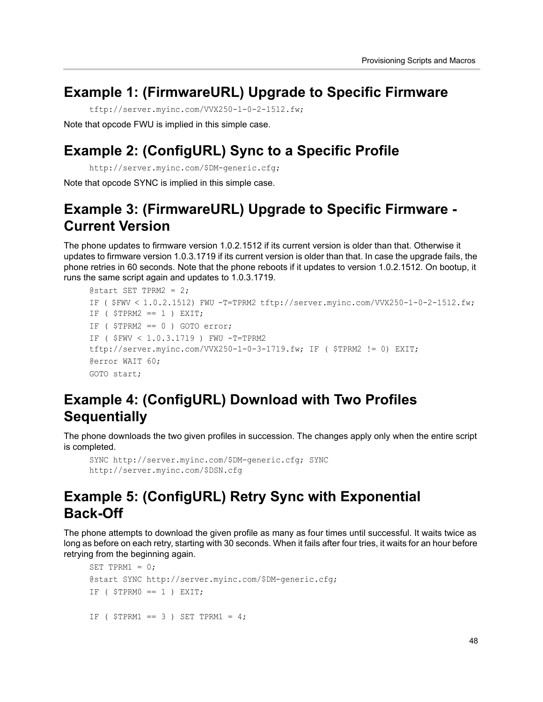#### **Example 1: (FirmwareURL) Upgrade to Specific Firmware**

tftp://server.myinc.com/VVX250-1-0-2-1512.fw;

Note that opcode FWU is implied in this simple case.

### **Example 2: (ConfigURL) Sync to a Specific Profile**

http://server.myinc.com/\$DM-generic.cfg;

Note that opcode SYNC is implied in this simple case.

### **Example 3: (FirmwareURL) Upgrade to Specific Firmware - Current Version**

The phone updates to firmware version 1.0.2.1512 if its current version is older than that. Otherwise it updates to firmware version 1.0.3.1719 if its current version is older than that. In case the upgrade fails, the phone retries in 60 seconds. Note that the phone reboots if it updates to version 1.0.2.1512. On bootup, it runs the same script again and updates to 1.0.3.1719.

```
\text{Qstart} SET TPRM2 = 2;
IF ( $FWV < 1.0.2.1512) FWU -T=TPRM2 tftp://server.myinc.com/VVX250-1-0-2-1512.fw; 
IF ($TPRM2 == 1) EXIT;
IF ($TPRM2 == 0) GOTO error;
IF ( $FWV < 1.0.3.1719 ) FWU -T=TPRM2 
tftp://server.myinc.com/VVX250-1-0-3-1719.fw; IF ( $TPRM2 != 0) EXIT;@error WAIT 60; 
GOTO start;
```
### **Example 4: (ConfigURL) Download with Two Profiles Sequentially**

The phone downloads the two given profiles in succession. The changes apply only when the entire script is completed.

```
SYNC http://server.myinc.com/$DM-generic.cfg; SYNC 
http://server.myinc.com/$DSN.cfg
```
### **Example 5: (ConfigURL) Retry Sync with Exponential Back-Off**

The phone attempts to download the given profile as many as four times until successful. It waits twice as long as before on each retry, starting with 30 seconds. When it fails after four tries, it waits for an hour before retrying from the beginning again.

```
SET TPRM1 = 0;@start SYNC http://server.myinc.com/$DM-generic.cfg; 
IF ($TPRMO == 1) EXIT;
IF ($TPRM1 == 3) SET TPRM1 = 4;
```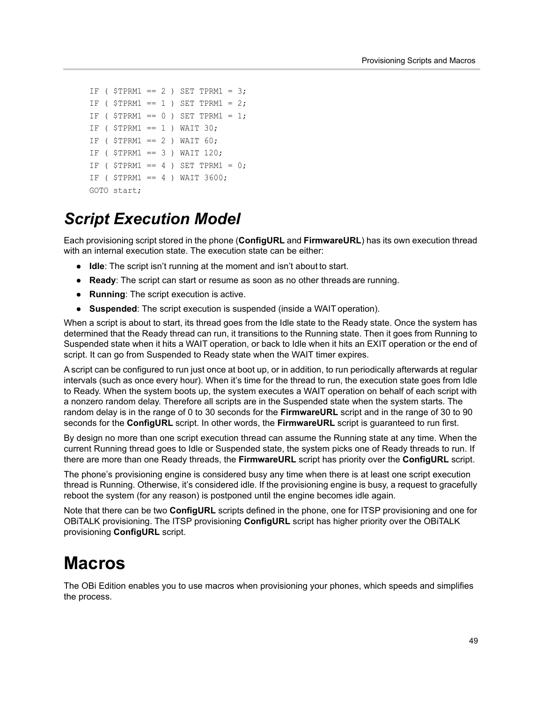```
IF ( $TPRM1 == 2 ) SET TPRM1 = 3;
IF ($TPRM1 == 1) SET TPRM1 = 2;
IF ( $TPRM1 == 0 ) SET TPRM1 = 1;
IF ($TPRM1 == 1) WAIT 30;
IF ($TPRM1 == 2) WAIT 60;
IF ($TPRM1 == 3) WAIT 120;
IF ( $TPRM1 == 4 ) SET TPRM1 = 0;
IF ( $TPRM1 == 4 ) WAIT 3600;
GOTO start;
```
### *Script Execution Model*

Each provisioning script stored in the phone (**ConfigURL** and **FirmwareURL**) has its own execution thread with an internal execution state. The execution state can be either:

- **● Idle**: The script isn't running at the moment and isn't about to start.
- **● Ready**: The script can start or resume as soon as no other threads are running.
- **● Running**: The script execution is active.
- **● Suspended**: The script execution is suspended (inside a WAIT operation).

When a script is about to start, its thread goes from the Idle state to the Ready state. Once the system has determined that the Ready thread can run, it transitions to the Running state. Then it goes from Running to Suspended state when it hits a WAIT operation, or back to Idle when it hits an EXIT operation or the end of script. It can go from Suspended to Ready state when the WAIT timer expires.

A script can be configured to run just once at boot up, or in addition, to run periodically afterwards at regular intervals (such as once every hour). When it's time for the thread to run, the execution state goes from Idle to Ready. When the system boots up, the system executes a WAIT operation on behalf of each script with a nonzero random delay. Therefore all scripts are in the Suspended state when the system starts. The random delay is in the range of 0 to 30 seconds for the **FirmwareURL** script and in the range of 30 to 90 seconds for the **ConfigURL** script. In other words, the **FirmwareURL** script is guaranteed to run first.

By design no more than one script execution thread can assume the Running state at any time. When the current Running thread goes to Idle or Suspended state, the system picks one of Ready threads to run. If there are more than one Ready threads, the **FirmwareURL** script has priority over the **ConfigURL** script.

The phone's provisioning engine is considered busy any time when there is at least one script execution thread is Running. Otherwise, it's considered idle. If the provisioning engine is busy, a request to gracefully reboot the system (for any reason) is postponed until the engine becomes idle again.

Note that there can be two **ConfigURL** scripts defined in the phone, one for ITSP provisioning and one for OBiTALK provisioning. The ITSP provisioning **ConfigURL** script has higher priority over the OBiTALK provisioning **ConfigURL** script.

### **Macros**

The OBi Edition enables you to use macros when provisioning your phones, which speeds and simplifies the process.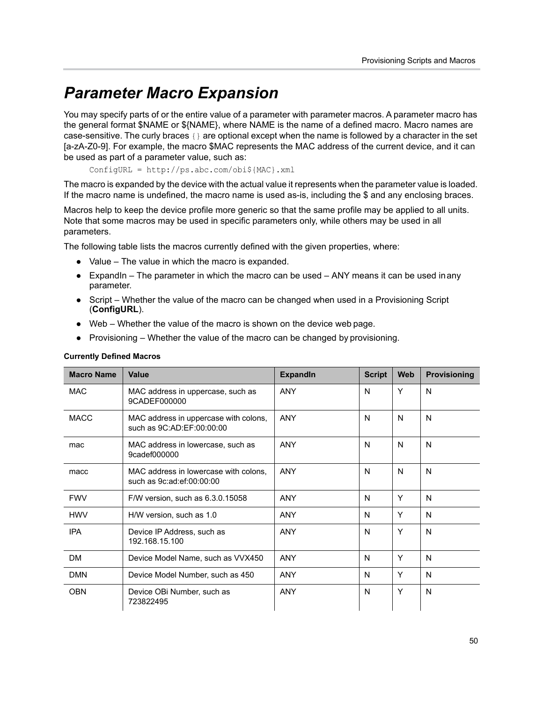### *Parameter Macro Expansion*

You may specify parts of or the entire value of a parameter with parameter macros. A parameter macro has the general format \$NAME or \${NAME}, where NAME is the name of a defined macro. Macro names are case-sensitive. The curly braces {} are optional except when the name is followed by a character in the set [a-zA-Z0-9]. For example, the macro \$MAC represents the MAC address of the current device, and it can be used as part of a parameter value, such as:

ConfigURL = http://ps.abc.com/obi\${MAC}.xml

The macro is expanded by the device with the actual value it represents when the parameter value is loaded. If the macro name is undefined, the macro name is used as-is, including the \$ and any enclosing braces.

Macros help to keep the device profile more generic so that the same profile may be applied to all units. Note that some macros may be used in specific parameters only, while others may be used in all parameters.

The following table lists the macros currently defined with the given properties, where:

- **●** Value The value in which the macro is expanded.
- **●** ExpandIn The parameter in which the macro can be used ANY means it can be used in any parameter.
- **●** Script Whether the value of the macro can be changed when used in a Provisioning Script (**ConfigURL**).
- **●** Web Whether the value of the macro is shown on the device web page.
- **●** Provisioning Whether the value of the macro can be changed by provisioning.

#### **Currently Defined Macros**

| <b>Macro Name</b> | Value                                                              | <b>ExpandIn</b> | <b>Script</b> | <b>Web</b> | <b>Provisioning</b> |
|-------------------|--------------------------------------------------------------------|-----------------|---------------|------------|---------------------|
| <b>MAC</b>        | MAC address in uppercase, such as<br>9CADEF000000                  | <b>ANY</b>      | N             | Y          | N                   |
| <b>MACC</b>       | MAC address in uppercase with colons,<br>such as 9C:AD:EF:00:00:00 | <b>ANY</b>      | N             | N          | N                   |
| mac               | MAC address in lowercase, such as<br>9cadef000000                  | <b>ANY</b>      | N             | N          | N                   |
| macc              | MAC address in lowercase with colons,<br>such as 9c:ad:ef:00:00:00 | <b>ANY</b>      | N             | N          | N                   |
| <b>FWV</b>        | F/W version, such as 6.3.0.15058                                   | <b>ANY</b>      | N             | Y          | N                   |
| <b>HWV</b>        | H/W version, such as 1.0                                           | <b>ANY</b>      | N             | Y          | N                   |
| <b>IPA</b>        | Device IP Address, such as<br>192.168.15.100                       | <b>ANY</b>      | N             | Υ          | N                   |
| <b>DM</b>         | Device Model Name, such as VVX450                                  | <b>ANY</b>      | N             | Y          | N                   |
| <b>DMN</b>        | Device Model Number, such as 450                                   | <b>ANY</b>      | N             | Υ          | N                   |
| <b>OBN</b>        | Device OBi Number, such as<br>723822495                            | <b>ANY</b>      | N             | Y          | N                   |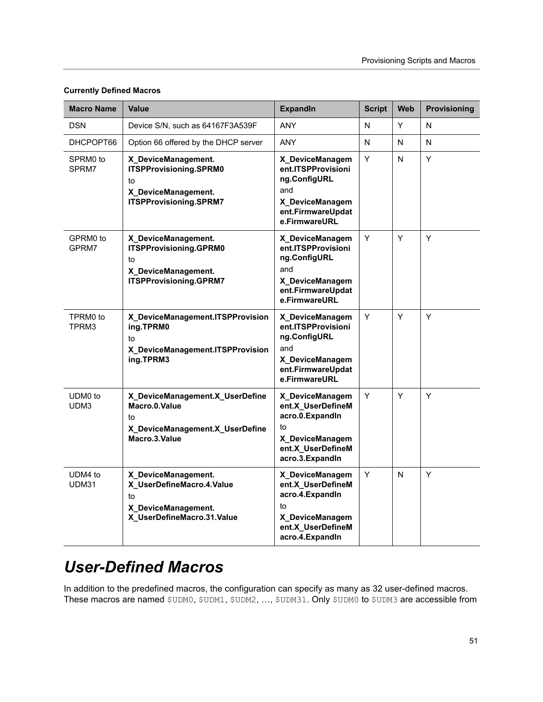| <b>Macro Name</b> | <b>Value</b>                                                                                                | <b>ExpandIn</b>                                                                                                            | <b>Script</b> | <b>Web</b> | Provisioning |
|-------------------|-------------------------------------------------------------------------------------------------------------|----------------------------------------------------------------------------------------------------------------------------|---------------|------------|--------------|
| <b>DSN</b>        | Device S/N, such as 64167F3A539F                                                                            | <b>ANY</b>                                                                                                                 | N             | Y          | N            |
| DHCPOPT66         | Option 66 offered by the DHCP server                                                                        | ANY                                                                                                                        | N             | N          | N            |
| SPRM0 to<br>SPRM7 | X_DeviceManagement.<br>ITSPProvisioning.SPRM0<br>to<br>X_DeviceManagement.<br><b>ITSPProvisioning.SPRM7</b> | X DeviceManagem<br>ent.ITSPProvisioni<br>ng.ConfigURL<br>and<br>X_DeviceManagem<br>ent.FirmwareUpdat<br>e.FirmwareURL      | Y             | N          | Y            |
| GPRM0 to<br>GPRM7 | X_DeviceManagement.<br>ITSPProvisioning.GPRM0<br>to<br>X_DeviceManagement.<br><b>ITSPProvisioning.GPRM7</b> | X_DeviceManagem<br>ent.ITSPProvisioni<br>ng.ConfigURL<br>and<br>X_DeviceManagem<br>ent.FirmwareUpdat<br>e.FirmwareURL      | Y             | Y          | Y            |
| TPRM0 to<br>TPRM3 | X_DeviceManagement.ITSPProvision<br>ing.TPRM0<br>to<br>X_DeviceManagement.ITSPProvision<br>ing.TPRM3        | X DeviceManagem<br>ent.ITSPProvisioni<br>ng.ConfigURL<br>and<br>X DeviceManagem<br>ent.FirmwareUpdat<br>e.FirmwareURL      | Υ             | Y          | Υ            |
| UDM0 to<br>UDM3   | X_DeviceManagement.X_UserDefine<br>Macro.0.Value<br>to<br>X_DeviceManagement.X_UserDefine<br>Macro.3.Value  | X_DeviceManagem<br>ent.X_UserDefineM<br>acro.0. ExpandIn<br>to<br>X_DeviceManagem<br>ent.X UserDefineM<br>acro.3. ExpandIn | Y             | Y          | Y            |
| UDM4 to<br>UDM31  | X_DeviceManagement.<br>X_UserDefineMacro.4.Value<br>to<br>X_DeviceManagement.<br>X_UserDefineMacro.31.Value | X_DeviceManagem<br>ent.X_UserDefineM<br>acro.4. ExpandIn<br>to<br>X_DeviceManagem<br>ent.X_UserDefineM<br>acro.4. ExpandIn | Y             | N          | Y            |

#### **Currently Defined Macros**

### *User-Defined Macros*

In addition to the predefined macros, the configuration can specify as many as 32 user-defined macros. These macros are named \$UDM0, \$UDM1, \$UDM2, ..., \$UDM31. Only \$UDM0 to \$UDM3 are accessible from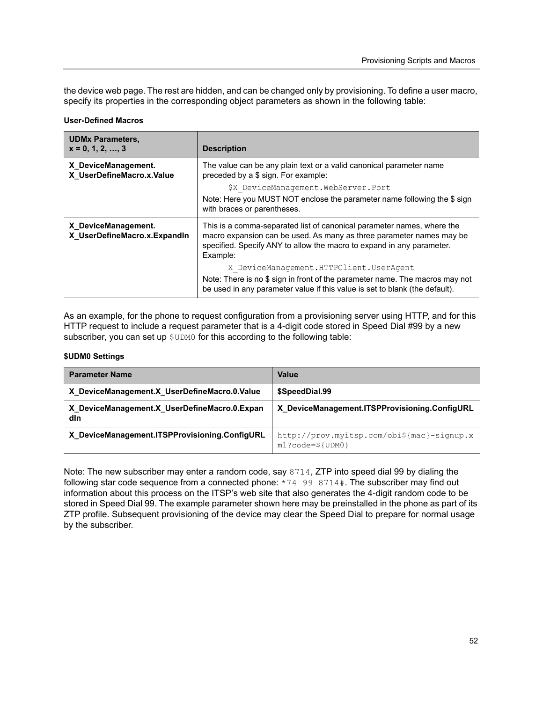the device web page. The rest are hidden, and can be changed only by provisioning. To define a user macro, specify its properties in the corresponding object parameters as shown in the following table:

#### **User-Defined Macros**

| <b>UDMx Parameters,</b><br>$x = 0, 1, 2, , 3$       | <b>Description</b>                                                                                                                                                                                                                  |  |
|-----------------------------------------------------|-------------------------------------------------------------------------------------------------------------------------------------------------------------------------------------------------------------------------------------|--|
| X DeviceManagement.<br>X_UserDefineMacro.x.Value    | The value can be any plain text or a valid canonical parameter name<br>preceded by a \$ sign. For example:                                                                                                                          |  |
|                                                     | \$X DeviceManagement.WebServer.Port                                                                                                                                                                                                 |  |
|                                                     | Note: Here you MUST NOT enclose the parameter name following the \$ sign<br>with braces or parentheses.                                                                                                                             |  |
| X DeviceManagement.<br>X UserDefineMacro.x.ExpandIn | This is a comma-separated list of canonical parameter names, where the<br>macro expansion can be used. As many as three parameter names may be<br>specified. Specify ANY to allow the macro to expand in any parameter.<br>Example: |  |
|                                                     | X DeviceManagement.HTTPClient.UserAgent                                                                                                                                                                                             |  |
|                                                     | Note: There is no \$ sign in front of the parameter name. The macros may not<br>be used in any parameter value if this value is set to blank (the default).                                                                         |  |

As an example, for the phone to request configuration from a provisioning server using HTTP, and for this HTTP request to include a request parameter that is a 4-digit code stored in Speed Dial #99 by a new subscriber, you can set up  $$UDMO$  for this according to the following table:

#### **\$UDM0 Settings**

| <b>Parameter Name</b>                               | Value                                                                    |
|-----------------------------------------------------|--------------------------------------------------------------------------|
| X DeviceManagement.X UserDefineMacro.0.Value        | \$SpeedDial.99                                                           |
| X DeviceManagement.X UserDefineMacro.0.Expan<br>dln | X DeviceManagement.ITSPProvisioning.ConfigURL                            |
| X_DeviceManagement.ITSPProvisioning.ConfigURL       | http://prov.myitsp.com/obi\${mac}-signup.x<br>$ml?code=\${}{}$ $ UDM0$ } |

Note: The new subscriber may enter a random code, say 8714, ZTP into speed dial 99 by dialing the following star code sequence from a connected phone: \*74 99 8714#. The subscriber may find out information about this process on the ITSP's web site that also generates the 4-digit random code to be stored in Speed Dial 99. The example parameter shown here may be preinstalled in the phone as part of its ZTP profile. Subsequent provisioning of the device may clear the Speed Dial to prepare for normal usage by the subscriber.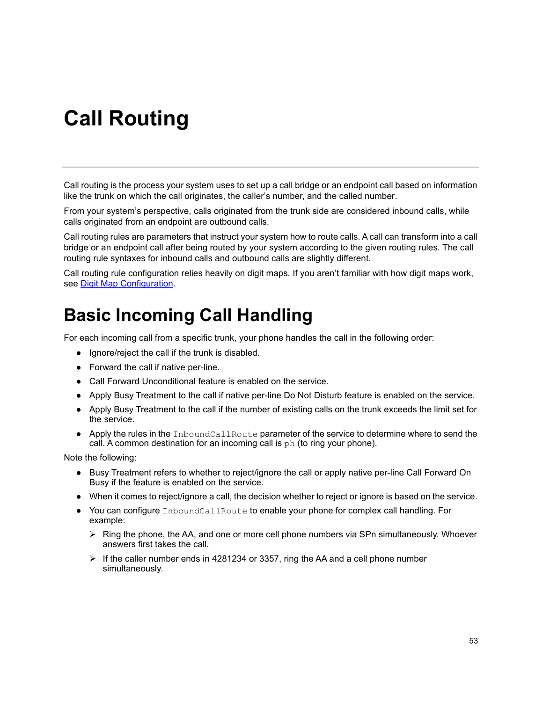# **Call Routing**

Call routing is the process your system uses to set up a call bridge or an endpoint call based on information like the trunk on which the call originates, the caller's number, and the called number.

From your system's perspective, calls originated from the trunk side are considered inbound calls, while calls originated from an endpoint are outbound calls.

Call routing rules are parameters that instruct your system how to route calls. A call can transform into a call bridge or an endpoint call after being routed by your system according to the given routing rules. The call routing rule syntaxes for inbound calls and outbound calls are slightly different.

Call routing rule configuration relies heavily on digit maps. If you aren't familiar with how digit maps work, see [Digit Map Configuration](#page-58-0).

## **Basic Incoming Call Handling**

For each incoming call from a specific trunk, your phone handles the call in the following order:

- **●** Ignore/reject the call if the trunk is disabled.
- **●** Forward the call if native per-line.
- **●** Call Forward Unconditional feature is enabled on the service.
- **●** Apply Busy Treatment to the call if native per-line Do Not Disturb feature is enabled on the service.
- **●** Apply Busy Treatment to the call if the number of existing calls on the trunk exceeds the limit set for the service.
- **●** Apply the rules in the InboundCallRoute parameter of the service to determine where to send the call. A common destination for an incoming call is  $ph$  (to ring your phone).

Note the following:

- **●** Busy Treatment refers to whether to reject/ignore the call or apply native per-line Call Forward On Busy if the feature is enabled on the service.
- **●** When it comes to reject/ignore a call, the decision whether to reject or ignore is based on the service.
- **●** You can configure InboundCallRoute to enable your phone for complex call handling. For example:
	- $\triangleright$  Ring the phone, the AA, and one or more cell phone numbers via SPn simultaneously. Whoever answers first takes the call.
	- $\triangleright$  If the caller number ends in 4281234 or 3357, ring the AA and a cell phone number simultaneously.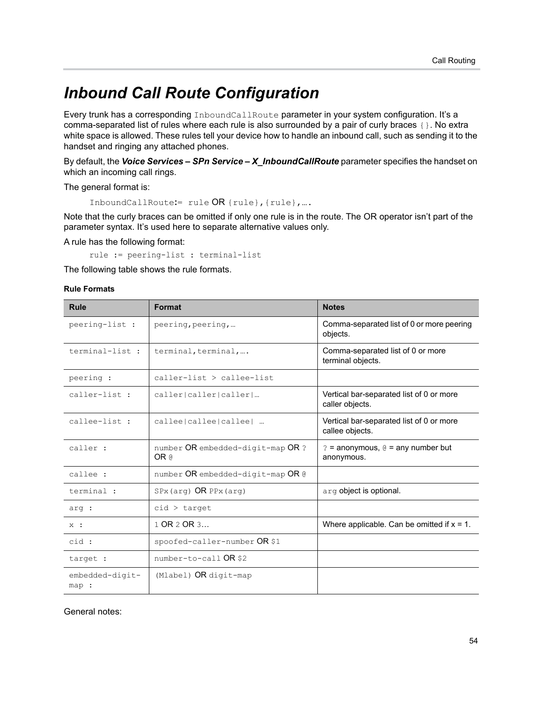## *Inbound Call Route Configuration*

Every trunk has a corresponding InboundCallRoute parameter in your system configuration. It's a comma-separated list of rules where each rule is also surrounded by a pair of curly braces {}. No extra white space is allowed. These rules tell your device how to handle an inbound call, such as sending it to the handset and ringing any attached phones.

By default, the *Voice Services – SPn Service – X\_InboundCallRoute* parameter specifies the handset on which an incoming call rings.

The general format is:

```
InboundCallRoute:= rule OR {rule},{rule},….
```
Note that the curly braces can be omitted if only one rule is in the route. The OR operator isn't part of the parameter syntax. It's used here to separate alternative values only.

A rule has the following format:

rule := peering-list : terminal-list

The following table shows the rule formats.

#### **Rule Formats**

| <b>Rule</b>              | Format                                    | <b>Notes</b>                                                |
|--------------------------|-------------------------------------------|-------------------------------------------------------------|
| peering-list :           | peering, peering,                         | Comma-separated list of 0 or more peering<br>objects.       |
| terminal-list :          | terminal, terminal,                       | Comma-separated list of 0 or more<br>terminal objects.      |
| peering :                | caller-list > callee-list                 |                                                             |
| caller-list :            | caller caller caller                      | Vertical bar-separated list of 0 or more<br>caller objects. |
| callee-list :            | callee callee callee                      | Vertical bar-separated list of 0 or more<br>callee objects. |
| caller :                 | number OR embedded-digit-map OR ?<br>OR @ | $? =$ anonymous, $@ =$ any number but<br>anonymous.         |
| callee :                 | number OR embedded-digit-map OR @         |                                                             |
| terminal :               | SPx (arg) OR PPx (arg)                    | arg object is optional.                                     |
| arg :                    | $cid$ > target                            |                                                             |
| $X$ :                    | 1 OR 2 OR 3                               | Where applicable. Can be omitted if $x = 1$ .               |
| cid :                    | spoofed-caller-number OR \$1              |                                                             |
| target :                 | number-to-call OR \$2                     |                                                             |
| embedded-digit-<br>map : | $Mlabel)$ OR digit-map                    |                                                             |

General notes: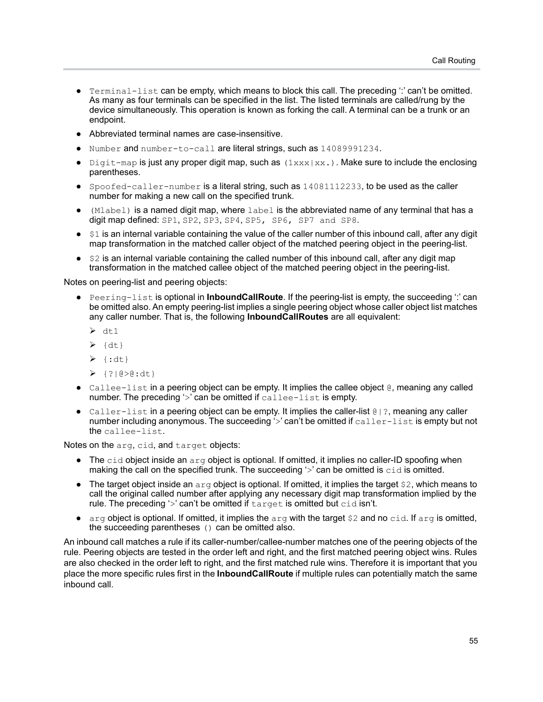- Terminal-list can be empty, which means to block this call. The preceding ": can't be omitted. As many as four terminals can be specified in the list. The listed terminals are called/rung by the device simultaneously. This operation is known as forking the call. A terminal can be a trunk or an endpoint.
- **●** Abbreviated terminal names are case-insensitive.
- Number and number-to-call are literal strings, such as 14089991234.
- **●** Digit-map is just any proper digit map, such as (1xxx|xx.). Make sure to include the enclosing parentheses.
- **●** Spoofed-caller-number is a literal string, such as 14081112233, to be used as the caller number for making a new call on the specified trunk.
- **●** (Mlabel) is a named digit map, where label is the abbreviated name of any terminal that has a digit map defined: SP1, SP2, SP3, SP4, SP5, SP6, SP7 and SP8.
- **●** \$1 is an internal variable containing the value of the caller number of this inbound call, after any digit map transformation in the matched caller object of the matched peering object in the peering-list.
- **●** \$2 is an internal variable containing the called number of this inbound call, after any digit map transformation in the matched callee object of the matched peering object in the peering-list.

Notes on peering-list and peering objects:

- **●** Peering-list is optional in **InboundCallRoute**. If the peering-list is empty, the succeeding ':' can be omitted also. An empty peering-list implies a single peering object whose caller object list matches any caller number. That is, the following **InboundCallRoutes** are all equivalent:
	- $\geq d t 1$
	- $\geq \{dt\}$
	- $\geq$  {:dt}
	- $\geq$  {?|@>@:dt}
- **●** Callee-list in a peering object can be empty. It implies the callee object @, meaning any called number. The preceding '>' can be omitted if callee-list is empty.
- **●** Caller-list in a peering object can be empty. It implies the caller-list @|?, meaning any caller number including anonymous. The succeeding  $\sim$  can't be omitted if  $\text{caller-list}$  is empty but not the callee-list.

Notes on the arg, cid, and target objects:

- **●** The cid object inside an arg object is optional. If omitted, it implies no caller-ID spoofing when making the call on the specified trunk. The succeeding  $\sim$  can be omitted is  $\cot \theta$  is omitted.
- **●** The target object inside an arg object is optional. If omitted, it implies the target \$2, which means to call the original called number after applying any necessary digit map transformation implied by the rule. The preceding '>' can't be omitted if target is omitted but cid isn't.
- **●** arg object is optional. If omitted, it implies the arg with the target \$2 and no cid. If arg is omitted, the succeeding parentheses () can be omitted also.

An inbound call matches a rule if its caller-number/callee-number matches one of the peering objects of the rule. Peering objects are tested in the order left and right, and the first matched peering object wins. Rules are also checked in the order left to right, and the first matched rule wins. Therefore it is important that you place the more specific rules first in the **InboundCallRoute** if multiple rules can potentially match the same inbound call.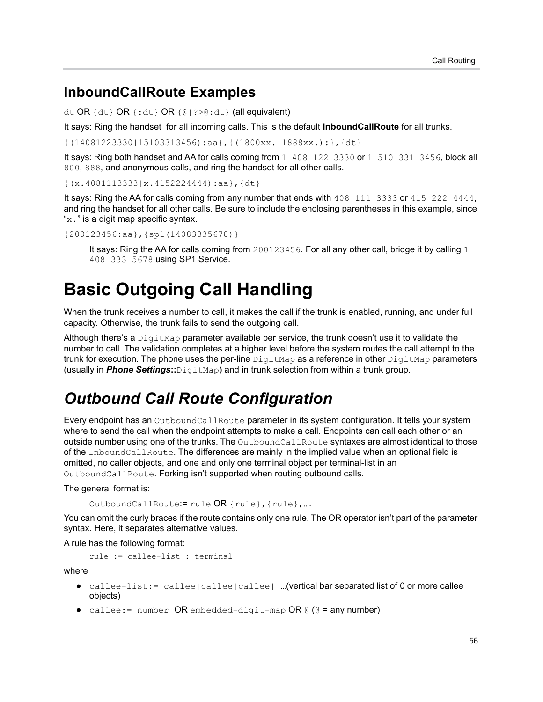#### **InboundCallRoute Examples**

dt OR {dt} OR {:dt} OR {@|?>@:dt} (all equivalent)

It says: Ring the handset for all incoming calls. This is the default **InboundCallRoute** for all trunks.

{(14081223330|15103313456):aa},{(1800xx.|1888xx.):},{dt}

It says: Ring both handset and AA for calls coming from 1 408 122 3330 or 1 510 331 3456, block all 800, 888, and anonymous calls, and ring the handset for all other calls.

{(x.4081113333|x.4152224444):aa},{dt}

It says: Ring the AA for calls coming from any number that ends with 408 111 3333 or 415 222 4444, and ring the handset for all other calls. Be sure to include the enclosing parentheses in this example, since " $x$ ." is a digit map specific syntax.

{200123456:aa},{sp1(14083335678)}

It says: Ring the AA for calls coming from 200123456. For all any other call, bridge it by calling 1 408 333 5678 using SP1 Service.

## **Basic Outgoing Call Handling**

When the trunk receives a number to call, it makes the call if the trunk is enabled, running, and under full capacity. Otherwise, the trunk fails to send the outgoing call.

Although there's a  $\text{DigitMap}$  parameter available per service, the trunk doesn't use it to validate the number to call. The validation completes at a higher level before the system routes the call attempt to the trunk for execution. The phone uses the per-line  $\text{DigitMap}$  as a reference in other  $\text{DigitMap}$  parameters (usually in *Phone Settings***::**DigitMap) and in trunk selection from within a trunk group.

### *Outbound Call Route Configuration*

Every endpoint has an OutboundCallRoute parameter in its system configuration. It tells your system where to send the call when the endpoint attempts to make a call. Endpoints can call each other or an outside number using one of the trunks. The OutboundCallRoute syntaxes are almost identical to those of the InboundCallRoute. The differences are mainly in the implied value when an optional field is omitted, no caller objects, and one and only one terminal object per terminal-list in an OutboundCallRoute. Forking isn't supported when routing outbound calls.

The general format is:

OutboundCallRoute:= rule OR {rule},{rule},….

You can omit the curly braces if the route contains only one rule. The OR operator isn't part of the parameter syntax. Here, it separates alternative values.

A rule has the following format:

```
rule := callee-list : terminal
```
where

- **●** callee-list:= callee|callee|callee| …(vertical bar separated list of 0 or more callee objects)
- **●** callee:= number OR embedded-digit-map OR @ (@ = any number)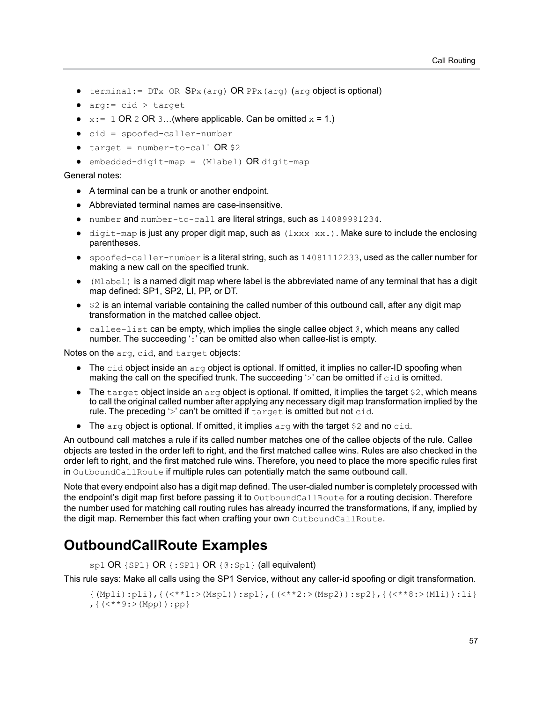- **●** terminal:= DTx OR SPx(arg) OR PPx(arg) (arg object is optional)
- **●** arg:= cid > target
- $x:= 1$  OR 2 OR 3...(where applicable. Can be omitted  $x = 1$ .)
- **●** cid = spoofed-caller-number
- $\text{target} = \text{number-to-call} \text{OR}$  \$2
- **●** embedded-digit-map = (Mlabel) OR digit-map

#### General notes:

- **●** A terminal can be a trunk or another endpoint.
- **●** Abbreviated terminal names are case-insensitive.
- number and number-to-call are literal strings, such as 14089991234.
- digit-map is just any proper digit map, such as  $(1xxx|xx)$ . Make sure to include the enclosing parentheses.
- **●** spoofed-caller-number is a literal string, such as 14081112233, used as the caller number for making a new call on the specified trunk.
- **●** (Mlabel) is a named digit map where label is the abbreviated name of any terminal that has a digit map defined: SP1, SP2, LI, PP, or DT.
- **●** \$2 is an internal variable containing the called number of this outbound call, after any digit map transformation in the matched callee object.
- **●** callee-list can be empty, which implies the single callee object @, which means any called number. The succeeding ':' can be omitted also when callee-list is empty.

Notes on the arg, cid, and target objects:

- **●** The cid object inside an arg object is optional. If omitted, it implies no caller-ID spoofing when making the call on the specified trunk. The succeeding  $\sim$  can be omitted if cid is omitted.
- **●** The target object inside an arg object is optional. If omitted, it implies the target \$2, which means to call the original called number after applying any necessary digit map transformation implied by the rule. The preceding '>' can't be omitted if target is omitted but not cid.
- **•** The arg object is optional. If omitted, it implies arg with the target \$2 and no cid.

An outbound call matches a rule if its called number matches one of the callee objects of the rule. Callee objects are tested in the order left to right, and the first matched callee wins. Rules are also checked in the order left to right, and the first matched rule wins. Therefore, you need to place the more specific rules first in OutboundCallRoute if multiple rules can potentially match the same outbound call.

Note that every endpoint also has a digit map defined. The user-dialed number is completely processed with the endpoint's digit map first before passing it to OutboundCallRoute for a routing decision. Therefore the number used for matching call routing rules has already incurred the transformations, if any, implied by the digit map. Remember this fact when crafting your own OutboundCallRoute.

### **OutboundCallRoute Examples**

sp1 OR {SP1} OR {: SP1} OR {@: Sp1} (all equivalent)

This rule says: Make all calls using the SP1 Service, without any caller-id spoofing or digit transformation.

```
{(Mpli):pli},{(<**1:>(Msp1)):sp1},{(<**2:>(Msp2)):sp2},{(<**8:>(Mli)):li}
, {(<b>**9</b>:>(Mpp)):pp}}
```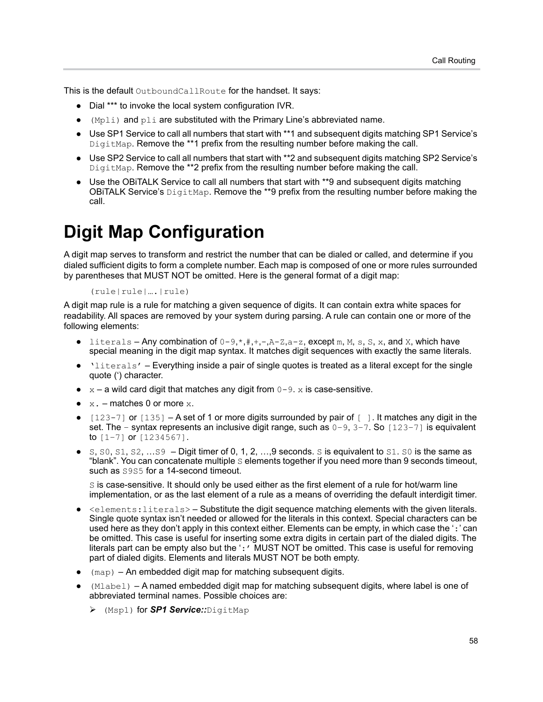This is the default OutboundCallRoute for the handset. It says:

- **●** Dial \*\*\* to invoke the local system configuration IVR.
- **●** (Mpli) and pli are substituted with the Primary Line's abbreviated name.
- **●** Use SP1 Service to call all numbers that start with \*\*1 and subsequent digits matching SP1 Service's DigitMap. Remove the \*\*1 prefix from the resulting number before making the call.
- **●** Use SP2 Service to call all numbers that start with \*\*2 and subsequent digits matching SP2 Service's DigitMap. Remove the \*\*2 prefix from the resulting number before making the call.
- **●** Use the OBiTALK Service to call all numbers that start with \*\*9 and subsequent digits matching OBITALK Service's  $\text{DigitMap}$ . Remove the \*\*9 prefix from the resulting number before making the call.

## <span id="page-58-0"></span>**Digit Map Configuration**

A digit map serves to transform and restrict the number that can be dialed or called, and determine if you dialed sufficient digits to form a complete number. Each map is composed of one or more rules surrounded by parentheses that MUST NOT be omitted. Here is the general format of a digit map:

#### (rule|rule|….|rule)

A digit map rule is a rule for matching a given sequence of digits. It can contain extra white spaces for readability. All spaces are removed by your system during parsing. A rule can contain one or more of the following elements:

- literals Any combination of  $0-9, *, *, +, -, A-Z, a-z$ , except m, M, s, S, x, and X, which have special meaning in the digit map syntax. It matches digit sequences with exactly the same literals.
- **●** 'literals' Everything inside a pair of single quotes is treated as a literal except for the single quote (') character.
- $\bullet$   $x a$  wild card digit that matches any digit from  $0 9$ . x is case-sensitive.
- **●** x. matches 0 or more x.
- **●** [123-7] or [135] A set of 1 or more digits surrounded by pair of [ ]. It matches any digit in the set. The – syntax represents an inclusive digit range, such as  $0-9$ ,  $3-7$ . So  $[123-7]$  is equivalent to  $[1-7]$  or  $[1234567]$ .
- $S, S0, S1, S2, \ldots S9$  Digit timer of 0, 1, 2,  $\ldots$ , 9 seconds. S is equivalent to  $S1$ .  $S0$  is the same as "blank". You can concatenate multiple S elements together if you need more than 9 seconds timeout, such as  $5955$  for a 14-second timeout.

S is case-sensitive. It should only be used either as the first element of a rule for hot/warm line implementation, or as the last element of a rule as a means of overriding the default interdigit timer.

- **●** <elements:literals> Substitute the digit sequence matching elements with the given literals. Single quote syntax isn't needed or allowed for the literals in this context. Special characters can be used here as they don't apply in this context either. Elements can be empty, in which case the ':' can be omitted. This case is useful for inserting some extra digits in certain part of the dialed digits. The literals part can be empty also but the ': ' MUST NOT be omitted. This case is useful for removing part of dialed digits. Elements and literals MUST NOT be both empty.
- (map) An embedded digit map for matching subsequent digits.
- **●** (Mlabel) A named embedded digit map for matching subsequent digits, where label is one of abbreviated terminal names. Possible choices are:
	- (Msp1) for *SP1 Service::*DigitMap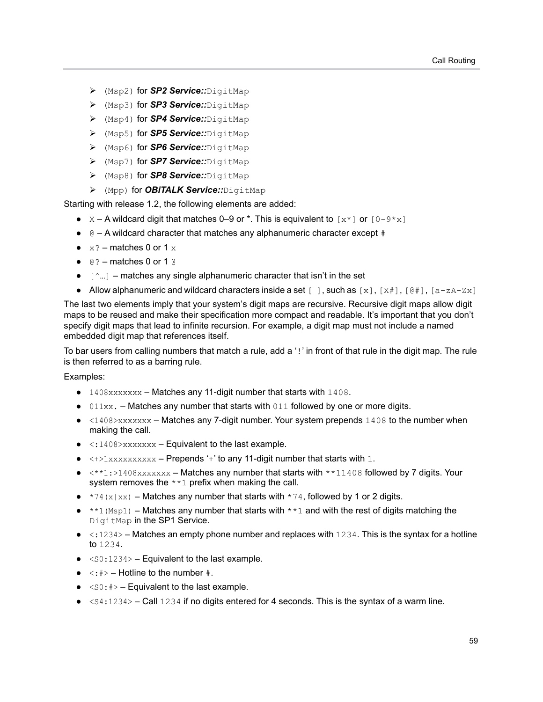- (Msp2) for *SP2 Service::*DigitMap
- (Msp3) for *SP3 Service::*DigitMap
- (Msp4) for *SP4 Service::*DigitMap
- (Msp5) for *SP5 Service::*DigitMap
- (Msp6) for *SP6 Service::*DigitMap
- (Msp7) for *SP7 Service::*DigitMap
- (Msp8) for *SP8 Service::*DigitMap
- (Mpp) for *OBiTALK Service::*DigitMap

Starting with release 1.2, the following elements are added:

- **•**  $X A$  wildcard digit that matches 0–9 or  $*$ . This is equivalent to  $[x *]$  or  $[0-9 * x]$
- **●** @ A wildcard character that matches any alphanumeric character except #
- $\bullet$   $\times$ ? matches 0 or 1  $\times$
- **●** @? matches 0 or 1 @
- **●** [^…] matches any single alphanumeric character that isn't in the set
- Allow alphanumeric and wildcard characters inside a set [ ], such as [x], [X#], [@#], [a-zA-Zx]

The last two elements imply that your system's digit maps are recursive. Recursive digit maps allow digit maps to be reused and make their specification more compact and readable. It's important that you don't specify digit maps that lead to infinite recursion. For example, a digit map must not include a named embedded digit map that references itself.

To bar users from calling numbers that match a rule, add a '!' in front of that rule in the digit map. The rule is then referred to as a barring rule.

#### Examples:

- **●** 1408xxxxxxx Matches any 11-digit number that starts with 1408.
- **●** 011xx. Matches any number that starts with 011 followed by one or more digits.
- **●** <1408>xxxxxxx Matches any 7-digit number. Your system prepends 1408 to the number when making the call.
- **●** <:1408>xxxxxxx Equivalent to the last example.
- **●** <+>1xxxxxxxxxx Prepends '+' to any 11-digit number that starts with 1.
- **●** <\*\*1:>1408xxxxxxx Matches any number that starts with \*\*11408 followed by 7 digits. Your system removes the \*\*1 prefix when making the call.
- **●** \*74(x|xx) Matches any number that starts with \*74, followed by 1 or 2 digits.
- \*\*1 (Msp1) Matches any number that starts with \*\*1 and with the rest of digits matching the DigitMap in the SP1 Service.
- **●** <:1234> Matches an empty phone number and replaces with 1234. This is the syntax for a hotline to 1234.
- **●** <S0:1234> Equivalent to the last example.
- $\langle \cdot, \cdot | \cdot \rangle$  Hotline to the number  $\#$ .
- **●** <S0:#> Equivalent to the last example.
- **●** <S4:1234> Call 1234 if no digits entered for 4 seconds. This is the syntax of a warm line.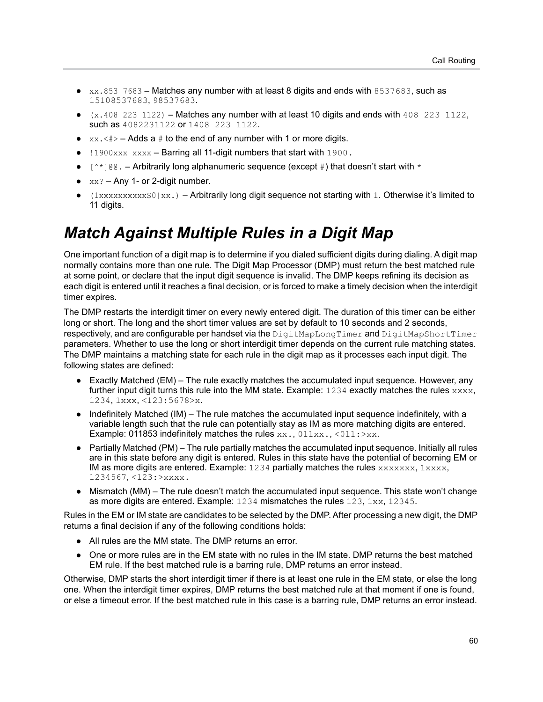- **●** xx.853 7683 Matches any number with at least 8 digits and ends with 8537683, such as 15108537683, 98537683.
- **●** (x.408 223 1122) Matches any number with at least 10 digits and ends with 408 223 1122, such as  $4082231122$  or  $1408$  223 1122.
- $\alpha$  xx.  $\langle$   $\sharp$  >  $-$  Adds a  $\sharp$  to the end of any number with 1 or more digits.
- **●** !1900xxx xxxx Barring all 11-digit numbers that start with 1900.
- [ $\gamma$ <sup>\*</sup>]@@. Arbitrarily long alphanumeric sequence (except #) that doesn't start with  $\gamma$
- $xx? Any 1- or 2-digit number.$
- **●** (1xxxxxxxxxxS0|xx.) Arbitrarily long digit sequence not starting with 1. Otherwise it's limited to 11 digits.

### *Match Against Multiple Rules in a Digit Map*

One important function of a digit map is to determine if you dialed sufficient digits during dialing. A digit map normally contains more than one rule. The Digit Map Processor (DMP) must return the best matched rule at some point, or declare that the input digit sequence is invalid. The DMP keeps refining its decision as each digit is entered until it reaches a final decision, or is forced to make a timely decision when the interdigit timer expires.

The DMP restarts the interdigit timer on every newly entered digit. The duration of this timer can be either long or short. The long and the short timer values are set by default to 10 seconds and 2 seconds, respectively, and are configurable per handset via the DigitMapLongTimer and DigitMapShortTimer parameters. Whether to use the long or short interdigit timer depends on the current rule matching states. The DMP maintains a matching state for each rule in the digit map as it processes each input digit. The following states are defined:

- **●** Exactly Matched (EM) The rule exactly matches the accumulated input sequence. However, any further input digit turns this rule into the MM state. Example:  $1234$  exactly matches the rules  $xxxx$ , 1234, 1xxx, <123:5678>x.
- **●** Indefinitely Matched (IM) The rule matches the accumulated input sequence indefinitely, with a variable length such that the rule can potentially stay as IM as more matching digits are entered. Example: 011853 indefinitely matches the rules xx., 011xx., <011:>xx.
- **●** Partially Matched (PM) The rule partially matches the accumulated input sequence. Initially all rules are in this state before any digit is entered. Rules in this state have the potential of becoming EM or IM as more digits are entered. Example:  $1234$  partially matches the rules  $xxxxxxx$ ,  $1xxxx$ , 1234567, <123:>xxxx.
- **●** Mismatch (MM) The rule doesn't match the accumulated input sequence. This state won't change as more digits are entered. Example: 1234 mismatches the rules 123, 1xx, 12345.

Rules in the EM or IM state are candidates to be selected by the DMP. After processing a new digit, the DMP returns a final decision if any of the following conditions holds:

- **●** All rules are the MM state. The DMP returns an error.
- **●** One or more rules are in the EM state with no rules in the IM state. DMP returns the best matched EM rule. If the best matched rule is a barring rule, DMP returns an error instead.

Otherwise, DMP starts the short interdigit timer if there is at least one rule in the EM state, or else the long one. When the interdigit timer expires, DMP returns the best matched rule at that moment if one is found, or else a timeout error. If the best matched rule in this case is a barring rule, DMP returns an error instead.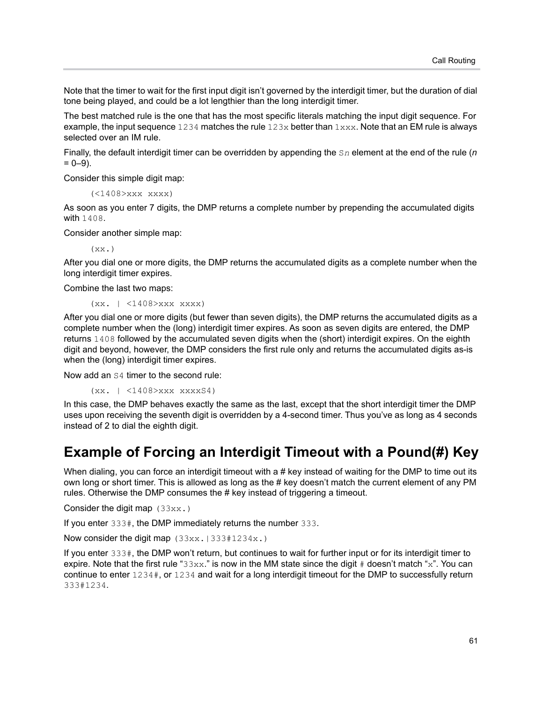Note that the timer to wait for the first input digit isn't governed by the interdigit timer, but the duration of dial tone being played, and could be a lot lengthier than the long interdigit timer.

The best matched rule is the one that has the most specific literals matching the input digit sequence. For example, the input sequence  $1234$  matches the rule  $123x$  better than  $1xxx$ . Note that an EM rule is always selected over an IM rule.

Finally, the default interdigit timer can be overridden by appending the S*n* element at the end of the rule (*n*  $= 0 - 9$ ).

Consider this simple digit map:

(<1408>xxx xxxx)

As soon as you enter 7 digits, the DMP returns a complete number by prepending the accumulated digits with 1408.

Consider another simple map:

 $(x \times x)$ 

After you dial one or more digits, the DMP returns the accumulated digits as a complete number when the long interdigit timer expires.

Combine the last two maps:

(xx. | <1408>xxx xxxx)

After you dial one or more digits (but fewer than seven digits), the DMP returns the accumulated digits as a complete number when the (long) interdigit timer expires. As soon as seven digits are entered, the DMP returns 1408 followed by the accumulated seven digits when the (short) interdigit expires. On the eighth digit and beyond, however, the DMP considers the first rule only and returns the accumulated digits as-is when the (long) interdigit timer expires.

Now add an S4 timer to the second rule:

(xx. | <1408>xxx xxxxS4)

In this case, the DMP behaves exactly the same as the last, except that the short interdigit timer the DMP uses upon receiving the seventh digit is overridden by a 4-second timer. Thus you've as long as 4 seconds instead of 2 to dial the eighth digit.

#### **Example of Forcing an Interdigit Timeout with a Pound(#) Key**

When dialing, you can force an interdigit timeout with a # key instead of waiting for the DMP to time out its own long or short timer. This is allowed as long as the # key doesn't match the current element of any PM rules. Otherwise the DMP consumes the # key instead of triggering a timeout.

Consider the digit map (33xx.)

If you enter 333#, the DMP immediately returns the number 333.

Now consider the digit map  $(33xx.1333#1234x.)$ 

If you enter 333#, the DMP won't return, but continues to wait for further input or for its interdigit timer to expire. Note that the first rule " $33xx$ " is now in the MM state since the digit # doesn't match "x". You can continue to enter 1234#, or 1234 and wait for a long interdigit timeout for the DMP to successfully return 333#1234.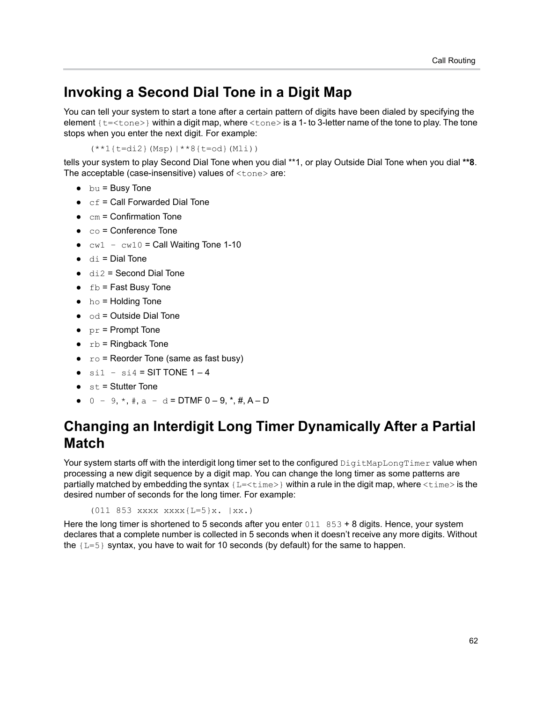#### **Invoking a Second Dial Tone in a Digit Map**

You can tell your system to start a tone after a certain pattern of digits have been dialed by specifying the element {t=<tone>} within a digit map, where <tone> is a 1- to 3-letter name of the tone to play. The tone stops when you enter the next digit. For example:

(\*\*1{t=di2}(Msp)|\*\*8{t=od}(Mli))

tells your system to play Second Dial Tone when you dial \*\*1, or play Outside Dial Tone when you dial **\*\*8**. The acceptable (case-insensitive) values of <tone> are:

- **●** bu = Busy Tone
- **●** cf = Call Forwarded Dial Tone
- cm = Confirmation Tone
- **●** co = Conference Tone
- $cw1 cw10 =$  Call Waiting Tone 1-10
- **●** di = Dial Tone
- **●** di2 = Second Dial Tone
- **●** fb = Fast Busy Tone
- **●** ho = Holding Tone
- **●** od = Outside Dial Tone
- **●** pr = Prompt Tone
- **●** rb = Ringback Tone
- **●** ro = Reorder Tone (same as fast busy)
- $\sin 1 \sin 4 = \text{SIT} \text{ TONE } 1 4$
- **●** st = Stutter Tone
- **●** 0 9, \*, #, a d = DTMF 0 9, \*, #, A D

### **Changing an Interdigit Long Timer Dynamically After a Partial Match**

Your system starts off with the interdigit long timer set to the configured DigitMapLongTimer value when processing a new digit sequence by a digit map. You can change the long timer as some patterns are partially matched by embedding the syntax  $\{L = < t \text{ime}> \}$  within a rule in the digit map, where  $< t \text{ime}>$  is the desired number of seconds for the long timer. For example:

(011 853 xxxx xxxx{L=5}x. |xx.)

Here the long timer is shortened to 5 seconds after you enter  $011 \ 853 + 8$  digits. Hence, your system declares that a complete number is collected in 5 seconds when it doesn't receive any more digits. Without the  ${L=5}$  syntax, you have to wait for 10 seconds (by default) for the same to happen.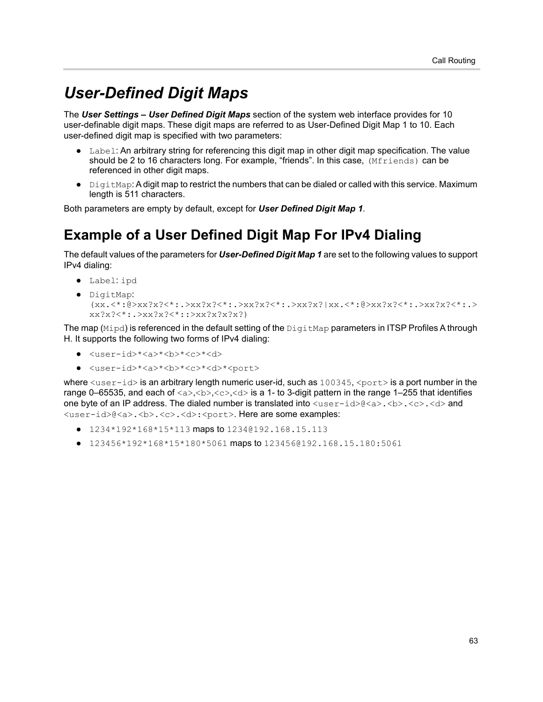### *User-Defined Digit Maps*

The *User Settings – User Defined Digit Maps* section of the system web interface provides for 10 user-definable digit maps. These digit maps are referred to as User-Defined Digit Map 1 to 10. Each user-defined digit map is specified with two parameters:

- **●** Label: An arbitrary string for referencing this digit map in other digit map specification. The value should be 2 to 16 characters long. For example, "friends". In this case, (Mfriends) can be referenced in other digit maps.
- **●** DigitMap: A digit map to restrict the numbers that can be dialed or called with this service. Maximum length is 511 characters.

Both parameters are empty by default, except for *User Defined Digit Map 1*.

### **Example of a User Defined Digit Map For IPv4 Dialing**

The default values of the parameters for *User-Defined Digit Map 1* are set to the following values to support IPv4 dialing:

- **●** Label: ipd
- **●** DigitMap:  $(xx,\leq^*:\theta>xx?x?<^*: \geq xx?x?<^*: \geq xx?x?<^*: \geq xx?x?<^*:0>xx?x?<^*: \geq xx?x?<^*: \geq$ xx?x?<\*:.>xx?x?<\*::>xx?x?x?x?)

The map  $(Mipd)$  is referenced in the default setting of the  $DiqitMap$  parameters in ITSP Profiles A through H. It supports the following two forms of IPv4 dialing:

- **●** <user-id>\*<a>\*<b>\*<c>\*<d>
- **●** <user-id>\*<a>\*<b>\*<c>\*<d>\*<port>

where  $\langle$ user-id> is an arbitrary length numeric user-id, such as  $100345,$   $\langle$   $\gamma$ ort> is a port number in the range 0–65535, and each of  $\langle a \rangle, \langle b \rangle, \langle c \rangle, \langle d \rangle$  is a 1- to 3-digit pattern in the range 1–255 that identifies one byte of an IP address. The dialed number is translated into  $\langle$ user-id>@<a>. $\langle$ b>. $\langle$ c>. $\langle$ d> and <user-id>@<a>.<b>.<c>.<d>:<port>. Here are some examples:

- **●** 1234\*192\*168\*15\*113 maps to 1234@192.168.15.113
- **●** 123456\*192\*168\*15\*180\*5061 maps to 123456@192.168.15.180:5061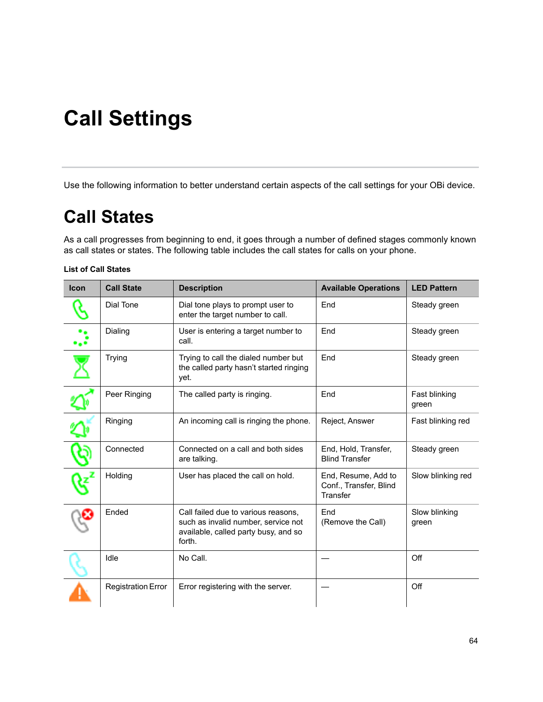# **Call Settings**

Use the following information to better understand certain aspects of the call settings for your OBi device.

# **Call States**

As a call progresses from beginning to end, it goes through a number of defined stages commonly known as call states or states. The following table includes the call states for calls on your phone.

#### **List of Call States**

| <b>Icon</b> | <b>Call State</b>         | <b>Description</b>                                                                                                           | <b>Available Operations</b>                               | <b>LED Pattern</b>     |
|-------------|---------------------------|------------------------------------------------------------------------------------------------------------------------------|-----------------------------------------------------------|------------------------|
|             | Dial Tone                 | Dial tone plays to prompt user to<br>enter the target number to call.                                                        | End                                                       | Steady green           |
|             | Dialing                   | User is entering a target number to<br>call.                                                                                 | End                                                       | Steady green           |
|             | <b>Trying</b>             | Trying to call the dialed number but<br>the called party hasn't started ringing<br>yet.                                      | End                                                       | Steady green           |
|             | Peer Ringing              | The called party is ringing.                                                                                                 | End                                                       | Fast blinking<br>green |
|             | Ringing                   | An incoming call is ringing the phone.                                                                                       | Reject, Answer                                            | Fast blinking red      |
|             | Connected                 | Connected on a call and both sides<br>are talking.                                                                           | End, Hold, Transfer,<br><b>Blind Transfer</b>             | Steady green           |
|             | Holding                   | User has placed the call on hold.                                                                                            | End, Resume, Add to<br>Conf., Transfer, Blind<br>Transfer | Slow blinking red      |
|             | Ended                     | Call failed due to various reasons,<br>such as invalid number, service not<br>available, called party busy, and so<br>forth. | End<br>(Remove the Call)                                  | Slow blinking<br>green |
|             | Idle                      | No Call.                                                                                                                     |                                                           | Off                    |
|             | <b>Registration Error</b> | Error registering with the server.                                                                                           |                                                           | Off                    |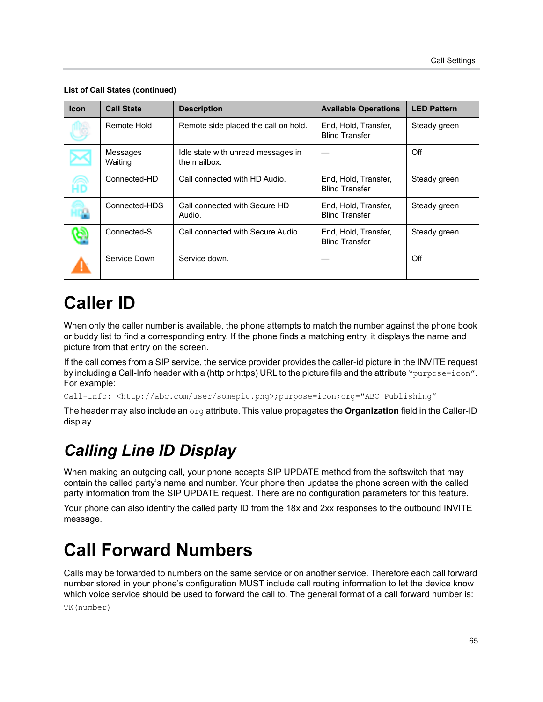| <b>Icon</b> | <b>Call State</b>   | <b>Description</b>                                 | <b>Available Operations</b>                   | <b>LED Pattern</b> |
|-------------|---------------------|----------------------------------------------------|-----------------------------------------------|--------------------|
|             | Remote Hold         | Remote side placed the call on hold.               | End, Hold, Transfer,<br><b>Blind Transfer</b> | Steady green       |
|             | Messages<br>Waiting | Idle state with unread messages in<br>the mailbox. |                                               | Off                |
| Æ           | Connected-HD        | Call connected with HD Audio.                      | End, Hold, Transfer,<br><b>Blind Transfer</b> | Steady green       |
|             | Connected-HDS       | Call connected with Secure HD<br>Audio.            | End, Hold, Transfer,<br><b>Blind Transfer</b> | Steady green       |
|             | Connected-S         | Call connected with Secure Audio.                  | End, Hold, Transfer,<br><b>Blind Transfer</b> | Steady green       |
|             | Service Down        | Service down.                                      |                                               | Off                |

#### **List of Call States (continued)**

## **Caller ID**

When only the caller number is available, the phone attempts to match the number against the phone book or buddy list to find a corresponding entry. If the phone finds a matching entry, it displays the name and picture from that entry on the screen.

If the call comes from a SIP service, the service provider provides the caller-id picture in the INVITE request by including a Call-Info header with a (http or https) URL to the picture file and the attribute "purpose=icon". For example:

Call-Info: <http://abc.com/user/somepic.png>;purpose=icon;org="ABC Publishing"

The header may also include an org attribute. This value propagates the **Organization** field in the Caller-ID display.

### *Calling Line ID Display*

When making an outgoing call, your phone accepts SIP UPDATE method from the softswitch that may contain the called party's name and number. Your phone then updates the phone screen with the called party information from the SIP UPDATE request. There are no configuration parameters for this feature.

Your phone can also identify the called party ID from the 18x and 2xx responses to the outbound INVITE message.

## **Call Forward Numbers**

Calls may be forwarded to numbers on the same service or on another service. Therefore each call forward number stored in your phone's configuration MUST include call routing information to let the device know which voice service should be used to forward the call to. The general format of a call forward number is: TK(number)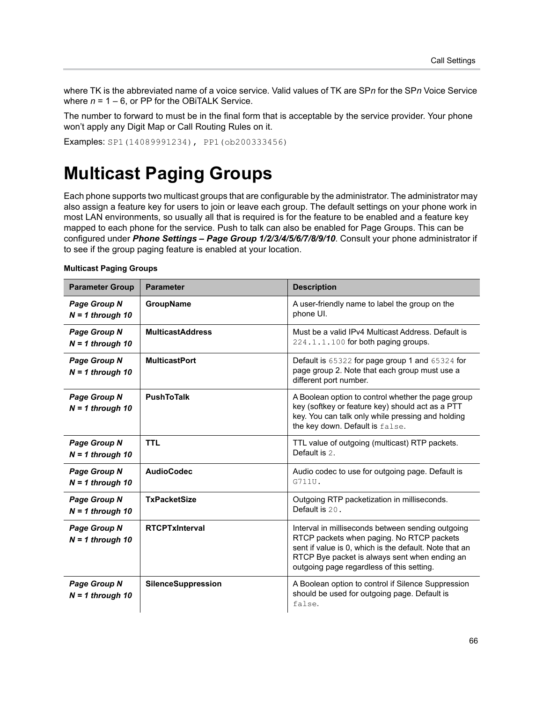where TK is the abbreviated name of a voice service. Valid values of TK are SP*n* for the SP*n* Voice Service where  $n = 1 - 6$ , or PP for the OBITALK Service.

The number to forward to must be in the final form that is acceptable by the service provider. Your phone won't apply any Digit Map or Call Routing Rules on it.

Examples: SP1(14089991234), PP1(ob200333456)

## **Multicast Paging Groups**

Each phone supports two multicast groups that are configurable by the administrator. The administrator may also assign a feature key for users to join or leave each group. The default settings on your phone work in most LAN environments, so usually all that is required is for the feature to be enabled and a feature key mapped to each phone for the service. Push to talk can also be enabled for Page Groups. This can be configured under *Phone Settings – Page Group 1/2/3/4/5/6/7/8/9/10*. Consult your phone administrator if to see if the group paging feature is enabled at your location.

| <b>Parameter Group</b>                    | <b>Parameter</b>          | <b>Description</b>                                                                                                                                                                                                                                     |
|-------------------------------------------|---------------------------|--------------------------------------------------------------------------------------------------------------------------------------------------------------------------------------------------------------------------------------------------------|
| <b>Page Group N</b><br>$N = 1$ through 10 | GroupName                 | A user-friendly name to label the group on the<br>phone UI.                                                                                                                                                                                            |
| <b>Page Group N</b><br>$N = 1$ through 10 | <b>MulticastAddress</b>   | Must be a valid IPv4 Multicast Address, Default is<br>224.1.1.100 for both paging groups.                                                                                                                                                              |
| <b>Page Group N</b><br>$N = 1$ through 10 | <b>MulticastPort</b>      | Default is 65322 for page group 1 and 65324 for<br>page group 2. Note that each group must use a<br>different port number.                                                                                                                             |
| <b>Page Group N</b><br>$N = 1$ through 10 | <b>PushToTalk</b>         | A Boolean option to control whether the page group<br>key (softkey or feature key) should act as a PTT<br>key. You can talk only while pressing and holding<br>the key down. Default is false.                                                         |
| Page Group N<br>$N = 1$ through 10        | <b>TTL</b>                | TTL value of outgoing (multicast) RTP packets.<br>Default is 2.                                                                                                                                                                                        |
| <b>Page Group N</b><br>$N = 1$ through 10 | <b>AudioCodec</b>         | Audio codec to use for outgoing page. Default is<br>G711U.                                                                                                                                                                                             |
| Page Group N<br>$N = 1$ through 10        | <b>TxPacketSize</b>       | Outgoing RTP packetization in milliseconds.<br>Default is 20.                                                                                                                                                                                          |
| <b>Page Group N</b><br>$N = 1$ through 10 | <b>RTCPTxInterval</b>     | Interval in milliseconds between sending outgoing<br>RTCP packets when paging. No RTCP packets<br>sent if value is 0, which is the default. Note that an<br>RTCP Bye packet is always sent when ending an<br>outgoing page regardless of this setting. |
| <b>Page Group N</b><br>$N = 1$ through 10 | <b>SilenceSuppression</b> | A Boolean option to control if Silence Suppression<br>should be used for outgoing page. Default is<br>false.                                                                                                                                           |

#### **Multicast Paging Groups**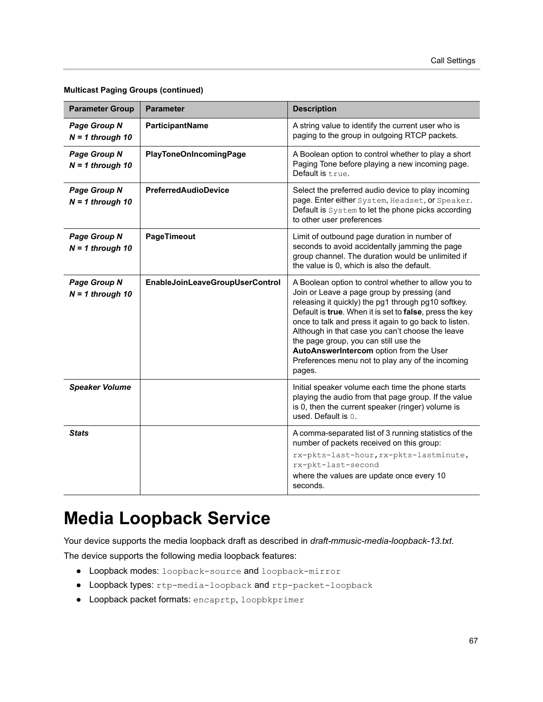| <b>Parameter Group</b>                    | <b>Parameter</b>                | <b>Description</b>                                                                                                                                                                                                                                                                                                                                                                                                                                                                  |
|-------------------------------------------|---------------------------------|-------------------------------------------------------------------------------------------------------------------------------------------------------------------------------------------------------------------------------------------------------------------------------------------------------------------------------------------------------------------------------------------------------------------------------------------------------------------------------------|
| <b>Page Group N</b><br>$N = 1$ through 10 | ParticipantName                 | A string value to identify the current user who is<br>paging to the group in outgoing RTCP packets.                                                                                                                                                                                                                                                                                                                                                                                 |
| <b>Page Group N</b><br>$N = 1$ through 10 | <b>PlayToneOnIncomingPage</b>   | A Boolean option to control whether to play a short<br>Paging Tone before playing a new incoming page.<br>Default is true.                                                                                                                                                                                                                                                                                                                                                          |
| Page Group N<br>$N = 1$ through 10        | <b>PreferredAudioDevice</b>     | Select the preferred audio device to play incoming<br>page. Enter either System, Headset, or Speaker.<br>Default is System to let the phone picks according<br>to other user preferences                                                                                                                                                                                                                                                                                            |
| Page Group N<br>$N = 1$ through 10        | PageTimeout                     | Limit of outbound page duration in number of<br>seconds to avoid accidentally jamming the page<br>group channel. The duration would be unlimited if<br>the value is 0, which is also the default.                                                                                                                                                                                                                                                                                   |
| Page Group N<br>$N = 1$ through 10        | EnableJoinLeaveGroupUserControl | A Boolean option to control whether to allow you to<br>Join or Leave a page group by pressing (and<br>releasing it quickly) the pg1 through pg10 softkey.<br>Default is true. When it is set to false, press the key<br>once to talk and press it again to go back to listen.<br>Although in that case you can't choose the leave<br>the page group, you can still use the<br>AutoAnswerIntercom option from the User<br>Preferences menu not to play any of the incoming<br>pages. |
| <b>Speaker Volume</b>                     |                                 | Initial speaker volume each time the phone starts<br>playing the audio from that page group. If the value<br>is 0, then the current speaker (ringer) volume is<br>used. Default is 0.                                                                                                                                                                                                                                                                                               |
| Stats                                     |                                 | A comma-separated list of 3 running statistics of the<br>number of packets received on this group:<br>rx-pkts-last-hour, rx-pkts-lastminute,<br>rx-pkt-last-second<br>where the values are update once every 10<br>seconds.                                                                                                                                                                                                                                                         |

**Multicast Paging Groups (continued)**

## **Media Loopback Service**

Your device supports the media loopback draft as described in *draft-mmusic-media-loopback-13.txt*.

The device supports the following media loopback features:

- **●** Loopback modes: loopback-source and loopback-mirror
- **●** Loopback types: rtp-media-loopback and rtp-packet-loopback
- **●** Loopback packet formats: encaprtp, loopbkprimer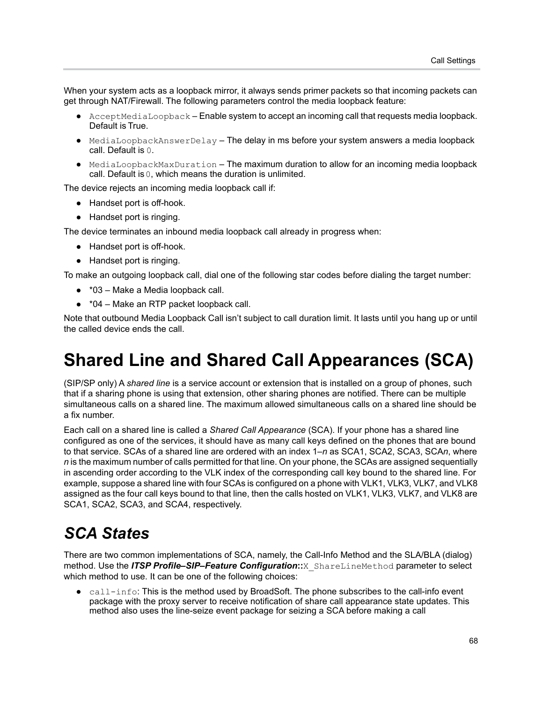When your system acts as a loopback mirror, it always sends primer packets so that incoming packets can get through NAT/Firewall. The following parameters control the media loopback feature:

- **●** AcceptMediaLoopback Enable system to accept an incoming call that requests media loopback. Default is True.
- **●** MediaLoopbackAnswerDelay The delay in ms before your system answers a media loopback call. Default is 0.
- **●** MediaLoopbackMaxDuration The maximum duration to allow for an incoming media loopback call. Default is 0, which means the duration is unlimited.

The device rejects an incoming media loopback call if:

- **●** Handset port is off-hook.
- **●** Handset port is ringing.

The device terminates an inbound media loopback call already in progress when:

- **●** Handset port is off-hook.
- **●** Handset port is ringing.

To make an outgoing loopback call, dial one of the following star codes before dialing the target number:

- **●** \*03 Make a Media loopback call.
- **●** \*04 Make an RTP packet loopback call.

Note that outbound Media Loopback Call isn't subject to call duration limit. It lasts until you hang up or until the called device ends the call.

## **Shared Line and Shared Call Appearances (SCA)**

(SIP/SP only) A *shared line* is a service account or extension that is installed on a group of phones, such that if a sharing phone is using that extension, other sharing phones are notified. There can be multiple simultaneous calls on a shared line. The maximum allowed simultaneous calls on a shared line should be a fix number.

Each call on a shared line is called a *Shared Call Appearance* (SCA). If your phone has a shared line configured as one of the services, it should have as many call keys defined on the phones that are bound to that service. SCAs of a shared line are ordered with an index 1–*n* as SCA1, SCA2, SCA3, SCA*n*, where *n* is the maximum number of calls permitted for that line. On your phone, the SCAs are assigned sequentially in ascending order according to the VLK index of the corresponding call key bound to the shared line. For example, suppose a shared line with four SCAs is configured on a phone with VLK1, VLK3, VLK7, and VLK8 assigned as the four call keys bound to that line, then the calls hosted on VLK1, VLK3, VLK7, and VLK8 are SCA1, SCA2, SCA3, and SCA4, respectively.

### *SCA States*

There are two common implementations of SCA, namely, the Call-Info Method and the SLA/BLA (dialog) method. Use the *ITSP Profile–SIP–Feature Configuration***::**X\_ShareLineMethod parameter to select which method to use. It can be one of the following choices:

**●** call-info: This is the method used by BroadSoft. The phone subscribes to the call-info event package with the proxy server to receive notification of share call appearance state updates. This method also uses the line-seize event package for seizing a SCA before making a call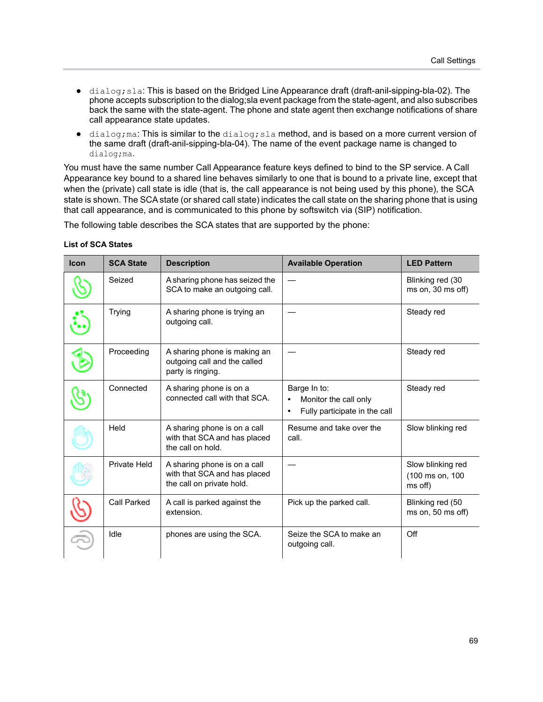- **●** dialog;sla: This is based on the Bridged Line Appearance draft (draft-anil-sipping-bla-02). The phone accepts subscription to the dialog;sla event package from the state-agent, and also subscribes back the same with the state-agent. The phone and state agent then exchange notifications of share call appearance state updates.
- **•** dialog; ma: This is similar to the dialog; sla method, and is based on a more current version of the same draft (draft-anil-sipping-bla-04). The name of the event package name is changed to dialog;ma.

You must have the same number Call Appearance feature keys defined to bind to the SP service. A Call Appearance key bound to a shared line behaves similarly to one that is bound to a private line, except that when the (private) call state is idle (that is, the call appearance is not being used by this phone), the SCA state is shown. The SCA state (or shared call state) indicates the call state on the sharing phone that is using that call appearance, and is communicated to this phone by softswitch via (SIP) notification.

The following table describes the SCA states that are supported by the phone:

| <b>Icon</b> | <b>SCA State</b> | <b>Description</b>                                                                        | <b>Available Operation</b>                                                                       | <b>LED Pattern</b>                              |
|-------------|------------------|-------------------------------------------------------------------------------------------|--------------------------------------------------------------------------------------------------|-------------------------------------------------|
|             | Seized           | A sharing phone has seized the<br>SCA to make an outgoing call.                           |                                                                                                  | Blinking red (30<br>$ms$ on, $30$ ms off)       |
|             | <b>Trying</b>    | A sharing phone is trying an<br>outgoing call.                                            |                                                                                                  | Steady red                                      |
|             | Proceeding       | A sharing phone is making an<br>outgoing call and the called<br>party is ringing.         |                                                                                                  | Steady red                                      |
|             | Connected        | A sharing phone is on a<br>connected call with that SCA.                                  | Barge In to:<br>Monitor the call only<br>$\bullet$<br>Fully participate in the call<br>$\bullet$ | Steady red                                      |
|             | Held             | A sharing phone is on a call<br>with that SCA and has placed<br>the call on hold.         | Resume and take over the<br>call.                                                                | Slow blinking red                               |
|             | Private Held     | A sharing phone is on a call<br>with that SCA and has placed<br>the call on private hold. |                                                                                                  | Slow blinking red<br>(100 ms on, 100<br>ms off) |
|             | Call Parked      | A call is parked against the<br>extension.                                                | Pick up the parked call.                                                                         | Blinking red (50<br>ms on, $50$ ms off)         |
|             | Idle             | phones are using the SCA.                                                                 | Seize the SCA to make an<br>outgoing call.                                                       | Off                                             |

#### **List of SCA States**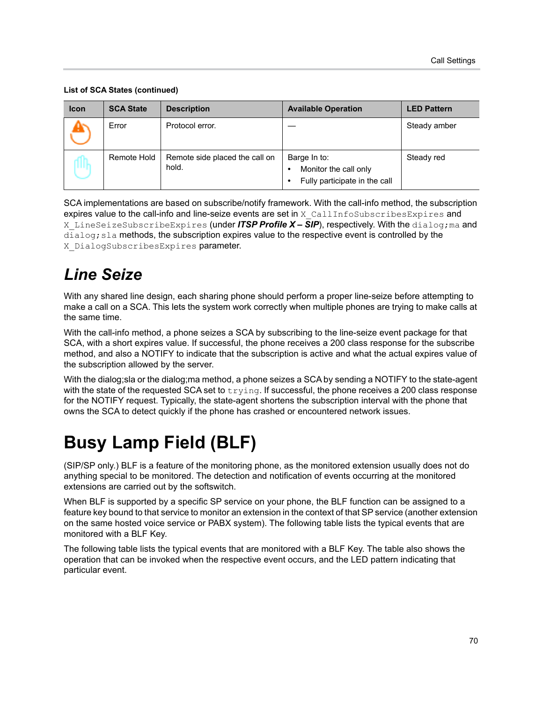#### **List of SCA States (continued)**

| <b>Icon</b> | <b>SCA State</b> | <b>Description</b>                      | <b>Available Operation</b>                                                       | <b>LED Pattern</b> |
|-------------|------------------|-----------------------------------------|----------------------------------------------------------------------------------|--------------------|
|             | Error            | Protocol error.                         |                                                                                  | Steady amber       |
|             | Remote Hold      | Remote side placed the call on<br>hold. | Barge In to:<br>Monitor the call only<br>٠<br>Fully participate in the call<br>٠ | Steady red         |

SCA implementations are based on subscribe/notify framework. With the call-info method, the subscription expires value to the call-info and line-seize events are set in X\_CallInfoSubscribesExpires and X LineSeizeSubscribeExpires (under *ITSP Profile X – SIP*), respectively. With the dialog;ma and  $dialog;$  sla methods, the subscription expires value to the respective event is controlled by the X DialogSubscribesExpires parameter.

## *Line Seize*

With any shared line design, each sharing phone should perform a proper line-seize before attempting to make a call on a SCA. This lets the system work correctly when multiple phones are trying to make calls at the same time.

With the call-info method, a phone seizes a SCA by subscribing to the line-seize event package for that SCA, with a short expires value. If successful, the phone receives a 200 class response for the subscribe method, and also a NOTIFY to indicate that the subscription is active and what the actual expires value of the subscription allowed by the server.

With the dialog;sla or the dialog;ma method, a phone seizes a SCA by sending a NOTIFY to the state-agent with the state of the requested SCA set to  $\text{trying.}$  If successful, the phone receives a 200 class response for the NOTIFY request. Typically, the state-agent shortens the subscription interval with the phone that owns the SCA to detect quickly if the phone has crashed or encountered network issues.

# **Busy Lamp Field (BLF)**

(SIP/SP only.) BLF is a feature of the monitoring phone, as the monitored extension usually does not do anything special to be monitored. The detection and notification of events occurring at the monitored extensions are carried out by the softswitch.

When BLF is supported by a specific SP service on your phone, the BLF function can be assigned to a feature key bound to that service to monitor an extension in the context of that SP service (another extension on the same hosted voice service or PABX system). The following table lists the typical events that are monitored with a BLF Key.

The following table lists the typical events that are monitored with a BLF Key. The table also shows the operation that can be invoked when the respective event occurs, and the LED pattern indicating that particular event.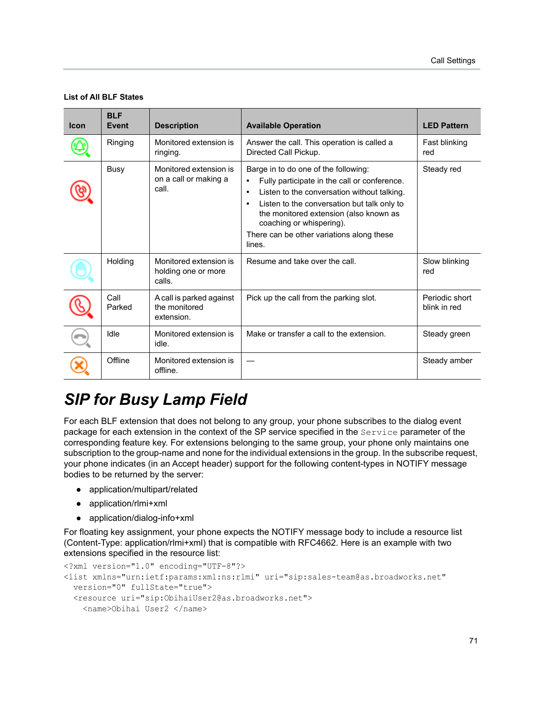#### **List of All BLF States**

| <b>Icon</b> | <b>BLF</b><br>Event | <b>Description</b>                                       | <b>Available Operation</b>                                                                                                                                                                                                                                                                                      | <b>LED Pattern</b>             |
|-------------|---------------------|----------------------------------------------------------|-----------------------------------------------------------------------------------------------------------------------------------------------------------------------------------------------------------------------------------------------------------------------------------------------------------------|--------------------------------|
|             | Ringing             | Monitored extension is<br>ringing.                       | Answer the call. This operation is called a<br>Directed Call Pickup.                                                                                                                                                                                                                                            | Fast blinking<br>red           |
|             | <b>Busy</b>         | Monitored extension is<br>on a call or making a<br>call. | Barge in to do one of the following:<br>Fully participate in the call or conference.<br>Listen to the conversation without talking.<br>Listen to the conversation but talk only to<br>the monitored extension (also known as<br>coaching or whispering).<br>There can be other variations along these<br>lines. | Steady red                     |
|             | Holding             | Monitored extension is<br>holding one or more<br>calls.  | Resume and take over the call.                                                                                                                                                                                                                                                                                  | Slow blinking<br>red           |
|             | Call<br>Parked      | A call is parked against<br>the monitored<br>extension.  | Pick up the call from the parking slot.                                                                                                                                                                                                                                                                         | Periodic short<br>blink in red |
|             | Idle                | Monitored extension is<br>idle.                          | Make or transfer a call to the extension.                                                                                                                                                                                                                                                                       | Steady green                   |
|             | Offline             | Monitored extension is<br>offline.                       |                                                                                                                                                                                                                                                                                                                 | Steady amber                   |

## *SIP for Busy Lamp Field*

For each BLF extension that does not belong to any group, your phone subscribes to the dialog event package for each extension in the context of the SP service specified in the Service parameter of the corresponding feature key. For extensions belonging to the same group, your phone only maintains one subscription to the group-name and none for the individual extensions in the group. In the subscribe request, your phone indicates (in an Accept header) support for the following content-types in NOTIFY message bodies to be returned by the server:

- **●** application/multipart/related
- **●** application/rlmi+xml
- **●** application/dialog-info+xml

For floating key assignment, your phone expects the NOTIFY message body to include a resource list (Content-Type: application/rlmi+xml) that is compatible with RFC4662. Here is an example with two extensions specified in the resource list:

```
<?xml version="1.0" encoding="UTF-8"?>
<list xmlns="urn:ietf:params:xml:ns:rlmi" uri="sip:sales-team@as.broadworks.net" 
   version="0" fullState="true">
   <resource uri="sip:ObihaiUser2@as.broadworks.net">
     <name>Obihai User2 </name>
```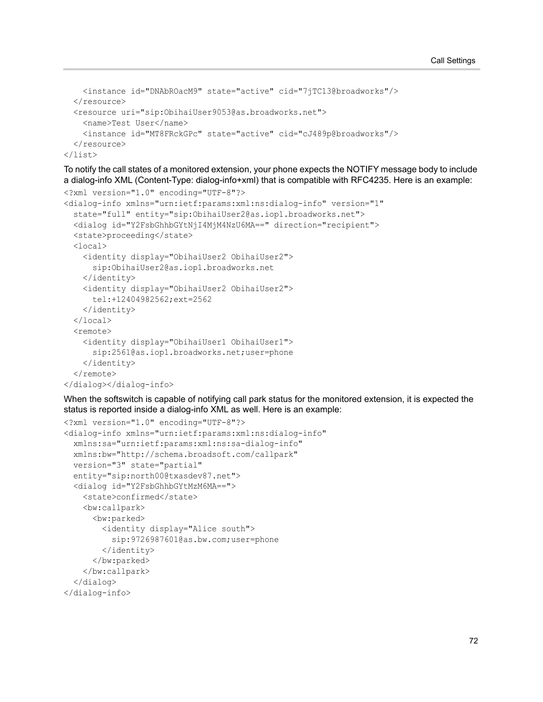```
 <instance id="DNAbROacM9" state="active" cid="7jTC13@broadworks"/>
  </resource>
  <resource uri="sip:ObihaiUser9053@as.broadworks.net">
     <name>Test User</name>
     <instance id="MT8FRckGPc" state="active" cid="cJ489p@broadworks"/>
 \langle /resource>
</list>
```
To notify the call states of a monitored extension, your phone expects the NOTIFY message body to include a dialog-info XML (Content-Type: dialog-info+xml) that is compatible with RFC4235. Here is an example: <?xml version="1.0" encoding="UTF-8"?>

```
<dialog-info xmlns="urn:ietf:params:xml:ns:dialog-info" version="1" 
   state="full" entity="sip:ObihaiUser2@as.iop1.broadworks.net">
   <dialog id="Y2FsbGhhbGYtNjI4MjM4NzU6MA==" direction="recipient">
   <state>proceeding</state>
   <local>
     <identity display="ObihaiUser2 ObihaiUser2">
       sip:ObihaiUser2@as.iop1.broadworks.net
     </identity>
     <identity display="ObihaiUser2 ObihaiUser2">
       tel:+12404982562;ext=2562
     </identity>
   </local>
   <remote>
     <identity display="ObihaiUser1 ObihaiUser1">
       sip:2561@as.iop1.broadworks.net;user=phone
     </identity>
  </remote>
</dialog></dialog-info>
```
When the softswitch is capable of notifying call park status for the monitored extension, it is expected the status is reported inside a dialog-info XML as well. Here is an example:

```
<?xml version="1.0" encoding="UTF-8"?>
<dialog-info xmlns="urn:ietf:params:xml:ns:dialog-info"
   xmlns:sa="urn:ietf:params:xml:ns:sa-dialog-info"
   xmlns:bw="http://schema.broadsoft.com/callpark"
   version="3" state="partial"
   entity="sip:north00@txasdev87.net">
   <dialog id="Y2FsbGhhbGYtMzM6MA==">
    <state>confirmed</state>
     <bw:callpark>
       <bw:parked>
         <identity display="Alice south">
           sip:9726987601@as.bw.com;user=phone
         </identity>
       </bw:parked>
     </bw:callpark>
   </dialog>
</dialog-info>
```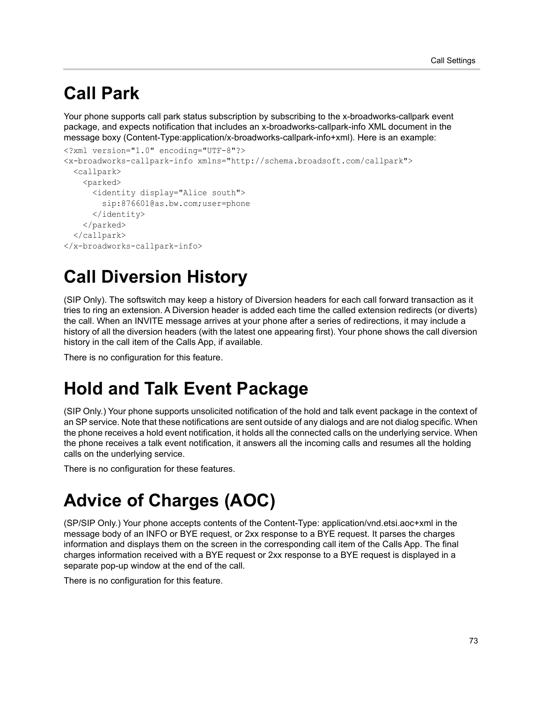## **Call Park**

Your phone supports call park status subscription by subscribing to the x-broadworks-callpark event package, and expects notification that includes an x-broadworks-callpark-info XML document in the message boxy (Content-Type:application/x-broadworks-callpark-info+xml). Here is an example:

```
<?xml version="1.0" encoding="UTF-8"?>
<x-broadworks-callpark-info xmlns="http://schema.broadsoft.com/callpark">
   <callpark>
     <parked>
       <identity display="Alice south">
         sip:876601@as.bw.com;user=phone
       </identity>
     </parked>
   </callpark>
</x-broadworks-callpark-info>
```
# **Call Diversion History**

(SIP Only). The softswitch may keep a history of Diversion headers for each call forward transaction as it tries to ring an extension. A Diversion header is added each time the called extension redirects (or diverts) the call. When an INVITE message arrives at your phone after a series of redirections, it may include a history of all the diversion headers (with the latest one appearing first). Your phone shows the call diversion history in the call item of the Calls App, if available.

There is no configuration for this feature.

## **Hold and Talk Event Package**

(SIP Only.) Your phone supports unsolicited notification of the hold and talk event package in the context of an SP service. Note that these notifications are sent outside of any dialogs and are not dialog specific. When the phone receives a hold event notification, it holds all the connected calls on the underlying service. When the phone receives a talk event notification, it answers all the incoming calls and resumes all the holding calls on the underlying service.

There is no configuration for these features.

# **Advice of Charges (AOC)**

(SP/SIP Only.) Your phone accepts contents of the Content-Type: application/vnd.etsi.aoc+xml in the message body of an INFO or BYE request, or 2xx response to a BYE request. It parses the charges information and displays them on the screen in the corresponding call item of the Calls App. The final charges information received with a BYE request or 2xx response to a BYE request is displayed in a separate pop-up window at the end of the call.

There is no configuration for this feature.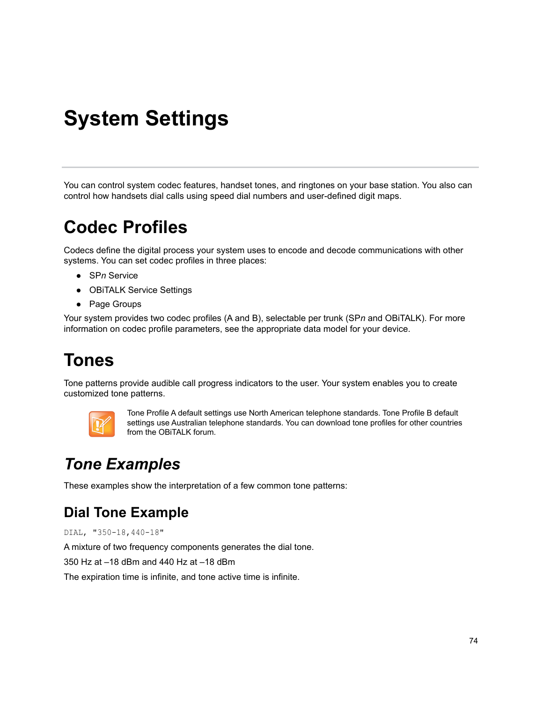# **System Settings**

You can control system codec features, handset tones, and ringtones on your base station. You also can control how handsets dial calls using speed dial numbers and user-defined digit maps.

## **Codec Profiles**

Codecs define the digital process your system uses to encode and decode communications with other systems. You can set codec profiles in three places:

- **●** SP*n* Service
- **●** OBiTALK Service Settings
- **●** Page Groups

Your system provides two codec profiles (A and B), selectable per trunk (SP*n* and OBiTALK). For more information on codec profile parameters, see the appropriate data model for your device.

# **Tones**

Tone patterns provide audible call progress indicators to the user. Your system enables you to create customized tone patterns.



Tone Profile A default settings use North American telephone standards. Tone Profile B default settings use Australian telephone standards. You can download tone profiles for other countries from the OBiTALK forum.

## *Tone Examples*

These examples show the interpretation of a few common tone patterns:

### **Dial Tone Example**

DIAL, "350-18,440-18"

A mixture of two frequency components generates the dial tone.

350 Hz at –18 dBm and 440 Hz at –18 dBm

The expiration time is infinite, and tone active time is infinite.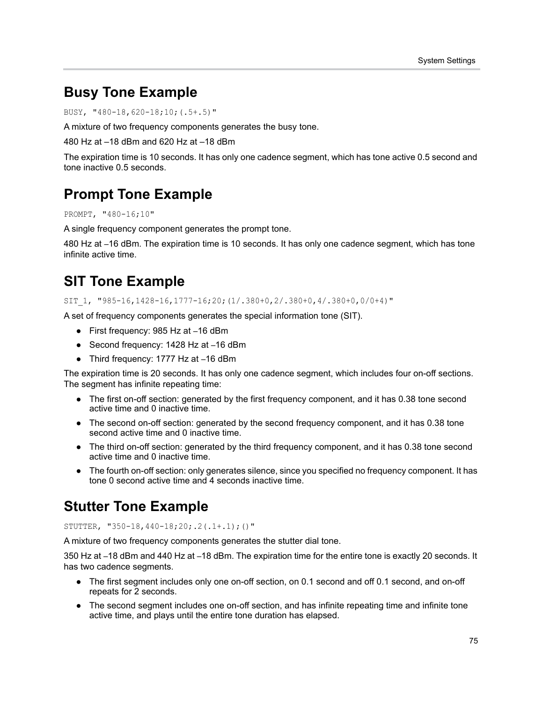### **Busy Tone Example**

```
BUSY, "480-18,620-18;10;(.5+.5)"
```
A mixture of two frequency components generates the busy tone.

480 Hz at –18 dBm and 620 Hz at –18 dBm

The expiration time is 10 seconds. It has only one cadence segment, which has tone active 0.5 second and tone inactive 0.5 seconds.

### **Prompt Tone Example**

```
PROMPT, "480-16;10"
```
A single frequency component generates the prompt tone.

480 Hz at –16 dBm. The expiration time is 10 seconds. It has only one cadence segment, which has tone infinite active time.

### **SIT Tone Example**

SIT\_1, "985-16,1428-16,1777-16;20;(1/.380+0,2/.380+0,4/.380+0,0/0+4)"

A set of frequency components generates the special information tone (SIT).

- **●** First frequency: 985 Hz at –16 dBm
- **●** Second frequency: 1428 Hz at –16 dBm
- **●** Third frequency: 1777 Hz at –16 dBm

The expiration time is 20 seconds. It has only one cadence segment, which includes four on-off sections. The segment has infinite repeating time:

- **●** The first on-off section: generated by the first frequency component, and it has 0.38 tone second active time and 0 inactive time.
- **●** The second on-off section: generated by the second frequency component, and it has 0.38 tone second active time and 0 inactive time.
- **●** The third on-off section: generated by the third frequency component, and it has 0.38 tone second active time and 0 inactive time.
- **●** The fourth on-off section: only generates silence, since you specified no frequency component. It has tone 0 second active time and 4 seconds inactive time.

### **Stutter Tone Example**

#### STUTTER, "350-18,440-18;20;.2(.1+.1);()"

A mixture of two frequency components generates the stutter dial tone.

350 Hz at –18 dBm and 440 Hz at –18 dBm. The expiration time for the entire tone is exactly 20 seconds. It has two cadence segments.

- **●** The first segment includes only one on-off section, on 0.1 second and off 0.1 second, and on-off repeats for 2 seconds.
- **●** The second segment includes one on-off section, and has infinite repeating time and infinite tone active time, and plays until the entire tone duration has elapsed.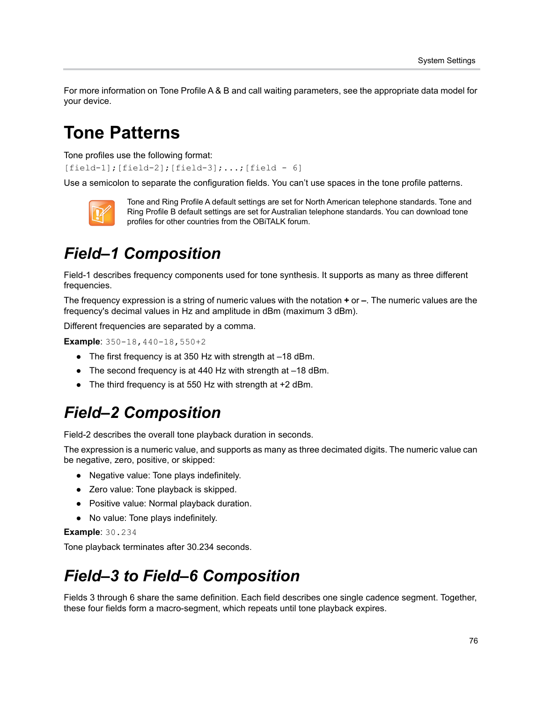For more information on Tone Profile A & B and call waiting parameters, see the appropriate data model for your device.

## **Tone Patterns**

Tone profiles use the following format:

[field-1];[field-2];[field-3];...;[field - 6]

Use a semicolon to separate the configuration fields. You can't use spaces in the tone profile patterns.



Tone and Ring Profile A default settings are set for North American telephone standards. Tone and Ring Profile B default settings are set for Australian telephone standards. You can download tone profiles for other countries from the OBiTALK forum.

## *Field–1 Composition*

Field-1 describes frequency components used for tone synthesis. It supports as many as three different frequencies.

The frequency expression is a string of numeric values with the notation **+** or **–**. The numeric values are the frequency's decimal values in Hz and amplitude in dBm (maximum 3 dBm).

Different frequencies are separated by a comma.

**Example:** 350-18, 440-18, 550+2

- **●** The first frequency is at 350 Hz with strength at –18 dBm.
- **●** The second frequency is at 440 Hz with strength at –18 dBm.
- **●** The third frequency is at 550 Hz with strength at +2 dBm.

### *Field–2 Composition*

Field-2 describes the overall tone playback duration in seconds.

The expression is a numeric value, and supports as many as three decimated digits. The numeric value can be negative, zero, positive, or skipped:

- **●** Negative value: Tone plays indefinitely.
- **●** Zero value: Tone playback is skipped.
- **●** Positive value: Normal playback duration.
- **●** No value: Tone plays indefinitely.

#### **Example**: 30.234

Tone playback terminates after 30.234 seconds.

### *Field–3 to Field–6 Composition*

Fields 3 through 6 share the same definition. Each field describes one single cadence segment. Together, these four fields form a macro-segment, which repeats until tone playback expires.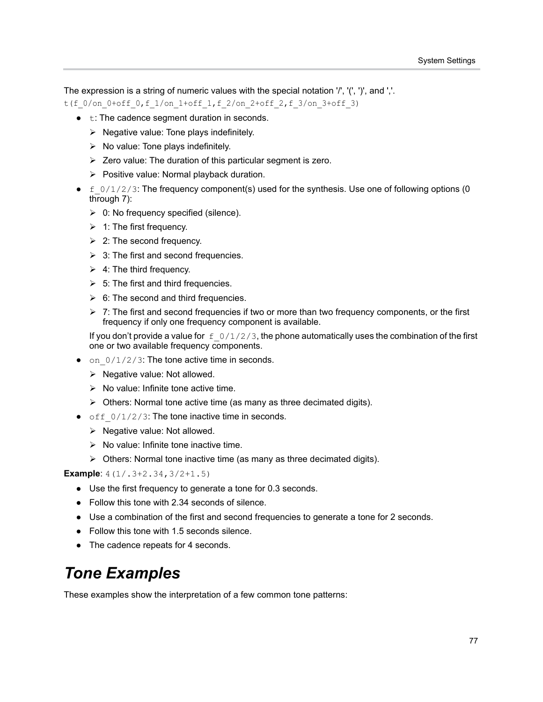The expression is a string of numeric values with the special notation '/', '(', ')', and ','.

t(f 0/on 0+off 0,f 1/on 1+off 1,f 2/on 2+off 2,f 3/on 3+off 3)

- **•** t: The cadence segment duration in seconds.
	- $\triangleright$  Negative value: Tone plays indefinitely.
	- $\triangleright$  No value: Tone plays indefinitely.
	- $\triangleright$  Zero value: The duration of this particular segment is zero.
	- $\triangleright$  Positive value: Normal playback duration.
- **●** f\_0/1/2/3: The frequency component(s) used for the synthesis. Use one of following options (0 through 7):
	- $\geq 0$ : No frequency specified (silence).
	- $\geq 1$ : The first frequency.
	- $\geq$  2: The second frequency.
	- $\geq$  3: The first and second frequencies.
	- $\geq 4$ : The third frequency.
	- $\geq$  5: The first and third frequencies.
	- $\geq$  6: The second and third frequencies.
	- $\triangleright$  7: The first and second frequencies if two or more than two frequency components, or the first frequency if only one frequency component is available.

If you don't provide a value for  $f_0/1/2/3$ , the phone automatically uses the combination of the first one or two available frequency components.

- on  $0/1/2/3$ : The tone active time in seconds.
	- $\triangleright$  Negative value: Not allowed.
	- $\triangleright$  No value: Infinite tone active time.
	- $\triangleright$  Others: Normal tone active time (as many as three decimated digits).
- off  $0/1/2/3$ : The tone inactive time in seconds.
	- $\triangleright$  Negative value: Not allowed.
	- $\triangleright$  No value: Infinite tone inactive time.
	- $\triangleright$  Others: Normal tone inactive time (as many as three decimated digits).

**Example:** 4(1/.3+2.34,3/2+1.5)

- **●** Use the first frequency to generate a tone for 0.3 seconds.
- **●** Follow this tone with 2.34 seconds of silence.
- **●** Use a combination of the first and second frequencies to generate a tone for 2 seconds.
- **●** Follow this tone with 1.5 seconds silence.
- **●** The cadence repeats for 4 seconds.

### *Tone Examples*

These examples show the interpretation of a few common tone patterns: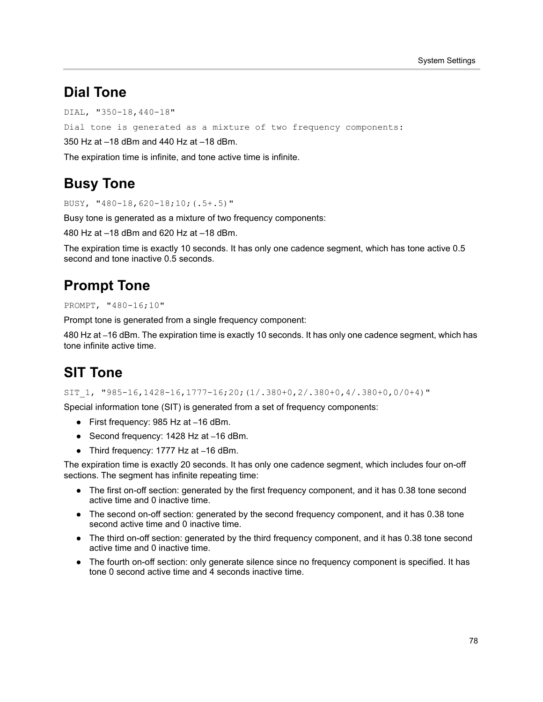#### **Dial Tone**

DIAL, "350-18,440-18"

Dial tone is generated as a mixture of two frequency components:

350 Hz at –18 dBm and 440 Hz at –18 dBm.

The expiration time is infinite, and tone active time is infinite.

#### **Busy Tone**

BUSY, "480-18,620-18;10;(.5+.5)"

Busy tone is generated as a mixture of two frequency components:

480 Hz at –18 dBm and 620 Hz at –18 dBm.

The expiration time is exactly 10 seconds. It has only one cadence segment, which has tone active 0.5 second and tone inactive 0.5 seconds.

### **Prompt Tone**

PROMPT, "480-16;10"

Prompt tone is generated from a single frequency component:

480 Hz at –16 dBm. The expiration time is exactly 10 seconds. It has only one cadence segment, which has tone infinite active time.

### **SIT Tone**

SIT 1, "985-16,1428-16,1777-16;20;(1/.380+0,2/.380+0,4/.380+0,0/0+4)"

Special information tone (SIT) is generated from a set of frequency components:

- **●** First frequency: 985 Hz at –16 dBm.
- **●** Second frequency: 1428 Hz at –16 dBm.
- **●** Third frequency: 1777 Hz at –16 dBm.

The expiration time is exactly 20 seconds. It has only one cadence segment, which includes four on-off sections. The segment has infinite repeating time:

- **●** The first on-off section: generated by the first frequency component, and it has 0.38 tone second active time and 0 inactive time.
- **●** The second on-off section: generated by the second frequency component, and it has 0.38 tone second active time and 0 inactive time.
- **●** The third on-off section: generated by the third frequency component, and it has 0.38 tone second active time and 0 inactive time.
- **●** The fourth on-off section: only generate silence since no frequency component is specified. It has tone 0 second active time and 4 seconds inactive time.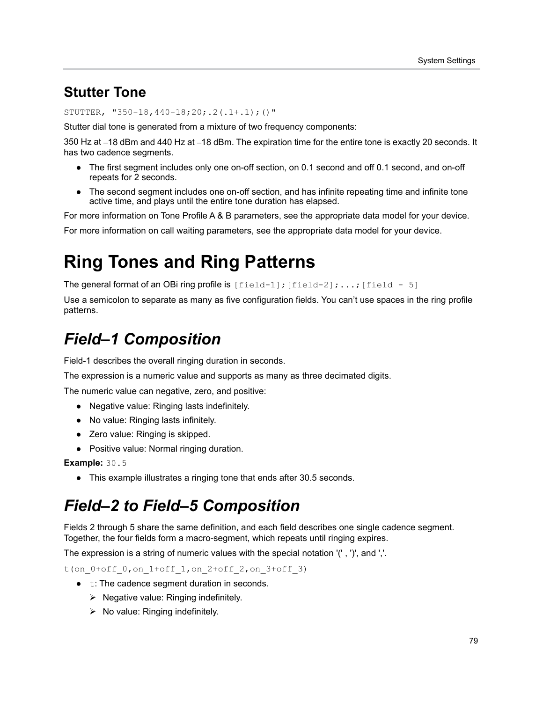### **Stutter Tone**

STUTTER, "350-18,440-18;20;.2(.1+.1);()"

Stutter dial tone is generated from a mixture of two frequency components:

350 Hz at –18 dBm and 440 Hz at –18 dBm. The expiration time for the entire tone is exactly 20 seconds. It has two cadence segments.

- **●** The first segment includes only one on-off section, on 0.1 second and off 0.1 second, and on-off repeats for 2 seconds.
- **●** The second segment includes one on-off section, and has infinite repeating time and infinite tone active time, and plays until the entire tone duration has elapsed.

For more information on Tone Profile A & B parameters, see the appropriate data model for your device.

For more information on call waiting parameters, see the appropriate data model for your device.

# **Ring Tones and Ring Patterns**

The general format of an OBi ring profile is  $\lceil$  field-1 $\rceil$ ;  $\lceil$  field-2 $\rceil$ ;...;  $\lceil$  field - 5 $\rceil$ 

Use a semicolon to separate as many as five configuration fields. You can't use spaces in the ring profile patterns.

## *Field–1 Composition*

Field-1 describes the overall ringing duration in seconds.

The expression is a numeric value and supports as many as three decimated digits.

The numeric value can negative, zero, and positive:

- **●** Negative value: Ringing lasts indefinitely.
- **●** No value: Ringing lasts infinitely.
- **●** Zero value: Ringing is skipped.
- **●** Positive value: Normal ringing duration.

**Example:** 30.5

**●** This example illustrates a ringing tone that ends after 30.5 seconds.

### *Field–2 to Field–5 Composition*

Fields 2 through 5 share the same definition, and each field describes one single cadence segment. Together, the four fields form a macro-segment, which repeats until ringing expires.

The expression is a string of numeric values with the special notation '(' , ')', and ','.

t(on\_0+off\_0,on\_1+off\_1,on\_2+off\_2,on\_3+off\_3)

- **•** t: The cadence segment duration in seconds.
	- $\triangleright$  Negative value: Ringing indefinitely.
	- $\triangleright$  No value: Ringing indefinitely.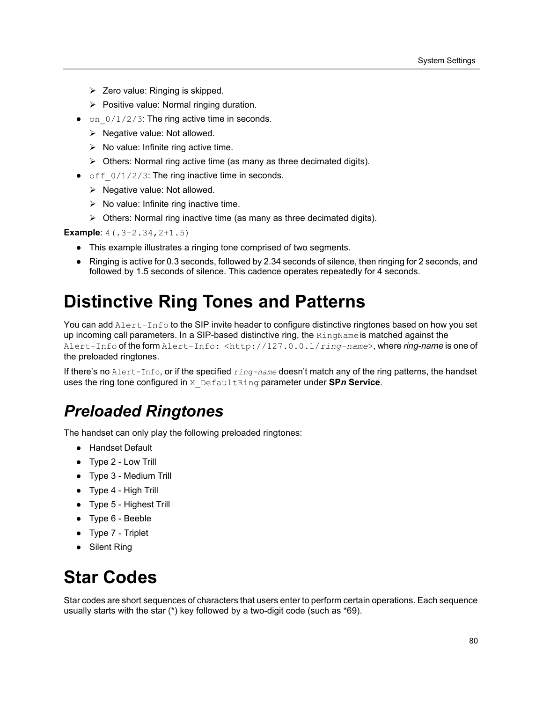- $\triangleright$  Zero value: Ringing is skipped.
- $\triangleright$  Positive value: Normal ringing duration.
- on  $0/1/2/3$ : The ring active time in seconds.
	- $\triangleright$  Negative value: Not allowed.
	- $\triangleright$  No value: Infinite ring active time.
	- $\triangleright$  Others: Normal ring active time (as many as three decimated digits).
- **•** off  $0/1/2/3$ : The ring inactive time in seconds.
	- $\triangleright$  Negative value: Not allowed.
	- $\triangleright$  No value: Infinite ring inactive time.
	- $\triangleright$  Others: Normal ring inactive time (as many as three decimated digits).

**Example**: 4(.3+2.34,2+1.5)

- **●** This example illustrates a ringing tone comprised of two segments.
- **●** Ringing is active for 0.3 seconds, followed by 2.34 seconds of silence, then ringing for 2 seconds, and followed by 1.5 seconds of silence. This cadence operates repeatedly for 4 seconds.

# **Distinctive Ring Tones and Patterns**

You can add Alert-Info to the SIP invite header to configure distinctive ringtones based on how you set up incoming call parameters. In a SIP-based distinctive ring, the RingName is matched against the Alert-Info of the form Alert-Info: <http://127.0.0.1/*ring-name*>, where *ring-name* is one of the preloaded ringtones.

If there's no Alert-Info, or if the specified *ring-name* doesn't match any of the ring patterns, the handset uses the ring tone configured in X\_DefaultRing parameter under **SP***n* **Service**.

### *Preloaded Ringtones*

The handset can only play the following preloaded ringtones:

- **●** Handset Default
- **●** Type 2 Low Trill
- **●** Type 3 Medium Trill
- **●** Type 4 High Trill
- **●** Type 5 Highest Trill
- **●** Type 6 Beeble
- **●** Type 7 Triplet
- **●** Silent Ring

## **Star Codes**

Star codes are short sequences of characters that users enter to perform certain operations. Each sequence usually starts with the star (\*) key followed by a two-digit code (such as \*69).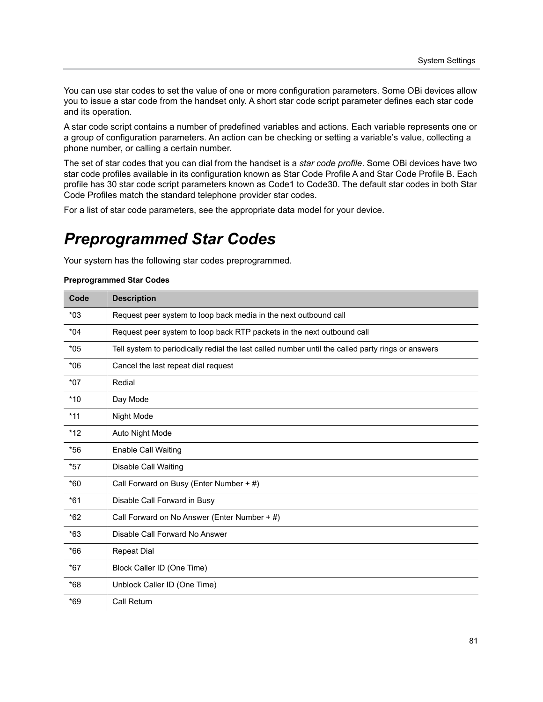You can use star codes to set the value of one or more configuration parameters. Some OBi devices allow you to issue a star code from the handset only. A short star code script parameter defines each star code and its operation.

A star code script contains a number of predefined variables and actions. Each variable represents one or a group of configuration parameters. An action can be checking or setting a variable's value, collecting a phone number, or calling a certain number.

The set of star codes that you can dial from the handset is a *star code profile*. Some OBi devices have two star code profiles available in its configuration known as Star Code Profile A and Star Code Profile B. Each profile has 30 star code script parameters known as Code1 to Code30. The default star codes in both Star Code Profiles match the standard telephone provider star codes.

For a list of star code parameters, see the appropriate data model for your device.

### *Preprogrammed Star Codes*

Your system has the following star codes preprogrammed.

#### **Preprogrammed Star Codes**

| Code  | <b>Description</b>                                                                                |
|-------|---------------------------------------------------------------------------------------------------|
| $*03$ | Request peer system to loop back media in the next outbound call                                  |
| $*04$ | Request peer system to loop back RTP packets in the next outbound call                            |
| $*05$ | Tell system to periodically redial the last called number until the called party rings or answers |
| $*06$ | Cancel the last repeat dial request                                                               |
| $*07$ | Redial                                                                                            |
| $*10$ | Day Mode                                                                                          |
| $*11$ | Night Mode                                                                                        |
| $*12$ | Auto Night Mode                                                                                   |
| $*56$ | <b>Enable Call Waiting</b>                                                                        |
| $*57$ | <b>Disable Call Waiting</b>                                                                       |
| $*60$ | Call Forward on Busy (Enter Number + #)                                                           |
| $*61$ | Disable Call Forward in Busy                                                                      |
| $*62$ | Call Forward on No Answer (Enter Number + #)                                                      |
| $*63$ | Disable Call Forward No Answer                                                                    |
| $*66$ | <b>Repeat Dial</b>                                                                                |
| $*67$ | Block Caller ID (One Time)                                                                        |
| $*68$ | Unblock Caller ID (One Time)                                                                      |
| $*69$ | <b>Call Return</b>                                                                                |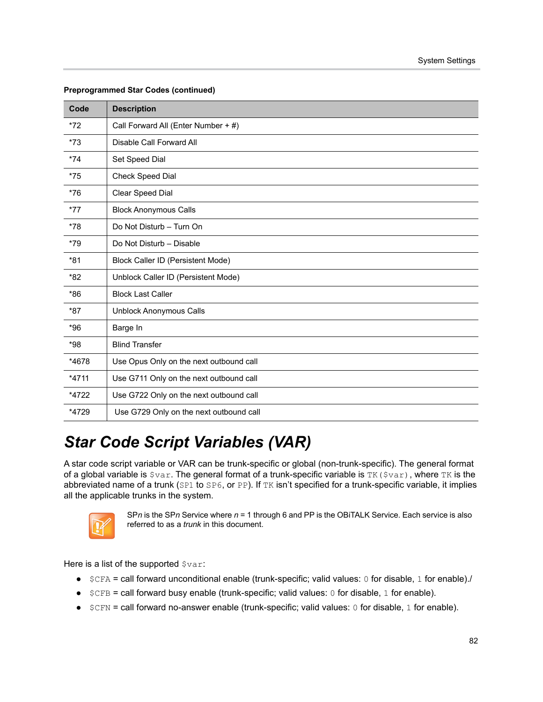| Code    | <b>Description</b>                      |
|---------|-----------------------------------------|
| $*72$   | Call Forward All (Enter Number + #)     |
| $*73$   | Disable Call Forward All                |
| $*74$   | Set Speed Dial                          |
| $*75$   | Check Speed Dial                        |
| $*76$   | Clear Speed Dial                        |
| $*77$   | <b>Block Anonymous Calls</b>            |
| $*78$   | Do Not Disturb - Turn On                |
| $*79$   | Do Not Disturb - Disable                |
| $*81$   | Block Caller ID (Persistent Mode)       |
| *82     | Unblock Caller ID (Persistent Mode)     |
| $*86$   | <b>Block Last Caller</b>                |
| *87     | <b>Unblock Anonymous Calls</b>          |
| $*96$   | Barge In                                |
| $*98$   | <b>Blind Transfer</b>                   |
| *4678   | Use Opus Only on the next outbound call |
| $*4711$ | Use G711 Only on the next outbound call |
| *4722   | Use G722 Only on the next outbound call |
| *4729   | Use G729 Only on the next outbound call |

#### **Preprogrammed Star Codes (continued)**

## *Star Code Script Variables (VAR)*

A star code script variable or VAR can be trunk-specific or global (non-trunk-specific). The general format of a global variable is  $\gamma_{\text{var}}$ . The general format of a trunk-specific variable is TK ( $\gamma_{\text{var}}$ ), where TK is the abbreviated name of a trunk (SP1 to SP6, or PP). If TK isn't specified for a trunk-specific variable, it implies all the applicable trunks in the system.



SP*n* is the SP*n* Service where *n* = 1 through 6 and PP is the OBiTALK Service. Each service is also referred to as a *trunk* in this document.

Here is a list of the supported  $s_{\text{var}}$ :

- **●** \$CFA = call forward unconditional enable (trunk-specific; valid values: 0 for disable, 1 for enable)./
- **●** \$CFB = call forward busy enable (trunk-specific; valid values: 0 for disable, 1 for enable).
- **●** \$CFN = call forward no-answer enable (trunk-specific; valid values: 0 for disable, 1 for enable).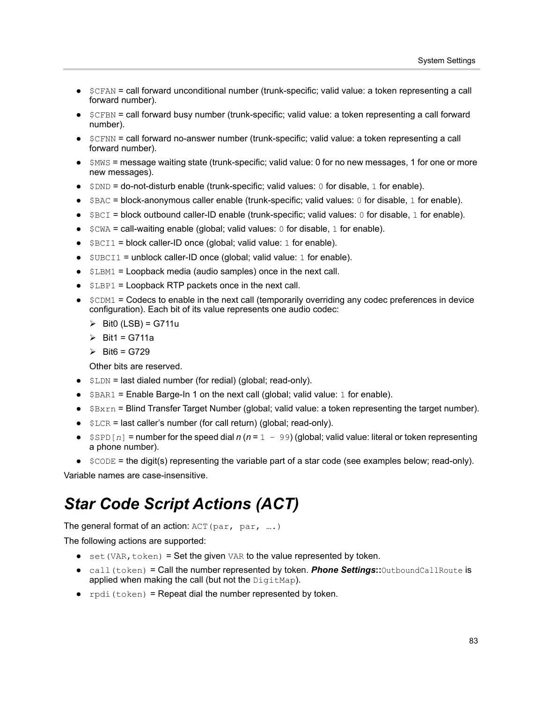- **●** \$CFAN = call forward unconditional number (trunk-specific; valid value: a token representing a call forward number).
- **●** \$CFBN = call forward busy number (trunk-specific; valid value: a token representing a call forward number).
- **●** \$CFNN = call forward no-answer number (trunk-specific; valid value: a token representing a call forward number).
- **●** \$MWS = message waiting state (trunk-specific; valid value: 0 for no new messages, 1 for one or more new messages).
- **●** \$DND = do-not-disturb enable (trunk-specific; valid values: 0 for disable, 1 for enable).
- \$BAC = block-anonymous caller enable (trunk-specific; valid values: 0 for disable, 1 for enable).
- \$BCI = block outbound caller-ID enable (trunk-specific; valid values: 0 for disable, 1 for enable).
- **●** \$CWA = call-waiting enable (global; valid values: 0 for disable, 1 for enable).
- \$BCI1 = block caller-ID once (global; valid value: 1 for enable).
- \$UBCI1 = unblock caller-ID once (global; valid value: 1 for enable).
- \$LBM1 = Loopback media (audio samples) once in the next call.
- \$LBP1 = Loopback RTP packets once in the next call.
- **●** \$CDM1 = Codecs to enable in the next call (temporarily overriding any codec preferences in device configuration). Each bit of its value represents one audio codec:
	- $\triangleright$  Bit0 (LSB) = G711u
	- $\triangleright$  Bit1 = G711a
	- $\triangleright$  Bit6 = G729

Other bits are reserved.

- **●** \$LDN = last dialed number (for redial) (global; read-only).
- **●** \$BAR1 = Enable Barge-In 1 on the next call (global; valid value: 1 for enable).
- \$Bxrn = Blind Transfer Target Number (global; valid value: a token representing the target number).
- \$LCR = last caller's number (for call return) (global; read-only).
- **●** \$SPD[*n*] = number for the speed dial *n* (*n* = 1 99) (global; valid value: literal or token representing a phone number).
- **●** \$CODE = the digit(s) representing the variable part of a star code (see examples below; read-only).

Variable names are case-insensitive.

### *Star Code Script Actions (ACT)*

The general format of an action: ACT (par, par, ...)

The following actions are supported:

- **•** set (VAR, token) = Set the given VAR to the value represented by token.
- **●** call(token) = Call the number represented by token. *Phone Settings***::**OutboundCallRoute is applied when making the call (but not the DigitMap).
- **●** rpdi(token) = Repeat dial the number represented by token.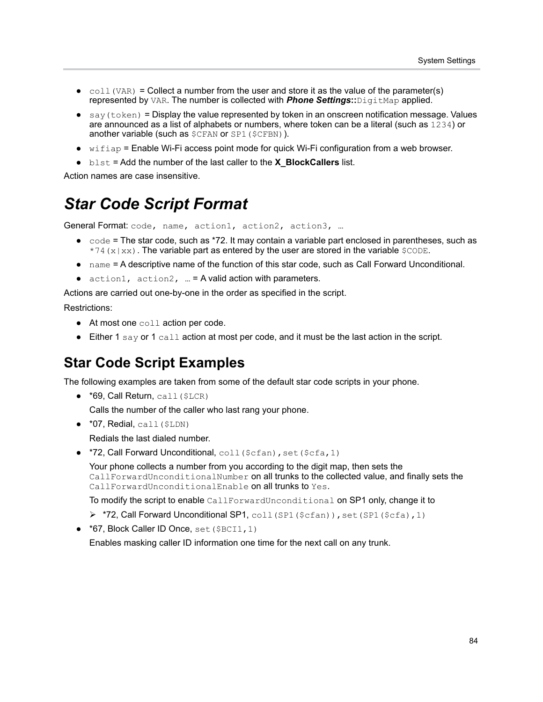- $\bullet$  coll (VAR) = Collect a number from the user and store it as the value of the parameter(s) represented by VAR. The number is collected with *Phone Settings***::**DigitMap applied.
- **●** say(token) = Display the value represented by token in an onscreen notification message. Values are announced as a list of alphabets or numbers, where token can be a literal (such as 1234) or another variable (such as \$CFAN or SP1(\$CFBN)).
- wifiap = Enable Wi-Fi access point mode for quick Wi-Fi configuration from a web browser.
- **●** blst = Add the number of the last caller to the **X\_BlockCallers** list.

Action names are case insensitive.

### *Star Code Script Format*

General Format: code, name, action1, action2, action3, ...

- **●** code = The star code, such as \*72. It may contain a variable part enclosed in parentheses, such as  $*74(x|xx)$ . The variable part as entered by the user are stored in the variable  $$CODE.$
- **●** name = A descriptive name of the function of this star code, such as Call Forward Unconditional.
- **●** action1, action2, … = A valid action with parameters.

Actions are carried out one-by-one in the order as specified in the script.

Restrictions:

- **●** At most one coll action per code.
- **●** Either 1 say or 1 call action at most per code, and it must be the last action in the script.

#### **Star Code Script Examples**

The following examples are taken from some of the default star code scripts in your phone.

**●** \*69, Call Return, call(\$LCR)

Calls the number of the caller who last rang your phone.

**●** \*07, Redial, call(\$LDN)

Redials the last dialed number.

**• \*72, Call Forward Unconditional, coll (\$cfan), set (\$cfa, 1)** 

Your phone collects a number from you according to the digit map, then sets the CallForwardUnconditionalNumber on all trunks to the collected value, and finally sets the CallForwardUnconditionalEnable on all trunks to Yes.

To modify the script to enable CallForwardUnconditional on SP1 only, change it to

- ▶ \*72, Call Forward Unconditional SP1, coll (SP1 (\$cfan)), set (SP1 (\$cfa), 1)
- **●** \*67, Block Caller ID Once, set(\$BCI1,1)

Enables masking caller ID information one time for the next call on any trunk.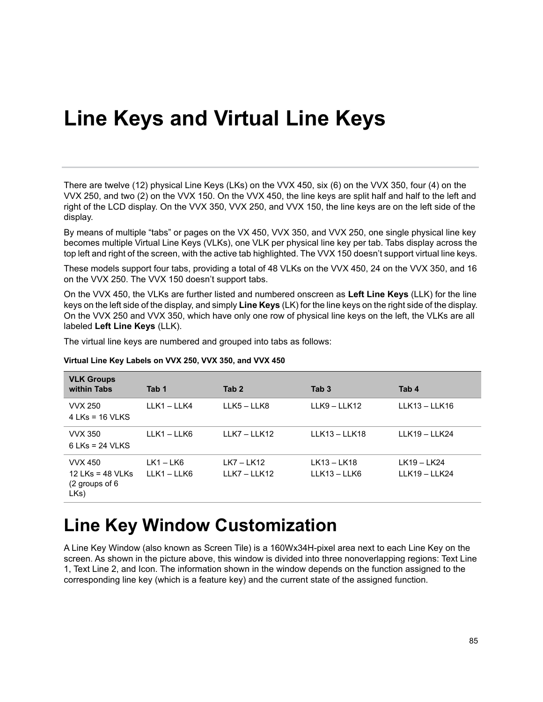# **Line Keys and Virtual Line Keys**

There are twelve (12) physical Line Keys (LKs) on the VVX 450, six (6) on the VVX 350, four (4) on the VVX 250, and two (2) on the VVX 150. On the VVX 450, the line keys are split half and half to the left and right of the LCD display. On the VVX 350, VVX 250, and VVX 150, the line keys are on the left side of the display.

By means of multiple "tabs" or pages on the VX 450, VVX 350, and VVX 250, one single physical line key becomes multiple Virtual Line Keys (VLKs), one VLK per physical line key per tab. Tabs display across the top left and right of the screen, with the active tab highlighted. The VVX 150 doesn't support virtual line keys.

These models support four tabs, providing a total of 48 VLKs on the VVX 450, 24 on the VVX 350, and 16 on the VVX 250. The VVX 150 doesn't support tabs.

On the VVX 450, the VLKs are further listed and numbered onscreen as **Left Line Keys** (LLK) for the line keys on the left side of the display, and simply **Line Keys** (LK) for the line keys on the right side of the display. On the VVX 250 and VVX 350, which have only one row of physical line keys on the left, the VLKs are all labeled **Left Line Keys** (LLK).

The virtual line keys are numbered and grouped into tabs as follows:

| <b>VLK Groups</b><br>within Tabs                             | Tab 1                    | Tab <sub>2</sub>             | Tab <sub>3</sub>            | Tab 4                          |
|--------------------------------------------------------------|--------------------------|------------------------------|-----------------------------|--------------------------------|
| <b>VVX 250</b><br>$4$ LKs = 16 VLKS                          | LLK1-LLK4                | LLK5 - LLK8                  | LLK9 - LLK12                | $LLK13 - LLK16$                |
| <b>VVX 350</b><br>$6$ LKs = 24 VLKS                          | LLK1-LLK6                | LLK7 - LLK12                 | $LLK13 - LLK18$             | $LLK19 - LLK24$                |
| <b>VVX 450</b><br>12 LKs = 48 VLKs<br>(2 groups of 6<br>LKs) | $LK1 - LK6$<br>LLK1-LLK6 | $LK7 - LK12$<br>LLK7 - LLK12 | LK13 - LK18<br>LLK13 - LLK6 | LK19 - LK24<br>$LLK19 - LLK24$ |

#### **Virtual Line Key Labels on VVX 250, VVX 350, and VVX 450**

## **Line Key Window Customization**

A Line Key Window (also known as Screen Tile) is a 160Wx34H-pixel area next to each Line Key on the screen. As shown in the picture above, this window is divided into three nonoverlapping regions: Text Line 1, Text Line 2, and Icon. The information shown in the window depends on the function assigned to the corresponding line key (which is a feature key) and the current state of the assigned function.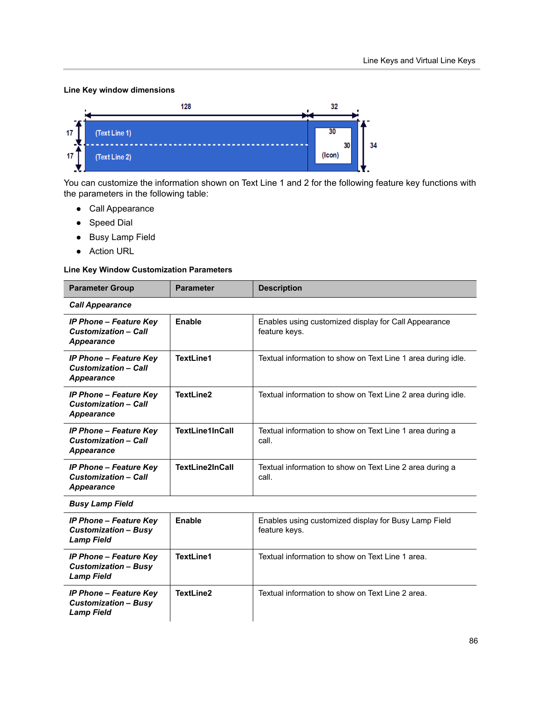#### **Line Key window dimensions**



You can customize the information shown on Text Line 1 and 2 for the following feature key functions with the parameters in the following table:

- **●** Call Appearance
- **●** Speed Dial
- **●** Busy Lamp Field
- **●** Action URL

#### **Line Key Window Customization Parameters**

| <b>Parameter Group</b>                                                            | <b>Parameter</b>       | <b>Description</b>                                                    |  |  |
|-----------------------------------------------------------------------------------|------------------------|-----------------------------------------------------------------------|--|--|
| <b>Call Appearance</b>                                                            |                        |                                                                       |  |  |
| <b>IP Phone - Feature Key</b><br><b>Customization - Call</b><br>Appearance        | Enable                 | Enables using customized display for Call Appearance<br>feature keys. |  |  |
| <b>IP Phone – Feature Key</b><br><b>Customization - Call</b><br>Appearance        | TextLine1              | Textual information to show on Text Line 1 area during idle.          |  |  |
| <b>IP Phone – Feature Key</b><br><b>Customization - Call</b><br>Appearance        | TextLine2              | Textual information to show on Text Line 2 area during idle.          |  |  |
| <b>IP Phone - Feature Key</b><br><b>Customization - Call</b><br>Appearance        | <b>TextLine1InCall</b> | Textual information to show on Text Line 1 area during a<br>call.     |  |  |
| <b>IP Phone - Feature Key</b><br><b>Customization - Call</b><br><b>Appearance</b> | <b>TextLine2InCall</b> | Textual information to show on Text Line 2 area during a<br>call.     |  |  |
| <b>Busy Lamp Field</b>                                                            |                        |                                                                       |  |  |
| <b>IP Phone - Feature Key</b><br><b>Customization - Busy</b><br><b>Lamp Field</b> | Enable                 | Enables using customized display for Busy Lamp Field<br>feature keys. |  |  |
| <b>IP Phone - Feature Key</b><br><b>Customization - Busy</b><br><b>Lamp Field</b> | TextLine1              | Textual information to show on Text Line 1 area.                      |  |  |
| <b>IP Phone - Feature Key</b><br><b>Customization - Busy</b><br><b>Lamp Field</b> | TextLine2              | Textual information to show on Text Line 2 area.                      |  |  |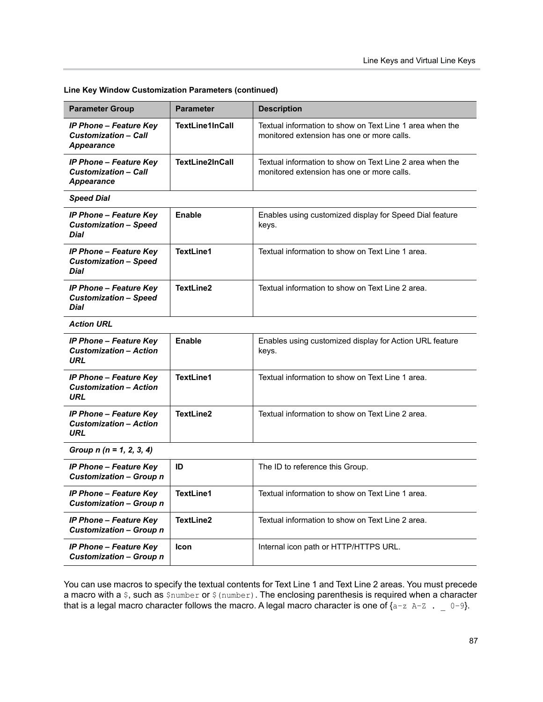| <b>Parameter Group</b>                                                            | <b>Parameter</b>       | <b>Description</b>                                                                                     |  |  |
|-----------------------------------------------------------------------------------|------------------------|--------------------------------------------------------------------------------------------------------|--|--|
| <b>IP Phone - Feature Key</b><br><b>Customization - Call</b><br>Appearance        | <b>TextLine1InCall</b> | Textual information to show on Text Line 1 area when the<br>monitored extension has one or more calls. |  |  |
| <b>IP Phone - Feature Key</b><br><b>Customization - Call</b><br><b>Appearance</b> | <b>TextLine2InCall</b> | Textual information to show on Text Line 2 area when the<br>monitored extension has one or more calls. |  |  |
| <b>Speed Dial</b>                                                                 |                        |                                                                                                        |  |  |
| <b>IP Phone - Feature Key</b><br><b>Customization - Speed</b><br>Dial             | <b>Enable</b>          | Enables using customized display for Speed Dial feature<br>keys.                                       |  |  |
| <b>IP Phone - Feature Key</b><br><b>Customization - Speed</b><br>Dial             | <b>TextLine1</b>       | Textual information to show on Text Line 1 area.                                                       |  |  |
| <b>IP Phone - Feature Key</b><br><b>Customization - Speed</b><br><b>Dial</b>      | TextLine2              | Textual information to show on Text Line 2 area.                                                       |  |  |
| <b>Action URL</b>                                                                 |                        |                                                                                                        |  |  |
| <b>IP Phone - Feature Key</b><br><b>Customization - Action</b><br>URL             | Enable                 | Enables using customized display for Action URL feature<br>keys.                                       |  |  |
| <b>IP Phone - Feature Key</b><br><b>Customization - Action</b><br>URL             | <b>TextLine1</b>       | Textual information to show on Text Line 1 area.                                                       |  |  |
| <b>IP Phone - Feature Key</b><br><b>Customization - Action</b><br>URL             | <b>TextLine2</b>       | Textual information to show on Text Line 2 area.                                                       |  |  |
| Group $n (n = 1, 2, 3, 4)$                                                        |                        |                                                                                                        |  |  |
| <b>IP Phone - Feature Key</b><br><b>Customization - Group n</b>                   | ID                     | The ID to reference this Group.                                                                        |  |  |
| <b>IP Phone - Feature Key</b><br><b>Customization - Group n</b>                   | TextLine1              | Textual information to show on Text Line 1 area.                                                       |  |  |
| <b>IP Phone - Feature Key</b><br><b>Customization - Group n</b>                   | <b>TextLine2</b>       | Textual information to show on Text Line 2 area.                                                       |  |  |
| <b>IP Phone - Feature Key</b><br><b>Customization - Group n</b>                   | Icon                   | Internal icon path or HTTP/HTTPS URL.                                                                  |  |  |

**Line Key Window Customization Parameters (continued)**

You can use macros to specify the textual contents for Text Line 1 and Text Line 2 areas. You must precede a macro with a \$, such as \$number or \$ (number). The enclosing parenthesis is required when a character that is a legal macro character follows the macro. A legal macro character is one of  $\{a-z \ A-Z \ A = 0-9\}$ .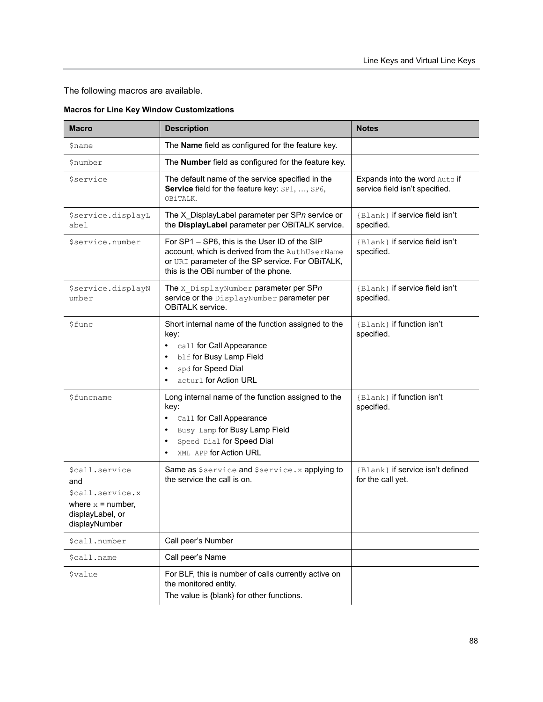The following macros are available.

| <b>Macro</b>                                                                                          | <b>Description</b>                                                                                                                                                                                       | <b>Notes</b>                                                    |
|-------------------------------------------------------------------------------------------------------|----------------------------------------------------------------------------------------------------------------------------------------------------------------------------------------------------------|-----------------------------------------------------------------|
| \$name                                                                                                | The Name field as configured for the feature key.                                                                                                                                                        |                                                                 |
| \$number                                                                                              | The Number field as configured for the feature key.                                                                                                                                                      |                                                                 |
| <i>Sservice</i>                                                                                       | The default name of the service specified in the<br>Service field for the feature key: SP1, , SP6,<br>OBiTALK.                                                                                           | Expands into the word Auto if<br>service field isn't specified. |
| \$service.displayL<br>abel                                                                            | The X_DisplayLabel parameter per SPn service or<br>the DisplayLabel parameter per OBiTALK service.                                                                                                       | {Blank} if service field isn't<br>specified.                    |
| \$service.number                                                                                      | For SP1 - SP6, this is the User ID of the SIP<br>account, which is derived from the AuthUserName<br>or URI parameter of the SP service. For OBITALK,<br>this is the OBi number of the phone.             | {Blank} if service field isn't<br>specified.                    |
| \$service.displayN<br>umber                                                                           | The X DisplayNumber parameter per SPn<br>service or the DisplayNumber parameter per<br>OBITALK service.                                                                                                  | {Blank} if service field isn't<br>specified.                    |
| \$func                                                                                                | Short internal name of the function assigned to the<br>key:<br>call for Call Appearance<br>$\bullet$<br>blf for Busy Lamp Field<br>spd for Speed Dial<br>$\bullet$<br>acturl for Action URL              | {Blank} if function isn't<br>specified.                         |
| \$funcname                                                                                            | Long internal name of the function assigned to the<br>key:<br>Call for Call Appearance<br>$\bullet$<br>Busy Lamp for Busy Lamp Field<br>Speed Dial for Speed Dial<br>$\bullet$<br>XML APP for Action URL | {Blank} if function isn't<br>specified.                         |
| \$call.service<br>and<br>\$call.service.x<br>where $x =$ number,<br>displayLabel, or<br>displayNumber | Same as Sservice and Sservice. x applying to<br>the service the call is on.                                                                                                                              | {Blank} if service isn't defined<br>for the call yet.           |
| \$call.number                                                                                         | Call peer's Number                                                                                                                                                                                       |                                                                 |
| \$call.name                                                                                           | Call peer's Name                                                                                                                                                                                         |                                                                 |
| <i><b>\$value</b></i>                                                                                 | For BLF, this is number of calls currently active on<br>the monitored entity.<br>The value is {blank} for other functions.                                                                               |                                                                 |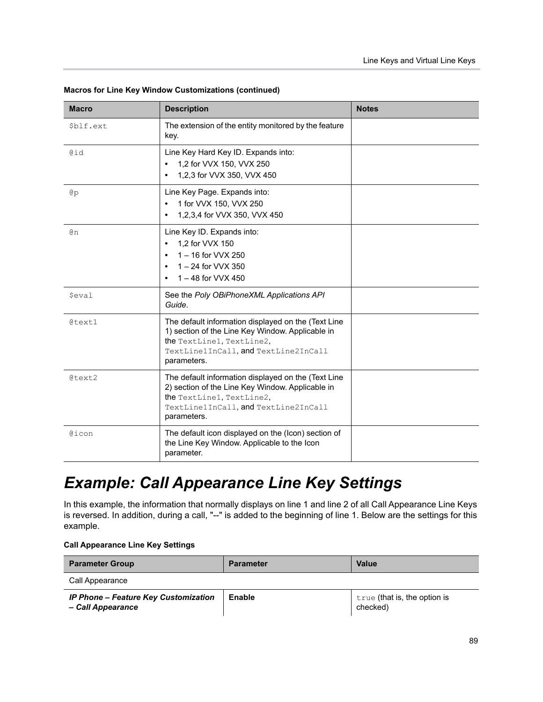| <b>Macro</b> | <b>Description</b>                                                                                                                                                                          | <b>Notes</b> |
|--------------|---------------------------------------------------------------------------------------------------------------------------------------------------------------------------------------------|--------------|
| \$blf.ext    | The extension of the entity monitored by the feature<br>key.                                                                                                                                |              |
| @id          | Line Key Hard Key ID. Expands into:<br>1,2 for VVX 150, VVX 250<br>$\bullet$<br>1,2,3 for VVX 350, VVX 450<br>$\bullet$                                                                     |              |
| @p           | Line Key Page. Expands into:<br>1 for VVX 150, VVX 250<br>$\bullet$<br>1,2,3,4 for VVX 350, VVX 450<br>$\bullet$                                                                            |              |
| Θn           | Line Key ID. Expands into:<br>1.2 for VVX 150<br>$\bullet$<br>1 - 16 for VVX 250<br>$1 - 24$ for VVX 350<br>$\bullet$<br>1 - 48 for VVX 450                                                 |              |
| <i>Seval</i> | See the Poly OBiPhoneXML Applications API<br>Guide.                                                                                                                                         |              |
| @text1       | The default information displayed on the (Text Line<br>1) section of the Line Key Window. Applicable in<br>the TextLine1, TextLine2,<br>TextLine1InCall, and TextLine2InCall<br>parameters. |              |
| @text2       | The default information displayed on the (Text Line<br>2) section of the Line Key Window. Applicable in<br>the TextLine1, TextLine2,<br>TextLine1InCall, and TextLine2InCall<br>parameters. |              |
| @icon        | The default icon displayed on the (Icon) section of<br>the Line Key Window. Applicable to the Icon<br>parameter.                                                                            |              |

#### **Macros for Line Key Window Customizations (continued)**

## *Example: Call Appearance Line Key Settings*

In this example, the information that normally displays on line 1 and line 2 of all Call Appearance Line Keys is reversed. In addition, during a call, "--" is added to the beginning of line 1. Below are the settings for this example.

#### **Call Appearance Line Key Settings**

| <b>Parameter Group</b>                                           | <b>Parameter</b> | Value                                      |
|------------------------------------------------------------------|------------------|--------------------------------------------|
| Call Appearance                                                  |                  |                                            |
| <b>IP Phone - Feature Key Customization</b><br>- Call Appearance | Enable           | $true$ (that is, the option is<br>checked) |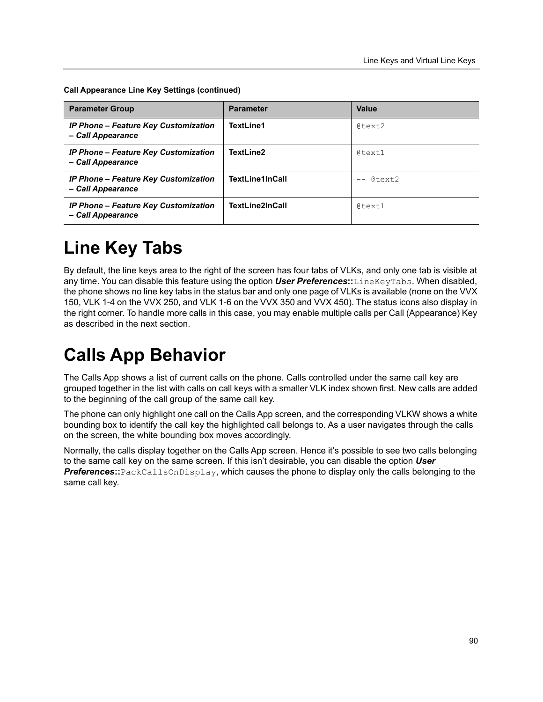**Call Appearance Line Key Settings (continued)**

| <b>Parameter Group</b>                                           | <b>Parameter</b>       | Value        |
|------------------------------------------------------------------|------------------------|--------------|
| <b>IP Phone - Feature Key Customization</b><br>- Call Appearance | TextLine1              | $0$ text2    |
| <b>IP Phone – Feature Key Customization</b><br>- Call Appearance | TextLine2              | $0$ text $1$ |
| <b>IP Phone - Feature Key Customization</b><br>- Call Appearance | <b>TextLine1InCall</b> | $- a$ text.2 |
| <b>IP Phone - Feature Key Customization</b><br>- Call Appearance | TextLine2InCall        | $0$ text $1$ |

# **Line Key Tabs**

By default, the line keys area to the right of the screen has four tabs of VLKs, and only one tab is visible at any time. You can disable this feature using the option *User Preferences***::**LineKeyTabs. When disabled, the phone shows no line key tabs in the status bar and only one page of VLKs is available (none on the VVX 150, VLK 1-4 on the VVX 250, and VLK 1-6 on the VVX 350 and VVX 450). The status icons also display in the right corner. To handle more calls in this case, you may enable multiple calls per Call (Appearance) Key as described in the next section.

# **Calls App Behavior**

The Calls App shows a list of current calls on the phone. Calls controlled under the same call key are grouped together in the list with calls on call keys with a smaller VLK index shown first. New calls are added to the beginning of the call group of the same call key.

The phone can only highlight one call on the Calls App screen, and the corresponding VLKW shows a white bounding box to identify the call key the highlighted call belongs to. As a user navigates through the calls on the screen, the white bounding box moves accordingly.

Normally, the calls display together on the Calls App screen. Hence it's possible to see two calls belonging to the same call key on the same screen. If this isn't desirable, you can disable the option *User Preferences***::**PackCallsOnDisplay, which causes the phone to display only the calls belonging to the same call key.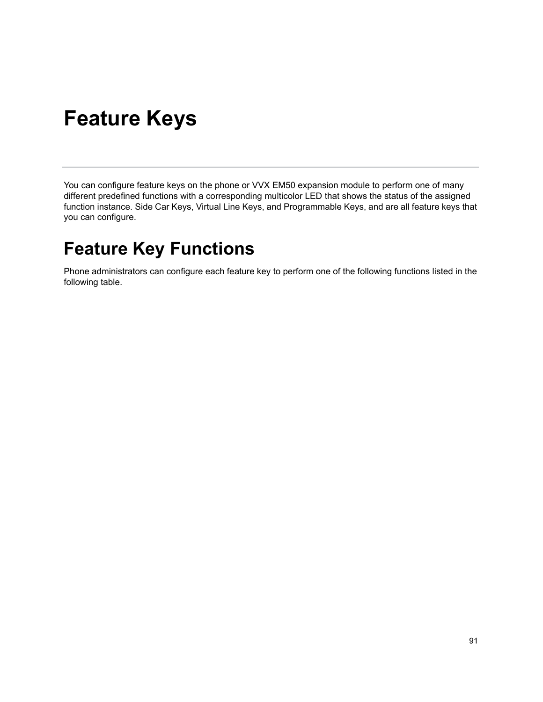# **Feature Keys**

You can configure feature keys on the phone or VVX EM50 expansion module to perform one of many different predefined functions with a corresponding multicolor LED that shows the status of the assigned function instance. Side Car Keys, Virtual Line Keys, and Programmable Keys, and are all feature keys that you can configure.

# **Feature Key Functions**

Phone administrators can configure each feature key to perform one of the following functions listed in the following table.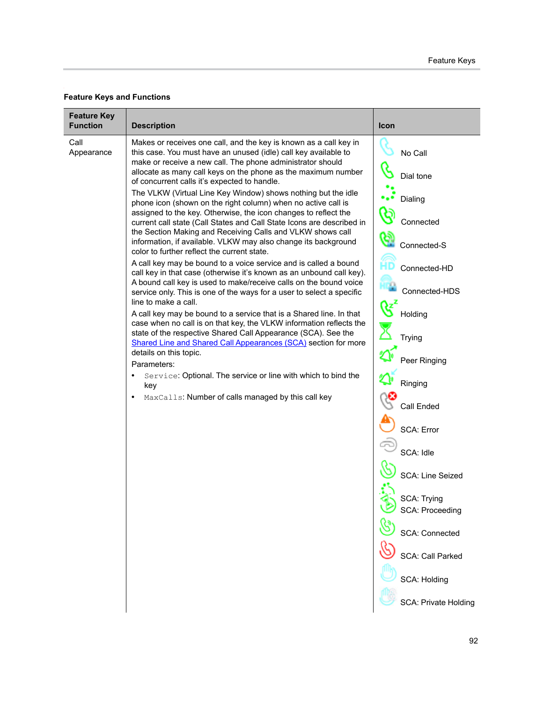#### **Feature Keys and Functions**

| <b>Feature Key</b><br><b>Function</b> |                                                                                                                                                                                                                                                                     | Icon                        |
|---------------------------------------|---------------------------------------------------------------------------------------------------------------------------------------------------------------------------------------------------------------------------------------------------------------------|-----------------------------|
|                                       | <b>Description</b>                                                                                                                                                                                                                                                  |                             |
| Call<br>Appearance                    | Makes or receives one call, and the key is known as a call key in<br>this case. You must have an unused (idle) call key available to<br>make or receive a new call. The phone administrator should<br>allocate as many call keys on the phone as the maximum number | No Call                     |
|                                       | of concurrent calls it's expected to handle.                                                                                                                                                                                                                        | Dial tone                   |
|                                       | The VLKW (Virtual Line Key Window) shows nothing but the idle<br>phone icon (shown on the right column) when no active call is<br>assigned to the key. Otherwise, the icon changes to reflect the                                                                   | Dialing                     |
|                                       | current call state (Call States and Call State Icons are described in<br>the Section Making and Receiving Calls and VLKW shows call                                                                                                                                 | ৎই<br>Connected             |
|                                       | information, if available. VLKW may also change its background<br>color to further reflect the current state.                                                                                                                                                       | Connected-S                 |
|                                       | A call key may be bound to a voice service and is called a bound<br>call key in that case (otherwise it's known as an unbound call key).<br>A bound call key is used to make/receive calls on the bound voice                                                       | Connected-HD                |
|                                       | service only. This is one of the ways for a user to select a specific<br>line to make a call.                                                                                                                                                                       | Connected-HDS               |
|                                       | A call key may be bound to a service that is a Shared line. In that<br>case when no call is on that key, the VLKW information reflects the                                                                                                                          | $\mathscr{G}$<br>Holding    |
|                                       | state of the respective Shared Call Appearance (SCA). See the<br>Shared Line and Shared Call Appearances (SCA) section for more                                                                                                                                     | Trying                      |
|                                       | details on this topic.<br>Parameters:                                                                                                                                                                                                                               | Peer Ringing                |
|                                       | Service: Optional. The service or line with which to bind the<br>key                                                                                                                                                                                                | Ringing                     |
|                                       | MaxCalls: Number of calls managed by this call key<br>$\bullet$                                                                                                                                                                                                     | Call Ended                  |
|                                       |                                                                                                                                                                                                                                                                     | <b>SCA: Error</b>           |
|                                       |                                                                                                                                                                                                                                                                     | SCA: Idle                   |
|                                       |                                                                                                                                                                                                                                                                     | SCA: Line Seized            |
|                                       |                                                                                                                                                                                                                                                                     | SCA: Trying                 |
|                                       |                                                                                                                                                                                                                                                                     | <b>SCA: Proceeding</b>      |
|                                       |                                                                                                                                                                                                                                                                     | <b>SCA: Connected</b>       |
|                                       |                                                                                                                                                                                                                                                                     | SCA: Call Parked            |
|                                       |                                                                                                                                                                                                                                                                     | <b>SCA: Holding</b>         |
|                                       |                                                                                                                                                                                                                                                                     | <b>SCA: Private Holding</b> |
|                                       |                                                                                                                                                                                                                                                                     |                             |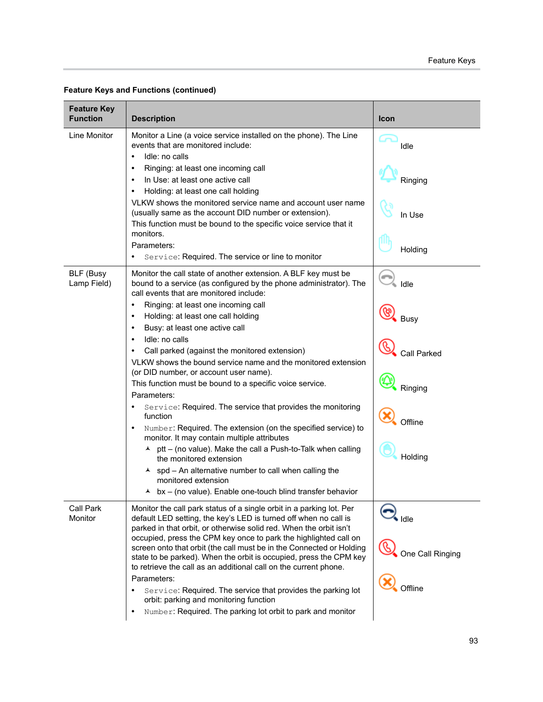| <b>Description</b>                                                                                                                                                                                                                                                                                                                                                                                                                                                                                                                                                                                                            | Icon                                                                                                                                                                                                                                                                                                                                                                                             |
|-------------------------------------------------------------------------------------------------------------------------------------------------------------------------------------------------------------------------------------------------------------------------------------------------------------------------------------------------------------------------------------------------------------------------------------------------------------------------------------------------------------------------------------------------------------------------------------------------------------------------------|--------------------------------------------------------------------------------------------------------------------------------------------------------------------------------------------------------------------------------------------------------------------------------------------------------------------------------------------------------------------------------------------------|
| Monitor a Line (a voice service installed on the phone). The Line<br>events that are monitored include:<br>Idle: no calls<br>$\bullet$                                                                                                                                                                                                                                                                                                                                                                                                                                                                                        | Idle                                                                                                                                                                                                                                                                                                                                                                                             |
| In Use: at least one active call<br>Holding: at least one call holding                                                                                                                                                                                                                                                                                                                                                                                                                                                                                                                                                        | Ringing                                                                                                                                                                                                                                                                                                                                                                                          |
| VLKW shows the monitored service name and account user name<br>(usually same as the account DID number or extension).<br>This function must be bound to the specific voice service that it                                                                                                                                                                                                                                                                                                                                                                                                                                    | In Use                                                                                                                                                                                                                                                                                                                                                                                           |
| Parameters:<br>Service: Required. The service or line to monitor                                                                                                                                                                                                                                                                                                                                                                                                                                                                                                                                                              | Holding                                                                                                                                                                                                                                                                                                                                                                                          |
| Monitor the call state of another extension. A BLF key must be<br>bound to a service (as configured by the phone administrator). The<br>call events that are monitored include:                                                                                                                                                                                                                                                                                                                                                                                                                                               | ÷<br>Idle                                                                                                                                                                                                                                                                                                                                                                                        |
| Ringing: at least one incoming call<br>$\bullet$<br>Holding: at least one call holding<br>$\bullet$<br>Busy: at least one active call<br>$\bullet$                                                                                                                                                                                                                                                                                                                                                                                                                                                                            | <b>Busy</b>                                                                                                                                                                                                                                                                                                                                                                                      |
| Call parked (against the monitored extension)<br>VLKW shows the bound service name and the monitored extension                                                                                                                                                                                                                                                                                                                                                                                                                                                                                                                | <b>Call Parked</b>                                                                                                                                                                                                                                                                                                                                                                               |
| This function must be bound to a specific voice service.<br>Parameters:                                                                                                                                                                                                                                                                                                                                                                                                                                                                                                                                                       | Ringing                                                                                                                                                                                                                                                                                                                                                                                          |
| Service: Required. The service that provides the monitoring<br>$\bullet$<br>function<br>Number: Required. The extension (on the specified service) to<br>$\bullet$                                                                                                                                                                                                                                                                                                                                                                                                                                                            | Offline                                                                                                                                                                                                                                                                                                                                                                                          |
| $\lambda$ ptt – (no value). Make the call a Push-to-Talk when calling<br>the monitored extension                                                                                                                                                                                                                                                                                                                                                                                                                                                                                                                              | Holding                                                                                                                                                                                                                                                                                                                                                                                          |
| monitored extension<br>$\blacktriangle$                                                                                                                                                                                                                                                                                                                                                                                                                                                                                                                                                                                       |                                                                                                                                                                                                                                                                                                                                                                                                  |
| Monitor the call park status of a single orbit in a parking lot. Per<br>default LED setting, the key's LED is turned off when no call is<br>parked in that orbit, or otherwise solid red. When the orbit isn't<br>occupied, press the CPM key once to park the highlighted call on<br>screen onto that orbit (the call must be in the Connected or Holding<br>state to be parked). When the orbit is occupied, press the CPM key<br>to retrieve the call as an additional call on the current phone.<br>Parameters:<br>Service: Required. The service that provides the parking lot<br>orbit: parking and monitoring function | Idle<br>One Call Ringing<br>Offline                                                                                                                                                                                                                                                                                                                                                              |
|                                                                                                                                                                                                                                                                                                                                                                                                                                                                                                                                                                                                                               | Ringing: at least one incoming call<br>$\bullet$<br>monitors.<br>Idle: no calls<br>$\bullet$<br>(or DID number, or account user name).<br>monitor. It may contain multiple attributes<br>$\lambda$ spd – An alternative number to call when calling the<br>bx - (no value). Enable one-touch blind transfer behavior<br>Number: Required. The parking lot orbit to park and monitor<br>$\bullet$ |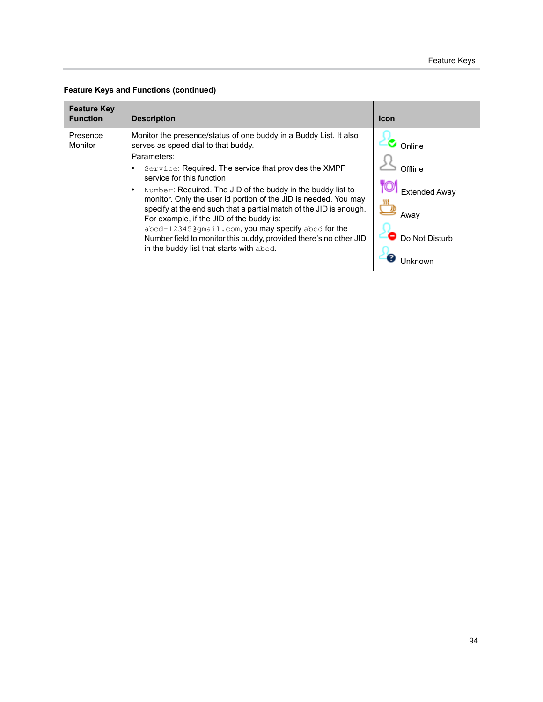|  | <b>Feature Keys and Functions (continued)</b> |  |
|--|-----------------------------------------------|--|
|--|-----------------------------------------------|--|

| <b>Feature Key</b><br><b>Function</b> | <b>Description</b>                                                                                                                                                                                                                                                                                                                                                                                                                                                                                                                                                                                                                                    | <b>Icon</b>                                                              |
|---------------------------------------|-------------------------------------------------------------------------------------------------------------------------------------------------------------------------------------------------------------------------------------------------------------------------------------------------------------------------------------------------------------------------------------------------------------------------------------------------------------------------------------------------------------------------------------------------------------------------------------------------------------------------------------------------------|--------------------------------------------------------------------------|
| Presence<br>Monitor                   | Monitor the presence/status of one buddy in a Buddy List. It also<br>serves as speed dial to that buddy.<br>Parameters:<br>Service: Required. The service that provides the XMPP<br>service for this function<br>Number: Required. The JID of the buddy in the buddy list to<br>$\bullet$<br>monitor. Only the user id portion of the JID is needed. You may<br>specify at the end such that a partial match of the JID is enough.<br>For example, if the JID of the buddy is:<br>abcd-12345@gmail.com, you may specify abcd for the<br>Number field to monitor this buddy, provided there's no other JID<br>in the buddy list that starts with abcd. | Online<br>∩ffline<br><b>Extended Away</b><br>Awav<br>Do Not Disturb<br>7 |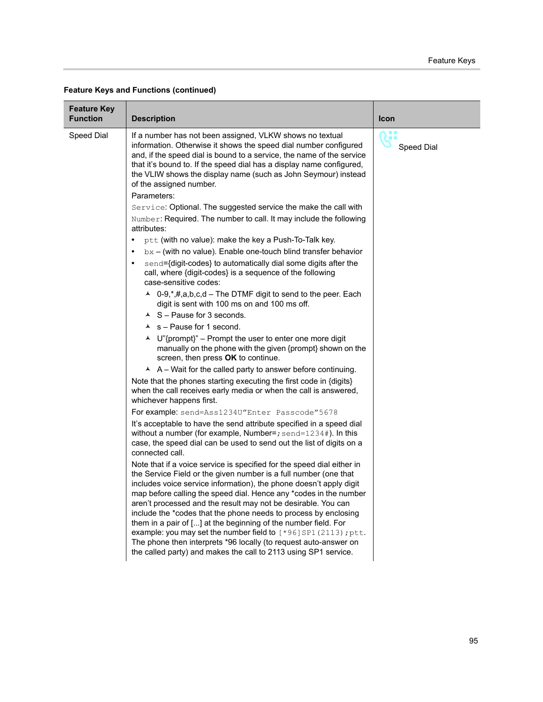| <b>Feature Key</b><br><b>Function</b> | <b>Description</b>                                                                                                                                                                                                                                                                                                                                                                                                                                                                                                                                                                                                                    | Icon       |
|---------------------------------------|---------------------------------------------------------------------------------------------------------------------------------------------------------------------------------------------------------------------------------------------------------------------------------------------------------------------------------------------------------------------------------------------------------------------------------------------------------------------------------------------------------------------------------------------------------------------------------------------------------------------------------------|------------|
| Speed Dial                            | If a number has not been assigned, VLKW shows no textual<br>information. Otherwise it shows the speed dial number configured<br>and, if the speed dial is bound to a service, the name of the service<br>that it's bound to. If the speed dial has a display name configured,<br>the VLIW shows the display name (such as John Seymour) instead<br>of the assigned number.<br>Parameters:                                                                                                                                                                                                                                             | Speed Dial |
|                                       | Service: Optional. The suggested service the make the call with<br>Number: Required. The number to call. It may include the following<br>attributes:                                                                                                                                                                                                                                                                                                                                                                                                                                                                                  |            |
|                                       | ptt (with no value): make the key a Push-To-Talk key.<br>٠                                                                                                                                                                                                                                                                                                                                                                                                                                                                                                                                                                            |            |
|                                       | $bx - (with no value)$ . Enable one-touch blind transfer behavior                                                                                                                                                                                                                                                                                                                                                                                                                                                                                                                                                                     |            |
|                                       | send={digit-codes} to automatically dial some digits after the<br>٠<br>call, where {digit-codes} is a sequence of the following<br>case-sensitive codes:                                                                                                                                                                                                                                                                                                                                                                                                                                                                              |            |
|                                       | ▲ 0-9, *, #, a, b, c, d – The DTMF digit to send to the peer. Each<br>digit is sent with 100 ms on and 100 ms off.<br>$\triangle$ S - Pause for 3 seconds.                                                                                                                                                                                                                                                                                                                                                                                                                                                                            |            |
|                                       | $\lambda$ s – Pause for 1 second.                                                                                                                                                                                                                                                                                                                                                                                                                                                                                                                                                                                                     |            |
|                                       | ▲ U"{prompt}" – Prompt the user to enter one more digit<br>manually on the phone with the given {prompt} shown on the<br>screen, then press OK to continue.                                                                                                                                                                                                                                                                                                                                                                                                                                                                           |            |
|                                       | $\overline{A}$ A – Wait for the called party to answer before continuing.                                                                                                                                                                                                                                                                                                                                                                                                                                                                                                                                                             |            |
|                                       | Note that the phones starting executing the first code in {digits}<br>when the call receives early media or when the call is answered,<br>whichever happens first.                                                                                                                                                                                                                                                                                                                                                                                                                                                                    |            |
|                                       | For example: send=Ass1234U"Enter Passcode"5678                                                                                                                                                                                                                                                                                                                                                                                                                                                                                                                                                                                        |            |
|                                       | It's acceptable to have the send attribute specified in a speed dial<br>without a number (for example, Number=; $send=1234$ #). In this<br>case, the speed dial can be used to send out the list of digits on a<br>connected call.                                                                                                                                                                                                                                                                                                                                                                                                    |            |
|                                       | Note that if a voice service is specified for the speed dial either in<br>the Service Field or the given number is a full number (one that<br>includes voice service information), the phone doesn't apply digit<br>map before calling the speed dial. Hence any *codes in the number<br>aren't processed and the result may not be desirable. You can<br>include the *codes that the phone needs to process by enclosing<br>them in a pair of [] at the beginning of the number field. For<br>example: you may set the number field to $[^*96]$ SP1 (2113); ptt.<br>The phone then interprets *96 locally (to request auto-answer on |            |
|                                       | the called party) and makes the call to 2113 using SP1 service.                                                                                                                                                                                                                                                                                                                                                                                                                                                                                                                                                                       |            |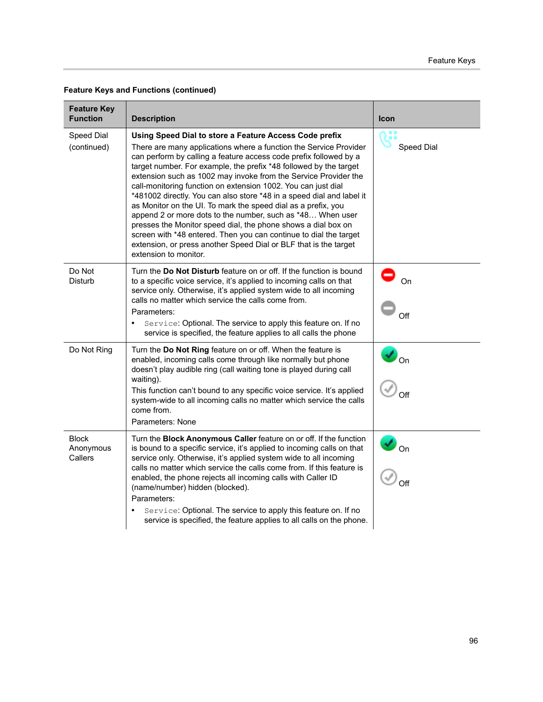| <b>Feature Key</b><br><b>Function</b> | <b>Description</b>                                                                                                                                                                                                                                                                                                                                                                                                                                                                                                                                                                                                                                                                                                                                                                                                                                   | <b>Icon</b>             |
|---------------------------------------|------------------------------------------------------------------------------------------------------------------------------------------------------------------------------------------------------------------------------------------------------------------------------------------------------------------------------------------------------------------------------------------------------------------------------------------------------------------------------------------------------------------------------------------------------------------------------------------------------------------------------------------------------------------------------------------------------------------------------------------------------------------------------------------------------------------------------------------------------|-------------------------|
| Speed Dial<br>(continued)             | Using Speed Dial to store a Feature Access Code prefix<br>There are many applications where a function the Service Provider<br>can perform by calling a feature access code prefix followed by a<br>target number. For example, the prefix *48 followed by the target<br>extension such as 1002 may invoke from the Service Provider the<br>call-monitoring function on extension 1002. You can just dial<br>*481002 directly. You can also store *48 in a speed dial and label it<br>as Monitor on the UI. To mark the speed dial as a prefix, you<br>append 2 or more dots to the number, such as *48 When user<br>presses the Monitor speed dial, the phone shows a dial box on<br>screen with *48 entered. Then you can continue to dial the target<br>extension, or press another Speed Dial or BLF that is the target<br>extension to monitor. | Speed Dial              |
| Do Not<br><b>Disturb</b>              | Turn the <b>Do Not Disturb</b> feature on or off. If the function is bound<br>to a specific voice service, it's applied to incoming calls on that<br>service only. Otherwise, it's applied system wide to all incoming<br>calls no matter which service the calls come from.<br>Parameters:<br>Service: Optional. The service to apply this feature on. If no<br>service is specified, the feature applies to all calls the phone                                                                                                                                                                                                                                                                                                                                                                                                                    | On<br>Off               |
| Do Not Ring                           | Turn the Do Not Ring feature on or off. When the feature is<br>enabled, incoming calls come through like normally but phone<br>doesn't play audible ring (call waiting tone is played during call<br>waiting).<br>This function can't bound to any specific voice service. It's applied<br>system-wide to all incoming calls no matter which service the calls<br>come from.<br>Parameters: None                                                                                                                                                                                                                                                                                                                                                                                                                                                     | $\blacksquare$ On       |
| Block<br>Anonymous<br>Callers         | Turn the Block Anonymous Caller feature on or off. If the function<br>is bound to a specific service, it's applied to incoming calls on that<br>service only. Otherwise, it's applied system wide to all incoming<br>calls no matter which service the calls come from. If this feature is<br>enabled, the phone rejects all incoming calls with Caller ID<br>(name/number) hidden (blocked).<br>Parameters:<br>Service: Optional. The service to apply this feature on. If no<br>$\bullet$<br>service is specified, the feature applies to all calls on the phone.                                                                                                                                                                                                                                                                                  | $\frac{1}{\sqrt{2}}$ on |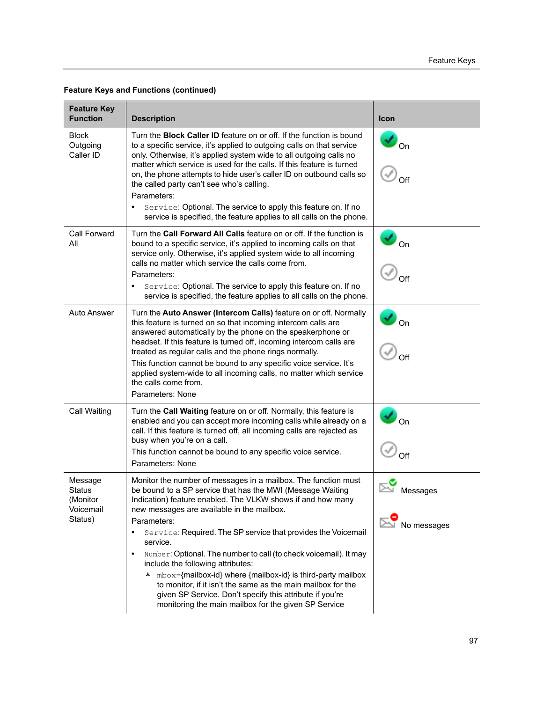| <b>Feature Key</b><br><b>Function</b>                        | <b>Description</b>                                                                                                                                                                                                                                                                                                                                                                                                                                                                                                                                                                                                                                                                                                                                   | <b>Icon</b>                  |
|--------------------------------------------------------------|------------------------------------------------------------------------------------------------------------------------------------------------------------------------------------------------------------------------------------------------------------------------------------------------------------------------------------------------------------------------------------------------------------------------------------------------------------------------------------------------------------------------------------------------------------------------------------------------------------------------------------------------------------------------------------------------------------------------------------------------------|------------------------------|
| <b>Block</b><br>Outgoing<br>Caller ID                        | Turn the <b>Block Caller ID</b> feature on or off. If the function is bound<br>to a specific service, it's applied to outgoing calls on that service<br>only. Otherwise, it's applied system wide to all outgoing calls no<br>matter which service is used for the calls. If this feature is turned<br>on, the phone attempts to hide user's caller ID on outbound calls so<br>the called party can't see who's calling.<br>Parameters:<br>Service: Optional. The service to apply this feature on. If no<br>٠<br>service is specified, the feature applies to all calls on the phone.                                                                                                                                                               | $\boldsymbol{v}_{\text{on}}$ |
| <b>Call Forward</b><br>All                                   | Turn the Call Forward All Calls feature on or off. If the function is<br>bound to a specific service, it's applied to incoming calls on that<br>service only. Otherwise, it's applied system wide to all incoming<br>calls no matter which service the calls come from.<br>Parameters:<br>Service: Optional. The service to apply this feature on. If no<br>service is specified, the feature applies to all calls on the phone.                                                                                                                                                                                                                                                                                                                     | $\overline{\circ}$           |
| <b>Auto Answer</b>                                           | Turn the Auto Answer (Intercom Calls) feature on or off. Normally<br>this feature is turned on so that incoming intercom calls are<br>answered automatically by the phone on the speakerphone or<br>headset. If this feature is turned off, incoming intercom calls are<br>treated as regular calls and the phone rings normally.<br>This function cannot be bound to any specific voice service. It's<br>applied system-wide to all incoming calls, no matter which service<br>the calls come from.<br>Parameters: None                                                                                                                                                                                                                             | $\frac{1}{2}$ on             |
| Call Waiting                                                 | Turn the Call Waiting feature on or off. Normally, this feature is<br>enabled and you can accept more incoming calls while already on a<br>call. If this feature is turned off, all incoming calls are rejected as<br>busy when you're on a call.<br>This function cannot be bound to any specific voice service.<br>Parameters: None                                                                                                                                                                                                                                                                                                                                                                                                                | $\frac{1}{2}$ on             |
| Message<br><b>Status</b><br>(Monitor<br>Voicemail<br>Status) | Monitor the number of messages in a mailbox. The function must<br>be bound to a SP service that has the MWI (Message Waiting<br>Indication) feature enabled. The VLKW shows if and how many<br>new messages are available in the mailbox.<br>Parameters:<br>Service: Required. The SP service that provides the Voicemail<br>$\bullet$<br>service.<br>Number: Optional. The number to call (to check voicemail). It may<br>$\bullet$<br>include the following attributes:<br>$mbox =$ {mailbox-id} where {mailbox-id} is third-party mailbox<br>$\blacktriangle$<br>to monitor, if it isn't the same as the main mailbox for the<br>given SP Service. Don't specify this attribute if you're<br>monitoring the main mailbox for the given SP Service | Messages<br>No messages      |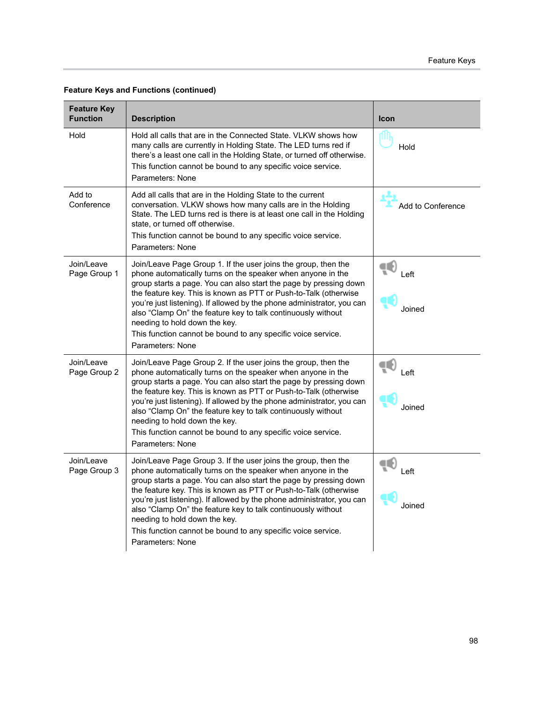| <b>Feature Key</b><br><b>Function</b> | <b>Description</b>                                                                                                                                                                                                                                                                                                                                                                                                                                                                                                                    | <b>Icon</b>         |
|---------------------------------------|---------------------------------------------------------------------------------------------------------------------------------------------------------------------------------------------------------------------------------------------------------------------------------------------------------------------------------------------------------------------------------------------------------------------------------------------------------------------------------------------------------------------------------------|---------------------|
| Hold                                  | Hold all calls that are in the Connected State. VLKW shows how<br>many calls are currently in Holding State. The LED turns red if<br>there's a least one call in the Holding State, or turned off otherwise.<br>This function cannot be bound to any specific voice service.<br>Parameters: None                                                                                                                                                                                                                                      | Hold                |
| Add to<br>Conference                  | Add all calls that are in the Holding State to the current<br>conversation. VLKW shows how many calls are in the Holding<br>State. The LED turns red is there is at least one call in the Holding<br>state, or turned off otherwise.<br>This function cannot be bound to any specific voice service.<br>Parameters: None                                                                                                                                                                                                              | Add to Conference   |
| Join/Leave<br>Page Group 1            | Join/Leave Page Group 1. If the user joins the group, then the<br>phone automatically turns on the speaker when anyone in the<br>group starts a page. You can also start the page by pressing down<br>the feature key. This is known as PTT or Push-to-Talk (otherwise<br>you're just listening). If allowed by the phone administrator, you can<br>also "Clamp On" the feature key to talk continuously without<br>needing to hold down the key.<br>This function cannot be bound to any specific voice service.<br>Parameters: None | Œ<br>Left<br>Joined |
| Join/Leave<br>Page Group 2            | Join/Leave Page Group 2. If the user joins the group, then the<br>phone automatically turns on the speaker when anyone in the<br>group starts a page. You can also start the page by pressing down<br>the feature key. This is known as PTT or Push-to-Talk (otherwise<br>you're just listening). If allowed by the phone administrator, you can<br>also "Clamp On" the feature key to talk continuously without<br>needing to hold down the key.<br>This function cannot be bound to any specific voice service.<br>Parameters: None | Left<br>Joined      |
| Join/Leave<br>Page Group 3            | Join/Leave Page Group 3. If the user joins the group, then the<br>phone automatically turns on the speaker when anyone in the<br>group starts a page. You can also start the page by pressing down<br>the feature key. This is known as PTT or Push-to-Talk (otherwise<br>you're just listening). If allowed by the phone administrator, you can<br>also "Clamp On" the feature key to talk continuously without<br>needing to hold down the key.<br>This function cannot be bound to any specific voice service.<br>Parameters: None | Left<br>Joined      |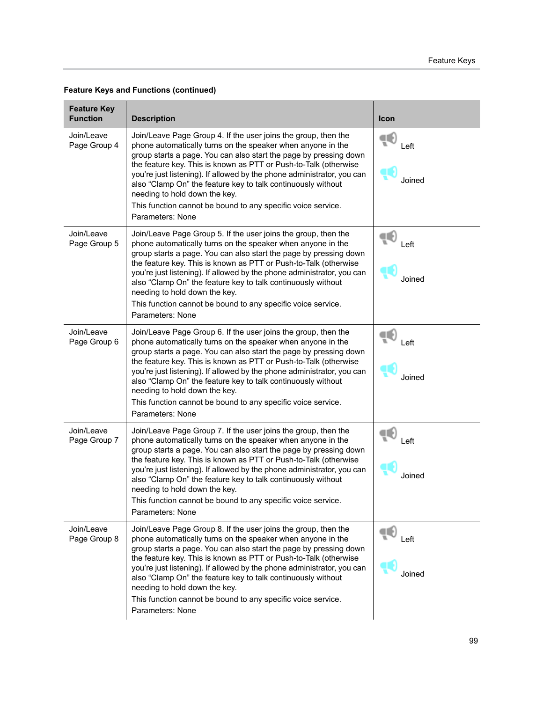| <b>Feature Key</b><br><b>Function</b> | <b>Description</b>                                                                                                                                                                                                                                                                                                                                                                                                                                                                                                                    | <b>Icon</b>          |
|---------------------------------------|---------------------------------------------------------------------------------------------------------------------------------------------------------------------------------------------------------------------------------------------------------------------------------------------------------------------------------------------------------------------------------------------------------------------------------------------------------------------------------------------------------------------------------------|----------------------|
| Join/Leave<br>Page Group 4            | Join/Leave Page Group 4. If the user joins the group, then the<br>phone automatically turns on the speaker when anyone in the<br>group starts a page. You can also start the page by pressing down<br>the feature key. This is known as PTT or Push-to-Talk (otherwise<br>you're just listening). If allowed by the phone administrator, you can<br>also "Clamp On" the feature key to talk continuously without<br>needing to hold down the key.<br>This function cannot be bound to any specific voice service.<br>Parameters: None | Œ<br>Left<br>Joined  |
| Join/Leave<br>Page Group 5            | Join/Leave Page Group 5. If the user joins the group, then the<br>phone automatically turns on the speaker when anyone in the<br>group starts a page. You can also start the page by pressing down<br>the feature key. This is known as PTT or Push-to-Talk (otherwise<br>you're just listening). If allowed by the phone administrator, you can<br>also "Clamp On" the feature key to talk continuously without<br>needing to hold down the key.<br>This function cannot be bound to any specific voice service.<br>Parameters: None | Left<br>Joined       |
| Join/Leave<br>Page Group 6            | Join/Leave Page Group 6. If the user joins the group, then the<br>phone automatically turns on the speaker when anyone in the<br>group starts a page. You can also start the page by pressing down<br>the feature key. This is known as PTT or Push-to-Talk (otherwise<br>you're just listening). If allowed by the phone administrator, you can<br>also "Clamp On" the feature key to talk continuously without<br>needing to hold down the key.<br>This function cannot be bound to any specific voice service.<br>Parameters: None | Left<br>Joined       |
| Join/Leave<br>Page Group 7            | Join/Leave Page Group 7. If the user joins the group, then the<br>phone automatically turns on the speaker when anyone in the<br>group starts a page. You can also start the page by pressing down<br>the feature key. This is known as PTT or Push-to-Talk (otherwise<br>you're just listening). If allowed by the phone administrator, you can<br>also "Clamp On" the feature key to talk continuously without<br>needing to hold down the key.<br>This function cannot be bound to any specific voice service.<br>Parameters: None | Œ<br>Left<br>Joined  |
| Join/Leave<br>Page Group 8            | Join/Leave Page Group 8. If the user joins the group, then the<br>phone automatically turns on the speaker when anyone in the<br>group starts a page. You can also start the page by pressing down<br>the feature key. This is known as PTT or Push-to-Talk (otherwise<br>you're just listening). If allowed by the phone administrator, you can<br>also "Clamp On" the feature key to talk continuously without<br>needing to hold down the key.<br>This function cannot be bound to any specific voice service.<br>Parameters: None | 4Q<br>Left<br>Joined |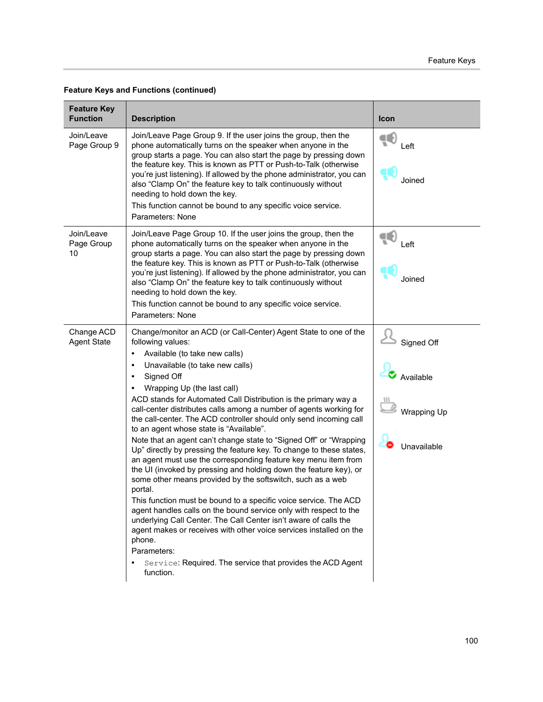| <b>Feature Key</b><br><b>Function</b> | <b>Description</b>                                                                                                                                                                                                                                                                                                                                                                                                                                                                                                                                                                                                                                                                                                                                                                                                                                                                                                                                                                                                                                                                                                                                                                                                                                                        | Icon                                                         |
|---------------------------------------|---------------------------------------------------------------------------------------------------------------------------------------------------------------------------------------------------------------------------------------------------------------------------------------------------------------------------------------------------------------------------------------------------------------------------------------------------------------------------------------------------------------------------------------------------------------------------------------------------------------------------------------------------------------------------------------------------------------------------------------------------------------------------------------------------------------------------------------------------------------------------------------------------------------------------------------------------------------------------------------------------------------------------------------------------------------------------------------------------------------------------------------------------------------------------------------------------------------------------------------------------------------------------|--------------------------------------------------------------|
| Join/Leave<br>Page Group 9            | Join/Leave Page Group 9. If the user joins the group, then the<br>phone automatically turns on the speaker when anyone in the<br>group starts a page. You can also start the page by pressing down<br>the feature key. This is known as PTT or Push-to-Talk (otherwise<br>you're just listening). If allowed by the phone administrator, you can<br>also "Clamp On" the feature key to talk continuously without<br>needing to hold down the key.<br>This function cannot be bound to any specific voice service.<br>Parameters: None                                                                                                                                                                                                                                                                                                                                                                                                                                                                                                                                                                                                                                                                                                                                     | ∊<br>Left<br>Joined                                          |
| Join/Leave<br>Page Group<br>10        | Join/Leave Page Group 10. If the user joins the group, then the<br>phone automatically turns on the speaker when anyone in the<br>group starts a page. You can also start the page by pressing down<br>the feature key. This is known as PTT or Push-to-Talk (otherwise<br>you're just listening). If allowed by the phone administrator, you can<br>also "Clamp On" the feature key to talk continuously without<br>needing to hold down the key.<br>This function cannot be bound to any specific voice service.<br>Parameters: None                                                                                                                                                                                                                                                                                                                                                                                                                                                                                                                                                                                                                                                                                                                                    | Left<br>Joined                                               |
| Change ACD<br><b>Agent State</b>      | Change/monitor an ACD (or Call-Center) Agent State to one of the<br>following values:<br>Available (to take new calls)<br>$\bullet$<br>Unavailable (to take new calls)<br>$\bullet$<br>Signed Off<br>$\bullet$<br>Wrapping Up (the last call)<br>ACD stands for Automated Call Distribution is the primary way a<br>call-center distributes calls among a number of agents working for<br>the call-center. The ACD controller should only send incoming call<br>to an agent whose state is "Available".<br>Note that an agent can't change state to "Signed Off" or "Wrapping<br>Up" directly by pressing the feature key. To change to these states,<br>an agent must use the corresponding feature key menu item from<br>the UI (invoked by pressing and holding down the feature key), or<br>some other means provided by the softswitch, such as a web<br>portal.<br>This function must be bound to a specific voice service. The ACD<br>agent handles calls on the bound service only with respect to the<br>underlying Call Center. The Call Center isn't aware of calls the<br>agent makes or receives with other voice services installed on the<br>phone.<br>Parameters:<br>Service: Required. The service that provides the ACD Agent<br>$\bullet$<br>function. | Signed Off<br>Available<br><b>Wrapping Up</b><br>Unavailable |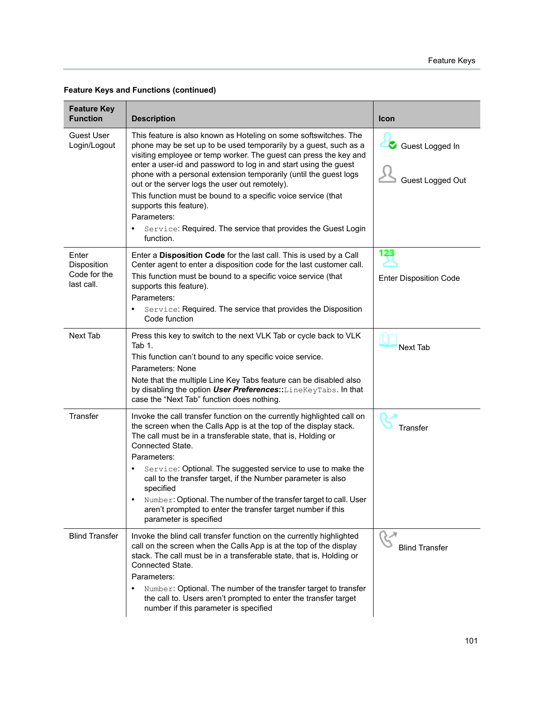| <b>Feature Key</b><br><b>Function</b>              | <b>Description</b>                                                                                                                                                                                                                                                                                                                                                                                                                                                                                                                                                                                        | <b>Icon</b>                          |
|----------------------------------------------------|-----------------------------------------------------------------------------------------------------------------------------------------------------------------------------------------------------------------------------------------------------------------------------------------------------------------------------------------------------------------------------------------------------------------------------------------------------------------------------------------------------------------------------------------------------------------------------------------------------------|--------------------------------------|
| <b>Guest User</b><br>Login/Logout                  | This feature is also known as Hoteling on some softswitches. The<br>phone may be set up to be used temporarily by a guest, such as a<br>visiting employee or temp worker. The guest can press the key and<br>enter a user-id and password to log in and start using the guest<br>phone with a personal extension temporarily (until the guest logs<br>out or the server logs the user out remotely).<br>This function must be bound to a specific voice service (that<br>supports this feature).<br>Parameters:<br>Service: Required. The service that provides the Guest Login<br>$\bullet$<br>function. | Guest Logged In<br>Guest Logged Out  |
| Enter<br>Disposition<br>Code for the<br>last call. | Enter a Disposition Code for the last call. This is used by a Call<br>Center agent to enter a disposition code for the last customer call.<br>This function must be bound to a specific voice service (that<br>supports this feature).<br>Parameters:<br>Service: Required. The service that provides the Disposition<br>$\bullet$<br>Code function                                                                                                                                                                                                                                                       | 123<br><b>Enter Disposition Code</b> |
| Next Tab                                           | Press this key to switch to the next VLK Tab or cycle back to VLK<br>Tab $1$ .<br>This function can't bound to any specific voice service.<br>Parameters: None<br>Note that the multiple Line Key Tabs feature can be disabled also<br>by disabling the option User Preferences:: LineKeyTabs. In that<br>case the "Next Tab" function does nothing.                                                                                                                                                                                                                                                      | <b>Next Tab</b>                      |
| Transfer                                           | Invoke the call transfer function on the currently highlighted call on<br>the screen when the Calls App is at the top of the display stack.<br>The call must be in a transferable state, that is, Holding or<br>Connected State.<br>Parameters:<br>Service: Optional. The suggested service to use to make the<br>$\bullet$<br>call to the transfer target, if the Number parameter is also<br>specified<br>Number: Optional. The number of the transfer target to call. User<br>aren't prompted to enter the transfer target number if this<br>parameter is specified                                    | Transfer                             |
| <b>Blind Transfer</b>                              | Invoke the blind call transfer function on the currently highlighted<br>call on the screen when the Calls App is at the top of the display<br>stack. The call must be in a transferable state, that is, Holding or<br>Connected State.<br>Parameters:<br>Number: Optional. The number of the transfer target to transfer<br>the call to. Users aren't prompted to enter the transfer target<br>number if this parameter is specified                                                                                                                                                                      | <b>Blind Transfer</b>                |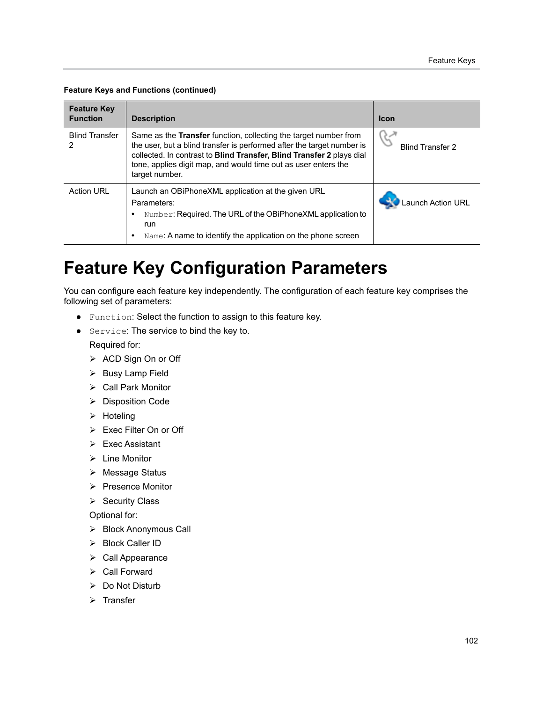| <b>Feature Key</b><br><b>Function</b> | <b>Description</b>                                                                                                                                                                                                                                                                                             | <b>Icon</b>             |
|---------------------------------------|----------------------------------------------------------------------------------------------------------------------------------------------------------------------------------------------------------------------------------------------------------------------------------------------------------------|-------------------------|
| <b>Blind Transfer</b>                 | Same as the <b>Transfer</b> function, collecting the target number from<br>the user, but a blind transfer is performed after the target number is<br>collected. In contrast to Blind Transfer, Blind Transfer 2 plays dial<br>tone, applies digit map, and would time out as user enters the<br>target number. | <b>Blind Transfer 2</b> |
| <b>Action URL</b>                     | Launch an OBiPhoneXML application at the given URL<br>Parameters:<br>Number: Required. The URL of the OBIPhoneXML application to<br>run<br>Name: A name to identify the application on the phone screen                                                                                                        | Launch Action URL       |

# **Feature Key Configuration Parameters**

You can configure each feature key independently. The configuration of each feature key comprises the following set of parameters:

- **●** Function: Select the function to assign to this feature key.
- **●** Service: The service to bind the key to.

Required for:

- > ACD Sign On or Off
- > Busy Lamp Field
- ▶ Call Park Monitor
- > Disposition Code
- $\triangleright$  Hoteling
- Exec Filter On or Off
- Exec Assistant
- Line Monitor
- Message Status
- $\triangleright$  Presence Monitor
- $\triangleright$  Security Class

Optional for:

- ▶ Block Anonymous Call
- > Block Caller ID
- ▶ Call Appearance
- $\triangleright$  Call Forward
- $\triangleright$  Do Not Disturb
- $\triangleright$  Transfer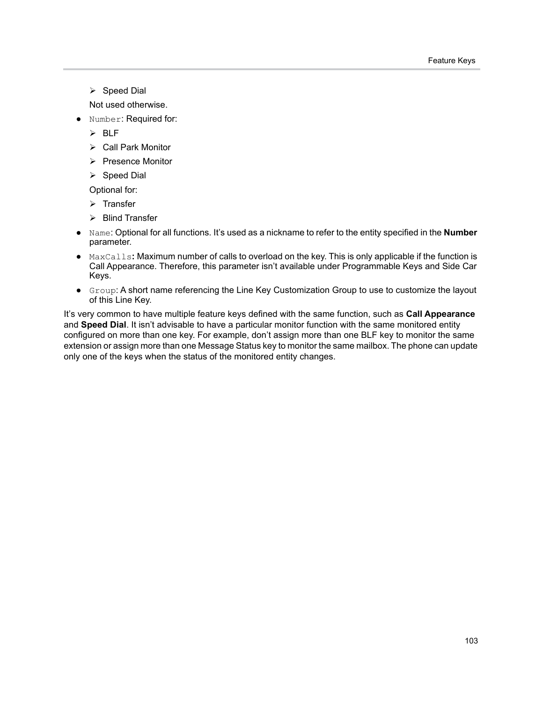$\triangleright$  Speed Dial

Not used otherwise.

- **●** Number: Required for:
	- $>$  BLF
	- ▶ Call Park Monitor
	- $\triangleright$  Presence Monitor
	- $\triangleright$  Speed Dial

Optional for:

- $\triangleright$  Transfer
- **▶ Blind Transfer**
- **●** Name: Optional for all functions. It's used as a nickname to refer to the entity specified in the **Number** parameter.
- **●** MaxCalls**:** Maximum number of calls to overload on the key. This is only applicable if the function is Call Appearance. Therefore, this parameter isn't available under Programmable Keys and Side Car Keys.
- **●** Group: A short name referencing the Line Key Customization Group to use to customize the layout of this Line Key.

It's very common to have multiple feature keys defined with the same function, such as **Call Appearance** and **Speed Dial**. It isn't advisable to have a particular monitor function with the same monitored entity configured on more than one key. For example, don't assign more than one BLF key to monitor the same extension or assign more than one Message Status key to monitor the same mailbox. The phone can update only one of the keys when the status of the monitored entity changes.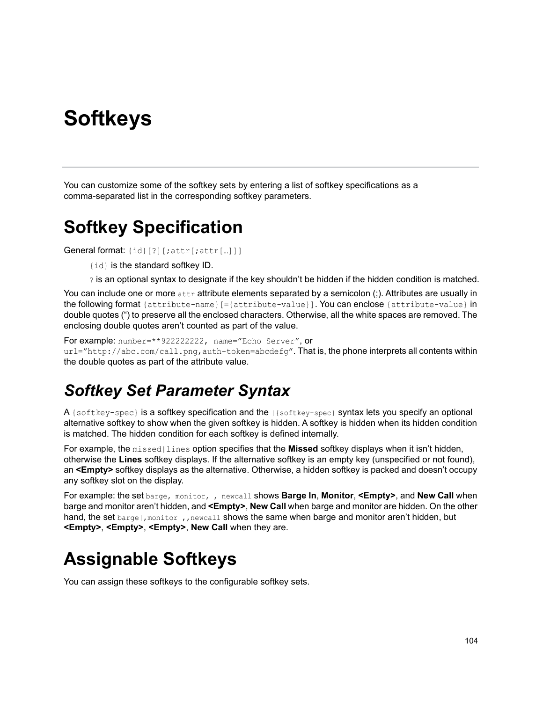# **Softkeys**

You can customize some of the softkey sets by entering a list of softkey specifications as a comma-separated list in the corresponding softkey parameters.

## **Softkey Specification**

General format: {id}[?][;attr[;attr[…]]]

{id} is the standard softkey ID.

? is an optional syntax to designate if the key shouldn't be hidden if the hidden condition is matched.

You can include one or more attribute elements separated by a semicolon (;). Attributes are usually in the following format {attribute-name}[={attribute-value}]. You can enclose {attribute-value} in double quotes (") to preserve all the enclosed characters. Otherwise, all the white spaces are removed. The enclosing double quotes aren't counted as part of the value.

For example: number=\*\*922222222, name="Echo Server", or

url="http://abc.com/call.png,auth-token=abcdefg". That is, the phone interprets all contents within the double quotes as part of the attribute value.

### *Softkey Set Parameter Syntax*

A {softkey-spec} is a softkey specification and the |{softkey-spec} syntax lets you specify an optional alternative softkey to show when the given softkey is hidden. A softkey is hidden when its hidden condition is matched. The hidden condition for each softkey is defined internally.

For example, the missed|lines option specifies that the **Missed** softkey displays when it isn't hidden, otherwise the **Lines** softkey displays. If the alternative softkey is an empty key (unspecified or not found), an **<Empty>** softkey displays as the alternative. Otherwise, a hidden softkey is packed and doesn't occupy any softkey slot on the display.

For example: the set barge, monitor, , newcall shows **Barge In**, **Monitor**, **<Empty>**, and **New Call** when barge and monitor aren't hidden, and **<Empty>**, **New Call** when barge and monitor are hidden. On the other hand, the set barge |, monitor |, , newcall shows the same when barge and monitor aren't hidden, but **<Empty>**, **<Empty>**, **<Empty>**, **New Call** when they are.

# **Assignable Softkeys**

You can assign these softkeys to the configurable softkey sets.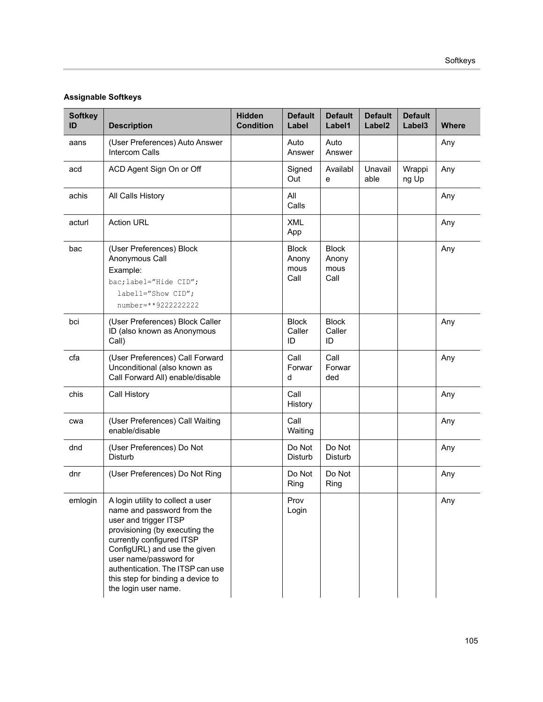#### **Assignable Softkeys**

| <b>Softkey</b><br>ID | <b>Description</b>                                                                                                                                                                                                                                                                                                 | <b>Hidden</b><br><b>Condition</b> | <b>Default</b><br>Label               | <b>Default</b><br>Label1              | <b>Default</b><br>Label <sub>2</sub> | <b>Default</b><br>Label <sub>3</sub> | <b>Where</b> |
|----------------------|--------------------------------------------------------------------------------------------------------------------------------------------------------------------------------------------------------------------------------------------------------------------------------------------------------------------|-----------------------------------|---------------------------------------|---------------------------------------|--------------------------------------|--------------------------------------|--------------|
| aans                 | (User Preferences) Auto Answer<br><b>Intercom Calls</b>                                                                                                                                                                                                                                                            |                                   | Auto<br>Answer                        | Auto<br>Answer                        |                                      |                                      | Any          |
| acd                  | ACD Agent Sign On or Off                                                                                                                                                                                                                                                                                           |                                   | Signed<br>Out                         | Availabl<br>e                         | Unavail<br>able                      | Wrappi<br>ng Up                      | Any          |
| achis                | All Calls History                                                                                                                                                                                                                                                                                                  |                                   | All<br>Calls                          |                                       |                                      |                                      | Any          |
| acturl               | <b>Action URL</b>                                                                                                                                                                                                                                                                                                  |                                   | <b>XML</b><br>App                     |                                       |                                      |                                      | Any          |
| bac                  | (User Preferences) Block<br>Anonymous Call<br>Example:<br>bac; label="Hide CID";<br>label1="Show CID";<br>number=**9222222222                                                                                                                                                                                      |                                   | <b>Block</b><br>Anony<br>mous<br>Call | <b>Block</b><br>Anony<br>mous<br>Call |                                      |                                      | Any          |
| bci                  | (User Preferences) Block Caller<br>ID (also known as Anonymous<br>Call)                                                                                                                                                                                                                                            |                                   | <b>Block</b><br>Caller<br>ID          | <b>Block</b><br>Caller<br>ID          |                                      |                                      | Any          |
| cfa                  | (User Preferences) Call Forward<br>Unconditional (also known as<br>Call Forward All) enable/disable                                                                                                                                                                                                                |                                   | Call<br>Forwar<br>d                   | Call<br>Forwar<br>ded                 |                                      |                                      | Any          |
| chis                 | Call History                                                                                                                                                                                                                                                                                                       |                                   | Call<br>History                       |                                       |                                      |                                      | Any          |
| cwa                  | (User Preferences) Call Waiting<br>enable/disable                                                                                                                                                                                                                                                                  |                                   | Call<br>Waiting                       |                                       |                                      |                                      | Any          |
| dnd                  | (User Preferences) Do Not<br><b>Disturb</b>                                                                                                                                                                                                                                                                        |                                   | Do Not<br>Disturb                     | Do Not<br>Disturb                     |                                      |                                      | Any          |
| dnr                  | (User Preferences) Do Not Ring                                                                                                                                                                                                                                                                                     |                                   | Do Not<br>Ring                        | Do Not<br>Ring                        |                                      |                                      | Any          |
| emlogin              | A login utility to collect a user<br>name and password from the<br>user and trigger ITSP<br>provisioning (by executing the<br>currently configured ITSP<br>ConfigURL) and use the given<br>user name/password for<br>authentication. The ITSP can use<br>this step for binding a device to<br>the login user name. |                                   | Prov<br>Login                         |                                       |                                      |                                      | Any          |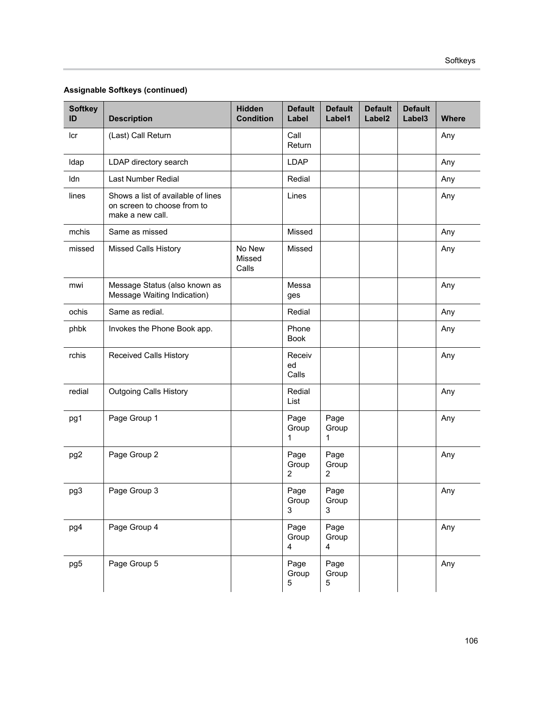#### **Assignable Softkeys (continued)**

| <b>Softkey</b><br>ID | <b>Description</b>                                                                    | <b>Hidden</b><br><b>Condition</b> | <b>Default</b><br>Label | <b>Default</b><br>Label1      | <b>Default</b><br>Label <sub>2</sub> | <b>Default</b><br>Label <sub>3</sub> | <b>Where</b> |
|----------------------|---------------------------------------------------------------------------------------|-----------------------------------|-------------------------|-------------------------------|--------------------------------------|--------------------------------------|--------------|
| Icr                  | (Last) Call Return                                                                    |                                   | Call<br>Return          |                               |                                      |                                      | Any          |
| Idap                 | LDAP directory search                                                                 |                                   | <b>LDAP</b>             |                               |                                      |                                      | Any          |
| ldn                  | Last Number Redial                                                                    |                                   | Redial                  |                               |                                      |                                      | Any          |
| lines                | Shows a list of available of lines<br>on screen to choose from to<br>make a new call. |                                   | Lines                   |                               |                                      |                                      | Any          |
| mchis                | Same as missed                                                                        |                                   | Missed                  |                               |                                      |                                      | Any          |
| missed               | Missed Calls History                                                                  | No New<br>Missed<br>Calls         | Missed                  |                               |                                      |                                      | Any          |
| mwi                  | Message Status (also known as<br>Message Waiting Indication)                          |                                   | Messa<br>ges            |                               |                                      |                                      | Any          |
| ochis                | Same as redial.                                                                       |                                   | Redial                  |                               |                                      |                                      | Any          |
| phbk                 | Invokes the Phone Book app.                                                           |                                   | Phone<br><b>Book</b>    |                               |                                      |                                      | Any          |
| rchis                | <b>Received Calls History</b>                                                         |                                   | Receiv<br>ed<br>Calls   |                               |                                      |                                      | Any          |
| redial               | <b>Outgoing Calls History</b>                                                         |                                   | Redial<br>List          |                               |                                      |                                      | Any          |
| pg1                  | Page Group 1                                                                          |                                   | Page<br>Group<br>1      | Page<br>Group<br>$\mathbf{1}$ |                                      |                                      | Any          |
| pg <sub>2</sub>      | Page Group 2                                                                          |                                   | Page<br>Group<br>2      | Page<br>Group<br>2            |                                      |                                      | Any          |
| pg3                  | Page Group 3                                                                          |                                   | Page<br>Group<br>3      | Page<br>Group<br>3            |                                      |                                      | Any          |
| pg4                  | Page Group 4                                                                          |                                   | Page<br>Group<br>4      | Page<br>Group<br>4            |                                      |                                      | Any          |
| pg5                  | Page Group 5                                                                          |                                   | Page<br>Group<br>5      | Page<br>Group<br>5            |                                      |                                      | Any          |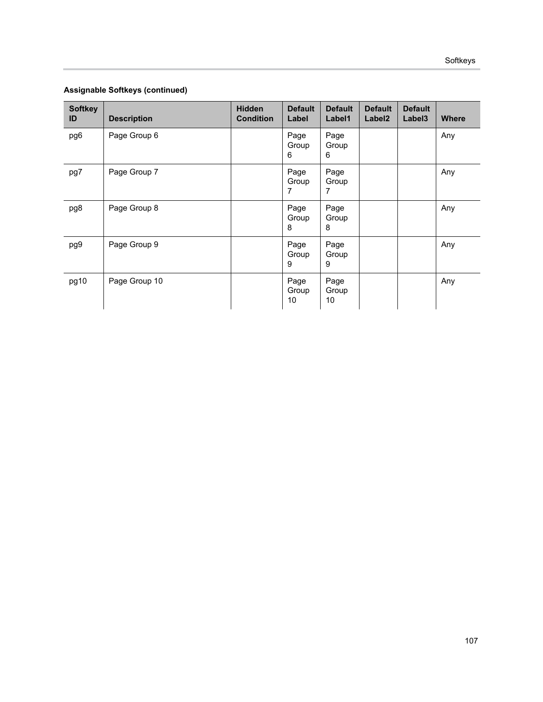|  | Assignable Softkeys (continued) |
|--|---------------------------------|
|  |                                 |

| <b>Softkey</b><br>ID | <b>Description</b> | <b>Hidden</b><br><b>Condition</b> | <b>Default</b><br>Label | <b>Default</b><br>Label1 | <b>Default</b><br>Label <sub>2</sub> | <b>Default</b><br>Label <sub>3</sub> | <b>Where</b> |
|----------------------|--------------------|-----------------------------------|-------------------------|--------------------------|--------------------------------------|--------------------------------------|--------------|
| pg6                  | Page Group 6       |                                   | Page<br>Group<br>6      | Page<br>Group<br>6       |                                      |                                      | Any          |
| pg7                  | Page Group 7       |                                   | Page<br>Group<br>7      | Page<br>Group<br>7       |                                      |                                      | Any          |
| pg8                  | Page Group 8       |                                   | Page<br>Group<br>8      | Page<br>Group<br>8       |                                      |                                      | Any          |
| pg9                  | Page Group 9       |                                   | Page<br>Group<br>9      | Page<br>Group<br>9       |                                      |                                      | Any          |
| pg10                 | Page Group 10      |                                   | Page<br>Group<br>10     | Page<br>Group<br>10      |                                      |                                      | Any          |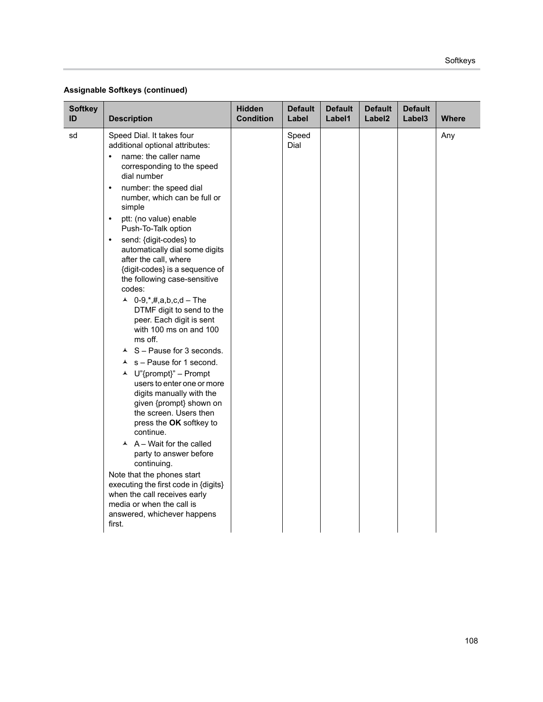| <b>Softkey</b><br>ID | <b>Description</b>                                                                                                                                                                                                                                                                                                                                                                                                                                                                                                                                                                                                                                                                                                                                                                                                                                                                                                                                                                                                                                                                                                                       | <b>Hidden</b><br><b>Condition</b> | <b>Default</b><br>Label | <b>Default</b><br>Label1 | <b>Default</b><br>Label <sub>2</sub> | <b>Default</b><br>Label <sub>3</sub> | <b>Where</b> |
|----------------------|------------------------------------------------------------------------------------------------------------------------------------------------------------------------------------------------------------------------------------------------------------------------------------------------------------------------------------------------------------------------------------------------------------------------------------------------------------------------------------------------------------------------------------------------------------------------------------------------------------------------------------------------------------------------------------------------------------------------------------------------------------------------------------------------------------------------------------------------------------------------------------------------------------------------------------------------------------------------------------------------------------------------------------------------------------------------------------------------------------------------------------------|-----------------------------------|-------------------------|--------------------------|--------------------------------------|--------------------------------------|--------------|
| sd                   | Speed Dial. It takes four<br>additional optional attributes:<br>name: the caller name<br>$\bullet$<br>corresponding to the speed<br>dial number<br>number: the speed dial<br>$\bullet$<br>number, which can be full or<br>simple<br>ptt: (no value) enable<br>$\bullet$<br>Push-To-Talk option<br>send: {digit-codes} to<br>$\bullet$<br>automatically dial some digits<br>after the call, where<br>{digit-codes} is a sequence of<br>the following case-sensitive<br>codes:<br>▲ 0-9, *, #, a, b, c, d – The<br>DTMF digit to send to the<br>peer. Each digit is sent<br>with 100 ms on and 100<br>ms off.<br>$\triangle$ S - Pause for 3 seconds.<br>$\lambda$ s - Pause for 1 second.<br>▲ U"{prompt}" – Prompt<br>users to enter one or more<br>digits manually with the<br>given {prompt} shown on<br>the screen. Users then<br>press the OK softkey to<br>continue.<br>$\overline{A}$ A – Wait for the called<br>party to answer before<br>continuing.<br>Note that the phones start<br>executing the first code in {digits}<br>when the call receives early<br>media or when the call is<br>answered, whichever happens<br>first. |                                   | Speed<br>Dial           |                          |                                      |                                      | Any          |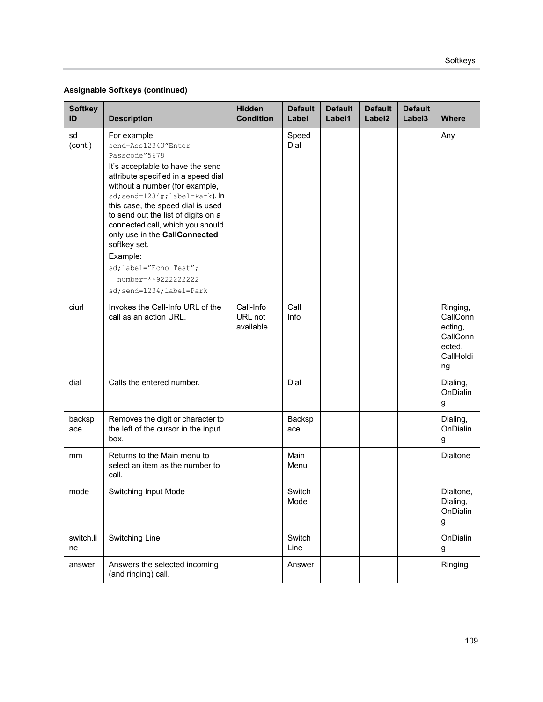| <b>Softkey</b><br>ID | <b>Description</b>                                                                                                                                                                                                                                                                                                                                                                                                                                              | <b>Hidden</b><br><b>Condition</b> | <b>Default</b><br>Label | <b>Default</b><br>Label1 | <b>Default</b><br>Label <sub>2</sub> | <b>Default</b><br>Label3 | <b>Where</b>                                                             |
|----------------------|-----------------------------------------------------------------------------------------------------------------------------------------------------------------------------------------------------------------------------------------------------------------------------------------------------------------------------------------------------------------------------------------------------------------------------------------------------------------|-----------------------------------|-------------------------|--------------------------|--------------------------------------|--------------------------|--------------------------------------------------------------------------|
| sd<br>(cont.)        | For example:<br>send=Ass1234U"Enter<br>Passcode"5678<br>It's acceptable to have the send<br>attribute specified in a speed dial<br>without a number (for example,<br>sd; send=1234#; label=Park). In<br>this case, the speed dial is used<br>to send out the list of digits on a<br>connected call, which you should<br>only use in the CallConnected<br>softkey set.<br>Example:<br>sd; label="Echo Test";<br>number=**9222222222<br>sd; send=1234; label=Park |                                   | Speed<br>Dial           |                          |                                      |                          | Any                                                                      |
| ciurl                | Invokes the Call-Info URL of the<br>call as an action URL.                                                                                                                                                                                                                                                                                                                                                                                                      | Call-Info<br>URL not<br>available | Call<br>Info            |                          |                                      |                          | Ringing,<br>CallConn<br>ecting,<br>CallConn<br>ected,<br>CallHoldi<br>ng |
| dial                 | Calls the entered number.                                                                                                                                                                                                                                                                                                                                                                                                                                       |                                   | Dial                    |                          |                                      |                          | Dialing,<br>OnDialin<br>g                                                |
| backsp<br>ace        | Removes the digit or character to<br>the left of the cursor in the input<br>box.                                                                                                                                                                                                                                                                                                                                                                                |                                   | Backsp<br>ace           |                          |                                      |                          | Dialing,<br>OnDialin<br>g                                                |
| mm                   | Returns to the Main menu to<br>select an item as the number to<br>call.                                                                                                                                                                                                                                                                                                                                                                                         |                                   | Main<br>Menu            |                          |                                      |                          | <b>Dialtone</b>                                                          |
| mode                 | <b>Switching Input Mode</b>                                                                                                                                                                                                                                                                                                                                                                                                                                     |                                   | Switch<br>Mode          |                          |                                      |                          | Dialtone,<br>Dialing,<br>OnDialin<br>g                                   |
| switch.li<br>ne      | Switching Line                                                                                                                                                                                                                                                                                                                                                                                                                                                  |                                   | Switch<br>Line          |                          |                                      |                          | OnDialin<br>g                                                            |
| answer               | Answers the selected incoming<br>(and ringing) call.                                                                                                                                                                                                                                                                                                                                                                                                            |                                   | Answer                  |                          |                                      |                          | Ringing                                                                  |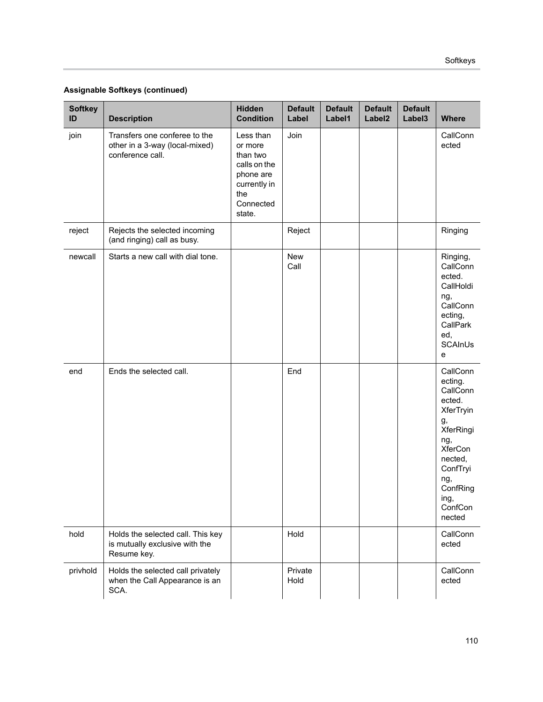| <b>Softkey</b><br>ID | <b>Description</b>                                                                  | <b>Hidden</b><br><b>Condition</b>                                                                           | <b>Default</b><br>Label | <b>Default</b><br>Label1 | <b>Default</b><br>Label <sub>2</sub> | <b>Default</b><br>Label3 | <b>Where</b>                                                                                                                                                              |
|----------------------|-------------------------------------------------------------------------------------|-------------------------------------------------------------------------------------------------------------|-------------------------|--------------------------|--------------------------------------|--------------------------|---------------------------------------------------------------------------------------------------------------------------------------------------------------------------|
| join                 | Transfers one conferee to the<br>other in a 3-way (local-mixed)<br>conference call. | Less than<br>or more<br>than two<br>calls on the<br>phone are<br>currently in<br>the<br>Connected<br>state. | Join                    |                          |                                      |                          | CallConn<br>ected                                                                                                                                                         |
| reject               | Rejects the selected incoming<br>(and ringing) call as busy.                        |                                                                                                             | Reject                  |                          |                                      |                          | Ringing                                                                                                                                                                   |
| newcall              | Starts a new call with dial tone.                                                   |                                                                                                             | <b>New</b><br>Call      |                          |                                      |                          | Ringing,<br>CallConn<br>ected.<br>CallHoldi<br>ng,<br>CallConn<br>ecting,<br>CallPark<br>ed,<br>SCAInUs<br>e                                                              |
| end                  | Ends the selected call.                                                             |                                                                                                             | End                     |                          |                                      |                          | CallConn<br>ecting.<br>CallConn<br>ected.<br>XferTryin<br>g,<br>XferRingi<br>ng,<br><b>XferCon</b><br>nected,<br>ConfTryi<br>ng,<br>ConfRing<br>ing,<br>ConfCon<br>nected |
| hold                 | Holds the selected call. This key<br>is mutually exclusive with the<br>Resume key.  |                                                                                                             | Hold                    |                          |                                      |                          | CallConn<br>ected                                                                                                                                                         |
| privhold             | Holds the selected call privately<br>when the Call Appearance is an<br>SCA.         |                                                                                                             | Private<br>Hold         |                          |                                      |                          | CallConn<br>ected                                                                                                                                                         |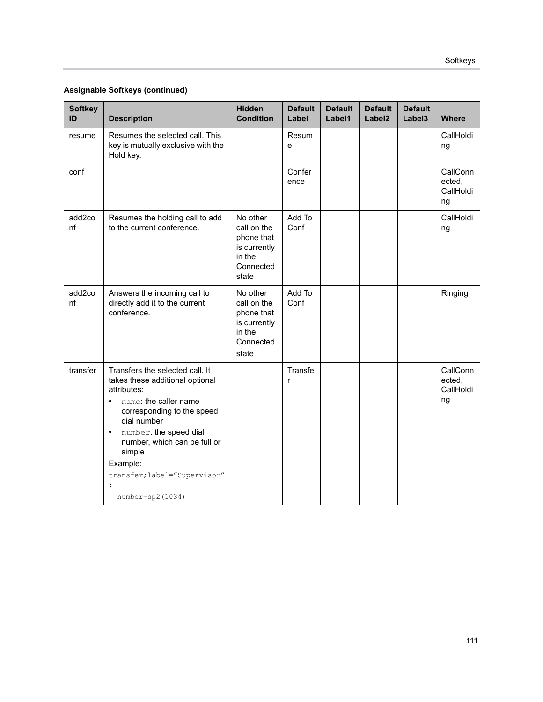| <b>Softkey</b><br>ID | <b>Description</b>                                                                                                                                                                                                                                                                                                               | <b>Hidden</b><br><b>Condition</b>                                                     | <b>Default</b><br>Label | <b>Default</b><br>Label1 | <b>Default</b><br>Label <sub>2</sub> | <b>Default</b><br>Label3 | <b>Where</b>                          |
|----------------------|----------------------------------------------------------------------------------------------------------------------------------------------------------------------------------------------------------------------------------------------------------------------------------------------------------------------------------|---------------------------------------------------------------------------------------|-------------------------|--------------------------|--------------------------------------|--------------------------|---------------------------------------|
| resume               | Resumes the selected call. This<br>key is mutually exclusive with the<br>Hold key.                                                                                                                                                                                                                                               |                                                                                       | Resum<br>e              |                          |                                      |                          | CallHoldi<br>ng                       |
| conf                 |                                                                                                                                                                                                                                                                                                                                  |                                                                                       | Confer<br>ence          |                          |                                      |                          | CallConn<br>ected,<br>CallHoldi<br>ng |
| add2co<br>nf         | Resumes the holding call to add<br>to the current conference.                                                                                                                                                                                                                                                                    | No other<br>call on the<br>phone that<br>is currently<br>in the<br>Connected<br>state | Add To<br>Conf          |                          |                                      |                          | CallHoldi<br>ng                       |
| add2co<br>nf         | Answers the incoming call to<br>directly add it to the current<br>conference.                                                                                                                                                                                                                                                    | No other<br>call on the<br>phone that<br>is currently<br>in the<br>Connected<br>state | Add To<br>Conf          |                          |                                      |                          | Ringing                               |
| transfer             | Transfers the selected call. It<br>takes these additional optional<br>attributes:<br>name: the caller name<br>$\bullet$<br>corresponding to the speed<br>dial number<br>number: the speed dial<br>$\bullet$<br>number, which can be full or<br>simple<br>Example:<br>transfer; label="Supervisor"<br>$\cdot$<br>number=sp2(1034) |                                                                                       | Transfe<br>r            |                          |                                      |                          | CallConn<br>ected,<br>CallHoldi<br>ng |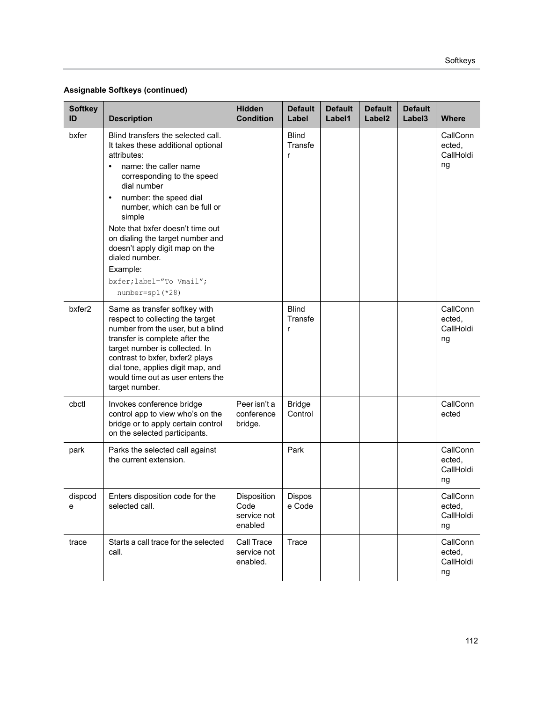| <b>Softkey</b><br>ID | <b>Description</b>                                                                                                                                                                                                                                                                                                                                                                                                                       | <b>Hidden</b><br><b>Condition</b>             | <b>Default</b><br>Label      | <b>Default</b><br>Label1 | <b>Default</b><br>Label <sub>2</sub> | <b>Default</b><br>Label <sub>3</sub> | <b>Where</b>                          |
|----------------------|------------------------------------------------------------------------------------------------------------------------------------------------------------------------------------------------------------------------------------------------------------------------------------------------------------------------------------------------------------------------------------------------------------------------------------------|-----------------------------------------------|------------------------------|--------------------------|--------------------------------------|--------------------------------------|---------------------------------------|
| bxfer                | Blind transfers the selected call.<br>It takes these additional optional<br>attributes:<br>name: the caller name<br>corresponding to the speed<br>dial number<br>number: the speed dial<br>$\bullet$<br>number, which can be full or<br>simple<br>Note that bxfer doesn't time out<br>on dialing the target number and<br>doesn't apply digit map on the<br>dialed number.<br>Example:<br>bxfer; label="To Vmail";<br>$number=sp1$ (*28) |                                               | <b>Blind</b><br>Transfe<br>r |                          |                                      |                                      | CallConn<br>ected,<br>CallHoldi<br>ng |
| bxfer2               | Same as transfer softkey with<br>respect to collecting the target<br>number from the user, but a blind<br>transfer is complete after the<br>target number is collected. In<br>contrast to bxfer, bxfer2 plays<br>dial tone, applies digit map, and<br>would time out as user enters the<br>target number.                                                                                                                                |                                               | <b>Blind</b><br>Transfe<br>r |                          |                                      |                                      | CallConn<br>ected,<br>CallHoldi<br>ng |
| cbctl                | Invokes conference bridge<br>control app to view who's on the<br>bridge or to apply certain control<br>on the selected participants.                                                                                                                                                                                                                                                                                                     | Peer isn't a<br>conference<br>bridge.         | <b>Bridge</b><br>Control     |                          |                                      |                                      | CallConn<br>ected                     |
| park                 | Parks the selected call against<br>the current extension.                                                                                                                                                                                                                                                                                                                                                                                |                                               | Park                         |                          |                                      |                                      | CallConn<br>ected,<br>CallHoldi<br>ng |
| dispcod<br>е         | Enters disposition code for the<br>selected call.                                                                                                                                                                                                                                                                                                                                                                                        | Disposition<br>Code<br>service not<br>enabled | Dispos<br>e Code             |                          |                                      |                                      | CallConn<br>ected,<br>CallHoldi<br>ng |
| trace                | Starts a call trace for the selected<br>call.                                                                                                                                                                                                                                                                                                                                                                                            | Call Trace<br>service not<br>enabled.         | Trace                        |                          |                                      |                                      | CallConn<br>ected,<br>CallHoldi<br>ng |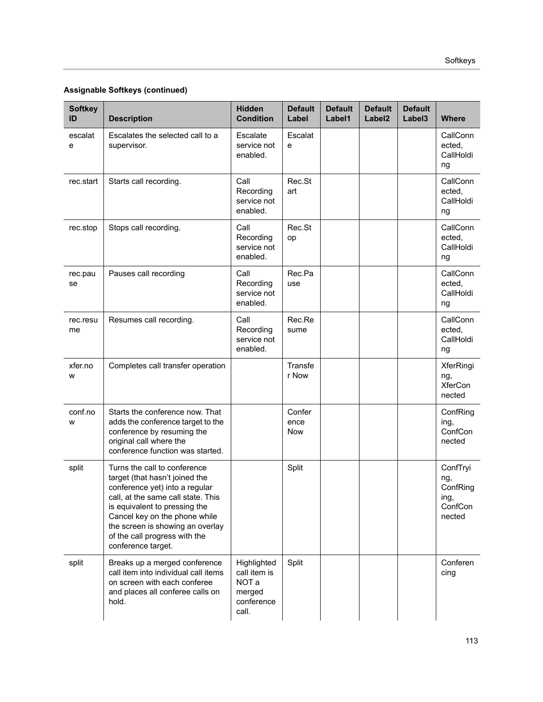| <b>Softkey</b><br>ID | <b>Description</b>                                                                                                                                                                                                                                                                                  | <b>Hidden</b><br><b>Condition</b>                                     | <b>Default</b><br>Label | <b>Default</b><br>Label1 | <b>Default</b><br>Label <sub>2</sub> | <b>Default</b><br>Label3 | <b>Where</b>                                             |
|----------------------|-----------------------------------------------------------------------------------------------------------------------------------------------------------------------------------------------------------------------------------------------------------------------------------------------------|-----------------------------------------------------------------------|-------------------------|--------------------------|--------------------------------------|--------------------------|----------------------------------------------------------|
| escalat<br>е         | Escalates the selected call to a<br>supervisor.                                                                                                                                                                                                                                                     | Escalate<br>service not<br>enabled.                                   | Escalat<br>e            |                          |                                      |                          | CallConn<br>ected,<br>CallHoldi<br>ng                    |
| rec.start            | Starts call recording.                                                                                                                                                                                                                                                                              | Call<br>Recording<br>service not<br>enabled.                          | Rec.St<br>art           |                          |                                      |                          | CallConn<br>ected,<br>CallHoldi<br>ng                    |
| rec.stop             | Stops call recording.                                                                                                                                                                                                                                                                               | Call<br>Recording<br>service not<br>enabled.                          | Rec.St<br>op            |                          |                                      |                          | CallConn<br>ected,<br>CallHoldi<br>ng                    |
| rec.pau<br>se        | Pauses call recording                                                                                                                                                                                                                                                                               | Call<br>Recording<br>service not<br>enabled.                          | Rec.Pa<br>use           |                          |                                      |                          | CallConn<br>ected,<br>CallHoldi<br>ng                    |
| rec.resu<br>me       | Resumes call recording.                                                                                                                                                                                                                                                                             | Call<br>Recording<br>service not<br>enabled.                          | Rec.Re<br>sume          |                          |                                      |                          | CallConn<br>ected,<br>CallHoldi<br>ng                    |
| xfer.no<br>W         | Completes call transfer operation                                                                                                                                                                                                                                                                   |                                                                       | Transfe<br>r Now        |                          |                                      |                          | XferRingi<br>ng,<br><b>XferCon</b><br>nected             |
| conf.no<br>W         | Starts the conference now. That<br>adds the conference target to the<br>conference by resuming the<br>original call where the<br>conference function was started.                                                                                                                                   |                                                                       | Confer<br>ence<br>Now   |                          |                                      |                          | ConfRing<br>ing,<br>ConfCon<br>nected                    |
| split                | Turns the call to conference<br>target (that hasn't joined the<br>conference yet) into a regular<br>call, at the same call state. This<br>is equivalent to pressing the<br>Cancel key on the phone while<br>the screen is showing an overlay<br>of the call progress with the<br>conference target. |                                                                       | Split                   |                          |                                      |                          | ConfTryi<br>ng,<br>ConfRing<br>ing,<br>ConfCon<br>nected |
| split                | Breaks up a merged conference<br>call item into individual call items<br>on screen with each conferee<br>and places all conferee calls on<br>hold.                                                                                                                                                  | Highlighted<br>call item is<br>NOT a<br>merged<br>conference<br>call. | Split                   |                          |                                      |                          | Conferen<br>cing                                         |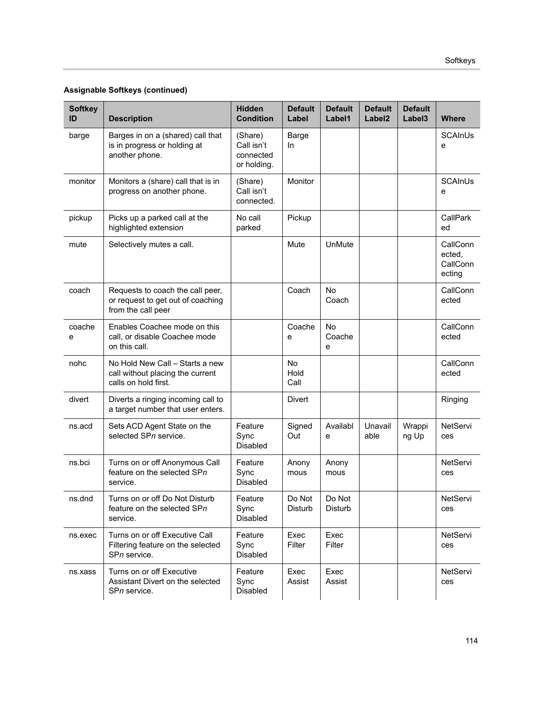| <b>Softkey</b><br>ID | <b>Description</b>                                                                          | <b>Hidden</b><br><b>Condition</b>                 | <b>Default</b><br>Label | <b>Default</b><br>Label1 | <b>Default</b><br>Label <sub>2</sub> | <b>Default</b><br>Label3 | <b>Where</b>                             |
|----------------------|---------------------------------------------------------------------------------------------|---------------------------------------------------|-------------------------|--------------------------|--------------------------------------|--------------------------|------------------------------------------|
| barge                | Barges in on a (shared) call that<br>is in progress or holding at<br>another phone.         | (Share)<br>Call isn't<br>connected<br>or holding. | Barge<br>In             |                          |                                      |                          | <b>SCAInUs</b><br>e                      |
| monitor              | Monitors a (share) call that is in<br>progress on another phone.                            | (Share)<br>Call isn't<br>connected.               | Monitor                 |                          |                                      |                          | SCAInUs<br>e                             |
| pickup               | Picks up a parked call at the<br>highlighted extension                                      | No call<br>parked                                 | Pickup                  |                          |                                      |                          | CallPark<br>ed                           |
| mute                 | Selectively mutes a call.                                                                   |                                                   | Mute                    | UnMute                   |                                      |                          | CallConn<br>ected,<br>CallConn<br>ecting |
| coach                | Requests to coach the call peer,<br>or request to get out of coaching<br>from the call peer |                                                   | Coach                   | No<br>Coach              |                                      |                          | CallConn<br>ected                        |
| coache<br>е          | Enables Coachee mode on this<br>call, or disable Coachee mode<br>on this call.              |                                                   | Coache<br>e             | <b>No</b><br>Coache<br>e |                                      |                          | CallConn<br>ected                        |
| nohc                 | No Hold New Call - Starts a new<br>call without placing the current<br>calls on hold first. |                                                   | No<br>Hold<br>Call      |                          |                                      |                          | CallConn<br>ected                        |
| divert               | Diverts a ringing incoming call to<br>a target number that user enters.                     |                                                   | Divert                  |                          |                                      |                          | Ringing                                  |
| ns.acd               | Sets ACD Agent State on the<br>selected SPn service.                                        | Feature<br>Sync<br><b>Disabled</b>                | Signed<br>Out           | Availabl<br>е            | Unavail<br>able                      | Wrappi<br>ng Up          | NetServi<br>ces                          |
| ns.bci               | Turns on or off Anonymous Call<br>feature on the selected SPn<br>service.                   | Feature<br>Sync<br><b>Disabled</b>                | Anony<br>mous           | Anony<br>mous            |                                      |                          | NetServi<br>ces                          |
| ns.dnd               | Turns on or off Do Not Disturb<br>feature on the selected SPn<br>service.                   | Feature<br>Sync<br>Disabled                       | Do Not<br>Disturb       | Do Not<br><b>Disturb</b> |                                      |                          | NetServi<br>ces                          |
| ns.exec              | Turns on or off Executive Call<br>Filtering feature on the selected<br>SPn service.         | Feature<br>Sync<br><b>Disabled</b>                | Exec<br>Filter          | Exec<br>Filter           |                                      |                          | NetServi<br>ces                          |
| ns.xass              | Turns on or off Executive<br>Assistant Divert on the selected<br>SPn service.               | Feature<br>Sync<br>Disabled                       | Exec<br>Assist          | Exec<br>Assist           |                                      |                          | NetServi<br>ces                          |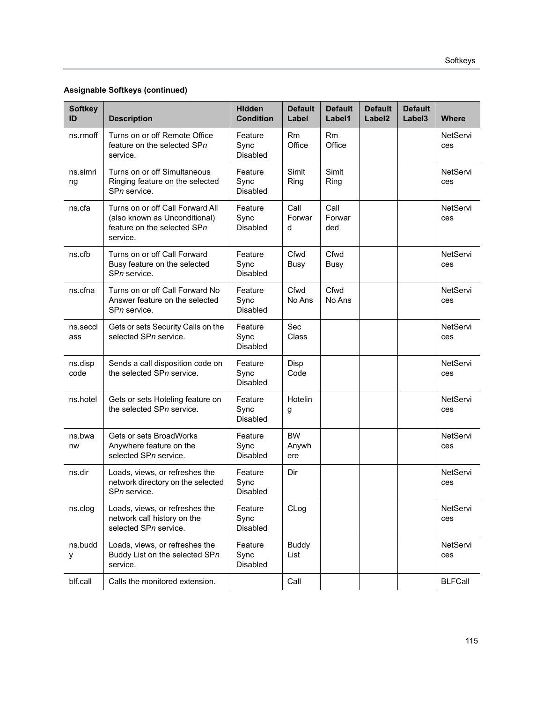| <b>Softkey</b><br>ID | <b>Description</b>                                                                                           | <b>Hidden</b><br><b>Condition</b>  | <b>Default</b><br>Label   | <b>Default</b><br>Label1 | <b>Default</b><br>Label <sub>2</sub> | <b>Default</b><br>Label3 | <b>Where</b>    |
|----------------------|--------------------------------------------------------------------------------------------------------------|------------------------------------|---------------------------|--------------------------|--------------------------------------|--------------------------|-----------------|
| ns.rmoff             | Turns on or off Remote Office<br>feature on the selected SPn<br>service.                                     | Feature<br>Sync<br><b>Disabled</b> | Rm<br>Office              | Rm<br>Office             |                                      |                          | NetServi<br>ces |
| ns.simri<br>ng       | Turns on or off Simultaneous<br>Ringing feature on the selected<br>SPn service.                              | Feature<br>Sync<br>Disabled        | Simlt<br>Ring             | Simlt<br>Ring            |                                      |                          | NetServi<br>ces |
| ns.cfa               | Turns on or off Call Forward All<br>(also known as Unconditional)<br>feature on the selected SPn<br>service. | Feature<br>Sync<br>Disabled        | Call<br>Forwar<br>d       | Call<br>Forwar<br>ded    |                                      |                          | NetServi<br>ces |
| ns.cfb               | Turns on or off Call Forward<br>Busy feature on the selected<br>SPn service.                                 | Feature<br>Sync<br><b>Disabled</b> | Cfwd<br><b>Busy</b>       | Cfwd<br><b>Busy</b>      |                                      |                          | NetServi<br>ces |
| ns.cfna              | Turns on or off Call Forward No<br>Answer feature on the selected<br>SPn service.                            | Feature<br>Sync<br><b>Disabled</b> | Cfwd<br>No Ans            | Cfwd<br>No Ans           |                                      |                          | NetServi<br>ces |
| ns.seccl<br>ass      | Gets or sets Security Calls on the<br>selected SPn service.                                                  | Feature<br>Sync<br>Disabled        | Sec<br>Class              |                          |                                      |                          | NetServi<br>ces |
| ns.disp<br>code      | Sends a call disposition code on<br>the selected SPn service.                                                | Feature<br>Sync<br>Disabled        | Disp<br>Code              |                          |                                      |                          | NetServi<br>ces |
| ns.hotel             | Gets or sets Hoteling feature on<br>the selected SPn service.                                                | Feature<br>Sync<br><b>Disabled</b> | Hotelin<br>g              |                          |                                      |                          | NetServi<br>ces |
| ns.bwa<br>nw         | Gets or sets BroadWorks<br>Anywhere feature on the<br>selected SPn service.                                  | Feature<br>Sync<br><b>Disabled</b> | <b>BW</b><br>Anywh<br>ere |                          |                                      |                          | NetServi<br>ces |
| ns.dir               | Loads, views, or refreshes the<br>network directory on the selected<br>SPn service.                          | Feature<br>Sync<br>Disabled        | Dir                       |                          |                                      |                          | NetServi<br>ces |
| ns.clog              | Loads, views, or refreshes the<br>network call history on the<br>selected SPn service.                       | Feature<br>Sync<br>Disabled        | CLog                      |                          |                                      |                          | NetServi<br>ces |
| ns.budd<br>у         | Loads, views, or refreshes the<br>Buddy List on the selected SPn<br>service.                                 | Feature<br>Sync<br>Disabled        | <b>Buddy</b><br>List      |                          |                                      |                          | NetServi<br>ces |
| blf.call             | Calls the monitored extension.                                                                               |                                    | Call                      |                          |                                      |                          | <b>BLFCall</b>  |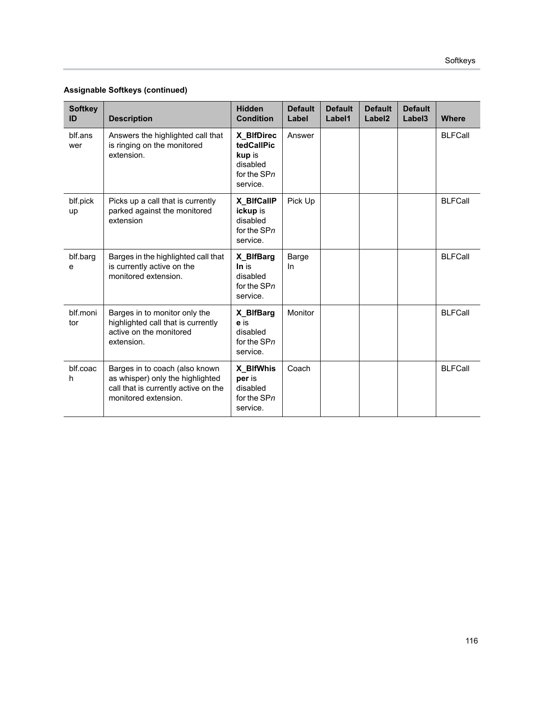| <b>Softkey</b><br>ID | <b>Description</b>                                                                                                                 | <b>Hidden</b><br><b>Condition</b>                                         | <b>Default</b><br>Label | <b>Default</b><br>Label1 | <b>Default</b><br>Label <sub>2</sub> | <b>Default</b><br>Label <sub>3</sub> | <b>Where</b>   |
|----------------------|------------------------------------------------------------------------------------------------------------------------------------|---------------------------------------------------------------------------|-------------------------|--------------------------|--------------------------------------|--------------------------------------|----------------|
| blf.ans<br>wer       | Answers the highlighted call that<br>is ringing on the monitored<br>extension.                                                     | X_BIfDirec<br>tedCallPic<br>kup is<br>disabled<br>for the SPn<br>service. | Answer                  |                          |                                      |                                      | <b>BLFCall</b> |
| blf.pick<br>up       | Picks up a call that is currently<br>parked against the monitored<br>extension                                                     | X_BIfCallP<br><b>ickup</b> is<br>disabled<br>for the SPn<br>service.      | Pick Up                 |                          |                                      |                                      | <b>BLFCall</b> |
| blf.barg<br>e        | Barges in the highlighted call that<br>is currently active on the<br>monitored extension.                                          | X_BIfBarg<br>In is<br>disabled<br>for the SPn<br>service.                 | Barge<br>In             |                          |                                      |                                      | <b>BLFCall</b> |
| blf.moni<br>tor      | Barges in to monitor only the<br>highlighted call that is currently<br>active on the monitored<br>extension.                       | X_BIfBarg<br>e is<br>disabled<br>for the SPn<br>service.                  | Monitor                 |                          |                                      |                                      | <b>BLFCall</b> |
| blf.coac<br>h        | Barges in to coach (also known<br>as whisper) only the highlighted<br>call that is currently active on the<br>monitored extension. | X_BIfWhis<br>per is<br>disabled<br>for the SPn<br>service.                | Coach                   |                          |                                      |                                      | <b>BLFCall</b> |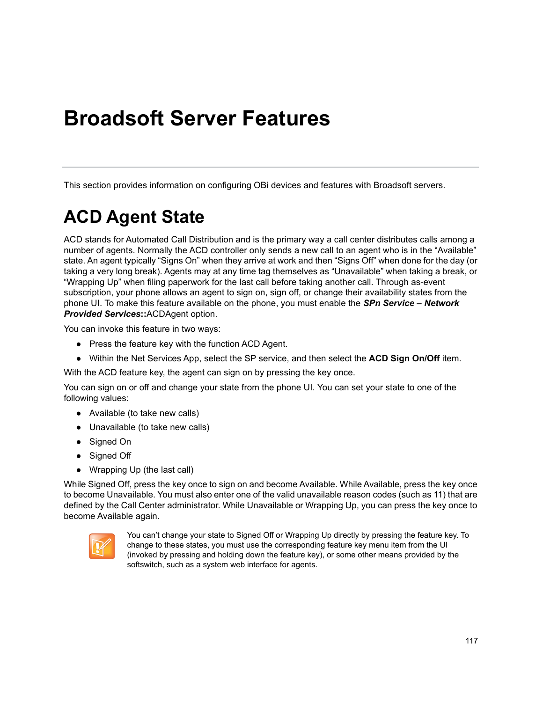# **Broadsoft Server Features**

This section provides information on configuring OBi devices and features with Broadsoft servers.

# **ACD Agent State**

ACD stands for Automated Call Distribution and is the primary way a call center distributes calls among a number of agents. Normally the ACD controller only sends a new call to an agent who is in the "Available" state. An agent typically "Signs On" when they arrive at work and then "Signs Off" when done for the day (or taking a very long break). Agents may at any time tag themselves as "Unavailable" when taking a break, or "Wrapping Up" when filing paperwork for the last call before taking another call. Through as-event subscription, your phone allows an agent to sign on, sign off, or change their availability states from the phone UI. To make this feature available on the phone, you must enable the *SPn Service – Network Provided Services***::**ACDAgent option.

You can invoke this feature in two ways:

- **●** Press the feature key with the function ACD Agent.
- **●** Within the Net Services App, select the SP service, and then select the **ACD Sign On/Off** item.

With the ACD feature key, the agent can sign on by pressing the key once.

You can sign on or off and change your state from the phone UI. You can set your state to one of the following values:

- **●** Available (to take new calls)
- **●** Unavailable (to take new calls)
- **●** Signed On
- **●** Signed Off
- **●** Wrapping Up (the last call)

While Signed Off, press the key once to sign on and become Available. While Available, press the key once to become Unavailable. You must also enter one of the valid unavailable reason codes (such as 11) that are defined by the Call Center administrator. While Unavailable or Wrapping Up, you can press the key once to become Available again.



You can't change your state to Signed Off or Wrapping Up directly by pressing the feature key. To change to these states, you must use the corresponding feature key menu item from the UI (invoked by pressing and holding down the feature key), or some other means provided by the softswitch, such as a system web interface for agents.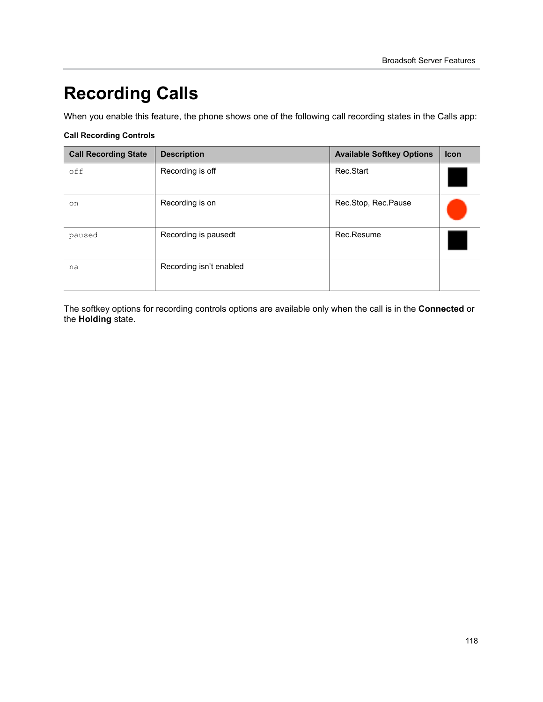# **Recording Calls**

When you enable this feature, the phone shows one of the following call recording states in the Calls app:

#### **Call Recording Controls**

| <b>Call Recording State</b> | <b>Description</b>      | <b>Available Softkey Options</b> | <b>Icon</b> |
|-----------------------------|-------------------------|----------------------------------|-------------|
| off                         | Recording is off        | Rec.Start                        |             |
| on                          | Recording is on         | Rec.Stop, Rec.Pause              |             |
| paused                      | Recording is pausedt    | Rec.Resume                       |             |
| na                          | Recording isn't enabled |                                  |             |

The softkey options for recording controls options are available only when the call is in the **Connected** or the **Holding** state.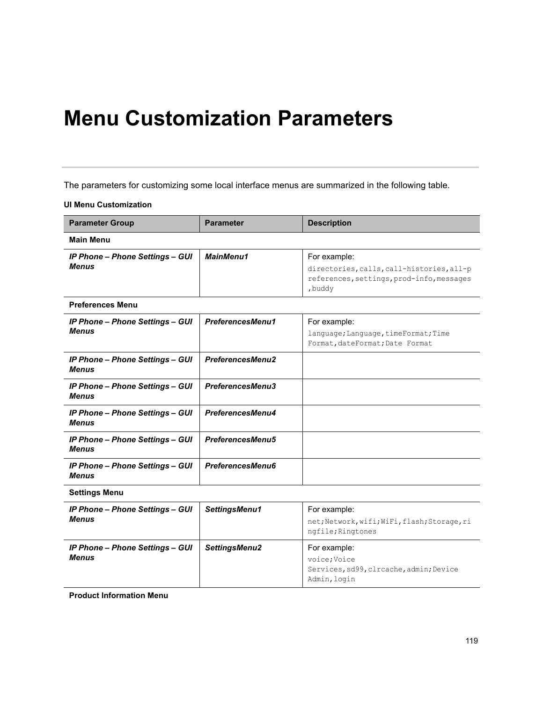# **Menu Customization Parameters**

The parameters for customizing some local interface menus are summarized in the following table.

#### **UI Menu Customization**

| <b>Parameter Group</b>                                 | <b>Parameter</b>        | <b>Description</b>                                                                                                |  |  |  |  |  |
|--------------------------------------------------------|-------------------------|-------------------------------------------------------------------------------------------------------------------|--|--|--|--|--|
| <b>Main Menu</b>                                       |                         |                                                                                                                   |  |  |  |  |  |
| <b>IP Phone - Phone Settings - GUI</b><br><b>Menus</b> | MainMenu1               | For example:<br>directories, calls, call-histories, all-p<br>references, settings, prod-info, messages<br>, buddy |  |  |  |  |  |
| <b>Preferences Menu</b>                                |                         |                                                                                                                   |  |  |  |  |  |
| <b>IP Phone - Phone Settings - GUI</b><br><b>Menus</b> | PreferencesMenu1        | For example:<br>language; Language, timeFormat; Time<br>Format, dateFormat; Date Format                           |  |  |  |  |  |
| <b>IP Phone - Phone Settings - GUI</b><br><b>Menus</b> | <b>PreferencesMenu2</b> |                                                                                                                   |  |  |  |  |  |
| <b>IP Phone - Phone Settings - GUI</b><br><b>Menus</b> | PreferencesMenu3        |                                                                                                                   |  |  |  |  |  |
| <b>IP Phone - Phone Settings - GUI</b><br><b>Menus</b> | PreferencesMenu4        |                                                                                                                   |  |  |  |  |  |
| <b>IP Phone - Phone Settings - GUI</b><br><b>Menus</b> | <b>PreferencesMenu5</b> |                                                                                                                   |  |  |  |  |  |
| <b>IP Phone - Phone Settings - GUI</b><br><b>Menus</b> | PreferencesMenu6        |                                                                                                                   |  |  |  |  |  |
| <b>Settings Menu</b>                                   |                         |                                                                                                                   |  |  |  |  |  |
| <b>IP Phone - Phone Settings - GUI</b><br><b>Menus</b> | SettingsMenu1           | For example:<br>net; Network, wifi; WiFi, flash; Storage, ri<br>ngfile; Ringtones                                 |  |  |  |  |  |
| <b>IP Phone - Phone Settings - GUI</b><br><b>Menus</b> | SettingsMenu2           | For example:<br>voice; Voice<br>Services, sd99, clrcache, admin; Device<br>Admin, login                           |  |  |  |  |  |

**Product Information Menu**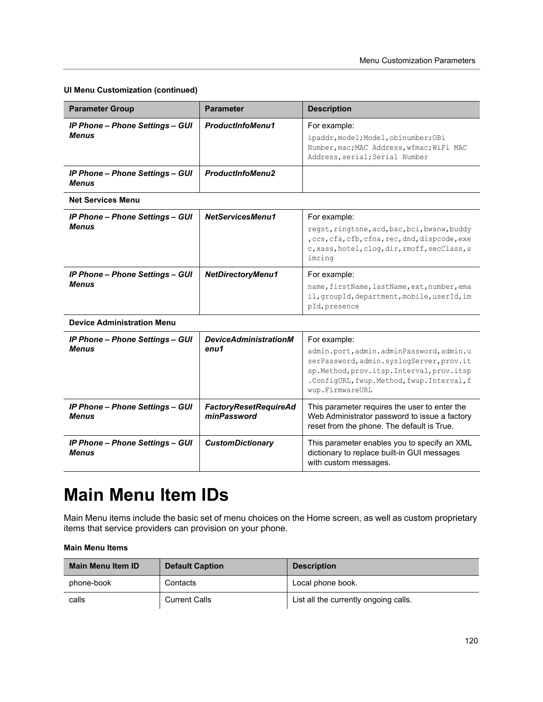#### **UI Menu Customization (continued)**

| <b>Parameter Group</b>                                 | <b>Parameter</b>                            | <b>Description</b>                                                                                                                                                                                                |
|--------------------------------------------------------|---------------------------------------------|-------------------------------------------------------------------------------------------------------------------------------------------------------------------------------------------------------------------|
| <b>IP Phone - Phone Settings - GUI</b><br><b>Menus</b> | <b>ProductInfoMenu1</b>                     | For example:<br>ipaddr, model; Model, obinumber; OBi<br>Number, mac; MAC Address, wfmac; WiFi MAC<br>Address, serial; Serial Number                                                                               |
| <b>IP Phone - Phone Settings - GUI</b><br><b>Menus</b> | <b>ProductInfoMenu2</b>                     |                                                                                                                                                                                                                   |
| <b>Net Services Menu</b>                               |                                             |                                                                                                                                                                                                                   |
| <b>IP Phone - Phone Settings - GUI</b><br><b>Menus</b> | NetServicesMenu1                            | For example:<br>regst, ringtone, acd, bac, bci, bwanw, buddy<br>, ccs, cfa, cfb, cfna, rec, dnd, dispcode, exe<br>c, xass, hotel, clog, dir, rmoff, secClass, s<br>imring                                         |
| <b>IP Phone - Phone Settings - GUI</b><br><b>Menus</b> | <b>NetDirectoryMenu1</b>                    | For example:<br>name, firstName, lastName, ext, number, ema<br>il, groupId, department, mobile, userId, im<br>pId, presence                                                                                       |
| <b>Device Administration Menu</b>                      |                                             |                                                                                                                                                                                                                   |
| <b>IP Phone - Phone Settings - GUI</b><br><b>Menus</b> | <b>DeviceAdministrationM</b><br>enu1        | For example:<br>admin.port, admin.adminPassword, admin.u<br>serPassword, admin.syslogServer, prov.it<br>sp.Method, prov.itsp.Interval, prov.itsp<br>.ConfigURL, fwup.Method, fwup. Interval, f<br>wup.FirmwareURL |
| <b>IP Phone - Phone Settings - GUI</b><br><b>Menus</b> | <b>FactoryResetRequireAd</b><br>minPassword | This parameter requires the user to enter the<br>Web Administrator password to issue a factory<br>reset from the phone. The default is True.                                                                      |
| <b>IP Phone - Phone Settings - GUI</b><br><b>Menus</b> | <b>CustomDictionary</b>                     | This parameter enables you to specify an XML<br>dictionary to replace built-in GUI messages<br>with custom messages.                                                                                              |

### **Main Menu Item IDs**

Main Menu items include the basic set of menu choices on the Home screen, as well as custom proprietary items that service providers can provision on your phone.

#### **Main Menu Items**

| <b>Main Menu Item ID</b> | <b>Default Caption</b> | <b>Description</b>                    |
|--------------------------|------------------------|---------------------------------------|
| phone-book               | Contacts               | Local phone book.                     |
| calls                    | <b>Current Calls</b>   | List all the currently ongoing calls. |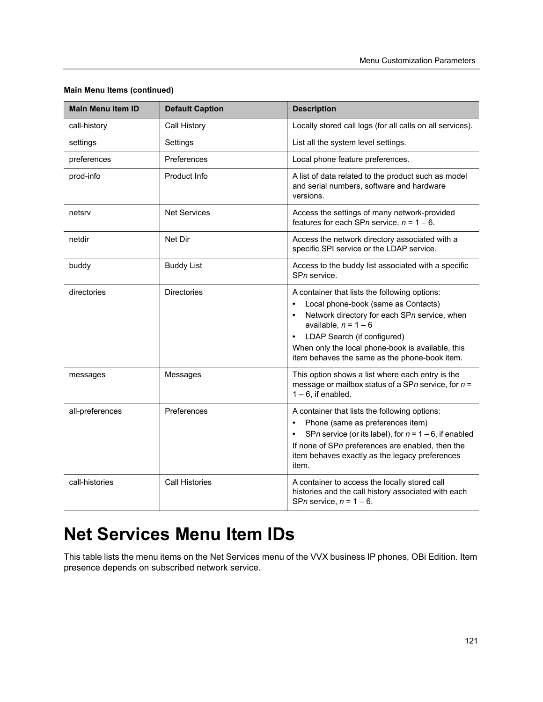| <b>Main Menu Item ID</b> | <b>Default Caption</b> | <b>Description</b>                                                                                                                                                                                                                                                                                                            |
|--------------------------|------------------------|-------------------------------------------------------------------------------------------------------------------------------------------------------------------------------------------------------------------------------------------------------------------------------------------------------------------------------|
| call-history             | Call History           | Locally stored call logs (for all calls on all services).                                                                                                                                                                                                                                                                     |
| settings                 | Settings               | List all the system level settings.                                                                                                                                                                                                                                                                                           |
| preferences              | Preferences            | Local phone feature preferences.                                                                                                                                                                                                                                                                                              |
| prod-info                | Product Info           | A list of data related to the product such as model<br>and serial numbers, software and hardware<br>versions.                                                                                                                                                                                                                 |
| netsrv                   | <b>Net Services</b>    | Access the settings of many network-provided<br>features for each SPn service, $n = 1 - 6$ .                                                                                                                                                                                                                                  |
| netdir                   | Net Dir                | Access the network directory associated with a<br>specific SPI service or the LDAP service.                                                                                                                                                                                                                                   |
| buddy                    | <b>Buddy List</b>      | Access to the buddy list associated with a specific<br>SPn service.                                                                                                                                                                                                                                                           |
| directories              | <b>Directories</b>     | A container that lists the following options:<br>Local phone-book (same as Contacts)<br>$\bullet$<br>Network directory for each SPn service, when<br>$\bullet$<br>available, $n = 1 - 6$<br>LDAP Search (if configured)<br>When only the local phone-book is available, this<br>item behaves the same as the phone-book item. |
| messages                 | Messages               | This option shows a list where each entry is the<br>message or mailbox status of a SPn service, for $n =$<br>$1 - 6$ , if enabled.                                                                                                                                                                                            |
| all-preferences          | Preferences            | A container that lists the following options:<br>Phone (same as preferences item)<br>$\bullet$<br>SPn service (or its label), for $n = 1 - 6$ , if enabled<br>If none of SPn preferences are enabled, then the<br>item behaves exactly as the legacy preferences<br>item.                                                     |
| call-histories           | <b>Call Histories</b>  | A container to access the locally stored call<br>histories and the call history associated with each<br>SPn service, $n = 1 - 6$ .                                                                                                                                                                                            |

#### **Main Menu Items (continued)**

### **Net Services Menu Item IDs**

This table lists the menu items on the Net Services menu of the VVX business IP phones, OBi Edition. Item presence depends on subscribed network service.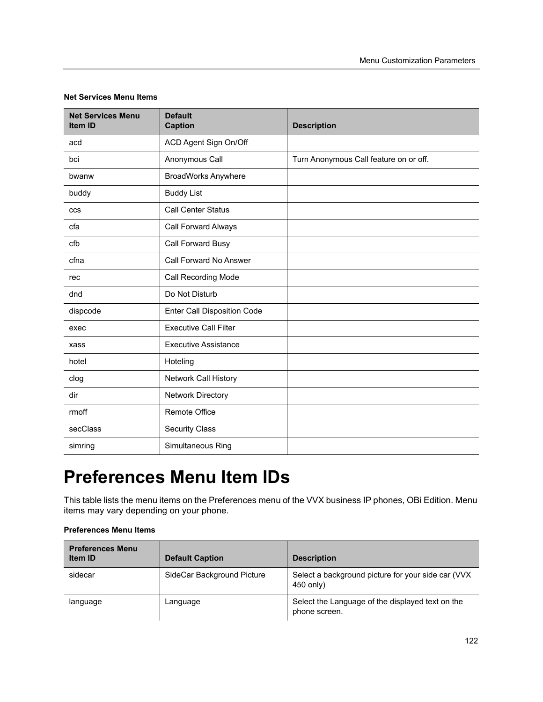| <b>Net Services Menu</b><br>Item ID | <b>Default</b><br><b>Caption</b>   | <b>Description</b>                     |
|-------------------------------------|------------------------------------|----------------------------------------|
| acd                                 | ACD Agent Sign On/Off              |                                        |
| bci                                 | Anonymous Call                     | Turn Anonymous Call feature on or off. |
| bwanw                               | <b>BroadWorks Anywhere</b>         |                                        |
| buddy                               | <b>Buddy List</b>                  |                                        |
| <b>CCS</b>                          | <b>Call Center Status</b>          |                                        |
| cfa                                 | Call Forward Always                |                                        |
| cfb                                 | Call Forward Busy                  |                                        |
| cfna                                | Call Forward No Answer             |                                        |
| rec                                 | Call Recording Mode                |                                        |
| dnd                                 | Do Not Disturb                     |                                        |
| dispcode                            | <b>Enter Call Disposition Code</b> |                                        |
| exec                                | <b>Executive Call Filter</b>       |                                        |
| xass                                | <b>Executive Assistance</b>        |                                        |
| hotel                               | Hoteling                           |                                        |
| clog                                | <b>Network Call History</b>        |                                        |
| dir                                 | <b>Network Directory</b>           |                                        |
| rmoff                               | <b>Remote Office</b>               |                                        |
| secClass                            | <b>Security Class</b>              |                                        |
| simring                             | Simultaneous Ring                  |                                        |

#### **Net Services Menu Items**

# **Preferences Menu Item IDs**

This table lists the menu items on the Preferences menu of the VVX business IP phones, OBi Edition. Menu items may vary depending on your phone.

| <b>Preferences Menu</b><br><b>Item ID</b> | <b>Default Caption</b>     | <b>Description</b>                                                |
|-------------------------------------------|----------------------------|-------------------------------------------------------------------|
| sidecar                                   | SideCar Background Picture | Select a background picture for your side car (VVX)<br>450 only)  |
| language                                  | Language                   | Select the Language of the displayed text on the<br>phone screen. |

#### **Preferences Menu Items**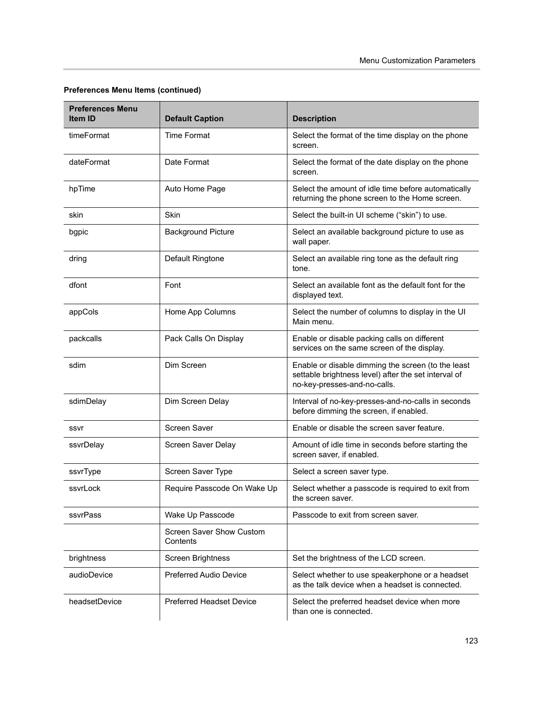| <b>Preferences Menu</b><br><b>Item ID</b> | <b>Default Caption</b>                                                                                                              | <b>Description</b>                                                                                                                         |
|-------------------------------------------|-------------------------------------------------------------------------------------------------------------------------------------|--------------------------------------------------------------------------------------------------------------------------------------------|
| timeFormat                                | <b>Time Format</b>                                                                                                                  | Select the format of the time display on the phone<br>screen.                                                                              |
| dateFormat                                | Date Format                                                                                                                         | Select the format of the date display on the phone<br>screen.                                                                              |
| hpTime                                    | Auto Home Page                                                                                                                      | Select the amount of idle time before automatically<br>returning the phone screen to the Home screen.                                      |
| skin                                      | <b>Skin</b>                                                                                                                         | Select the built-in UI scheme ("skin") to use.                                                                                             |
| bgpic                                     | <b>Background Picture</b>                                                                                                           | Select an available background picture to use as<br>wall paper.                                                                            |
| dring                                     | Default Ringtone                                                                                                                    | Select an available ring tone as the default ring<br>tone.                                                                                 |
| dfont                                     | Font<br>Select an available font as the default font for the<br>displayed text.                                                     |                                                                                                                                            |
| appCols                                   | Home App Columns<br>Select the number of columns to display in the UI<br>Main menu.                                                 |                                                                                                                                            |
| packcalls                                 | Pack Calls On Display<br>Enable or disable packing calls on different<br>services on the same screen of the display.                |                                                                                                                                            |
| sdim                                      | Dim Screen                                                                                                                          | Enable or disable dimming the screen (to the least<br>settable brightness level) after the set interval of<br>no-key-presses-and-no-calls. |
| sdimDelay                                 | Dim Screen Delay                                                                                                                    | Interval of no-key-presses-and-no-calls in seconds<br>before dimming the screen, if enabled.                                               |
| ssvr                                      | <b>Screen Saver</b>                                                                                                                 | Enable or disable the screen saver feature.                                                                                                |
| ssvrDelay                                 | Screen Saver Delay                                                                                                                  | Amount of idle time in seconds before starting the<br>screen saver, if enabled.                                                            |
| ssvrType                                  | Screen Saver Type                                                                                                                   | Select a screen saver type.                                                                                                                |
| ssvrLock                                  | Require Passcode On Wake Up<br>Select whether a passcode is required to exit from<br>the screen saver.                              |                                                                                                                                            |
| ssvrPass                                  | Wake Up Passcode<br>Passcode to exit from screen saver.                                                                             |                                                                                                                                            |
|                                           | <b>Screen Saver Show Custom</b><br>Contents                                                                                         |                                                                                                                                            |
| brightness                                | <b>Screen Brightness</b><br>Set the brightness of the LCD screen.                                                                   |                                                                                                                                            |
| audioDevice                               | <b>Preferred Audio Device</b><br>Select whether to use speakerphone or a headset<br>as the talk device when a headset is connected. |                                                                                                                                            |
| headsetDevice                             | <b>Preferred Headset Device</b>                                                                                                     | Select the preferred headset device when more<br>than one is connected.                                                                    |

#### **Preferences Menu Items (continued)**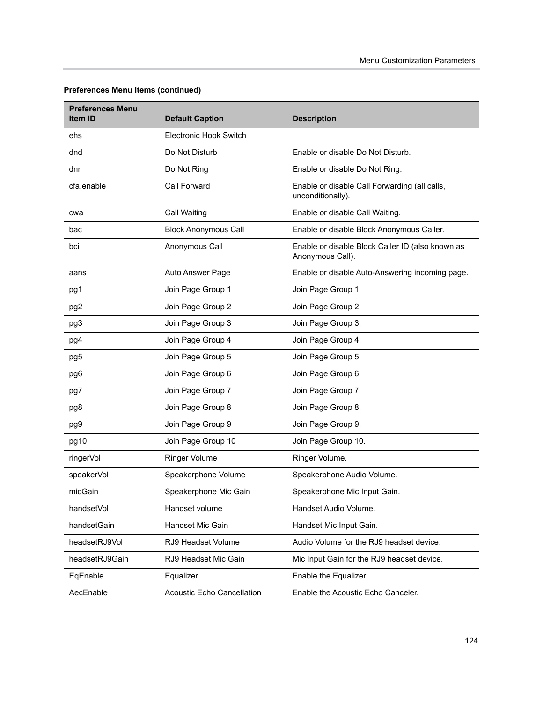| <b>Preferences Menu</b><br><b>Item ID</b> | <b>Default Caption</b>            | <b>Description</b>                                                   |
|-------------------------------------------|-----------------------------------|----------------------------------------------------------------------|
| ehs                                       | <b>Electronic Hook Switch</b>     |                                                                      |
| dnd                                       | Do Not Disturb                    | Enable or disable Do Not Disturb.                                    |
| dnr                                       | Do Not Ring                       | Enable or disable Do Not Ring.                                       |
| cfa.enable                                | <b>Call Forward</b>               | Enable or disable Call Forwarding (all calls,<br>unconditionally).   |
| cwa                                       | Call Waiting                      | Enable or disable Call Waiting.                                      |
| bac                                       | <b>Block Anonymous Call</b>       | Enable or disable Block Anonymous Caller.                            |
| bci                                       | Anonymous Call                    | Enable or disable Block Caller ID (also known as<br>Anonymous Call). |
| aans                                      | Auto Answer Page                  | Enable or disable Auto-Answering incoming page.                      |
| pg1                                       | Join Page Group 1                 | Join Page Group 1.                                                   |
| pg <sub>2</sub>                           | Join Page Group 2                 | Join Page Group 2.                                                   |
| pg3                                       | Join Page Group 3                 | Join Page Group 3.                                                   |
| pg4                                       | Join Page Group 4                 | Join Page Group 4.                                                   |
| pg5                                       | Join Page Group 5                 | Join Page Group 5.                                                   |
| pg6                                       | Join Page Group 6                 | Join Page Group 6.                                                   |
| pg7                                       | Join Page Group 7                 | Join Page Group 7.                                                   |
| pg8                                       | Join Page Group 8                 | Join Page Group 8.                                                   |
| pg9                                       | Join Page Group 9                 | Join Page Group 9.                                                   |
| pg10                                      | Join Page Group 10                | Join Page Group 10.                                                  |
| ringerVol                                 | Ringer Volume                     | Ringer Volume.                                                       |
| speakerVol                                | Speakerphone Volume               | Speakerphone Audio Volume.                                           |
| micGain                                   | Speakerphone Mic Gain             | Speakerphone Mic Input Gain.                                         |
| handsetVol                                | Handset volume                    | Handset Audio Volume.                                                |
| handsetGain                               | Handset Mic Gain                  | Handset Mic Input Gain.                                              |
| headsetRJ9Vol                             | RJ9 Headset Volume                | Audio Volume for the RJ9 headset device.                             |
| headsetRJ9Gain                            | RJ9 Headset Mic Gain              | Mic Input Gain for the RJ9 headset device.                           |
| EqEnable                                  | Equalizer                         | Enable the Equalizer.                                                |
| AecEnable                                 | <b>Acoustic Echo Cancellation</b> | Enable the Acoustic Echo Canceler.                                   |

#### **Preferences Menu Items (continued)**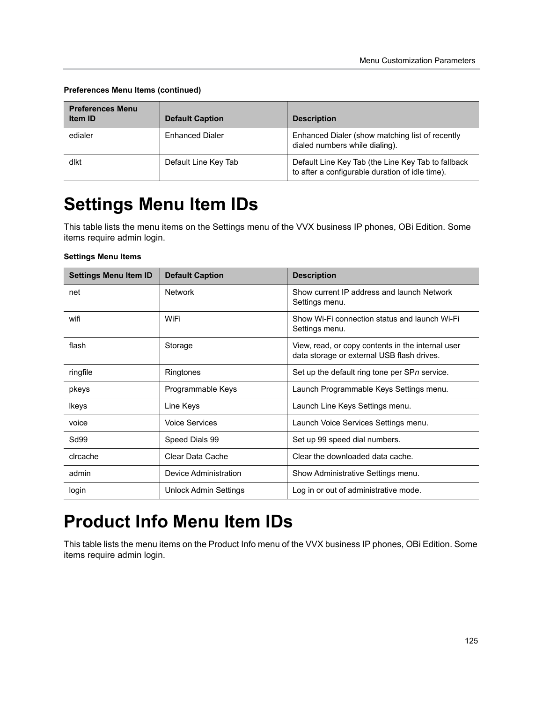| <b>Preferences Menu</b><br><b>Item ID</b> | <b>Default Caption</b> | <b>Description</b>                                                                                    |
|-------------------------------------------|------------------------|-------------------------------------------------------------------------------------------------------|
| edialer                                   | <b>Enhanced Dialer</b> | Enhanced Dialer (show matching list of recently<br>dialed numbers while dialing).                     |
| dlkt                                      | Default Line Key Tab   | Default Line Key Tab (the Line Key Tab to fallback<br>to after a configurable duration of idle time). |

#### **Preferences Menu Items (continued)**

# **Settings Menu Item IDs**

This table lists the menu items on the Settings menu of the VVX business IP phones, OBi Edition. Some items require admin login.

#### **Settings Menu Items**

| <b>Settings Menu Item ID</b> | <b>Default Caption</b> | <b>Description</b>                                                                              |
|------------------------------|------------------------|-------------------------------------------------------------------------------------------------|
| net                          | <b>Network</b>         | Show current IP address and launch Network<br>Settings menu.                                    |
| wifi                         | WiFi                   | Show Wi-Fi connection status and launch Wi-Fi<br>Settings menu.                                 |
| flash                        | Storage                | View, read, or copy contents in the internal user<br>data storage or external USB flash drives. |
| ringfile                     | Ringtones              | Set up the default ring tone per SPn service.                                                   |
| pkeys                        | Programmable Keys      | Launch Programmable Keys Settings menu.                                                         |
| <b>Ikeys</b>                 | Line Keys              | Launch Line Keys Settings menu.                                                                 |
| voice                        | <b>Voice Services</b>  | Launch Voice Services Settings menu.                                                            |
| Sd99                         | Speed Dials 99         | Set up 99 speed dial numbers.                                                                   |
| circache                     | Clear Data Cache       | Clear the downloaded data cache.                                                                |
| admin                        | Device Administration  | Show Administrative Settings menu.                                                              |
| login                        | Unlock Admin Settings  | Log in or out of administrative mode.                                                           |

### **Product Info Menu Item IDs**

This table lists the menu items on the Product Info menu of the VVX business IP phones, OBi Edition. Some items require admin login.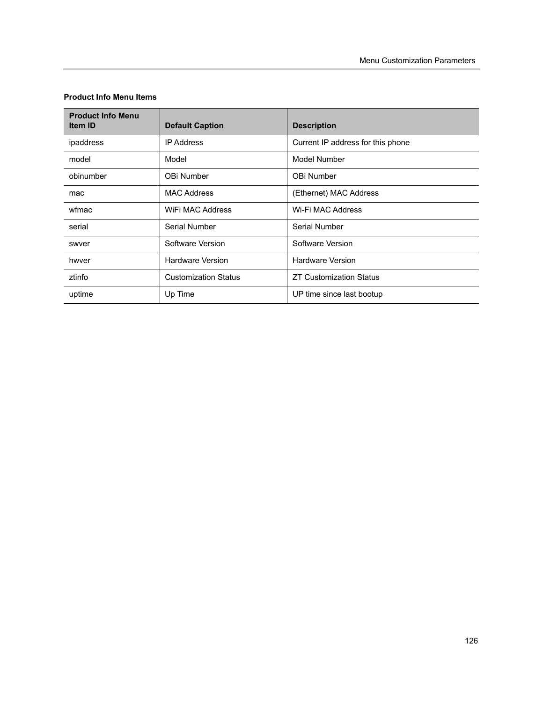| <b>Product Info Menu</b><br><b>Item ID</b> | <b>Default Caption</b>      | <b>Description</b>                |
|--------------------------------------------|-----------------------------|-----------------------------------|
| ipaddress                                  | <b>IP Address</b>           | Current IP address for this phone |
| model                                      | Model                       | Model Number                      |
| obinumber                                  | OBi Number                  | OBi Number                        |
| mac                                        | <b>MAC Address</b>          | (Ethernet) MAC Address            |
| wfmac                                      | WIFI MAC Address            | Wi-Fi MAC Address                 |
| serial                                     | Serial Number               | Serial Number                     |
| swyer                                      | Software Version            | Software Version                  |
| hwver                                      | <b>Hardware Version</b>     | <b>Hardware Version</b>           |
| ztinfo                                     | <b>Customization Status</b> | <b>ZT Customization Status</b>    |
| uptime                                     | Up Time                     | UP time since last bootup         |

#### **Product Info Menu Items**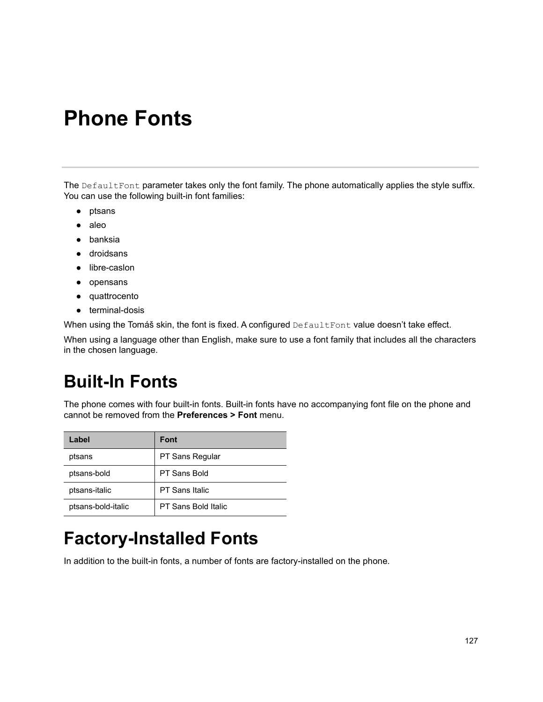# **Phone Fonts**

The DefaultFont parameter takes only the font family. The phone automatically applies the style suffix. You can use the following built-in font families:

- **●** ptsans
- **●** aleo
- **●** banksia
- **●** droidsans
- **●** libre-caslon
- **●** opensans
- **●** quattrocento
- **●** terminal-dosis

When using the Tomáš skin, the font is fixed. A configured DefaultFont value doesn't take effect.

When using a language other than English, make sure to use a font family that includes all the characters in the chosen language.

## **Built-In Fonts**

The phone comes with four built-in fonts. Built-in fonts have no accompanying font file on the phone and cannot be removed from the **Preferences > Font** menu.

| Label              | <b>Font</b>           |
|--------------------|-----------------------|
| ptsans             | PT Sans Regular       |
| ptsans-bold        | PT Sans Bold          |
| ptsans-italic      | <b>PT Sans Italic</b> |
| ptsans-bold-italic | PT Sans Bold Italic   |

## **Factory-Installed Fonts**

In addition to the built-in fonts, a number of fonts are factory-installed on the phone.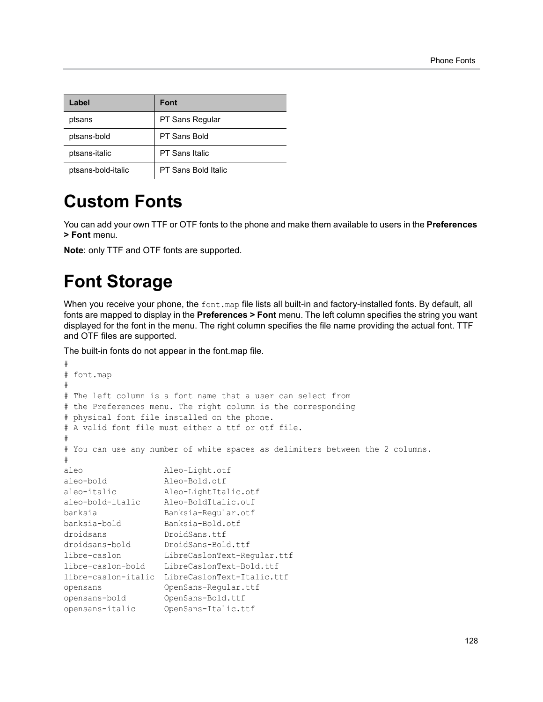| Label              | <b>Font</b>            |
|--------------------|------------------------|
| ptsans             | <b>PT Sans Regular</b> |
| ptsans-bold        | PT Sans Bold           |
| ptsans-italic      | <b>PT Sans Italic</b>  |
| ptsans-bold-italic | PT Sans Bold Italic    |

### **Custom Fonts**

You can add your own TTF or OTF fonts to the phone and make them available to users in the **Preferences > Font** menu.

**Note**: only TTF and OTF fonts are supported.

## **Font Storage**

When you receive your phone, the font, map file lists all built-in and factory-installed fonts. By default, all fonts are mapped to display in the **Preferences > Font** menu. The left column specifies the string you want displayed for the font in the menu. The right column specifies the file name providing the actual font. TTF and OTF files are supported.

The built-in fonts do not appear in the font.map file.

```
#
# font.map
#
# The left column is a font name that a user can select from
# the Preferences menu. The right column is the corresponding
# physical font file installed on the phone.
# A valid font file must either a ttf or otf file.
#
# You can use any number of white spaces as delimiters between the 2 columns.
#
aleo Aleo-Light.otf
aleo-bold Aleo-Bold.otf<br>aleo-italic Aleo-LightIta
aleo-italic Aleo-LightItalic.otf
aleo-bold-italic Aleo-BoldItalic.otf
banksia Banksia-Regular.otf
banksia-bold Banksia-Bold.otf
droidsans DroidSans.ttf
droidsans-bold DroidSans-Bold.ttf
libre-caslon LibreCaslonText-Regular.ttf
libre-caslon-bold LibreCaslonText-Bold.ttf
libre-caslon-italic LibreCaslonText-Italic.ttf
opensans OpenSans-Regular.ttf
opensans-bold OpenSans-Bold.ttf
opensans-italic OpenSans-Italic.ttf
```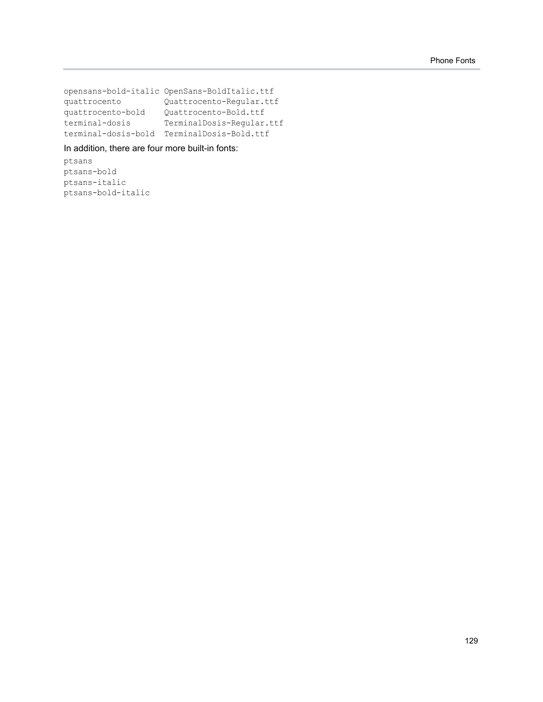opensans-bold-italic OpenSans-BoldItalic.ttf quattrocento Quattrocento-Regular.ttf quattrocento-bold Quattrocento-Bold.ttf terminal-dosis TerminalDosis-Regular.ttf terminal-dosis-bold TerminalDosis-Bold.ttf

#### In addition, there are four more built-in fonts:

ptsans ptsans-bold ptsans-italic ptsans-bold-italic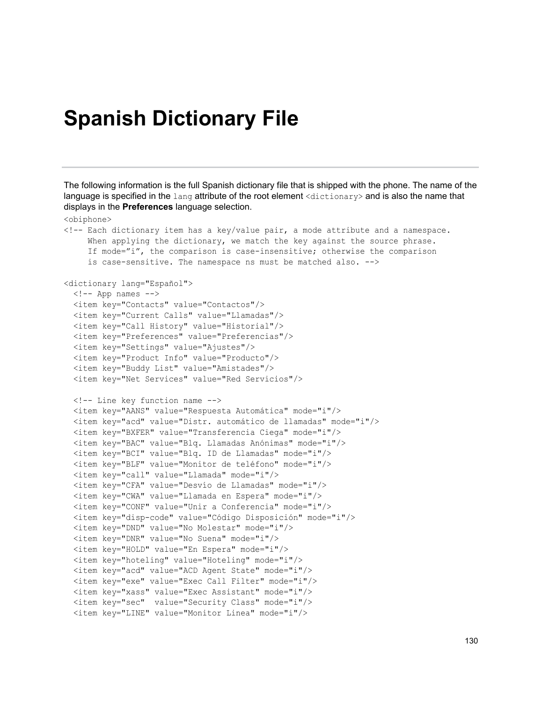# **Spanish Dictionary File**

<obiphone>

The following information is the full Spanish dictionary file that is shipped with the phone. The name of the language is specified in the lang attribute of the root element <dictionary> and is also the name that displays in the **Preferences** language selection.

```
<!-- Each dictionary item has a key/value pair, a mode attribute and a namespace.
     When applying the dictionary, we match the key against the source phrase.
      If mode="i", the comparison is case-insensitive; otherwise the comparison
      is case-sensitive. The namespace ns must be matched also. -->
<dictionary lang="Español">
  \langle!-- App names -->
   <item key="Contacts" value="Contactos"/>
   <item key="Current Calls" value="Llamadas"/>
   <item key="Call History" value="Historial"/>
   <item key="Preferences" value="Preferencias"/>
   <item key="Settings" value="Ajustes"/>
   <item key="Product Info" value="Producto"/>
   <item key="Buddy List" value="Amistades"/>
   <item key="Net Services" value="Red Servicios"/>
   <!-- Line key function name -->
   <item key="AANS" value="Respuesta Automática" mode="i"/>
   <item key="acd" value="Distr. automático de llamadas" mode="i"/>
   <item key="BXFER" value="Transferencia Ciega" mode="i"/>
   <item key="BAC" value="Blq. Llamadas Anónimas" mode="i"/>
   <item key="BCI" value="Blq. ID de Llamadas" mode="i"/>
   <item key="BLF" value="Monitor de teléfono" mode="i"/>
   <item key="call" value="Llamada" mode="i"/>
   <item key="CFA" value="Desvío de Llamadas" mode="i"/>
   <item key="CWA" value="Llamada en Espera" mode="i"/>
   <item key="CONF" value="Unir a Conferencia" mode="i"/>
   <item key="disp-code" value="Código Disposición" mode="i"/>
   <item key="DND" value="No Molestar" mode="i"/>
   <item key="DNR" value="No Suena" mode="i"/>
   <item key="HOLD" value="En Espera" mode="i"/>
   <item key="hoteling" value="Hoteling" mode="i"/>
   <item key="acd" value="ACD Agent State" mode="i"/>
   <item key="exe" value="Exec Call Filter" mode="i"/>
   <item key="xass" value="Exec Assistant" mode="i"/>
   <item key="sec" value="Security Class" mode="i"/>
   <item key="LINE" value="Monitor Linea" mode="i"/>
```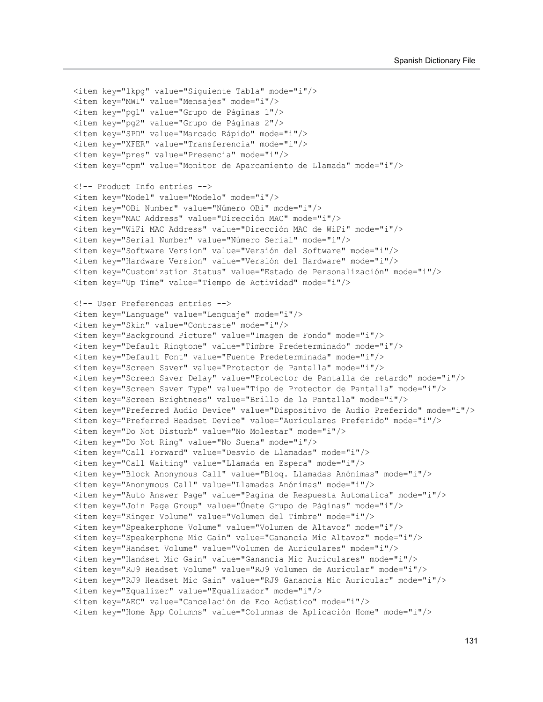```
 <item key="lkpg" value="Siguiente Tabla" mode="i"/>
 <item key="MWI" value="Mensajes" mode="i"/>
 <item key="pg1" value="Grupo de Páginas 1"/>
 <item key="pg2" value="Grupo de Páginas 2"/>
 <item key="SPD" value="Marcado Rápido" mode="i"/>
 <item key="XFER" value="Transferencia" mode="i"/>
 <item key="pres" value="Presencia" mode="i"/>
 <item key="cpm" value="Monitor de Aparcamiento de Llamada" mode="i"/>
 <!-- Product Info entries -->
 <item key="Model" value="Modelo" mode="i"/>
 <item key="OBi Number" value="Número OBi" mode="i"/>
 <item key="MAC Address" value="Dirección MAC" mode="i"/>
 <item key="WiFi MAC Address" value="Dirección MAC de WiFi" mode="i"/>
 <item key="Serial Number" value="Número Serial" mode="i"/>
 <item key="Software Version" value="Versión del Software" mode="i"/>
 <item key="Hardware Version" value="Versión del Hardware" mode="i"/>
 <item key="Customization Status" value="Estado de Personalización" mode="i"/>
 <item key="Up Time" value="Tiempo de Actividad" mode="i"/>
 <!-- User Preferences entries -->
 <item key="Language" value="Lenguaje" mode="i"/>
 <item key="Skin" value="Contraste" mode="i"/>
 <item key="Background Picture" value="Imagen de Fondo" mode="i"/>
 <item key="Default Ringtone" value="Timbre Predeterminado" mode="i"/>
 <item key="Default Font" value="Fuente Predeterminada" mode="i"/>
 <item key="Screen Saver" value="Protector de Pantalla" mode="i"/>
 <item key="Screen Saver Delay" value="Protector de Pantalla de retardo" mode="i"/>
 <item key="Screen Saver Type" value="Tipo de Protector de Pantalla" mode="i"/>
 <item key="Screen Brightness" value="Brillo de la Pantalla" mode="i"/>
 <item key="Preferred Audio Device" value="Dispositivo de Audio Preferido" mode="i"/>
 <item key="Preferred Headset Device" value="Auriculares Preferido" mode="i"/>
 <item key="Do Not Disturb" value="No Molestar" mode="i"/>
 <item key="Do Not Ring" value="No Suena" mode="i"/>
 <item key="Call Forward" value="Desvío de Llamadas" mode="i"/>
 <item key="Call Waiting" value="Llamada en Espera" mode="i"/>
 <item key="Block Anonymous Call" value="Bloq. Llamadas Anónimas" mode="i"/>
 <item key="Anonymous Call" value="Llamadas Anónimas" mode="i"/>
 <item key="Auto Answer Page" value="Pagina de Respuesta Automatica" mode="i"/>
 <item key="Join Page Group" value="Únete Grupo de Páginas" mode="i"/>
 <item key="Ringer Volume" value="Volumen del Timbre" mode="i"/>
 <item key="Speakerphone Volume" value="Volumen de Altavoz" mode="i"/>
 <item key="Speakerphone Mic Gain" value="Ganancia Mic Altavoz" mode="i"/>
 <item key="Handset Volume" value="Volumen de Auriculares" mode="i"/>
 <item key="Handset Mic Gain" value="Ganancia Mic Auriculares" mode="i"/>
 <item key="RJ9 Headset Volume" value="RJ9 Volumen de Auricular" mode="i"/>
 <item key="RJ9 Headset Mic Gain" value="RJ9 Ganancia Mic Auricular" mode="i"/>
 <item key="Equalizer" value="Equalizador" mode="i"/>
 <item key="AEC" value="Cancelación de Eco Acústico" mode="i"/>
 <item key="Home App Columns" value="Columnas de Aplicación Home" mode="i"/>
```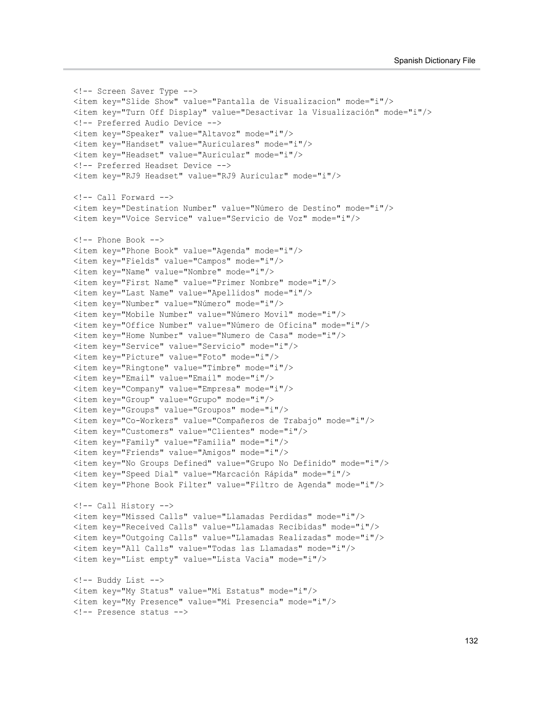```
 <!-- Screen Saver Type -->
 <item key="Slide Show" value="Pantalla de Visualizacion" mode="i"/>
 <item key="Turn Off Display" value="Desactivar la Visualización" mode="i"/>
 <!-- Preferred Audio Device -->
 <item key="Speaker" value="Altavoz" mode="i"/>
 <item key="Handset" value="Auriculares" mode="i"/>
 <item key="Headset" value="Auricular" mode="i"/>
 <!-- Preferred Headset Device -->
 <item key="RJ9 Headset" value="RJ9 Auricular" mode="i"/>
\langle!-- Call Forward -->
 <item key="Destination Number" value="Número de Destino" mode="i"/>
 <item key="Voice Service" value="Servicio de Voz" mode="i"/>
 <!-- Phone Book -->
 <item key="Phone Book" value="Agenda" mode="i"/>
 <item key="Fields" value="Campos" mode="i"/>
 <item key="Name" value="Nombre" mode="i"/>
 <item key="First Name" value="Primer Nombre" mode="i"/>
 <item key="Last Name" value="Apellidos" mode="i"/>
 <item key="Number" value="Número" mode="i"/>
 <item key="Mobile Number" value="Número Movil" mode="i"/>
 <item key="Office Number" value="Número de Oficina" mode="i"/>
 <item key="Home Number" value="Numero de Casa" mode="i"/>
 <item key="Service" value="Servicio" mode="i"/>
 <item key="Picture" value="Foto" mode="i"/>
 <item key="Ringtone" value="Timbre" mode="i"/>
 <item key="Email" value="Email" mode="i"/>
 <item key="Company" value="Empresa" mode="i"/>
 <item key="Group" value="Grupo" mode="i"/>
 <item key="Groups" value="Groupos" mode="i"/>
 <item key="Co-Workers" value="Compañeros de Trabajo" mode="i"/>
 <item key="Customers" value="Clientes" mode="i"/>
 <item key="Family" value="Familia" mode="i"/>
 <item key="Friends" value="Amigos" mode="i"/>
 <item key="No Groups Defined" value="Grupo No Definido" mode="i"/>
 <item key="Speed Dial" value="Marcación Rápida" mode="i"/>
 <item key="Phone Book Filter" value="Filtro de Agenda" mode="i"/>
 <!-- Call History -->
 <item key="Missed Calls" value="Llamadas Perdidas" mode="i"/>
 <item key="Received Calls" value="Llamadas Recibidas" mode="i"/>
 <item key="Outgoing Calls" value="Llamadas Realizadas" mode="i"/>
 <item key="All Calls" value="Todas las Llamadas" mode="i"/>
 <item key="List empty" value="Lista Vacia" mode="i"/>
 <!-- Buddy List -->
 <item key="My Status" value="Mi Estatus" mode="i"/>
 <item key="My Presence" value="Mi Presencia" mode="i"/>
 <!-- Presence status -->
```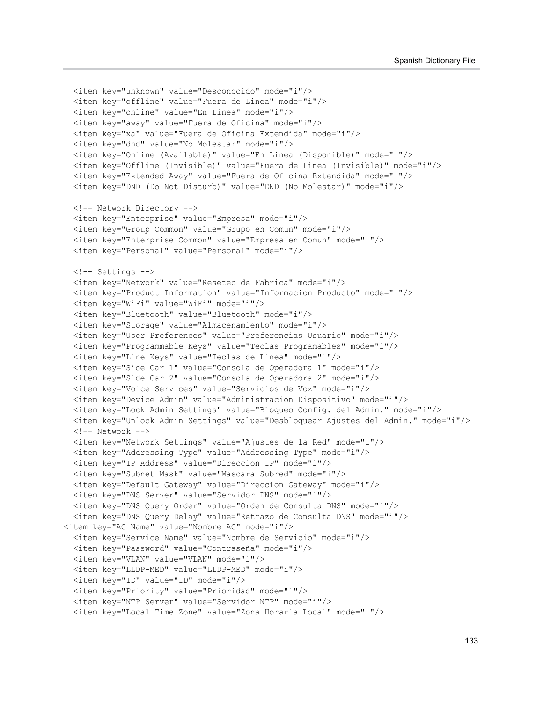```
 <item key="unknown" value="Desconocido" mode="i"/>
  <item key="offline" value="Fuera de Linea" mode="i"/>
  <item key="online" value="En Linea" mode="i"/>
  <item key="away" value="Fuera de Oficina" mode="i"/>
  <item key="xa" value="Fuera de Oficina Extendida" mode="i"/>
  <item key="dnd" value="No Molestar" mode="i"/>
  <item key="Online (Available)" value="En Linea (Disponible)" mode="i"/>
  <item key="Offline (Invisible)" value="Fuera de Linea (Invisible)" mode="i"/>
  <item key="Extended Away" value="Fuera de Oficina Extendida" mode="i"/>
  <item key="DND (Do Not Disturb)" value="DND (No Molestar)" mode="i"/>
  <!-- Network Directory -->
  <item key="Enterprise" value="Empresa" mode="i"/>
  <item key="Group Common" value="Grupo en Comun" mode="i"/>
  <item key="Enterprise Common" value="Empresa en Comun" mode="i"/>
  <item key="Personal" value="Personal" mode="i"/>
  <!-- Settings -->
  <item key="Network" value="Reseteo de Fabrica" mode="i"/>
  <item key="Product Information" value="Informacion Producto" mode="i"/>
  <item key="WiFi" value="WiFi" mode="i"/>
  <item key="Bluetooth" value="Bluetooth" mode="i"/>
  <item key="Storage" value="Almacenamiento" mode="i"/>
  <item key="User Preferences" value="Preferencias Usuario" mode="i"/>
  <item key="Programmable Keys" value="Teclas Programables" mode="i"/>
  <item key="Line Keys" value="Teclas de Linea" mode="i"/>
 <item key="Side Car 1" value="Consola de Operadora 1" mode="i"/>
  <item key="Side Car 2" value="Consola de Operadora 2" mode="i"/>
 <item key="Voice Services" value="Servicios de Voz" mode="i"/>
  <item key="Device Admin" value="Administracion Dispositivo" mode="i"/>
  <item key="Lock Admin Settings" value="Bloqueo Config. del Admin." mode="i"/>
  <item key="Unlock Admin Settings" value="Desbloquear Ajustes del Admin." mode="i"/>
 \langle!-- Network -->
  <item key="Network Settings" value="Ajustes de la Red" mode="i"/>
  <item key="Addressing Type" value="Addressing Type" mode="i"/>
  <item key="IP Address" value="Direccion IP" mode="i"/>
  <item key="Subnet Mask" value="Mascara Subred" mode="i"/>
  <item key="Default Gateway" value="Direccion Gateway" mode="i"/>
  <item key="DNS Server" value="Servidor DNS" mode="i"/>
  <item key="DNS Query Order" value="Orden de Consulta DNS" mode="i"/>
  <item key="DNS Query Delay" value="Retrazo de Consulta DNS" mode="i"/>
<item key="AC Name" value="Nombre AC" mode="i"/>
   <item key="Service Name" value="Nombre de Servicio" mode="i"/>
  <item key="Password" value="Contraseña" mode="i"/>
  <item key="VLAN" value="VLAN" mode="i"/>
  <item key="LLDP-MED" value="LLDP-MED" mode="i"/>
  <item key="ID" value="ID" mode="i"/>
  <item key="Priority" value="Prioridad" mode="i"/>
  <item key="NTP Server" value="Servidor NTP" mode="i"/>
  <item key="Local Time Zone" value="Zona Horaria Local" mode="i"/>
```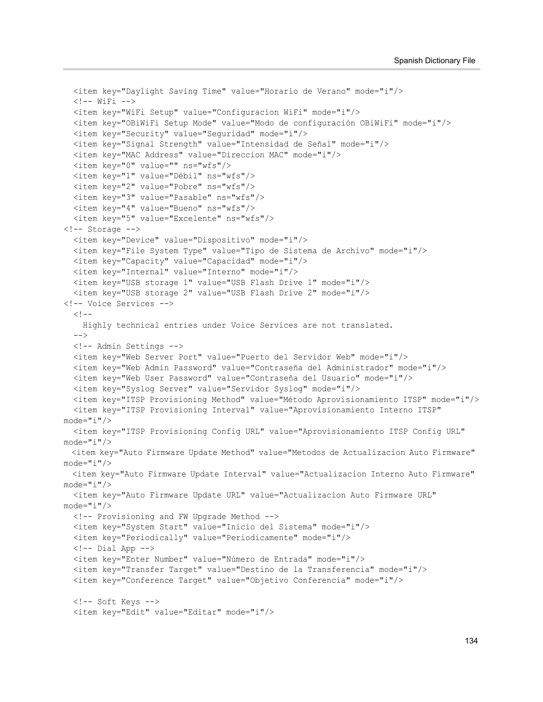```
 <item key="Daylight Saving Time" value="Horario de Verano" mode="i"/>
  \langle!-- WiFi -->
   <item key="WiFi Setup" value="Configuracion WiFi" mode="i"/>
   <item key="OBiWiFi Setup Mode" value="Modo de configuración OBiWiFi" mode="i"/>
   <item key="Security" value="Seguridad" mode="i"/>
   <item key="Signal Strength" value="Intensidad de Señal" mode="i"/>
   <item key="MAC Address" value="Direccion MAC" mode="i"/>
   <item key="0" value="" ns="wfs"/>
   <item key="1" value="Débil" ns="wfs"/>
   <item key="2" value="Pobre" ns="wfs"/>
   <item key="3" value="Pasable" ns="wfs"/>
   <item key="4" value="Bueno" ns="wfs"/>
   <item key="5" value="Excelente" ns="wfs"/>
<!-- Storage -->
   <item key="Device" value="Dispositivo" mode="i"/>
   <item key="File System Type" value="Tipo de Sistema de Archivo" mode="i"/>
   <item key="Capacity" value="Capacidad" mode="i"/>
   <item key="Internal" value="Interno" mode="i"/>
   <item key="USB storage 1" value="USB Flash Drive 1" mode="i"/>
   <item key="USB storage 2" value="USB Flash Drive 2" mode="i"/>
<!-- Voice Services -->
  < 1 - - Highly technical entries under Voice Services are not translated.
  --&> <!-- Admin Settings -->
   <item key="Web Server Port" value="Puerto del Servidor Web" mode="i"/>
   <item key="Web Admin Password" value="Contraseña del Administrador" mode="i"/>
   <item key="Web User Password" value="Contraseña del Usuario" mode="i"/>
   <item key="Syslog Server" value="Servidor Syslog" mode="i"/>
   <item key="ITSP Provisioning Method" value="Método Aprovisionamiento ITSP" mode="i"/>
   <item key="ITSP Provisioning Interval" value="Aprovisionamiento Interno ITSP" 
mode="i"/>
   <item key="ITSP Provisioning Config URL" value="Aprovisionamiento ITSP Config URL" 
mode="i" <item key="Auto Firmware Update Method" value="Metodos de Actualizacion Auto Firmware" 
mode="i"/>
   <item key="Auto Firmware Update Interval" value="Actualizacion Interno Auto Firmware" 
mode="i"/>
   <item key="Auto Firmware Update URL" value="Actualizacion Auto Firmware URL" 
mode="i"/>
   <!-- Provisioning and FW Upgrade Method -->
   <item key="System Start" value="Inicio del Sistema" mode="i"/>
   <item key="Periodically" value="Periodicamente" mode="i"/>
  \langle !-- Dial App -->
   <item key="Enter Number" value="Número de Entrada" mode="i"/>
   <item key="Transfer Target" value="Destino de la Transferencia" mode="i"/>
   <item key="Conference Target" value="Objetivo Conferencia" mode="i"/>
   <!-- Soft Keys -->
   <item key="Edit" value="Editar" mode="i"/>
```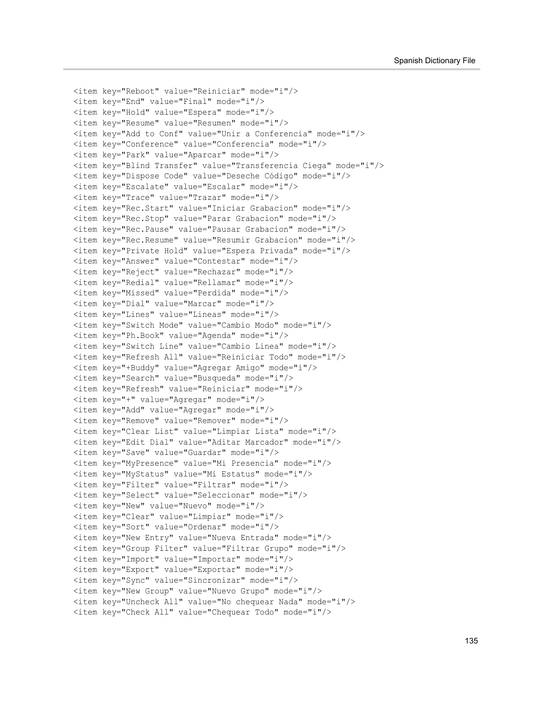```
 <item key="Reboot" value="Reiniciar" mode="i"/>
 <item key="End" value="Final" mode="i"/>
 <item key="Hold" value="Espera" mode="i"/>
 <item key="Resume" value="Resumen" mode="i"/>
\leitem key="Add to Conf" value="Unir a Conferencia" mode="i"/>
 <item key="Conference" value="Conferencia" mode="i"/>
 <item key="Park" value="Aparcar" mode="i"/>
 <item key="Blind Transfer" value="Transferencia Ciega" mode="i"/>
 <item key="Dispose Code" value="Deseche Código" mode="i"/>
 <item key="Escalate" value="Escalar" mode="i"/>
 <item key="Trace" value="Trazar" mode="i"/>
 <item key="Rec.Start" value="Iniciar Grabacion" mode="i"/>
 <item key="Rec.Stop" value="Parar Grabacion" mode="i"/>
 <item key="Rec.Pause" value="Pausar Grabacion" mode="i"/>
 <item key="Rec.Resume" value="Resumir Grabacion" mode="i"/>
 <item key="Private Hold" value="Espera Privada" mode="i"/>
 <item key="Answer" value="Contestar" mode="i"/>
 <item key="Reject" value="Rechazar" mode="i"/>
 <item key="Redial" value="Rellamar" mode="i"/>
 <item key="Missed" value="Perdida" mode="i"/>
 <item key="Dial" value="Marcar" mode="i"/>
 <item key="Lines" value="Lineas" mode="i"/>
 <item key="Switch Mode" value="Cambio Modo" mode="i"/>
 <item key="Ph.Book" value="Agenda" mode="i"/>
 <item key="Switch Line" value="Cambio Linea" mode="i"/>
 <item key="Refresh All" value="Reiniciar Todo" mode="i"/>
 <item key="+Buddy" value="Agregar Amigo" mode="i"/>
 <item key="Search" value="Busqueda" mode="i"/>
 <item key="Refresh" value="Reiniciar" mode="i"/>
 <item key="+" value="Agregar" mode="i"/>
 <item key="Add" value="Agregar" mode="i"/>
 <item key="Remove" value="Remover" mode="i"/>
 <item key="Clear List" value="Limpiar Lista" mode="i"/>
 <item key="Edit Dial" value="Aditar Marcador" mode="i"/>
 <item key="Save" value="Guardar" mode="i"/>
 <item key="MyPresence" value="Mi Presencia" mode="i"/>
 <item key="MyStatus" value="Mi Estatus" mode="i"/>
 <item key="Filter" value="Filtrar" mode="i"/>
 <item key="Select" value="Seleccionar" mode="i"/>
 <item key="New" value="Nuevo" mode="i"/>
 <item key="Clear" value="Limpiar" mode="i"/>
 <item key="Sort" value="Ordenar" mode="i"/>
 <item key="New Entry" value="Nueva Entrada" mode="i"/>
 <item key="Group Filter" value="Filtrar Grupo" mode="i"/>
 <item key="Import" value="Importar" mode="i"/>
 <item key="Export" value="Exportar" mode="i"/>
 <item key="Sync" value="Sincronizar" mode="i"/>
 <item key="New Group" value="Nuevo Grupo" mode="i"/>
 <item key="Uncheck All" value="No chequear Nada" mode="i"/>
 <item key="Check All" value="Chequear Todo" mode="i"/>
```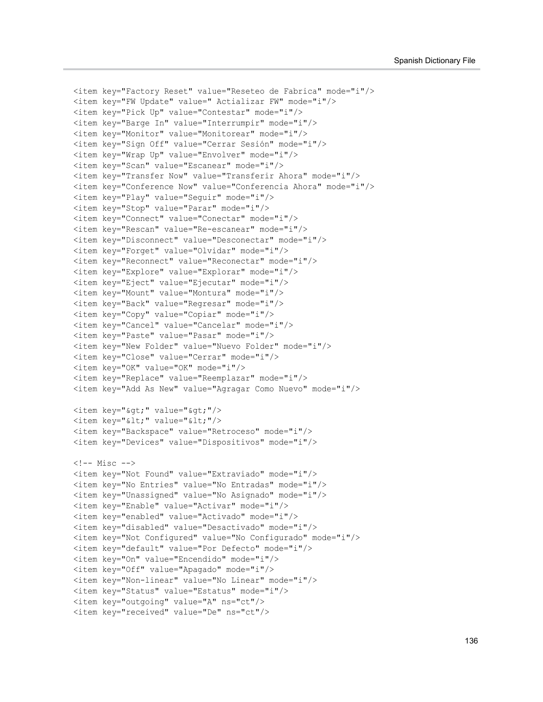```
 <item key="Factory Reset" value="Reseteo de Fabrica" mode="i"/>
 <item key="FW Update" value=" Actializar FW" mode="i"/>
 <item key="Pick Up" value="Contestar" mode="i"/>
 <item key="Barge In" value="Interrumpir" mode="i"/>
 <item key="Monitor" value="Monitorear" mode="i"/>
 <item key="Sign Off" value="Cerrar Sesión" mode="i"/>
 <item key="Wrap Up" value="Envolver" mode="i"/>
 <item key="Scan" value="Escanear" mode="i"/>
 <item key="Transfer Now" value="Transferir Ahora" mode="i"/>
 <item key="Conference Now" value="Conferencia Ahora" mode="i"/>
 <item key="Play" value="Seguir" mode="i"/>
 <item key="Stop" value="Parar" mode="i"/>
 <item key="Connect" value="Conectar" mode="i"/>
 <item key="Rescan" value="Re-escanear" mode="i"/>
 <item key="Disconnect" value="Desconectar" mode="i"/>
 <item key="Forget" value="Olvidar" mode="i"/>
 <item key="Reconnect" value="Reconectar" mode="i"/>
 <item key="Explore" value="Explorar" mode="i"/>
 <item key="Eject" value="Ejecutar" mode="i"/>
 <item key="Mount" value="Montura" mode="i"/>
 <item key="Back" value="Regresar" mode="i"/>
 <item key="Copy" value="Copiar" mode="i"/>
 <item key="Cancel" value="Cancelar" mode="i"/>
 <item key="Paste" value="Pasar" mode="i"/>
 <item key="New Folder" value="Nuevo Folder" mode="i"/>
 <item key="Close" value="Cerrar" mode="i"/>
 <item key="OK" value="OK" mode="i"/>
 <item key="Replace" value="Reemplazar" mode="i"/>
 <item key="Add As New" value="Agragar Como Nuevo" mode="i"/>
<item key="&gt;" value="&gt;"/>
\langleitem key="<" value="&lt;"/>
 <item key="Backspace" value="Retroceso" mode="i"/>
 <item key="Devices" value="Dispositivos" mode="i"/>
\langle!-- Misc -->
 <item key="Not Found" value="Extraviado" mode="i"/>
 <item key="No Entries" value="No Entradas" mode="i"/>
 <item key="Unassigned" value="No Asignado" mode="i"/>
 <item key="Enable" value="Activar" mode="i"/>
 <item key="enabled" value="Activado" mode="i"/>
 <item key="disabled" value="Desactivado" mode="i"/>
 <item key="Not Configured" value="No Configurado" mode="i"/>
 <item key="default" value="Por Defecto" mode="i"/>
 <item key="On" value="Encendido" mode="i"/>
 <item key="Off" value="Apagado" mode="i"/>
 <item key="Non-linear" value="No Linear" mode="i"/>
 <item key="Status" value="Estatus" mode="i"/>
 <item key="outgoing" value="A" ns="ct"/>
 <item key="received" value="De" ns="ct"/>
```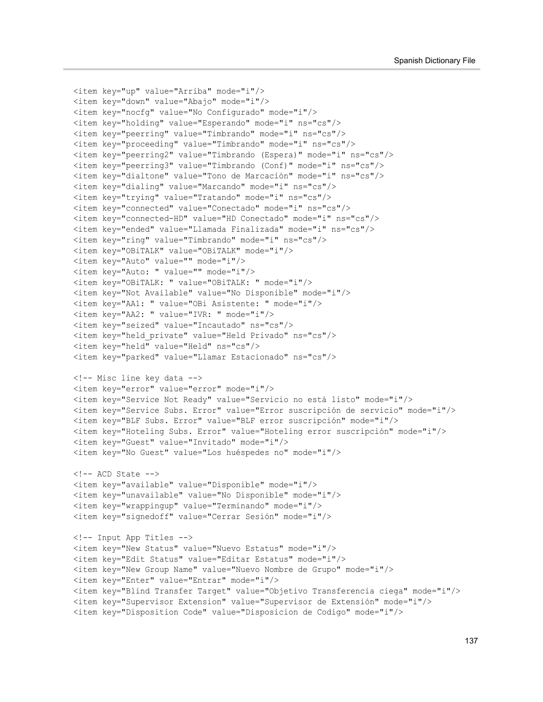```
 <item key="up" value="Arriba" mode="i"/>
 <item key="down" value="Abajo" mode="i"/>
 <item key="nocfg" value="No Configurado" mode="i"/>
 <item key="holding" value="Esperando" mode="i" ns="cs"/>
 <item key="peerring" value="Timbrando" mode="i" ns="cs"/>
 <item key="proceeding" value="Timbrando" mode="i" ns="cs"/>
 <item key="peerring2" value="Timbrando (Espera)" mode="i" ns="cs"/>
 <item key="peerring3" value="Timbrando (Conf)" mode="i" ns="cs"/>
 <item key="dialtone" value="Tono de Marcación" mode="i" ns="cs"/>
 <item key="dialing" value="Marcando" mode="i" ns="cs"/>
 <item key="trying" value="Tratando" mode="i" ns="cs"/>
 <item key="connected" value="Conectado" mode="i" ns="cs"/>
 <item key="connected-HD" value="HD Conectado" mode="i" ns="cs"/>
 <item key="ended" value="Llamada Finalizada" mode="i" ns="cs"/>
 <item key="ring" value="Timbrando" mode="i" ns="cs"/>
 <item key="OBiTALK" value="OBiTALK" mode="i"/>
 <item key="Auto" value="" mode="i"/>
 <item key="Auto: " value="" mode="i"/>
 <item key="OBiTALK: " value="OBiTALK: " mode="i"/>
 <item key="Not Available" value="No Disponible" mode="i"/>
 <item key="AA1: " value="OBi Asistente: " mode="i"/>
 <item key="AA2: " value="IVR: " mode="i"/>
 <item key="seized" value="Incautado" ns="cs"/>
 <item key="held_private" value="Held Privado" ns="cs"/>
 <item key="held" value="Held" ns="cs"/>
 <item key="parked" value="Llamar Estacionado" ns="cs"/>
 <!-- Misc line key data -->
 <item key="error" value="error" mode="i"/>
 <item key="Service Not Ready" value="Servicio no está listo" mode="i"/>
 <item key="Service Subs. Error" value="Error suscripción de servicio" mode="i"/>
 <item key="BLF Subs. Error" value="BLF error suscripción" mode="i"/>
 <item key="Hoteling Subs. Error" value="Hoteling error suscripción" mode="i"/>
 <item key="Guest" value="Invitado" mode="i"/>
 <item key="No Guest" value="Los huéspedes no" mode="i"/>
\langle !-- ACD State -->
 <item key="available" value="Disponible" mode="i"/>
 <item key="unavailable" value="No Disponible" mode="i"/>
 <item key="wrappingup" value="Terminando" mode="i"/>
 <item key="signedoff" value="Cerrar Sesión" mode="i"/>
 <!-- Input App Titles -->
 <item key="New Status" value="Nuevo Estatus" mode="i"/>
 <item key="Edit Status" value="Editar Estatus" mode="i"/>
 <item key="New Group Name" value="Nuevo Nombre de Grupo" mode="i"/>
 <item key="Enter" value="Entrar" mode="i"/>
 <item key="Blind Transfer Target" value="Objetivo Transferencia ciega" mode="i"/>
 <item key="Supervisor Extension" value="Supervisor de Extensión" mode="i"/>
 <item key="Disposition Code" value="Disposicion de Codigo" mode="i"/>
```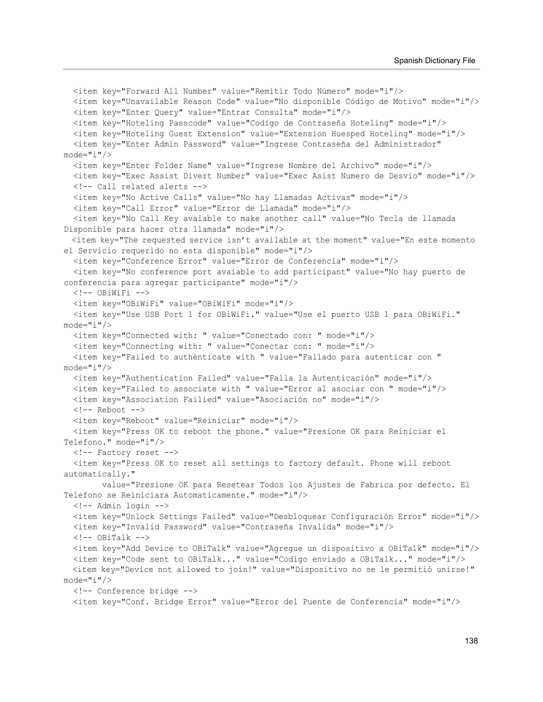<item key="Forward All Number" value="Remitir Todo Número" mode="i"/> <item key="Unavailable Reason Code" value="No disponible Código de Motivo" mode="i"/> <item key="Enter Query" value="Entrar Consulta" mode="i"/> <item key="Hoteling Passcode" value="Codigo de Contraseña Hoteling" mode="i"/> <item key="Hoteling Guest Extension" value="Extension Huesped Hoteling" mode="i"/> <item key="Enter Admin Password" value="Ingrese Contraseña del Administrador" mode="i"/> <item key="Enter Folder Name" value="Ingrese Nombre del Archivo" mode="i"/> <item key="Exec Assist Divert Number" value="Exec Asist Numero de Desvio" mode="i"/> <!-- Call related alerts --> <item key="No Active Calls" value="No hay Llamadas Activas" mode="i"/> <item key="Call Error" value="Error de Llamada" mode="i"/> <item key="No Call Key avaiable to make another call" value="No Tecla de llamada Disponible para hacer otra llamada" mode="i"/> <item key="The requested service isn't available at the moment" value="En este momento el Servicio requerido no esta disponible" mode="i"/> <item key="Conference Error" value="Error de Conferencia" mode="i"/> <item key="No conference port avaiable to add participant" value="No hay puerto de conferencia para agregar participante" mode="i"/> <!-- OBiWiFi --> <item key="OBiWiFi" value="OBiWiFi" mode="i"/> <item key="Use USB Port 1 for OBiWiFi." value="Use el puerto USB 1 para OBiWiFi."  $mode="i"$ /> <item key="Connected with: " value="Conectado con: " mode="i"/> <item key="Connecting with: " value="Conectar con: " mode="i"/> <item key="Failed to authenticate with " value="Fallado para autenticar con " mode="i"/> <item key="Authentication Failed" value="Falla la Autenticación" mode="i"/> <item key="Failed to associate with " value="Error al asociar con " mode="i"/> <item key="Association Failied" value="Asociación no" mode="i"/> <!-- Reboot --> <item key="Reboot" value="Reiniciar" mode="i"/> <item key="Press OK to reboot the phone." value="Presione OK para Reiniciar el Telefono." mode="i"/> <!-- Factory reset --> <item key="Press OK to reset all settings to factory default. Phone will reboot automatically." value="Presione OK para Resetear Todos los Ajustes de Fabrica por defecto. El Telefono se Reiniciara Automaticamente." mode="i"/> <!-- Admin login --> <item key="Unlock Settings Failed" value="Desbloquear Configuración Error" mode="i"/> <item key="Invalid Password" value="Contraseña Invalida" mode="i"/>  $\langle$ !-- OBiTalk --> <item key="Add Device to OBiTalk" value="Agregue un dispositivo a OBiTalk" mode="i"/>  $\leq$ item key="Code sent to OBiTalk..." value="Codigo enviado a OBiTalk..." mode="i"/> <item key="Device not allowed to join!" value="Dispositivo no se le permitió unirse!" mode="i"/> <!-- Conference bridge --> <item key="Conf. Bridge Error" value="Error del Puente de Conferencia" mode="i"/>